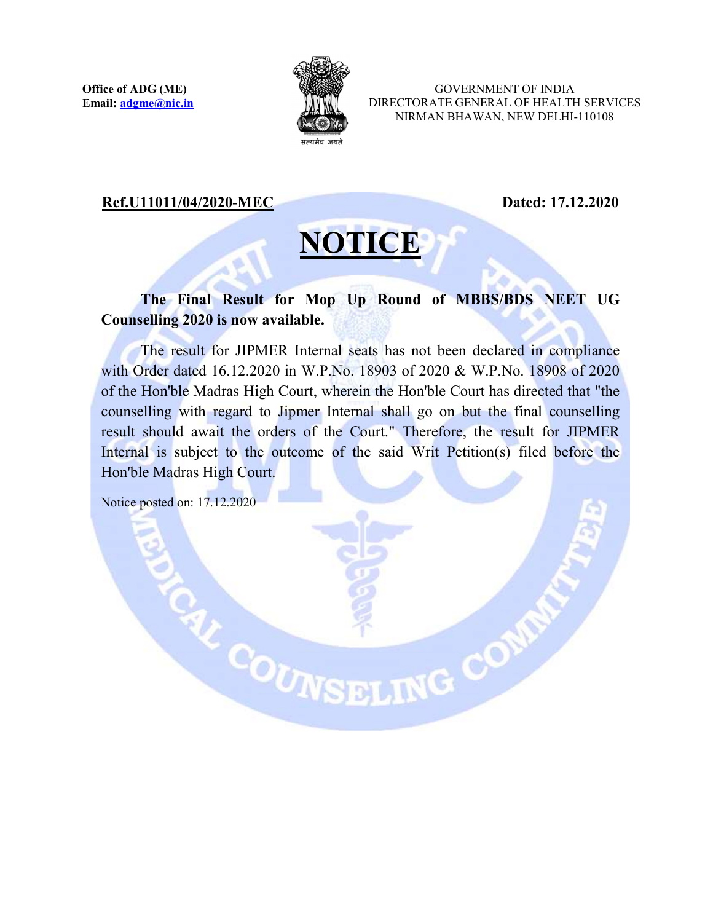

GOVERNMENT OF INDIA DIRECTORATE GENERAL OF HEALTH SERVICES NIRMAN BHAWAN, NEW DELHI-110108

## Ref.U11011/04/2020-MEC Dated: 17.12.2020

## **NOTICE**

## The Final Result for Mop Up Round of MBBS/BDS NEET UG Counselling 2020 is now available.

The result for JIPMER Internal seats has not been declared in compliance with Order dated 16.12.2020 in W.P.No. 18903 of 2020 & W.P.No. 18908 of 2020 of the Hon'ble Madras High Court, wherein the Hon'ble Court has directed that "the counselling with regard to Jipmer Internal shall go on but the final counselling result should await the orders of the Court." Therefore, the result for JIPMER Internal is subject to the outcome of the said Writ Petition(s) filed before the Hon'ble Madras High Court.

E COUNSELING COM

Notice posted on: 17.12.2020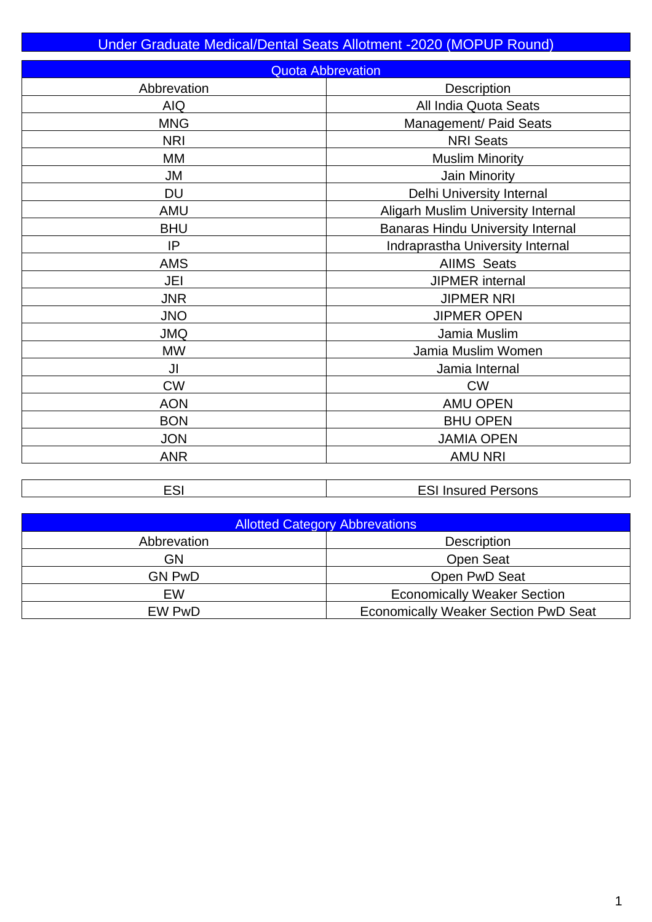| Under Graduate Medical/Dental Seats Allotment -2020 (MOPUP Round) |                                          |  |  |  |  |  |  |  |
|-------------------------------------------------------------------|------------------------------------------|--|--|--|--|--|--|--|
|                                                                   | <b>Quota Abbrevation</b>                 |  |  |  |  |  |  |  |
| Abbrevation                                                       | Description                              |  |  |  |  |  |  |  |
| <b>AIQ</b>                                                        | All India Quota Seats                    |  |  |  |  |  |  |  |
| <b>MNG</b>                                                        | <b>Management/ Paid Seats</b>            |  |  |  |  |  |  |  |
| <b>NRI</b>                                                        | <b>NRI Seats</b>                         |  |  |  |  |  |  |  |
| MM                                                                | <b>Muslim Minority</b>                   |  |  |  |  |  |  |  |
| JM                                                                | Jain Minority                            |  |  |  |  |  |  |  |
| DU                                                                | Delhi University Internal                |  |  |  |  |  |  |  |
| <b>AMU</b>                                                        | Aligarh Muslim University Internal       |  |  |  |  |  |  |  |
| <b>BHU</b>                                                        | <b>Banaras Hindu University Internal</b> |  |  |  |  |  |  |  |
| IP                                                                | Indraprastha University Internal         |  |  |  |  |  |  |  |
| <b>AMS</b>                                                        | <b>AIIMS Seats</b>                       |  |  |  |  |  |  |  |
| JEI                                                               | <b>JIPMER</b> internal                   |  |  |  |  |  |  |  |
| <b>JNR</b>                                                        | <b>JIPMER NRI</b>                        |  |  |  |  |  |  |  |
| <b>JNO</b>                                                        | <b>JIPMER OPEN</b>                       |  |  |  |  |  |  |  |
| <b>JMQ</b>                                                        | Jamia Muslim                             |  |  |  |  |  |  |  |
| <b>MW</b>                                                         | Jamia Muslim Women                       |  |  |  |  |  |  |  |
| JI                                                                | Jamia Internal                           |  |  |  |  |  |  |  |
| <b>CW</b>                                                         | <b>CW</b>                                |  |  |  |  |  |  |  |
| <b>AON</b>                                                        | <b>AMU OPEN</b>                          |  |  |  |  |  |  |  |
| <b>BON</b>                                                        | <b>BHU OPEN</b>                          |  |  |  |  |  |  |  |
| <b>JON</b>                                                        | <b>JAMIA OPEN</b>                        |  |  |  |  |  |  |  |
| <b>ANR</b>                                                        | <b>AMU NRI</b>                           |  |  |  |  |  |  |  |

| <b>Allotted Category Abbrevations</b> |                                             |  |  |  |  |  |
|---------------------------------------|---------------------------------------------|--|--|--|--|--|
| Abbrevation                           | <b>Description</b>                          |  |  |  |  |  |
| <b>GN</b>                             | <b>Open Seat</b>                            |  |  |  |  |  |
| <b>GN PwD</b>                         | Open PwD Seat                               |  |  |  |  |  |
| EW                                    | <b>Economically Weaker Section</b>          |  |  |  |  |  |
| EW PwD                                | <b>Economically Weaker Section PwD Seat</b> |  |  |  |  |  |

ESI Insured Persons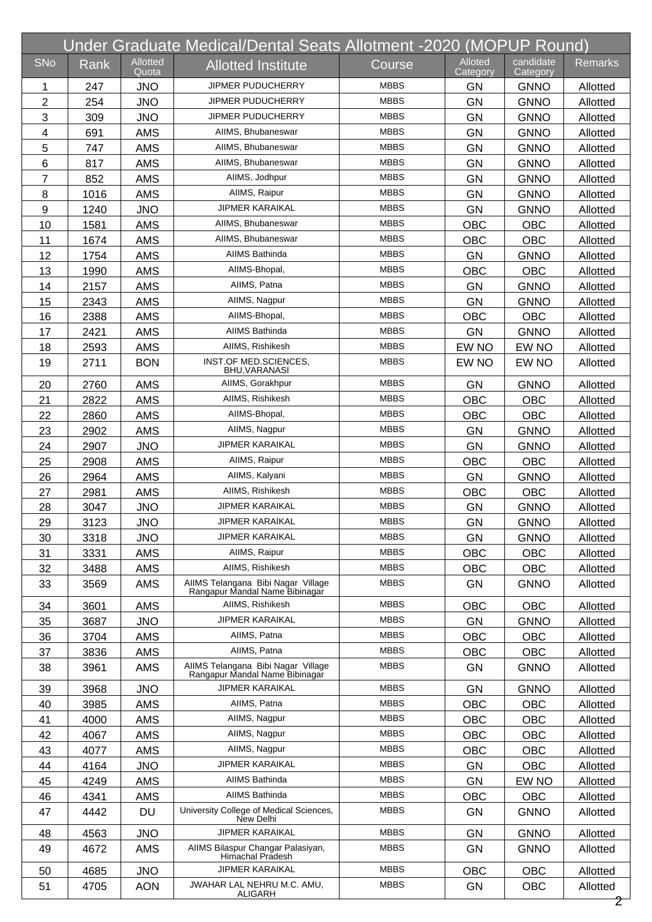|                |      |                          | Under Graduate Medical/Dental Seats Allotment -2020 (MOPUP Round)    |             |                            |                       |                |
|----------------|------|--------------------------|----------------------------------------------------------------------|-------------|----------------------------|-----------------------|----------------|
| <b>SNo</b>     | Rank | <b>Allotted</b><br>Quota | <b>Allotted Institute</b>                                            | Course      | <b>Alloted</b><br>Category | candidate<br>Category | <b>Remarks</b> |
| 1              | 247  | <b>JNO</b>               | JIPMER PUDUCHERRY                                                    | <b>MBBS</b> | GN                         | <b>GNNO</b>           | Allotted       |
| $\overline{2}$ | 254  | <b>JNO</b>               | <b>JIPMER PUDUCHERRY</b>                                             | <b>MBBS</b> | <b>GN</b>                  | <b>GNNO</b>           | Allotted       |
| 3              | 309  | <b>JNO</b>               | JIPMER PUDUCHERRY                                                    | <b>MBBS</b> | <b>GN</b>                  | <b>GNNO</b>           | Allotted       |
| 4              | 691  | <b>AMS</b>               | AIIMS, Bhubaneswar                                                   | <b>MBBS</b> | GN                         | <b>GNNO</b>           | Allotted       |
| 5              | 747  | <b>AMS</b>               | AIIMS, Bhubaneswar                                                   | <b>MBBS</b> | <b>GN</b>                  | <b>GNNO</b>           | Allotted       |
| 6              | 817  | <b>AMS</b>               | AIIMS, Bhubaneswar                                                   | <b>MBBS</b> | <b>GN</b>                  | <b>GNNO</b>           | Allotted       |
| $\overline{7}$ | 852  | <b>AMS</b>               | AIIMS. Jodhpur                                                       | <b>MBBS</b> | GN                         | <b>GNNO</b>           | Allotted       |
| 8              | 1016 | <b>AMS</b>               | AllMS, Raipur                                                        | <b>MBBS</b> | <b>GN</b>                  | <b>GNNO</b>           | Allotted       |
| 9              | 1240 | <b>JNO</b>               | <b>JIPMER KARAIKAL</b>                                               | <b>MBBS</b> | <b>GN</b>                  | <b>GNNO</b>           | Allotted       |
| 10             | 1581 | <b>AMS</b>               | AIIMS, Bhubaneswar                                                   | <b>MBBS</b> | <b>OBC</b>                 | <b>OBC</b>            | Allotted       |
| 11             | 1674 | <b>AMS</b>               | AIIMS, Bhubaneswar                                                   | <b>MBBS</b> | <b>OBC</b>                 | <b>OBC</b>            | Allotted       |
| 12             | 1754 | <b>AMS</b>               | AIIMS Bathinda                                                       | <b>MBBS</b> | <b>GN</b>                  | <b>GNNO</b>           | Allotted       |
| 13             | 1990 | <b>AMS</b>               | AIIMS-Bhopal,                                                        | <b>MBBS</b> | <b>OBC</b>                 | OBC                   | Allotted       |
| 14             | 2157 | <b>AMS</b>               | AIIMS, Patna                                                         | <b>MBBS</b> | <b>GN</b>                  | <b>GNNO</b>           | Allotted       |
| 15             | 2343 | <b>AMS</b>               | AIIMS, Nagpur                                                        | <b>MBBS</b> | <b>GN</b>                  | <b>GNNO</b>           | Allotted       |
| 16             | 2388 | <b>AMS</b>               | AIIMS-Bhopal.                                                        | <b>MBBS</b> | <b>OBC</b>                 | OBC                   | Allotted       |
| 17             | 2421 | <b>AMS</b>               | <b>AIIMS Bathinda</b>                                                | <b>MBBS</b> | <b>GN</b>                  | <b>GNNO</b>           | Allotted       |
| 18             | 2593 | <b>AMS</b>               | AIIMS, Rishikesh                                                     | <b>MBBS</b> | EW NO                      | EW NO                 | Allotted       |
| 19             | 2711 | <b>BON</b>               | INST.OF MED.SCIENCES,<br>BHU, VARANASI                               | <b>MBBS</b> | EW NO                      | EW NO                 | Allotted       |
| 20             | 2760 | <b>AMS</b>               | AIIMS, Gorakhpur                                                     | <b>MBBS</b> | <b>GN</b>                  | <b>GNNO</b>           | Allotted       |
| 21             | 2822 | <b>AMS</b>               | AIIMS, Rishikesh                                                     | <b>MBBS</b> | <b>OBC</b>                 | <b>OBC</b>            | Allotted       |
| 22             | 2860 | <b>AMS</b>               | AIIMS-Bhopal,                                                        | <b>MBBS</b> | <b>OBC</b>                 | <b>OBC</b>            | Allotted       |
| 23             | 2902 | <b>AMS</b>               | AllMS, Nagpur                                                        | <b>MBBS</b> | <b>GN</b>                  | <b>GNNO</b>           | Allotted       |
| 24             | 2907 | <b>JNO</b>               | <b>JIPMER KARAIKAL</b>                                               | <b>MBBS</b> | <b>GN</b>                  | <b>GNNO</b>           | Allotted       |
| 25             | 2908 | <b>AMS</b>               | AllMS, Raipur                                                        | <b>MBBS</b> | <b>OBC</b>                 | <b>OBC</b>            | Allotted       |
| 26             | 2964 | <b>AMS</b>               | AIIMS, Kalyani                                                       | <b>MBBS</b> | <b>GN</b>                  | <b>GNNO</b>           | Allotted       |
| 27             | 2981 | <b>AMS</b>               | AIIMS, Rishikesh                                                     | <b>MBBS</b> | OBC                        | <b>OBC</b>            | Allotted       |
| 28             | 3047 | <b>JNO</b>               | <b>JIPMER KARAIKAL</b>                                               | <b>MBBS</b> | <b>GN</b>                  | <b>GNNO</b>           | Allotted       |
| 29             | 3123 | <b>JNO</b>               | <b>JIPMER KARAIKAL</b>                                               | <b>MBBS</b> | GN                         | <b>GNNO</b>           | Allotted       |
| 30             | 3318 | <b>JNO</b>               | <b>JIPMER KARAIKAL</b>                                               | <b>MBBS</b> | <b>GN</b>                  | <b>GNNO</b>           | Allotted       |
| 31             | 3331 | <b>AMS</b>               | AllMS, Raipur                                                        | <b>MBBS</b> | <b>OBC</b>                 | OBC                   | Allotted       |
| 32             | 3488 | AMS                      | AIIMS, Rishikesh                                                     | <b>MBBS</b> | <b>OBC</b>                 | OBC                   | Allotted       |
| 33             | 3569 | <b>AMS</b>               | AIIMS Telangana Bibi Nagar Village<br>Rangapur Mandal Name Bibinagar | <b>MBBS</b> | <b>GN</b>                  | <b>GNNO</b>           | Allotted       |
| 34             | 3601 | <b>AMS</b>               | AIIMS, Rishikesh                                                     | <b>MBBS</b> | <b>OBC</b>                 | OBC                   | Allotted       |
| 35             | 3687 | <b>JNO</b>               | <b>JIPMER KARAIKAL</b>                                               | <b>MBBS</b> | GN                         | <b>GNNO</b>           | Allotted       |
| 36             | 3704 | <b>AMS</b>               | AIIMS, Patna                                                         | <b>MBBS</b> | <b>OBC</b>                 | <b>OBC</b>            | Allotted       |
| 37             | 3836 | AMS                      | AIIMS, Patna                                                         | <b>MBBS</b> | <b>OBC</b>                 | OBC                   | Allotted       |
| 38             | 3961 | AMS                      | AIIMS Telangana Bibi Nagar Village<br>Rangapur Mandal Name Bibinagar | <b>MBBS</b> | GN                         | <b>GNNO</b>           | Allotted       |
| 39             | 3968 | <b>JNO</b>               | <b>JIPMER KARAIKAL</b>                                               | <b>MBBS</b> | <b>GN</b>                  | <b>GNNO</b>           | Allotted       |
| 40             | 3985 | <b>AMS</b>               | AIIMS, Patna                                                         | <b>MBBS</b> | <b>OBC</b>                 | OBC                   | Allotted       |
| 41             | 4000 | AMS                      | AIIMS, Nagpur                                                        | <b>MBBS</b> | OBC                        | OBC                   | Allotted       |
| 42             | 4067 | <b>AMS</b>               | AIIMS, Nagpur                                                        | <b>MBBS</b> | <b>OBC</b>                 | <b>OBC</b>            | Allotted       |
| 43             | 4077 | <b>AMS</b>               | AIIMS, Nagpur                                                        | <b>MBBS</b> | <b>OBC</b>                 | <b>OBC</b>            | Allotted       |
| 44             | 4164 | <b>JNO</b>               | <b>JIPMER KARAIKAL</b>                                               | <b>MBBS</b> | GN                         | OBC                   | Allotted       |
| 45             | 4249 | <b>AMS</b>               | AIIMS Bathinda                                                       | <b>MBBS</b> | <b>GN</b>                  | EW NO                 | Allotted       |
| 46             | 4341 | <b>AMS</b>               | AIIMS Bathinda                                                       | <b>MBBS</b> | <b>OBC</b>                 | OBC                   | Allotted       |
| 47             | 4442 | DU                       | University College of Medical Sciences,<br>New Delhi                 | <b>MBBS</b> | GN                         | <b>GNNO</b>           | Allotted       |
| 48             | 4563 | <b>JNO</b>               | <b>JIPMER KARAIKAL</b>                                               | <b>MBBS</b> | GN                         | <b>GNNO</b>           | Allotted       |
| 49             | 4672 | <b>AMS</b>               | AIIMS Bilaspur Changar Palasiyan,<br>Himachal Pradesh                | <b>MBBS</b> | <b>GN</b>                  | <b>GNNO</b>           | Allotted       |
| 50             | 4685 | <b>JNO</b>               | <b>JIPMER KARAIKAL</b>                                               | <b>MBBS</b> | OBC                        | OBC                   | Allotted       |
| 51             | 4705 | <b>AON</b>               | JWAHAR LAL NEHRU M.C. AMU,<br><b>ALIGARH</b>                         | <b>MBBS</b> | <b>GN</b>                  | OBC                   | Allotted       |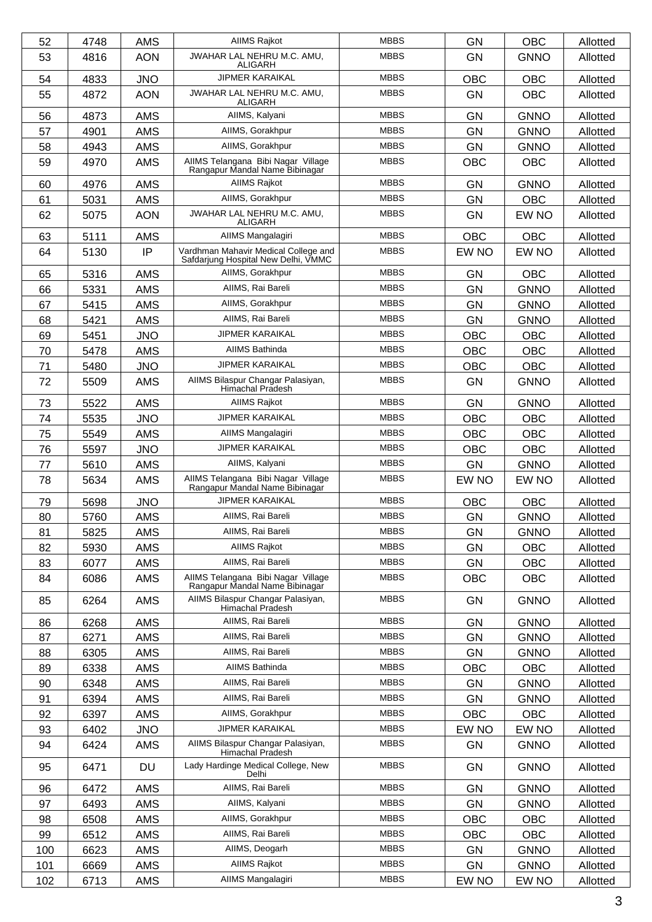| 52  | 4748 | <b>AMS</b> | AIIMS Rajkot                                                                | <b>MBBS</b> | <b>GN</b>  | <b>OBC</b>  | Allotted |
|-----|------|------------|-----------------------------------------------------------------------------|-------------|------------|-------------|----------|
| 53  | 4816 | <b>AON</b> | JWAHAR LAL NEHRU M.C. AMU,<br><b>ALIGARH</b>                                | <b>MBBS</b> | <b>GN</b>  | <b>GNNO</b> | Allotted |
| 54  | 4833 | <b>JNO</b> | <b>JIPMER KARAIKAL</b>                                                      | <b>MBBS</b> | <b>OBC</b> | <b>OBC</b>  | Allotted |
| 55  | 4872 | <b>AON</b> | JWAHAR LAL NEHRU M.C. AMU,<br><b>ALIGARH</b>                                | <b>MBBS</b> | <b>GN</b>  | <b>OBC</b>  | Allotted |
| 56  | 4873 | <b>AMS</b> | AIIMS, Kalyani                                                              | <b>MBBS</b> | GN         | <b>GNNO</b> | Allotted |
| 57  | 4901 | <b>AMS</b> | AIIMS, Gorakhpur                                                            | <b>MBBS</b> | <b>GN</b>  | <b>GNNO</b> | Allotted |
| 58  | 4943 | <b>AMS</b> | AIIMS, Gorakhpur                                                            | <b>MBBS</b> | <b>GN</b>  | <b>GNNO</b> | Allotted |
| 59  | 4970 | <b>AMS</b> | AIIMS Telangana Bibi Nagar Village<br>Rangapur Mandal Name Bibinagar        | <b>MBBS</b> | <b>OBC</b> | <b>OBC</b>  | Allotted |
| 60  | 4976 | <b>AMS</b> | AIIMS Rajkot                                                                | <b>MBBS</b> | <b>GN</b>  | <b>GNNO</b> | Allotted |
| 61  | 5031 | <b>AMS</b> | AIIMS, Gorakhpur                                                            | <b>MBBS</b> | <b>GN</b>  | <b>OBC</b>  | Allotted |
| 62  | 5075 | <b>AON</b> | JWAHAR LAL NEHRU M.C. AMU,<br>ALIGARH                                       | <b>MBBS</b> | GN         | EW NO       | Allotted |
| 63  | 5111 | <b>AMS</b> | AIIMS Mangalagiri                                                           | <b>MBBS</b> | <b>OBC</b> | <b>OBC</b>  | Allotted |
| 64  | 5130 | IP         | Vardhman Mahavir Medical College and<br>Safdarjung Hospital New Delhi, VMMC | <b>MBBS</b> | EW NO      | EW NO       | Allotted |
| 65  | 5316 | <b>AMS</b> | AIIMS, Gorakhpur                                                            | <b>MBBS</b> | GN         | <b>OBC</b>  | Allotted |
| 66  | 5331 | <b>AMS</b> | AIIMS, Rai Bareli                                                           | <b>MBBS</b> | <b>GN</b>  | <b>GNNO</b> | Allotted |
| 67  | 5415 | <b>AMS</b> | AIIMS. Gorakhpur                                                            | <b>MBBS</b> | <b>GN</b>  | <b>GNNO</b> | Allotted |
| 68  | 5421 | <b>AMS</b> | AllMS, Rai Bareli                                                           | <b>MBBS</b> | GN         | <b>GNNO</b> | Allotted |
| 69  | 5451 | <b>JNO</b> | <b>JIPMER KARAIKAL</b>                                                      | <b>MBBS</b> | <b>OBC</b> | <b>OBC</b>  | Allotted |
| 70  | 5478 | <b>AMS</b> | <b>AIIMS Bathinda</b>                                                       | <b>MBBS</b> | <b>OBC</b> | <b>OBC</b>  | Allotted |
| 71  | 5480 | <b>JNO</b> | <b>JIPMER KARAIKAL</b>                                                      | <b>MBBS</b> | <b>OBC</b> | <b>OBC</b>  | Allotted |
| 72  | 5509 | <b>AMS</b> | AIIMS Bilaspur Changar Palasiyan,<br>Himachal Pradesh                       | <b>MBBS</b> | <b>GN</b>  | <b>GNNO</b> | Allotted |
| 73  | 5522 | <b>AMS</b> | AIIMS Rajkot                                                                | <b>MBBS</b> | <b>GN</b>  | <b>GNNO</b> | Allotted |
| 74  | 5535 | <b>JNO</b> | <b>JIPMER KARAIKAL</b>                                                      | <b>MBBS</b> | OBC        | <b>OBC</b>  | Allotted |
| 75  | 5549 | <b>AMS</b> | AIIMS Mangalagiri                                                           | <b>MBBS</b> | <b>OBC</b> | <b>OBC</b>  | Allotted |
| 76  | 5597 | <b>JNO</b> | <b>JIPMER KARAIKAL</b>                                                      | <b>MBBS</b> | <b>OBC</b> | <b>OBC</b>  | Allotted |
| 77  | 5610 | <b>AMS</b> | AIIMS, Kalyani                                                              | <b>MBBS</b> | GN         | <b>GNNO</b> | Allotted |
| 78  | 5634 | <b>AMS</b> | AIIMS Telangana Bibi Nagar Village<br>Rangapur Mandal Name Bibinagar        | <b>MBBS</b> | EW NO      | EW NO       | Allotted |
| 79  | 5698 | <b>JNO</b> | <b>JIPMER KARAIKAL</b>                                                      | <b>MBBS</b> | <b>OBC</b> | <b>OBC</b>  | Allotted |
| 80  | 5760 | <b>AMS</b> | AIIMS, Rai Bareli                                                           | <b>MBBS</b> | GN         | <b>GNNO</b> | Allotted |
| 81  | 5825 | <b>AMS</b> | AIIMS, Rai Bareli                                                           | <b>MBBS</b> | GN         | <b>GNNO</b> | Allotted |
| 82  | 5930 | <b>AMS</b> | AIIMS Rajkot                                                                | <b>MBBS</b> | <b>GN</b>  | <b>OBC</b>  | Allotted |
| 83  | 6077 | AMS        | AIIMS, Rai Bareli                                                           | <b>MBBS</b> | GN         | <b>OBC</b>  | Allotted |
| 84  | 6086 | <b>AMS</b> | AIIMS Telangana Bibi Nagar Village<br>Rangapur Mandal Name Bibinagar        | <b>MBBS</b> | <b>OBC</b> | <b>OBC</b>  | Allotted |
| 85  | 6264 | AMS        | AIIMS Bilaspur Changar Palasiyan,<br>Himachal Pradesh                       | <b>MBBS</b> | <b>GN</b>  | <b>GNNO</b> | Allotted |
| 86  | 6268 | <b>AMS</b> | AIIMS, Rai Bareli                                                           | <b>MBBS</b> | <b>GN</b>  | <b>GNNO</b> | Allotted |
| 87  | 6271 | <b>AMS</b> | AIIMS, Rai Bareli                                                           | <b>MBBS</b> | GN         | <b>GNNO</b> | Allotted |
| 88  | 6305 | AMS        | AIIMS, Rai Bareli                                                           | <b>MBBS</b> | <b>GN</b>  | <b>GNNO</b> | Allotted |
| 89  | 6338 | <b>AMS</b> | AIIMS Bathinda                                                              | <b>MBBS</b> | OBC        | <b>OBC</b>  | Allotted |
| 90  | 6348 | <b>AMS</b> | AIIMS, Rai Bareli                                                           | <b>MBBS</b> | GN         | <b>GNNO</b> | Allotted |
| 91  | 6394 | <b>AMS</b> | AIIMS, Rai Bareli                                                           | <b>MBBS</b> | GN         | <b>GNNO</b> | Allotted |
| 92  | 6397 | AMS        | AllMS, Gorakhpur                                                            | <b>MBBS</b> | OBC        | <b>OBC</b>  | Allotted |
| 93  | 6402 | <b>JNO</b> | <b>JIPMER KARAIKAL</b>                                                      | <b>MBBS</b> | EW NO      | EW NO       | Allotted |
| 94  | 6424 | <b>AMS</b> | AIIMS Bilaspur Changar Palasiyan,<br>Himachal Pradesh                       | <b>MBBS</b> | <b>GN</b>  | <b>GNNO</b> | Allotted |
| 95  | 6471 | DU         | Lady Hardinge Medical College, New<br>Delhi                                 | <b>MBBS</b> | <b>GN</b>  | <b>GNNO</b> | Allotted |
| 96  | 6472 | <b>AMS</b> | AIIMS, Rai Bareli                                                           | <b>MBBS</b> | GN         | <b>GNNO</b> | Allotted |
| 97  | 6493 | AMS        | AIIMS, Kalyani                                                              | <b>MBBS</b> | <b>GN</b>  | <b>GNNO</b> | Allotted |
| 98  | 6508 | AMS        | AllMS, Gorakhpur                                                            | <b>MBBS</b> | OBC        | <b>OBC</b>  | Allotted |
| 99  | 6512 | <b>AMS</b> | AIIMS, Rai Bareli                                                           | <b>MBBS</b> | <b>OBC</b> | <b>OBC</b>  | Allotted |
| 100 | 6623 | AMS        | AIIMS, Deogarh                                                              | <b>MBBS</b> | GN         | <b>GNNO</b> | Allotted |
| 101 | 6669 | AMS        | <b>AIIMS Rajkot</b>                                                         | <b>MBBS</b> | <b>GN</b>  | <b>GNNO</b> | Allotted |
| 102 | 6713 | <b>AMS</b> | AIIMS Mangalagiri                                                           | <b>MBBS</b> | EW NO      | EW NO       | Allotted |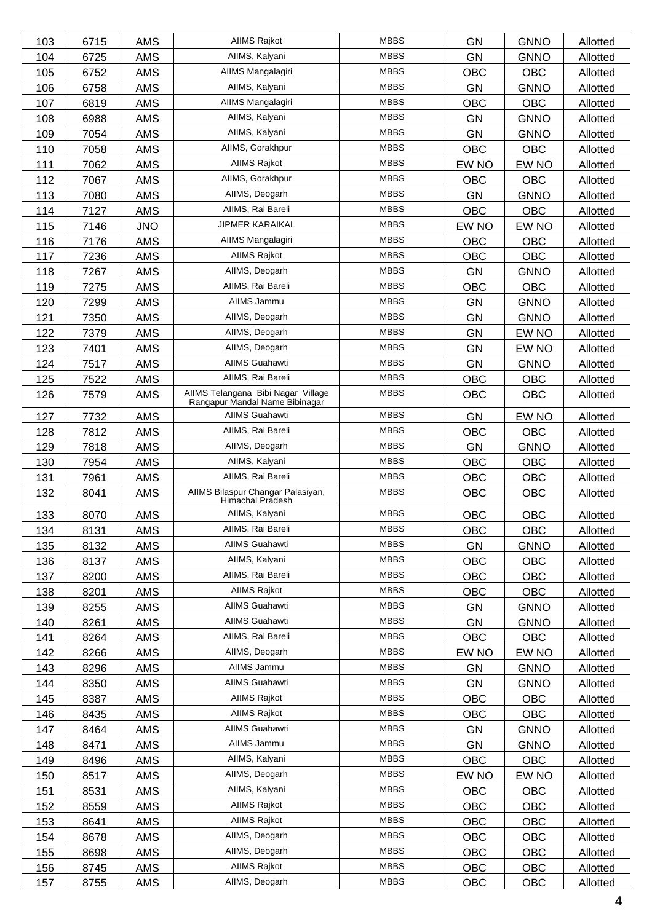| 103 | 6715 | <b>AMS</b> | <b>AIIMS Rajkot</b>                                                  | <b>MBBS</b> | <b>GN</b>  | <b>GNNO</b> | Allotted |
|-----|------|------------|----------------------------------------------------------------------|-------------|------------|-------------|----------|
| 104 | 6725 | AMS        | AIIMS, Kalyani                                                       | <b>MBBS</b> | <b>GN</b>  | <b>GNNO</b> | Allotted |
| 105 | 6752 | <b>AMS</b> | AIIMS Mangalagiri                                                    | <b>MBBS</b> | OBC        | <b>OBC</b>  | Allotted |
| 106 | 6758 | <b>AMS</b> | AIIMS, Kalyani                                                       | <b>MBBS</b> | <b>GN</b>  | <b>GNNO</b> | Allotted |
| 107 | 6819 | <b>AMS</b> | AIIMS Mangalagiri                                                    | <b>MBBS</b> | <b>OBC</b> | <b>OBC</b>  | Allotted |
| 108 | 6988 | <b>AMS</b> | AIIMS, Kalyani                                                       | <b>MBBS</b> | GN         | <b>GNNO</b> | Allotted |
| 109 | 7054 | <b>AMS</b> | AIIMS, Kalyani                                                       | <b>MBBS</b> | <b>GN</b>  | <b>GNNO</b> | Allotted |
| 110 | 7058 | AMS        | AIIMS, Gorakhpur                                                     | <b>MBBS</b> | OBC        | OBC         | Allotted |
| 111 | 7062 | AMS        | <b>AIIMS Rajkot</b>                                                  | <b>MBBS</b> | EW NO      | EW NO       | Allotted |
| 112 | 7067 | <b>AMS</b> | AllMS, Gorakhpur                                                     | <b>MBBS</b> | OBC        | <b>OBC</b>  | Allotted |
| 113 | 7080 | <b>AMS</b> | AIIMS, Deogarh                                                       | <b>MBBS</b> | <b>GN</b>  | <b>GNNO</b> | Allotted |
| 114 | 7127 | <b>AMS</b> | AIIMS, Rai Bareli                                                    | <b>MBBS</b> | <b>OBC</b> | <b>OBC</b>  | Allotted |
| 115 | 7146 | <b>JNO</b> | JIPMER KARAIKAL                                                      | <b>MBBS</b> | EW NO      | EW NO       | Allotted |
| 116 | 7176 | AMS        | AIIMS Mangalagiri                                                    | <b>MBBS</b> | OBC        | OBC         | Allotted |
| 117 | 7236 | AMS        | <b>AIIMS Rajkot</b>                                                  | <b>MBBS</b> | <b>OBC</b> | <b>OBC</b>  | Allotted |
| 118 | 7267 | <b>AMS</b> | AIIMS, Deogarh                                                       | <b>MBBS</b> | <b>GN</b>  | <b>GNNO</b> | Allotted |
| 119 | 7275 | <b>AMS</b> | AllMS, Rai Bareli                                                    | <b>MBBS</b> | <b>OBC</b> | <b>OBC</b>  | Allotted |
| 120 | 7299 | <b>AMS</b> | AIIMS Jammu                                                          | <b>MBBS</b> | <b>GN</b>  | <b>GNNO</b> | Allotted |
| 121 | 7350 | AMS        | AIIMS, Deogarh                                                       | <b>MBBS</b> | <b>GN</b>  | <b>GNNO</b> | Allotted |
| 122 | 7379 | AMS        | AIIMS, Deogarh                                                       | <b>MBBS</b> | <b>GN</b>  | EW NO       | Allotted |
| 123 | 7401 | <b>AMS</b> | AIIMS, Deogarh                                                       | <b>MBBS</b> | <b>GN</b>  | EW NO       | Allotted |
| 124 | 7517 | <b>AMS</b> | <b>AIIMS Guahawti</b>                                                | <b>MBBS</b> | <b>GN</b>  | <b>GNNO</b> | Allotted |
| 125 | 7522 | <b>AMS</b> | AIIMS, Rai Bareli                                                    | <b>MBBS</b> | <b>OBC</b> | <b>OBC</b>  | Allotted |
| 126 | 7579 | <b>AMS</b> | AIIMS Telangana Bibi Nagar Village<br>Rangapur Mandal Name Bibinagar | <b>MBBS</b> | OBC        | <b>OBC</b>  | Allotted |
| 127 | 7732 | <b>AMS</b> | <b>AIIMS Guahawti</b>                                                | <b>MBBS</b> | <b>GN</b>  | EW NO       | Allotted |
| 128 | 7812 | <b>AMS</b> | AllMS, Rai Bareli                                                    | <b>MBBS</b> | <b>OBC</b> | OBC         | Allotted |
| 129 | 7818 | <b>AMS</b> | AIIMS, Deogarh                                                       | <b>MBBS</b> | <b>GN</b>  | <b>GNNO</b> | Allotted |
| 130 | 7954 | <b>AMS</b> | AIIMS, Kalyani                                                       | <b>MBBS</b> | OBC        | <b>OBC</b>  | Allotted |
| 131 | 7961 | AMS        | AIIMS, Rai Bareli                                                    | <b>MBBS</b> | OBC        | <b>OBC</b>  | Allotted |
| 132 | 8041 | AMS        | AIIMS Bilaspur Changar Palasiyan,<br>Himachal Pradesh                | <b>MBBS</b> | <b>OBC</b> | <b>OBC</b>  | Allotted |
| 133 | 8070 | <b>AMS</b> | AIIMS, Kalyani                                                       | <b>MBBS</b> | OBC        | <b>OBC</b>  | Allotted |
| 134 | 8131 | <b>AMS</b> | AIIMS, Rai Bareli                                                    | <b>MBBS</b> | OBC        | OBC         | Allotted |
| 135 | 8132 | AMS        | AIIMS Guahawti                                                       | <b>MBBS</b> | <b>GN</b>  | <b>GNNO</b> | Allotted |
| 136 | 8137 | AMS        | AIIMS, Kalyani                                                       | <b>MBBS</b> | <b>OBC</b> | OBC         | Allotted |
| 137 | 8200 | AMS        | AIIMS, Rai Bareli                                                    | <b>MBBS</b> | OBC        | <b>OBC</b>  | Allotted |
| 138 | 8201 | AMS        | <b>AIIMS Rajkot</b>                                                  | <b>MBBS</b> | <b>OBC</b> | OBC         | Allotted |
| 139 | 8255 | <b>AMS</b> | AIIMS Guahawti                                                       | <b>MBBS</b> | <b>GN</b>  | <b>GNNO</b> | Allotted |
| 140 | 8261 | AMS        | AIIMS Guahawti                                                       | <b>MBBS</b> | <b>GN</b>  | <b>GNNO</b> | Allotted |
| 141 | 8264 | AMS        | AIIMS, Rai Bareli                                                    | <b>MBBS</b> | <b>OBC</b> | OBC         | Allotted |
| 142 | 8266 | <b>AMS</b> | AIIMS, Deogarh                                                       | <b>MBBS</b> | EW NO      | EW NO       | Allotted |
| 143 | 8296 | AMS        | AIIMS Jammu                                                          | <b>MBBS</b> | GN         | <b>GNNO</b> | Allotted |
| 144 | 8350 | AMS        | AIIMS Guahawti                                                       | <b>MBBS</b> | <b>GN</b>  | <b>GNNO</b> | Allotted |
| 145 | 8387 | <b>AMS</b> | AIIMS Rajkot                                                         | <b>MBBS</b> | OBC        | OBC         | Allotted |
| 146 | 8435 | AMS        | AIIMS Rajkot                                                         | <b>MBBS</b> | OBC        | OBC         | Allotted |
| 147 | 8464 | AMS        | AIIMS Guahawti                                                       | <b>MBBS</b> | GN         | <b>GNNO</b> | Allotted |
| 148 | 8471 | AMS        | AIIMS Jammu                                                          | <b>MBBS</b> | GN         | <b>GNNO</b> | Allotted |
| 149 | 8496 | AMS        | AIIMS, Kalyani                                                       | <b>MBBS</b> | OBC        | OBC         | Allotted |
| 150 | 8517 | AMS        | AIIMS, Deogarh                                                       | <b>MBBS</b> | EW NO      | EW NO       | Allotted |
| 151 | 8531 | <b>AMS</b> | AIIMS, Kalyani                                                       | <b>MBBS</b> | OBC        | OBC         | Allotted |
| 152 | 8559 | AMS        | AIIMS Rajkot                                                         | <b>MBBS</b> | OBC        | OBC         | Allotted |
| 153 | 8641 | AMS        | AIIMS Rajkot                                                         | <b>MBBS</b> | <b>OBC</b> | OBC         | Allotted |
| 154 | 8678 | AMS        | AIIMS, Deogarh                                                       | <b>MBBS</b> | OBC        | OBC         | Allotted |
| 155 | 8698 | AMS        | AIIMS, Deogarh                                                       | <b>MBBS</b> | OBC        | OBC         | Allotted |
| 156 | 8745 | AMS        | AIIMS Rajkot                                                         | <b>MBBS</b> | OBC        | OBC         | Allotted |
| 157 | 8755 | AMS        | AllMS, Deogarh                                                       | <b>MBBS</b> | OBC        | OBC         | Allotted |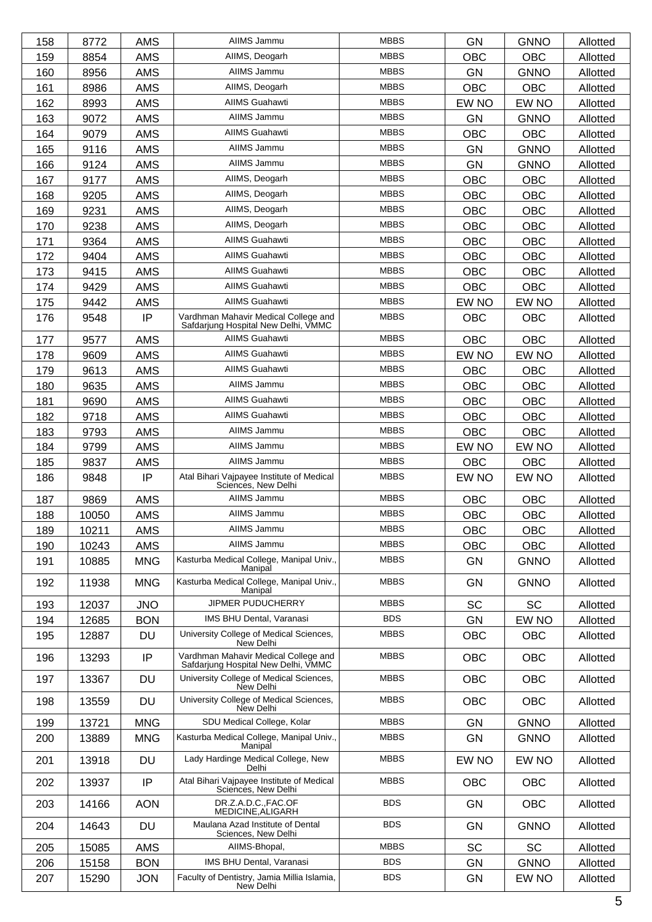| 158 | 8772  | <b>AMS</b> | AIIMS Jammu                                                                 | <b>MBBS</b> | <b>GN</b>  | <b>GNNO</b> | Allotted |
|-----|-------|------------|-----------------------------------------------------------------------------|-------------|------------|-------------|----------|
| 159 | 8854  | <b>AMS</b> | AIIMS, Deogarh                                                              | <b>MBBS</b> | <b>OBC</b> | <b>OBC</b>  | Allotted |
| 160 | 8956  | <b>AMS</b> | AIIMS Jammu                                                                 | <b>MBBS</b> | <b>GN</b>  | <b>GNNO</b> | Allotted |
| 161 | 8986  | <b>AMS</b> | AllMS, Deogarh                                                              | <b>MBBS</b> | <b>OBC</b> | OBC         | Allotted |
| 162 | 8993  | <b>AMS</b> | <b>AIIMS Guahawti</b>                                                       | <b>MBBS</b> | EW NO      | EW NO       | Allotted |
| 163 | 9072  | <b>AMS</b> | AIIMS Jammu                                                                 | <b>MBBS</b> | <b>GN</b>  | <b>GNNO</b> | Allotted |
| 164 | 9079  | <b>AMS</b> | <b>AIIMS Guahawti</b>                                                       | <b>MBBS</b> | <b>OBC</b> | <b>OBC</b>  | Allotted |
| 165 | 9116  | <b>AMS</b> | AIIMS Jammu                                                                 | <b>MBBS</b> | <b>GN</b>  | <b>GNNO</b> | Allotted |
| 166 | 9124  | <b>AMS</b> | AIIMS Jammu                                                                 | <b>MBBS</b> | <b>GN</b>  | <b>GNNO</b> | Allotted |
| 167 | 9177  | <b>AMS</b> | AIIMS, Deogarh                                                              | <b>MBBS</b> | OBC        | <b>OBC</b>  | Allotted |
| 168 | 9205  | <b>AMS</b> | AIIMS, Deogarh                                                              | <b>MBBS</b> | <b>OBC</b> | <b>OBC</b>  | Allotted |
| 169 | 9231  | <b>AMS</b> | AIIMS, Deogarh                                                              | <b>MBBS</b> | <b>OBC</b> | <b>OBC</b>  | Allotted |
| 170 | 9238  | <b>AMS</b> | AIIMS, Deogarh                                                              | <b>MBBS</b> | <b>OBC</b> | <b>OBC</b>  | Allotted |
| 171 | 9364  | <b>AMS</b> | <b>AIIMS Guahawti</b>                                                       | <b>MBBS</b> | <b>OBC</b> | <b>OBC</b>  | Allotted |
| 172 | 9404  | <b>AMS</b> | <b>AIIMS Guahawti</b>                                                       | <b>MBBS</b> | <b>OBC</b> | <b>OBC</b>  | Allotted |
| 173 | 9415  | <b>AMS</b> | <b>AIIMS Guahawti</b>                                                       | <b>MBBS</b> | <b>OBC</b> | OBC         | Allotted |
| 174 | 9429  | <b>AMS</b> | <b>AIIMS Guahawti</b>                                                       | <b>MBBS</b> | OBC        | <b>OBC</b>  | Allotted |
| 175 | 9442  | <b>AMS</b> | <b>AIIMS Guahawti</b>                                                       | <b>MBBS</b> | EW NO      | EW NO       | Allotted |
| 176 | 9548  | IP         | Vardhman Mahavir Medical College and<br>Safdarjung Hospital New Delhi, VMMC | <b>MBBS</b> | OBC        | <b>OBC</b>  | Allotted |
| 177 | 9577  | <b>AMS</b> | <b>AIIMS Guahawti</b>                                                       | <b>MBBS</b> | <b>OBC</b> | <b>OBC</b>  | Allotted |
| 178 | 9609  | <b>AMS</b> | <b>AIIMS Guahawti</b>                                                       | <b>MBBS</b> | EW NO      | EW NO       | Allotted |
| 179 | 9613  | <b>AMS</b> | <b>AIIMS Guahawti</b>                                                       | <b>MBBS</b> | <b>OBC</b> | <b>OBC</b>  | Allotted |
| 180 | 9635  | <b>AMS</b> | AIIMS Jammu                                                                 | <b>MBBS</b> | <b>OBC</b> | <b>OBC</b>  | Allotted |
| 181 | 9690  | <b>AMS</b> | <b>AIIMS Guahawti</b>                                                       | <b>MBBS</b> | <b>OBC</b> | <b>OBC</b>  | Allotted |
| 182 | 9718  | <b>AMS</b> | <b>AIIMS Guahawti</b>                                                       | <b>MBBS</b> | OBC        | OBC         | Allotted |
| 183 | 9793  | <b>AMS</b> | AIIMS Jammu                                                                 | <b>MBBS</b> | OBC        | <b>OBC</b>  | Allotted |
| 184 | 9799  | <b>AMS</b> | AIIMS Jammu                                                                 | <b>MBBS</b> | EW NO      | EW NO       | Allotted |
| 185 | 9837  | <b>AMS</b> | AIIMS Jammu                                                                 | <b>MBBS</b> | OBC        | OBC         | Allotted |
| 186 | 9848  | IP         | Atal Bihari Vajpayee Institute of Medical<br>Sciences, New Delhi            | <b>MBBS</b> | EW NO      | EW NO       | Allotted |
| 187 | 9869  | <b>AMS</b> | AIIMS Jammu                                                                 | <b>MBBS</b> | <b>OBC</b> | <b>OBC</b>  | Allotted |
| 188 | 10050 | AMS        | AIIMS Jammu                                                                 | <b>MBBS</b> | OBC        | OBC         | Allotted |
| 189 | 10211 | <b>AMS</b> | AIIMS Jammu                                                                 | <b>MBBS</b> | <b>OBC</b> | <b>OBC</b>  | Allotted |
| 190 | 10243 | <b>AMS</b> | AIIMS Jammu                                                                 | <b>MBBS</b> | <b>OBC</b> | <b>OBC</b>  | Allotted |
| 191 | 10885 | <b>MNG</b> | Kasturba Medical College, Manipal Univ.,<br>Manipal                         | <b>MBBS</b> | GN         | <b>GNNO</b> | Allotted |
| 192 | 11938 | <b>MNG</b> | Kasturba Medical College, Manipal Univ.,<br>Manipal                         | <b>MBBS</b> | <b>GN</b>  | <b>GNNO</b> | Allotted |
| 193 | 12037 | <b>JNO</b> | JIPMER PUDUCHERRY                                                           | <b>MBBS</b> | <b>SC</b>  | <b>SC</b>   | Allotted |
| 194 | 12685 | <b>BON</b> | IMS BHU Dental, Varanasi                                                    | <b>BDS</b>  | <b>GN</b>  | EW NO       | Allotted |
| 195 | 12887 | DU         | University College of Medical Sciences,<br>New Delhi                        | <b>MBBS</b> | <b>OBC</b> | <b>OBC</b>  | Allotted |
| 196 | 13293 | IP         | Vardhman Mahavir Medical College and<br>Safdarjung Hospital New Delhi, VMMC | <b>MBBS</b> | <b>OBC</b> | <b>OBC</b>  | Allotted |
| 197 | 13367 | DU         | University College of Medical Sciences,<br>New Delhi                        | <b>MBBS</b> | OBC        | OBC         | Allotted |
| 198 | 13559 | <b>DU</b>  | University College of Medical Sciences,<br>New Delhi                        | <b>MBBS</b> | OBC        | <b>OBC</b>  | Allotted |
| 199 | 13721 | <b>MNG</b> | SDU Medical College, Kolar                                                  | <b>MBBS</b> | <b>GN</b>  | <b>GNNO</b> | Allotted |
| 200 | 13889 | <b>MNG</b> | Kasturba Medical College, Manipal Univ.,<br>Manipal                         | <b>MBBS</b> | <b>GN</b>  | <b>GNNO</b> | Allotted |
| 201 | 13918 | <b>DU</b>  | Lady Hardinge Medical College, New<br>Delhi                                 | <b>MBBS</b> | EW NO      | EW NO       | Allotted |
| 202 | 13937 | IP         | Atal Bihari Vajpayee Institute of Medical<br>Sciences, New Delhi            | <b>MBBS</b> | <b>OBC</b> | <b>OBC</b>  | Allotted |
| 203 | 14166 | <b>AON</b> | DR.Z.A.D.C.,FAC.OF<br>MEDICINE, ALIGARH                                     | <b>BDS</b>  | <b>GN</b>  | <b>OBC</b>  | Allotted |
| 204 | 14643 | <b>DU</b>  | Maulana Azad Institute of Dental<br>Sciences, New Delhi                     | <b>BDS</b>  | <b>GN</b>  | <b>GNNO</b> | Allotted |
| 205 | 15085 | <b>AMS</b> | AIIMS-Bhopal,                                                               | <b>MBBS</b> | <b>SC</b>  | <b>SC</b>   | Allotted |
| 206 | 15158 | <b>BON</b> | IMS BHU Dental, Varanasi                                                    | <b>BDS</b>  | <b>GN</b>  | <b>GNNO</b> | Allotted |
| 207 | 15290 | <b>JON</b> | Faculty of Dentistry, Jamia Millia Islamia,<br>New Delhi                    | <b>BDS</b>  | <b>GN</b>  | EW NO       | Allotted |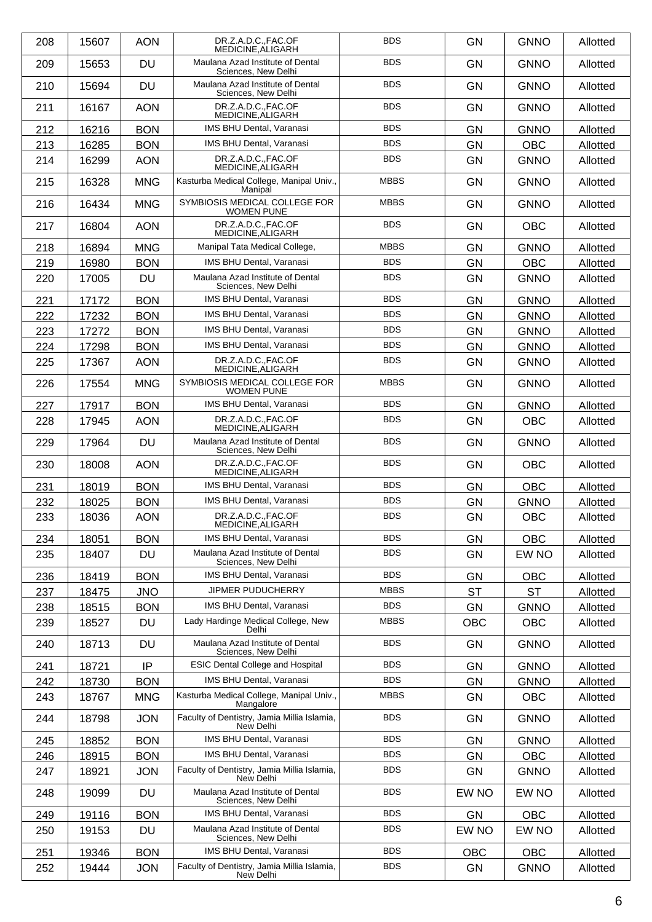| 208 | 15607 | <b>AON</b> | DR.Z.A.D.CFAC.OF<br>MEDICINE.ALIGARH                     | <b>BDS</b>  | <b>GN</b>  | <b>GNNO</b> | Allotted |
|-----|-------|------------|----------------------------------------------------------|-------------|------------|-------------|----------|
| 209 | 15653 | <b>DU</b>  | Maulana Azad Institute of Dental<br>Sciences, New Delhi  | <b>BDS</b>  | <b>GN</b>  | <b>GNNO</b> | Allotted |
| 210 | 15694 | <b>DU</b>  | Maulana Azad Institute of Dental<br>Sciences, New Delhi  | <b>BDS</b>  | <b>GN</b>  | <b>GNNO</b> | Allotted |
| 211 | 16167 | <b>AON</b> | DR.Z.A.D.C.,FAC.OF<br>MEDICINE, ALIGARH                  | <b>BDS</b>  | <b>GN</b>  | <b>GNNO</b> | Allotted |
| 212 | 16216 | <b>BON</b> | IMS BHU Dental, Varanasi                                 | <b>BDS</b>  | <b>GN</b>  | <b>GNNO</b> | Allotted |
| 213 | 16285 | <b>BON</b> | <b>IMS BHU Dental, Varanasi</b>                          | <b>BDS</b>  | <b>GN</b>  | OBC         | Allotted |
| 214 | 16299 | <b>AON</b> | DR.Z.A.D.C.,FAC.OF<br>MEDICINE.ALIGARH                   | <b>BDS</b>  | <b>GN</b>  | <b>GNNO</b> | Allotted |
| 215 | 16328 | <b>MNG</b> | Kasturba Medical College, Manipal Univ.,<br>Manipal      | <b>MBBS</b> | <b>GN</b>  | <b>GNNO</b> | Allotted |
| 216 | 16434 | <b>MNG</b> | SYMBIOSIS MEDICAL COLLEGE FOR<br><b>WOMEN PUNE</b>       | <b>MBBS</b> | <b>GN</b>  | <b>GNNO</b> | Allotted |
| 217 | 16804 | <b>AON</b> | DR.Z.A.D.C.,FAC.OF<br>MEDICINE, ALIGARH                  | <b>BDS</b>  | <b>GN</b>  | <b>OBC</b>  | Allotted |
| 218 | 16894 | <b>MNG</b> | Manipal Tata Medical College,                            | <b>MBBS</b> | GN         | <b>GNNO</b> | Allotted |
| 219 | 16980 | <b>BON</b> | <b>IMS BHU Dental, Varanasi</b>                          | <b>BDS</b>  | GN         | OBC         | Allotted |
| 220 | 17005 | <b>DU</b>  | Maulana Azad Institute of Dental<br>Sciences, New Delhi  | <b>BDS</b>  | <b>GN</b>  | <b>GNNO</b> | Allotted |
| 221 | 17172 | <b>BON</b> | <b>IMS BHU Dental, Varanasi</b>                          | <b>BDS</b>  | <b>GN</b>  | <b>GNNO</b> | Allotted |
| 222 | 17232 | <b>BON</b> | IMS BHU Dental, Varanasi                                 | <b>BDS</b>  | <b>GN</b>  | <b>GNNO</b> | Allotted |
| 223 | 17272 | <b>BON</b> | <b>IMS BHU Dental, Varanasi</b>                          | <b>BDS</b>  | <b>GN</b>  | <b>GNNO</b> | Allotted |
| 224 | 17298 | <b>BON</b> | <b>IMS BHU Dental, Varanasi</b>                          | <b>BDS</b>  | <b>GN</b>  | <b>GNNO</b> | Allotted |
| 225 | 17367 | <b>AON</b> | DR.Z.A.D.C.,FAC.OF<br>MEDICINE, ALIGARH                  | <b>BDS</b>  | <b>GN</b>  | <b>GNNO</b> | Allotted |
| 226 | 17554 | <b>MNG</b> | SYMBIOSIS MEDICAL COLLEGE FOR<br><b>WOMEN PUNE</b>       | <b>MBBS</b> | <b>GN</b>  | <b>GNNO</b> | Allotted |
| 227 | 17917 | <b>BON</b> | IMS BHU Dental, Varanasi                                 | <b>BDS</b>  | GN         | <b>GNNO</b> | Allotted |
| 228 | 17945 | <b>AON</b> | DR.Z.A.D.C.,FAC.OF<br>MEDICINE, ALIGARH                  | <b>BDS</b>  | GN         | OBC         | Allotted |
| 229 | 17964 | <b>DU</b>  | Maulana Azad Institute of Dental<br>Sciences, New Delhi  | <b>BDS</b>  | <b>GN</b>  | <b>GNNO</b> | Allotted |
| 230 | 18008 | <b>AON</b> | DR.Z.A.D.CFAC.OF<br>MEDICINE, ALIGARH                    | <b>BDS</b>  | <b>GN</b>  | <b>OBC</b>  | Allotted |
| 231 | 18019 | <b>BON</b> | IMS BHU Dental, Varanasi                                 | <b>BDS</b>  | GN         | OBC         | Allotted |
| 232 | 18025 | <b>BON</b> | IMS BHU Dental, Varanasi                                 | <b>BDS</b>  | <b>GN</b>  | <b>GNNO</b> | Allotted |
| 233 | 18036 | <b>AON</b> | DR.Z.A.D.C.,FAC.OF<br>MEDICINE, ALIGARH                  | <b>BDS</b>  | <b>GN</b>  | OBC         | Allotted |
| 234 | 18051 | <b>BON</b> | <b>IMS BHU Dental, Varanasi</b>                          | <b>BDS</b>  | GN         | <b>OBC</b>  | Allotted |
| 235 | 18407 | DU         | Maulana Azad Institute of Dental<br>Sciences, New Delhi  | <b>BDS</b>  | <b>GN</b>  | EW NO       | Allotted |
| 236 | 18419 | <b>BON</b> | IMS BHU Dental, Varanasi                                 | <b>BDS</b>  | GN         | <b>OBC</b>  | Allotted |
| 237 | 18475 | <b>JNO</b> | JIPMER PUDUCHERRY                                        | <b>MBBS</b> | <b>ST</b>  | <b>ST</b>   | Allotted |
| 238 | 18515 | <b>BON</b> | <b>IMS BHU Dental, Varanasi</b>                          | <b>BDS</b>  | <b>GN</b>  | <b>GNNO</b> | Allotted |
| 239 | 18527 | DU         | Lady Hardinge Medical College, New<br>Delhi              | <b>MBBS</b> | OBC        | OBC         | Allotted |
| 240 | 18713 | DU         | Maulana Azad Institute of Dental<br>Sciences, New Delhi  | <b>BDS</b>  | <b>GN</b>  | <b>GNNO</b> | Allotted |
| 241 | 18721 | IP         | <b>ESIC Dental College and Hospital</b>                  | <b>BDS</b>  | <b>GN</b>  | <b>GNNO</b> | Allotted |
| 242 | 18730 | <b>BON</b> | IMS BHU Dental, Varanasi                                 | <b>BDS</b>  | <b>GN</b>  | <b>GNNO</b> | Allotted |
| 243 | 18767 | <b>MNG</b> | Kasturba Medical College, Manipal Univ.,<br>Mangalore    | <b>MBBS</b> | <b>GN</b>  | <b>OBC</b>  | Allotted |
| 244 | 18798 | <b>JON</b> | Faculty of Dentistry, Jamia Millia Islamia,<br>New Delhi | <b>BDS</b>  | <b>GN</b>  | <b>GNNO</b> | Allotted |
| 245 | 18852 | <b>BON</b> | IMS BHU Dental, Varanasi                                 | <b>BDS</b>  | GN         | <b>GNNO</b> | Allotted |
| 246 | 18915 | <b>BON</b> | IMS BHU Dental, Varanasi                                 | <b>BDS</b>  | <b>GN</b>  | <b>OBC</b>  | Allotted |
| 247 | 18921 | <b>JON</b> | Faculty of Dentistry, Jamia Millia Islamia,<br>New Delhi | <b>BDS</b>  | <b>GN</b>  | <b>GNNO</b> | Allotted |
| 248 | 19099 | DU         | Maulana Azad Institute of Dental<br>Sciences, New Delhi  | <b>BDS</b>  | EW NO      | EW NO       | Allotted |
| 249 | 19116 | <b>BON</b> | IMS BHU Dental, Varanasi                                 | <b>BDS</b>  | <b>GN</b>  | OBC         | Allotted |
| 250 | 19153 | DU         | Maulana Azad Institute of Dental<br>Sciences, New Delhi  | <b>BDS</b>  | EW NO      | EW NO       | Allotted |
| 251 | 19346 | <b>BON</b> | IMS BHU Dental, Varanasi                                 | <b>BDS</b>  | <b>OBC</b> | <b>OBC</b>  | Allotted |
| 252 | 19444 | <b>JON</b> | Faculty of Dentistry, Jamia Millia Islamia,<br>New Delhi | <b>BDS</b>  | GN         | <b>GNNO</b> | Allotted |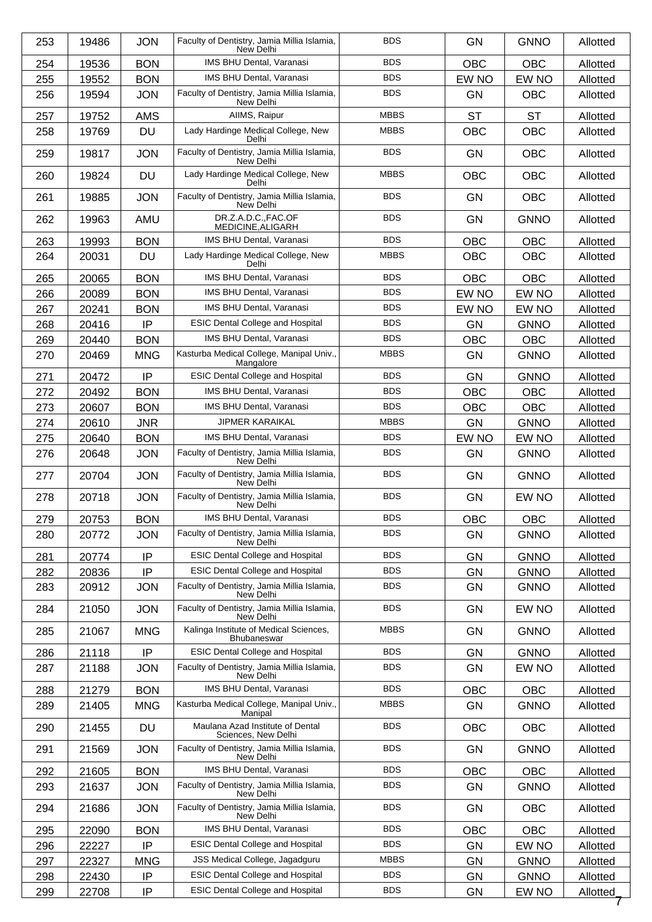| 253 | 19486 | <b>JON</b> | Faculty of Dentistry, Jamia Millia Islamia,<br>New Delhi | <b>BDS</b>  | <b>GN</b>  | <b>GNNO</b> | Allotted |
|-----|-------|------------|----------------------------------------------------------|-------------|------------|-------------|----------|
| 254 | 19536 | <b>BON</b> | IMS BHU Dental, Varanasi                                 | <b>BDS</b>  | <b>OBC</b> | <b>OBC</b>  | Allotted |
| 255 | 19552 | <b>BON</b> | IMS BHU Dental, Varanasi                                 | <b>BDS</b>  | EW NO      | EW NO       | Allotted |
| 256 | 19594 | <b>JON</b> | Faculty of Dentistry, Jamia Millia Islamia,<br>New Delhi | <b>BDS</b>  | <b>GN</b>  | <b>OBC</b>  | Allotted |
| 257 | 19752 | <b>AMS</b> | AllMS, Raipur                                            | <b>MBBS</b> | <b>ST</b>  | <b>ST</b>   | Allotted |
| 258 | 19769 | <b>DU</b>  | Lady Hardinge Medical College, New<br>Delhi              | <b>MBBS</b> | <b>OBC</b> | <b>OBC</b>  | Allotted |
| 259 | 19817 | <b>JON</b> | Faculty of Dentistry, Jamia Millia Islamia,<br>New Delhi | <b>BDS</b>  | <b>GN</b>  | <b>OBC</b>  | Allotted |
| 260 | 19824 | <b>DU</b>  | Lady Hardinge Medical College, New<br>Delhi              | <b>MBBS</b> | <b>OBC</b> | <b>OBC</b>  | Allotted |
| 261 | 19885 | <b>JON</b> | Faculty of Dentistry, Jamia Millia Islamia,<br>New Delhi | <b>BDS</b>  | <b>GN</b>  | <b>OBC</b>  | Allotted |
| 262 | 19963 | AMU        | DR.Z.A.D.C.,FAC.OF<br>MEDICINE, ALIGARH                  | <b>BDS</b>  | <b>GN</b>  | <b>GNNO</b> | Allotted |
| 263 | 19993 | <b>BON</b> | IMS BHU Dental, Varanasi                                 | <b>BDS</b>  | <b>OBC</b> | <b>OBC</b>  | Allotted |
| 264 | 20031 | <b>DU</b>  | Lady Hardinge Medical College, New<br>Delhi              | <b>MBBS</b> | <b>OBC</b> | <b>OBC</b>  | Allotted |
| 265 | 20065 | <b>BON</b> | <b>IMS BHU Dental, Varanasi</b>                          | <b>BDS</b>  | <b>OBC</b> | OBC         | Allotted |
| 266 | 20089 | <b>BON</b> | IMS BHU Dental, Varanasi                                 | <b>BDS</b>  | EW NO      | EW NO       | Allotted |
| 267 | 20241 | <b>BON</b> | IMS BHU Dental, Varanasi                                 | <b>BDS</b>  | EW NO      | EW NO       | Allotted |
| 268 | 20416 | IP         | ESIC Dental College and Hospital                         | <b>BDS</b>  | <b>GN</b>  | <b>GNNO</b> | Allotted |
| 269 | 20440 | <b>BON</b> | IMS BHU Dental, Varanasi                                 | <b>BDS</b>  | <b>OBC</b> | <b>OBC</b>  | Allotted |
| 270 | 20469 | <b>MNG</b> | Kasturba Medical College, Manipal Univ.,<br>Mangalore    | <b>MBBS</b> | <b>GN</b>  | <b>GNNO</b> | Allotted |
| 271 | 20472 | IP         | <b>ESIC Dental College and Hospital</b>                  | <b>BDS</b>  | <b>GN</b>  | <b>GNNO</b> | Allotted |
| 272 | 20492 | <b>BON</b> | IMS BHU Dental, Varanasi                                 | <b>BDS</b>  | <b>OBC</b> | <b>OBC</b>  | Allotted |
| 273 | 20607 | <b>BON</b> | IMS BHU Dental, Varanasi                                 | <b>BDS</b>  | <b>OBC</b> | <b>OBC</b>  | Allotted |
| 274 | 20610 | <b>JNR</b> | <b>JIPMER KARAIKAL</b>                                   | <b>MBBS</b> | <b>GN</b>  | <b>GNNO</b> | Allotted |
| 275 | 20640 | <b>BON</b> | IMS BHU Dental, Varanasi                                 | <b>BDS</b>  | EW NO      | EW NO       | Allotted |
| 276 | 20648 | <b>JON</b> | Faculty of Dentistry, Jamia Millia Islamia,<br>New Delhi | <b>BDS</b>  | <b>GN</b>  | <b>GNNO</b> | Allotted |
| 277 | 20704 | <b>JON</b> | Faculty of Dentistry, Jamia Millia Islamia,<br>New Delhi | <b>BDS</b>  | GN         | <b>GNNO</b> | Allotted |
| 278 | 20718 | <b>JON</b> | Faculty of Dentistry, Jamia Millia Islamia,<br>New Delhi | <b>BDS</b>  | <b>GN</b>  | EW NO       | Allotted |
| 279 | 20753 | <b>BON</b> | IMS BHU Dental, Varanasi                                 | <b>BDS</b>  | OBC        | <b>OBC</b>  | Allotted |
| 280 | 20772 | <b>JON</b> | Faculty of Dentistry, Jamia Millia Islamia,<br>New Delhi | <b>BDS</b>  | <b>GN</b>  | <b>GNNO</b> | Allotted |
| 281 | 20774 | IP         | <b>ESIC Dental College and Hospital</b>                  | <b>BDS</b>  | <b>GN</b>  | <b>GNNO</b> | Allotted |
| 282 | 20836 | IP         | <b>ESIC Dental College and Hospital</b>                  | <b>BDS</b>  | <b>GN</b>  | <b>GNNO</b> | Allotted |
| 283 | 20912 | <b>JON</b> | Faculty of Dentistry, Jamia Millia Islamia,<br>New Delhi | <b>BDS</b>  | <b>GN</b>  | <b>GNNO</b> | Allotted |
| 284 | 21050 | <b>JON</b> | Faculty of Dentistry, Jamia Millia Islamia,<br>New Delhi | <b>BDS</b>  | <b>GN</b>  | EW NO       | Allotted |
| 285 | 21067 | <b>MNG</b> | Kalinga Institute of Medical Sciences,<br>Bhubaneswar    | <b>MBBS</b> | <b>GN</b>  | <b>GNNO</b> | Allotted |
| 286 | 21118 | IP         | <b>ESIC Dental College and Hospital</b>                  | <b>BDS</b>  | GN         | <b>GNNO</b> | Allotted |
| 287 | 21188 | <b>JON</b> | Faculty of Dentistry, Jamia Millia Islamia,<br>New Delhi | <b>BDS</b>  | <b>GN</b>  | EW NO       | Allotted |
| 288 | 21279 | <b>BON</b> | IMS BHU Dental, Varanasi                                 | <b>BDS</b>  | <b>OBC</b> | <b>OBC</b>  | Allotted |
| 289 | 21405 | <b>MNG</b> | Kasturba Medical College, Manipal Univ.,<br>Manipal      | <b>MBBS</b> | <b>GN</b>  | <b>GNNO</b> | Allotted |
| 290 | 21455 | DU         | Maulana Azad Institute of Dental<br>Sciences, New Delhi  | <b>BDS</b>  | <b>OBC</b> | <b>OBC</b>  | Allotted |
| 291 | 21569 | <b>JON</b> | Faculty of Dentistry, Jamia Millia Islamia,<br>New Delhi | <b>BDS</b>  | <b>GN</b>  | <b>GNNO</b> | Allotted |
| 292 | 21605 | <b>BON</b> | IMS BHU Dental, Varanasi                                 | <b>BDS</b>  | OBC        | OBC         | Allotted |
| 293 | 21637 | <b>JON</b> | Faculty of Dentistry, Jamia Millia Islamia,<br>New Delhi | <b>BDS</b>  | <b>GN</b>  | <b>GNNO</b> | Allotted |
| 294 | 21686 | <b>JON</b> | Faculty of Dentistry, Jamia Millia Islamia,<br>New Delhi | <b>BDS</b>  | <b>GN</b>  | OBC         | Allotted |
| 295 | 22090 | <b>BON</b> | IMS BHU Dental, Varanasi                                 | <b>BDS</b>  | <b>OBC</b> | <b>OBC</b>  | Allotted |
| 296 | 22227 | IP         | <b>ESIC Dental College and Hospital</b>                  | <b>BDS</b>  | <b>GN</b>  | EW NO       | Allotted |
| 297 | 22327 | <b>MNG</b> | JSS Medical College, Jagadguru                           | <b>MBBS</b> | <b>GN</b>  | <b>GNNO</b> | Allotted |
| 298 | 22430 | IP         | <b>ESIC Dental College and Hospital</b>                  | <b>BDS</b>  | GN         | <b>GNNO</b> | Allotted |
| 299 | 22708 | IP         | <b>ESIC Dental College and Hospital</b>                  | <b>BDS</b>  | GN         | EW NO       | Allotted |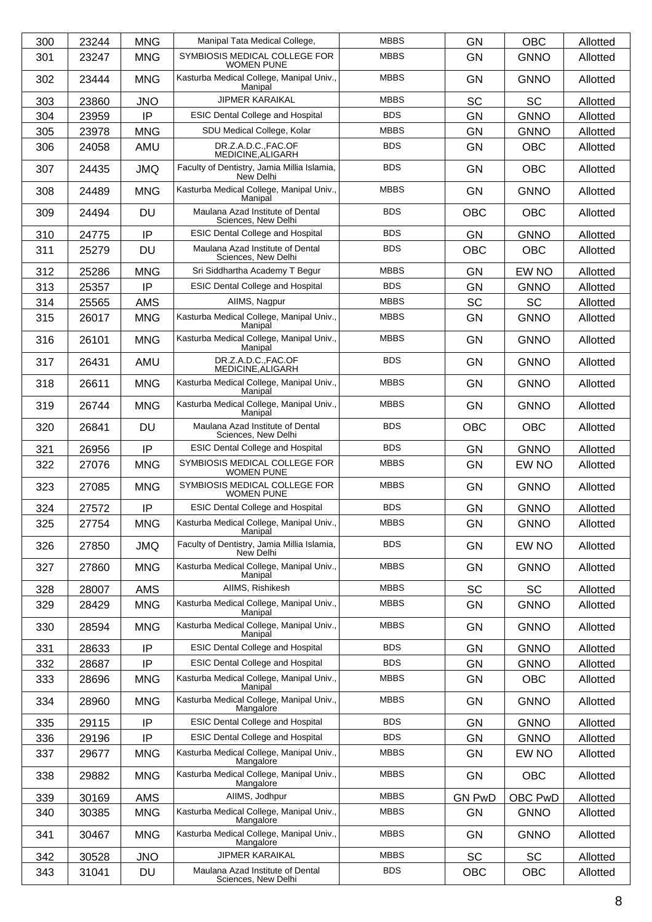| 300 | 23244 | <b>MNG</b> | Manipal Tata Medical College.                            | <b>MBBS</b> | <b>GN</b>     | <b>OBC</b>  | Allotted |
|-----|-------|------------|----------------------------------------------------------|-------------|---------------|-------------|----------|
| 301 | 23247 | <b>MNG</b> | SYMBIOSIS MEDICAL COLLEGE FOR<br><b>WOMEN PUNE</b>       | <b>MBBS</b> | <b>GN</b>     | <b>GNNO</b> | Allotted |
| 302 | 23444 | <b>MNG</b> | Kasturba Medical College, Manipal Univ.,<br>Manipal      | <b>MBBS</b> | GN            | <b>GNNO</b> | Allotted |
| 303 | 23860 | <b>JNO</b> | <b>JIPMER KARAIKAL</b>                                   | <b>MBBS</b> | SC            | <b>SC</b>   | Allotted |
| 304 | 23959 | IP         | <b>ESIC Dental College and Hospital</b>                  | <b>BDS</b>  | <b>GN</b>     | <b>GNNO</b> | Allotted |
| 305 | 23978 | <b>MNG</b> | SDU Medical College, Kolar                               | <b>MBBS</b> | <b>GN</b>     | <b>GNNO</b> | Allotted |
| 306 | 24058 | AMU        | DR.Z.A.D.C.,FAC.OF<br>MEDICINE, ALIGARH                  | <b>BDS</b>  | <b>GN</b>     | <b>OBC</b>  | Allotted |
| 307 | 24435 | <b>JMQ</b> | Faculty of Dentistry, Jamia Millia Islamia,<br>New Delhi | <b>BDS</b>  | <b>GN</b>     | <b>OBC</b>  | Allotted |
| 308 | 24489 | <b>MNG</b> | Kasturba Medical College, Manipal Univ.,<br>Manipal      | <b>MBBS</b> | <b>GN</b>     | <b>GNNO</b> | Allotted |
| 309 | 24494 | <b>DU</b>  | Maulana Azad Institute of Dental<br>Sciences, New Delhi  | <b>BDS</b>  | <b>OBC</b>    | <b>OBC</b>  | Allotted |
| 310 | 24775 | IP         | <b>ESIC Dental College and Hospital</b>                  | <b>BDS</b>  | <b>GN</b>     | <b>GNNO</b> | Allotted |
| 311 | 25279 | <b>DU</b>  | Maulana Azad Institute of Dental<br>Sciences, New Delhi  | <b>BDS</b>  | <b>OBC</b>    | <b>OBC</b>  | Allotted |
| 312 | 25286 | <b>MNG</b> | Sri Siddhartha Academy T Begur                           | <b>MBBS</b> | <b>GN</b>     | EW NO       | Allotted |
| 313 | 25357 | IP         | <b>ESIC Dental College and Hospital</b>                  | <b>BDS</b>  | <b>GN</b>     | <b>GNNO</b> | Allotted |
| 314 | 25565 | <b>AMS</b> | AIIMS, Nagpur                                            | <b>MBBS</b> | SC            | <b>SC</b>   | Allotted |
| 315 | 26017 | <b>MNG</b> | Kasturba Medical College, Manipal Univ.,<br>Manipal      | <b>MBBS</b> | <b>GN</b>     | <b>GNNO</b> | Allotted |
| 316 | 26101 | <b>MNG</b> | Kasturba Medical College, Manipal Univ.,<br>Manipal      | <b>MBBS</b> | <b>GN</b>     | <b>GNNO</b> | Allotted |
| 317 | 26431 | AMU        | DR.Z.A.D.C.,FAC.OF<br>MEDICINE, ALIGARH                  | <b>BDS</b>  | <b>GN</b>     | <b>GNNO</b> | Allotted |
| 318 | 26611 | <b>MNG</b> | Kasturba Medical College, Manipal Univ.,<br>Manipal      | <b>MBBS</b> | <b>GN</b>     | <b>GNNO</b> | Allotted |
| 319 | 26744 | <b>MNG</b> | Kasturba Medical College, Manipal Univ.,<br>Manipal      | <b>MBBS</b> | <b>GN</b>     | <b>GNNO</b> | Allotted |
| 320 | 26841 | <b>DU</b>  | Maulana Azad Institute of Dental<br>Sciences, New Delhi  | <b>BDS</b>  | <b>OBC</b>    | <b>OBC</b>  | Allotted |
| 321 | 26956 | IP         | <b>ESIC Dental College and Hospital</b>                  | <b>BDS</b>  | <b>GN</b>     | <b>GNNO</b> | Allotted |
| 322 | 27076 | <b>MNG</b> | SYMBIOSIS MEDICAL COLLEGE FOR<br><b>WOMEN PUNE</b>       | <b>MBBS</b> | <b>GN</b>     | EW NO       | Allotted |
| 323 | 27085 | <b>MNG</b> | SYMBIOSIS MEDICAL COLLEGE FOR<br><b>WOMEN PUNE</b>       | <b>MBBS</b> | GN            | <b>GNNO</b> | Allotted |
| 324 | 27572 | IP         | <b>ESIC Dental College and Hospital</b>                  | <b>BDS</b>  | <b>GN</b>     | <b>GNNO</b> | Allotted |
| 325 | 27754 | <b>MNG</b> | Kasturba Medical College, Manipal Univ.,<br>Manipal      | <b>MBBS</b> | GN            | <b>GNNO</b> | Allotted |
| 326 | 27850 | <b>JMQ</b> | Faculty of Dentistry, Jamia Millia Islamia,<br>New Delhi | <b>BDS</b>  | GN            | EW NO       | Allotted |
| 327 | 27860 | <b>MNG</b> | Kasturba Medical College, Manipal Univ.,<br>Manipal      | <b>MBBS</b> | <b>GN</b>     | <b>GNNO</b> | Allotted |
| 328 | 28007 | AMS        | AIIMS, Rishikesh                                         | <b>MBBS</b> | SC            | SC          | Allotted |
| 329 | 28429 | <b>MNG</b> | Kasturba Medical College, Manipal Univ.,<br>Manipal      | <b>MBBS</b> | <b>GN</b>     | <b>GNNO</b> | Allotted |
| 330 | 28594 | <b>MNG</b> | Kasturba Medical College, Manipal Univ.,<br>Manipal      | <b>MBBS</b> | <b>GN</b>     | <b>GNNO</b> | Allotted |
| 331 | 28633 | IP         | <b>ESIC Dental College and Hospital</b>                  | <b>BDS</b>  | GN            | <b>GNNO</b> | Allotted |
| 332 | 28687 | IP         | <b>ESIC Dental College and Hospital</b>                  | <b>BDS</b>  | GN            | <b>GNNO</b> | Allotted |
| 333 | 28696 | <b>MNG</b> | Kasturba Medical College, Manipal Univ.,<br>Manipal      | <b>MBBS</b> | GN            | OBC         | Allotted |
| 334 | 28960 | <b>MNG</b> | Kasturba Medical College, Manipal Univ.,<br>Mangalore    | <b>MBBS</b> | GN            | <b>GNNO</b> | Allotted |
| 335 | 29115 | IP         | <b>ESIC Dental College and Hospital</b>                  | <b>BDS</b>  | GN            | <b>GNNO</b> | Allotted |
| 336 | 29196 | IP         | <b>ESIC Dental College and Hospital</b>                  | <b>BDS</b>  | <b>GN</b>     | <b>GNNO</b> | Allotted |
| 337 | 29677 | <b>MNG</b> | Kasturba Medical College, Manipal Univ.,<br>Mangalore    | <b>MBBS</b> | GN            | EW NO       | Allotted |
| 338 | 29882 | <b>MNG</b> | Kasturba Medical College, Manipal Univ.,<br>Mangalore    | <b>MBBS</b> | <b>GN</b>     | OBC         | Allotted |
| 339 | 30169 | AMS        | AllMS, Jodhpur                                           | <b>MBBS</b> | <b>GN PwD</b> | OBC PwD     | Allotted |
| 340 | 30385 | <b>MNG</b> | Kasturba Medical College, Manipal Univ.,<br>Mangalore    | <b>MBBS</b> | <b>GN</b>     | <b>GNNO</b> | Allotted |
| 341 | 30467 | <b>MNG</b> | Kasturba Medical College, Manipal Univ.,<br>Mangalore    | <b>MBBS</b> | GN            | <b>GNNO</b> | Allotted |
| 342 | 30528 | <b>JNO</b> | <b>JIPMER KARAIKAL</b>                                   | <b>MBBS</b> | SC            | <b>SC</b>   | Allotted |
| 343 | 31041 | DU         | Maulana Azad Institute of Dental<br>Sciences, New Delhi  | <b>BDS</b>  | <b>OBC</b>    | OBC         | Allotted |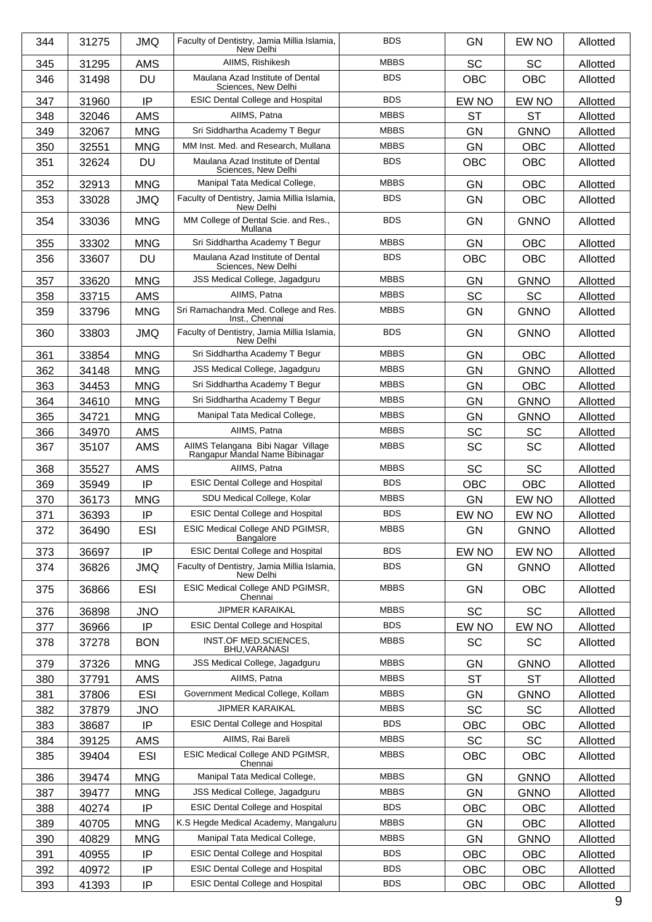| 344 | 31275 | <b>JMQ</b> | Faculty of Dentistry, Jamia Millia Islamia,<br>New Delhi             | <b>BDS</b>  | <b>GN</b>  | EW NO       | Allotted |
|-----|-------|------------|----------------------------------------------------------------------|-------------|------------|-------------|----------|
| 345 | 31295 | <b>AMS</b> | AIIMS, Rishikesh                                                     | <b>MBBS</b> | <b>SC</b>  | <b>SC</b>   | Allotted |
| 346 | 31498 | <b>DU</b>  | Maulana Azad Institute of Dental<br>Sciences, New Delhi              | <b>BDS</b>  | <b>OBC</b> | <b>OBC</b>  | Allotted |
| 347 | 31960 | IP         | <b>ESIC Dental College and Hospital</b>                              | <b>BDS</b>  | EW NO      | EW NO       | Allotted |
| 348 | 32046 | <b>AMS</b> | AIIMS, Patna                                                         | <b>MBBS</b> | <b>ST</b>  | ST          | Allotted |
| 349 | 32067 | <b>MNG</b> | Sri Siddhartha Academy T Begur                                       | <b>MBBS</b> | <b>GN</b>  | <b>GNNO</b> | Allotted |
| 350 | 32551 | <b>MNG</b> | MM Inst. Med. and Research. Mullana                                  | <b>MBBS</b> | GN         | <b>OBC</b>  | Allotted |
| 351 | 32624 | <b>DU</b>  | Maulana Azad Institute of Dental<br>Sciences, New Delhi              | <b>BDS</b>  | <b>OBC</b> | <b>OBC</b>  | Allotted |
| 352 | 32913 | <b>MNG</b> | Manipal Tata Medical College,                                        | <b>MBBS</b> | <b>GN</b>  | <b>OBC</b>  | Allotted |
| 353 | 33028 | <b>JMQ</b> | Faculty of Dentistry, Jamia Millia Islamia,<br>New Delhi             | <b>BDS</b>  | <b>GN</b>  | <b>OBC</b>  | Allotted |
| 354 | 33036 | <b>MNG</b> | MM College of Dental Scie. and Res.,<br>Mullana                      | <b>BDS</b>  | GN         | <b>GNNO</b> | Allotted |
| 355 | 33302 | <b>MNG</b> | Sri Siddhartha Academy T Begur                                       | <b>MBBS</b> | <b>GN</b>  | <b>OBC</b>  | Allotted |
| 356 | 33607 | <b>DU</b>  | Maulana Azad Institute of Dental<br>Sciences, New Delhi              | <b>BDS</b>  | <b>OBC</b> | <b>OBC</b>  | Allotted |
| 357 | 33620 | <b>MNG</b> | JSS Medical College, Jagadguru                                       | <b>MBBS</b> | GN         | <b>GNNO</b> | Allotted |
| 358 | 33715 | <b>AMS</b> | AIIMS. Patna                                                         | <b>MBBS</b> | <b>SC</b>  | <b>SC</b>   | Allotted |
| 359 | 33796 | <b>MNG</b> | Sri Ramachandra Med. College and Res.<br>Inst., Chennai              | <b>MBBS</b> | <b>GN</b>  | <b>GNNO</b> | Allotted |
| 360 | 33803 | <b>JMQ</b> | Faculty of Dentistry, Jamia Millia Islamia,<br>New Delhi             | <b>BDS</b>  | <b>GN</b>  | <b>GNNO</b> | Allotted |
| 361 | 33854 | <b>MNG</b> | Sri Siddhartha Academy T Begur                                       | <b>MBBS</b> | <b>GN</b>  | <b>OBC</b>  | Allotted |
| 362 | 34148 | <b>MNG</b> | JSS Medical College, Jagadguru                                       | <b>MBBS</b> | <b>GN</b>  | <b>GNNO</b> | Allotted |
| 363 | 34453 | <b>MNG</b> | Sri Siddhartha Academy T Begur                                       | <b>MBBS</b> | <b>GN</b>  | <b>OBC</b>  | Allotted |
| 364 | 34610 | <b>MNG</b> | Sri Siddhartha Academy T Begur                                       | <b>MBBS</b> | <b>GN</b>  | <b>GNNO</b> | Allotted |
| 365 | 34721 | <b>MNG</b> | Manipal Tata Medical College,                                        | <b>MBBS</b> | <b>GN</b>  | <b>GNNO</b> | Allotted |
| 366 | 34970 | AMS        | AIIMS, Patna                                                         | <b>MBBS</b> | <b>SC</b>  | <b>SC</b>   | Allotted |
| 367 | 35107 | <b>AMS</b> | AIIMS Telangana Bibi Nagar Village<br>Rangapur Mandal Name Bibinagar | <b>MBBS</b> | <b>SC</b>  | <b>SC</b>   | Allotted |
| 368 | 35527 | <b>AMS</b> | AIIMS. Patna                                                         | <b>MBBS</b> | SC         | <b>SC</b>   | Allotted |
| 369 | 35949 | IP         | <b>ESIC Dental College and Hospital</b>                              | <b>BDS</b>  | <b>OBC</b> | <b>OBC</b>  | Allotted |
| 370 | 36173 | <b>MNG</b> | SDU Medical College, Kolar                                           | <b>MBBS</b> | <b>GN</b>  | EW NO       | Allotted |
| 371 | 36393 | IP         | <b>ESIC Dental College and Hospital</b>                              | <b>BDS</b>  | EW NO      | EW NO       | Allotted |
| 372 | 36490 | <b>ESI</b> | ESIC Medical College AND PGIMSR,<br><b>Bangalore</b>                 | <b>MBBS</b> | GN         | <b>GNNO</b> | Allotted |
| 373 | 36697 | IP         | <b>ESIC Dental College and Hospital</b>                              | <b>BDS</b>  | EW NO      | EW NO       | Allotted |
| 374 | 36826 | <b>JMQ</b> | Faculty of Dentistry, Jamia Millia Islamia,<br>New Delhi             | <b>BDS</b>  | GN         | <b>GNNO</b> | Allotted |
| 375 | 36866 | <b>ESI</b> | ESIC Medical College AND PGIMSR,<br>Chennai                          | <b>MBBS</b> | <b>GN</b>  | <b>OBC</b>  | Allotted |
| 376 | 36898 | <b>JNO</b> | <b>JIPMER KARAIKAL</b>                                               | <b>MBBS</b> | <b>SC</b>  | SC          | Allotted |
| 377 | 36966 | IP         | <b>ESIC Dental College and Hospital</b>                              | <b>BDS</b>  | EW NO      | EW NO       | Allotted |
| 378 | 37278 | <b>BON</b> | INST.OF MED.SCIENCES,<br>BHU, VARANASI                               | <b>MBBS</b> | <b>SC</b>  | SC          | Allotted |
| 379 | 37326 | <b>MNG</b> | JSS Medical College, Jagadguru                                       | <b>MBBS</b> | <b>GN</b>  | <b>GNNO</b> | Allotted |
| 380 | 37791 | AMS        | AIIMS, Patna                                                         | <b>MBBS</b> | <b>ST</b>  | <b>ST</b>   | Allotted |
| 381 | 37806 | <b>ESI</b> | Government Medical College, Kollam                                   | <b>MBBS</b> | GN         | <b>GNNO</b> | Allotted |
| 382 | 37879 | <b>JNO</b> | <b>JIPMER KARAIKAL</b>                                               | <b>MBBS</b> | SC         | <b>SC</b>   | Allotted |
| 383 | 38687 | IP         | <b>ESIC Dental College and Hospital</b>                              | <b>BDS</b>  | OBC        | OBC         | Allotted |
| 384 | 39125 | AMS        | AIIMS, Rai Bareli                                                    | <b>MBBS</b> | <b>SC</b>  | SC          | Allotted |
| 385 | 39404 | <b>ESI</b> | ESIC Medical College AND PGIMSR,<br>Chennai                          | <b>MBBS</b> | <b>OBC</b> | <b>OBC</b>  | Allotted |
| 386 | 39474 | <b>MNG</b> | Manipal Tata Medical College,                                        | <b>MBBS</b> | GN         | <b>GNNO</b> | Allotted |
| 387 | 39477 | <b>MNG</b> | JSS Medical College, Jagadguru                                       | <b>MBBS</b> | <b>GN</b>  | <b>GNNO</b> | Allotted |
| 388 | 40274 | IP         | <b>ESIC Dental College and Hospital</b>                              | <b>BDS</b>  | <b>OBC</b> | OBC         | Allotted |
| 389 | 40705 | <b>MNG</b> | K.S Hegde Medical Academy, Mangaluru                                 | <b>MBBS</b> | GN         | OBC         | Allotted |
| 390 | 40829 | <b>MNG</b> | Manipal Tata Medical College,                                        | <b>MBBS</b> | <b>GN</b>  | <b>GNNO</b> | Allotted |
| 391 | 40955 | IP         | <b>ESIC Dental College and Hospital</b>                              | <b>BDS</b>  | <b>OBC</b> | OBC         | Allotted |
| 392 | 40972 | IP         | <b>ESIC Dental College and Hospital</b>                              | <b>BDS</b>  | OBC        | OBC         | Allotted |
| 393 | 41393 | IP         | <b>ESIC Dental College and Hospital</b>                              | <b>BDS</b>  | OBC        | OBC         | Allotted |
|     |       |            |                                                                      |             |            |             | 9        |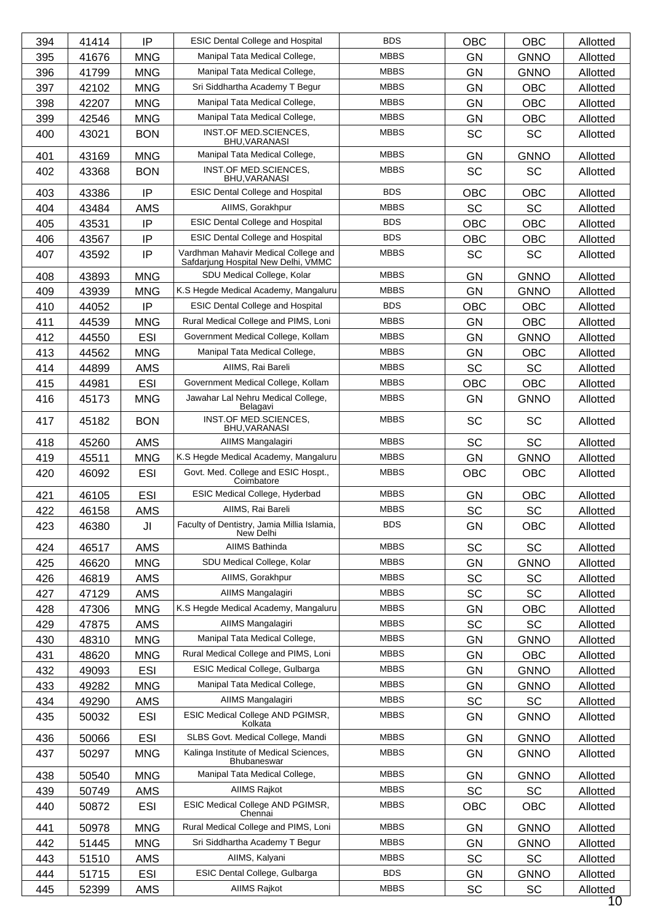| 394 | 41414 | IP         | <b>ESIC Dental College and Hospital</b>                                     | <b>BDS</b>  | OBC        | <b>OBC</b>  | Allotted        |
|-----|-------|------------|-----------------------------------------------------------------------------|-------------|------------|-------------|-----------------|
| 395 | 41676 | <b>MNG</b> | Manipal Tata Medical College,                                               | <b>MBBS</b> | <b>GN</b>  | <b>GNNO</b> | Allotted        |
| 396 | 41799 | <b>MNG</b> | Manipal Tata Medical College,                                               | <b>MBBS</b> | <b>GN</b>  | <b>GNNO</b> | Allotted        |
| 397 | 42102 | <b>MNG</b> | Sri Siddhartha Academy T Begur                                              | <b>MBBS</b> | <b>GN</b>  | <b>OBC</b>  | Allotted        |
| 398 | 42207 | <b>MNG</b> | Manipal Tata Medical College,                                               | <b>MBBS</b> | <b>GN</b>  | <b>OBC</b>  | Allotted        |
| 399 | 42546 | <b>MNG</b> | Manipal Tata Medical College,                                               | <b>MBBS</b> | <b>GN</b>  | <b>OBC</b>  | Allotted        |
| 400 | 43021 | <b>BON</b> | INST.OF MED.SCIENCES,<br>BHU, VARANASI                                      | <b>MBBS</b> | <b>SC</b>  | <b>SC</b>   | Allotted        |
| 401 | 43169 | <b>MNG</b> | Manipal Tata Medical College,                                               | <b>MBBS</b> | <b>GN</b>  | <b>GNNO</b> | Allotted        |
| 402 | 43368 | <b>BON</b> | INST.OF MED.SCIENCES,<br><b>BHU, VARANASI</b>                               | <b>MBBS</b> | <b>SC</b>  | <b>SC</b>   | Allotted        |
| 403 | 43386 | IP         | <b>ESIC Dental College and Hospital</b>                                     | <b>BDS</b>  | OBC        | <b>OBC</b>  | Allotted        |
| 404 | 43484 | <b>AMS</b> | AllMS, Gorakhpur                                                            | <b>MBBS</b> | <b>SC</b>  | <b>SC</b>   | Allotted        |
| 405 | 43531 | IP         | <b>ESIC Dental College and Hospital</b>                                     | <b>BDS</b>  | <b>OBC</b> | OBC         | Allotted        |
| 406 | 43567 | IP         | <b>ESIC Dental College and Hospital</b>                                     | <b>BDS</b>  | OBC        | <b>OBC</b>  | Allotted        |
| 407 | 43592 | IP         | Vardhman Mahavir Medical College and<br>Safdarjung Hospital New Delhi, VMMC | <b>MBBS</b> | <b>SC</b>  | <b>SC</b>   | Allotted        |
| 408 | 43893 | <b>MNG</b> | SDU Medical College, Kolar                                                  | <b>MBBS</b> | <b>GN</b>  | <b>GNNO</b> | Allotted        |
| 409 | 43939 | <b>MNG</b> | K.S Hegde Medical Academy, Mangaluru                                        | <b>MBBS</b> | <b>GN</b>  | <b>GNNO</b> | Allotted        |
| 410 | 44052 | IP         | <b>ESIC Dental College and Hospital</b>                                     | <b>BDS</b>  | <b>OBC</b> | <b>OBC</b>  | Allotted        |
| 411 | 44539 | <b>MNG</b> | Rural Medical College and PIMS, Loni                                        | <b>MBBS</b> | <b>GN</b>  | <b>OBC</b>  | Allotted        |
| 412 | 44550 | <b>ESI</b> | Government Medical College, Kollam                                          | <b>MBBS</b> | <b>GN</b>  | <b>GNNO</b> | Allotted        |
| 413 | 44562 | <b>MNG</b> | Manipal Tata Medical College,                                               | <b>MBBS</b> | <b>GN</b>  | <b>OBC</b>  | Allotted        |
| 414 | 44899 | <b>AMS</b> | AIIMS, Rai Bareli                                                           | <b>MBBS</b> | <b>SC</b>  | <b>SC</b>   | Allotted        |
| 415 | 44981 | <b>ESI</b> | Government Medical College, Kollam                                          | <b>MBBS</b> | <b>OBC</b> | <b>OBC</b>  | Allotted        |
| 416 | 45173 | <b>MNG</b> | Jawahar Lal Nehru Medical College,                                          | <b>MBBS</b> | GN         | <b>GNNO</b> | Allotted        |
| 417 | 45182 | <b>BON</b> | Belagavi<br>INST.OF MED.SCIENCES,                                           | <b>MBBS</b> | SC         | <b>SC</b>   | Allotted        |
|     |       |            | BHU, VARANASI                                                               |             |            |             |                 |
| 418 | 45260 | <b>AMS</b> | AIIMS Mangalagiri                                                           | <b>MBBS</b> | SC         | <b>SC</b>   | Allotted        |
| 419 | 45511 | <b>MNG</b> | K.S Hegde Medical Academy, Mangaluru                                        | <b>MBBS</b> | GN         | <b>GNNO</b> | Allotted        |
| 420 | 46092 | <b>ESI</b> | Govt. Med. College and ESIC Hospt.,<br>Coimbatore                           | <b>MBBS</b> | <b>OBC</b> | <b>OBC</b>  | Allotted        |
| 421 | 46105 | <b>ESI</b> | ESIC Medical College, Hyderbad                                              | <b>MBBS</b> | <b>GN</b>  | <b>OBC</b>  | Allotted        |
| 422 | 46158 | <b>AMS</b> | AIIMS, Rai Bareli                                                           | <b>MBBS</b> | SC         | SC          | Allotted        |
| 423 | 46380 | JI         | Faculty of Dentistry, Jamia Millia Islamia,<br>New Delhi                    | <b>BDS</b>  | GN         | OBC         | Allotted        |
| 424 | 46517 | AMS        | AIIMS Bathinda                                                              | <b>MBBS</b> | SC         | SC          | Allotted        |
| 425 | 46620 | <b>MNG</b> | SDU Medical College, Kolar                                                  | <b>MBBS</b> | <b>GN</b>  | <b>GNNO</b> | Allotted        |
| 426 | 46819 | AMS        | AllMS, Gorakhpur                                                            | <b>MBBS</b> | SC         | SC          | Allotted        |
| 427 | 47129 | <b>AMS</b> | AIIMS Mangalagiri                                                           | <b>MBBS</b> | SC         | SC          | Allotted        |
| 428 | 47306 | <b>MNG</b> | K.S Hegde Medical Academy, Mangaluru                                        | <b>MBBS</b> | GN         | OBC         | Allotted        |
| 429 | 47875 | AMS        | AIIMS Mangalagiri                                                           | <b>MBBS</b> | <b>SC</b>  | SC          | Allotted        |
| 430 | 48310 | <b>MNG</b> | Manipal Tata Medical College,                                               | <b>MBBS</b> | GN         | <b>GNNO</b> | Allotted        |
| 431 | 48620 | <b>MNG</b> | Rural Medical College and PIMS, Loni                                        | <b>MBBS</b> | GN         | <b>OBC</b>  | Allotted        |
| 432 | 49093 | <b>ESI</b> | ESIC Medical College, Gulbarga                                              | <b>MBBS</b> | GN         | <b>GNNO</b> | Allotted        |
| 433 | 49282 | <b>MNG</b> | Manipal Tata Medical College,                                               | <b>MBBS</b> | GN         | <b>GNNO</b> | Allotted        |
| 434 | 49290 | AMS        | AIIMS Mangalagiri                                                           | <b>MBBS</b> | SC         | SC          | Allotted        |
| 435 | 50032 | <b>ESI</b> | ESIC Medical College AND PGIMSR,<br>Kolkata                                 | <b>MBBS</b> | GN         | <b>GNNO</b> | Allotted        |
| 436 | 50066 | <b>ESI</b> | SLBS Govt. Medical College, Mandi                                           | <b>MBBS</b> | GN         | <b>GNNO</b> | Allotted        |
| 437 | 50297 | <b>MNG</b> | Kalinga Institute of Medical Sciences,<br><b>Bhubaneswar</b>                | <b>MBBS</b> | <b>GN</b>  | <b>GNNO</b> | Allotted        |
| 438 | 50540 | <b>MNG</b> | Manipal Tata Medical College,                                               | <b>MBBS</b> | <b>GN</b>  | <b>GNNO</b> | Allotted        |
| 439 | 50749 | AMS        | <b>AIIMS Rajkot</b>                                                         | <b>MBBS</b> | <b>SC</b>  | <b>SC</b>   | Allotted        |
| 440 | 50872 | <b>ESI</b> | ESIC Medical College AND PGIMSR,<br>Chennai                                 | <b>MBBS</b> | OBC        | OBC         | Allotted        |
| 441 | 50978 | <b>MNG</b> | Rural Medical College and PIMS, Loni                                        | <b>MBBS</b> | <b>GN</b>  | <b>GNNO</b> | Allotted        |
| 442 | 51445 | <b>MNG</b> | Sri Siddhartha Academy T Begur                                              | <b>MBBS</b> | GN         | <b>GNNO</b> | Allotted        |
| 443 | 51510 | AMS        | AIIMS, Kalyani                                                              | <b>MBBS</b> | SC         | SC          | Allotted        |
| 444 | 51715 | <b>ESI</b> | ESIC Dental College, Gulbarga                                               | <b>BDS</b>  | GN         | <b>GNNO</b> | Allotted        |
| 445 | 52399 | <b>AMS</b> | AIIMS Rajkot                                                                | <b>MBBS</b> | <b>SC</b>  | SC          | Allotted        |
|     |       |            |                                                                             |             |            |             | 10 <sup>°</sup> |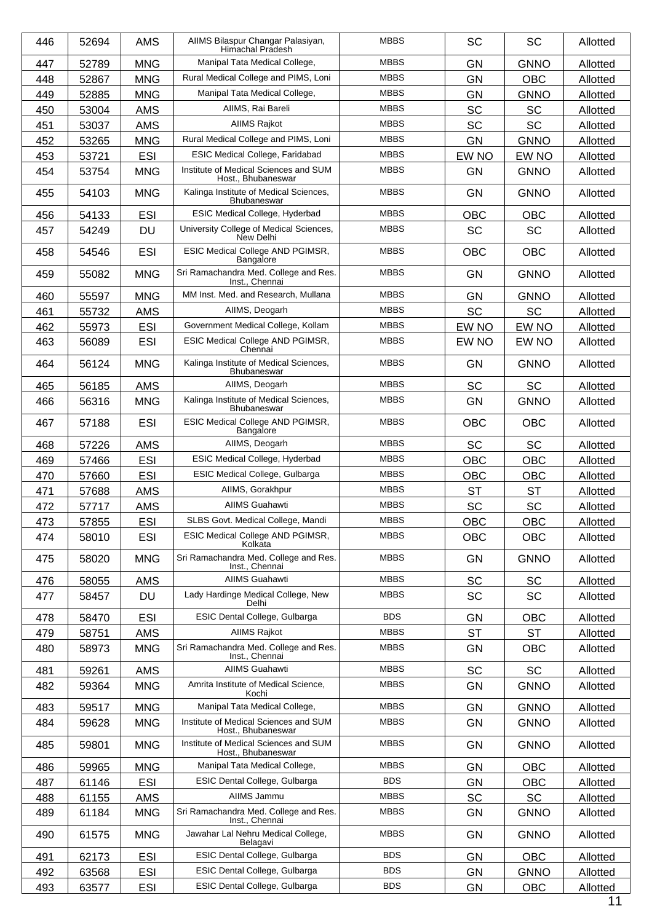| 446 | 52694 | <b>AMS</b> | AIIMS Bilaspur Changar Palasiyan,<br>Himachal Pradesh       | <b>MBBS</b> | <b>SC</b>  | <b>SC</b>   | Allotted |
|-----|-------|------------|-------------------------------------------------------------|-------------|------------|-------------|----------|
| 447 | 52789 | <b>MNG</b> | Manipal Tata Medical College,                               | <b>MBBS</b> | <b>GN</b>  | <b>GNNO</b> | Allotted |
| 448 | 52867 | <b>MNG</b> | Rural Medical College and PIMS, Loni                        | <b>MBBS</b> | <b>GN</b>  | OBC         | Allotted |
| 449 | 52885 | <b>MNG</b> | Manipal Tata Medical College,                               | <b>MBBS</b> | GN         | <b>GNNO</b> | Allotted |
| 450 | 53004 | <b>AMS</b> | AIIMS, Rai Bareli                                           | <b>MBBS</b> | <b>SC</b>  | <b>SC</b>   | Allotted |
| 451 | 53037 | <b>AMS</b> | <b>AIIMS Rajkot</b>                                         | <b>MBBS</b> | SC         | <b>SC</b>   | Allotted |
| 452 | 53265 | <b>MNG</b> | Rural Medical College and PIMS, Loni                        | <b>MBBS</b> | <b>GN</b>  | <b>GNNO</b> | Allotted |
| 453 | 53721 | <b>ESI</b> | <b>ESIC Medical College, Faridabad</b>                      | <b>MBBS</b> | EW NO      | EW NO       | Allotted |
| 454 | 53754 | <b>MNG</b> | Institute of Medical Sciences and SUM<br>Host., Bhubaneswar | <b>MBBS</b> | <b>GN</b>  | <b>GNNO</b> | Allotted |
| 455 | 54103 | <b>MNG</b> | Kalinga Institute of Medical Sciences,<br>Bhubaneswar       | <b>MBBS</b> | <b>GN</b>  | <b>GNNO</b> | Allotted |
| 456 | 54133 | <b>ESI</b> | ESIC Medical College, Hyderbad                              | <b>MBBS</b> | <b>OBC</b> | <b>OBC</b>  | Allotted |
| 457 | 54249 | <b>DU</b>  | University College of Medical Sciences,<br>New Delhi        | <b>MBBS</b> | <b>SC</b>  | <b>SC</b>   | Allotted |
| 458 | 54546 | <b>ESI</b> | ESIC Medical College AND PGIMSR,<br>Bangalore               | <b>MBBS</b> | <b>OBC</b> | <b>OBC</b>  | Allotted |
| 459 | 55082 | <b>MNG</b> | Sri Ramachandra Med. College and Res.<br>Inst., Chennai     | <b>MBBS</b> | <b>GN</b>  | <b>GNNO</b> | Allotted |
| 460 | 55597 | <b>MNG</b> | MM Inst. Med. and Research, Mullana                         | <b>MBBS</b> | <b>GN</b>  | <b>GNNO</b> | Allotted |
| 461 | 55732 | <b>AMS</b> | AIIMS, Deogarh                                              | <b>MBBS</b> | SC         | <b>SC</b>   | Allotted |
| 462 | 55973 | <b>ESI</b> | Government Medical College, Kollam                          | <b>MBBS</b> | EW NO      | EW NO       | Allotted |
| 463 | 56089 | <b>ESI</b> | ESIC Medical College AND PGIMSR,<br>Chennai                 | <b>MBBS</b> | EW NO      | EW NO       | Allotted |
| 464 | 56124 | <b>MNG</b> | Kalinga Institute of Medical Sciences,<br>Bhubaneswar       | <b>MBBS</b> | <b>GN</b>  | <b>GNNO</b> | Allotted |
| 465 | 56185 | <b>AMS</b> | AIIMS, Deogarh                                              | <b>MBBS</b> | <b>SC</b>  | <b>SC</b>   | Allotted |
| 466 | 56316 | <b>MNG</b> | Kalinga Institute of Medical Sciences,<br>Bhubaneswar       | <b>MBBS</b> | <b>GN</b>  | <b>GNNO</b> | Allotted |
| 467 | 57188 | <b>ESI</b> | ESIC Medical College AND PGIMSR,<br>Bangalore               | <b>MBBS</b> | <b>OBC</b> | <b>OBC</b>  | Allotted |
| 468 | 57226 | <b>AMS</b> | AIIMS, Deogarh                                              | <b>MBBS</b> | <b>SC</b>  | <b>SC</b>   | Allotted |
| 469 | 57466 | ESI        | ESIC Medical College, Hyderbad                              | <b>MBBS</b> | OBC        | OBC         | Allotted |
| 470 | 57660 | <b>ESI</b> | ESIC Medical College, Gulbarga                              | <b>MBBS</b> | <b>OBC</b> | <b>OBC</b>  | Allotted |
| 471 | 57688 | <b>AMS</b> | AIIMS, Gorakhpur                                            | <b>MBBS</b> | <b>ST</b>  | <b>ST</b>   | Allotted |
| 472 | 57717 | <b>AMS</b> | <b>AIIMS Guahawti</b>                                       | <b>MBBS</b> | SC         | SC          | Allotted |
| 473 | 57855 | ESI        | SLBS Govt. Medical College, Mandi                           | <b>MBBS</b> | OBC        | OBC         | Allotted |
| 474 | 58010 | <b>ESI</b> | ESIC Medical College AND PGIMSR,<br>Kolkata                 | <b>MBBS</b> | <b>OBC</b> | OBC         | Allotted |
| 475 | 58020 | <b>MNG</b> | Sri Ramachandra Med. College and Res.<br>Inst., Chennai     | <b>MBBS</b> | <b>GN</b>  | <b>GNNO</b> | Allotted |
| 476 | 58055 | AMS        | AIIMS Guahawti                                              | <b>MBBS</b> | <b>SC</b>  | <b>SC</b>   | Allotted |
| 477 | 58457 | <b>DU</b>  | Lady Hardinge Medical College, New<br>Delhi                 | <b>MBBS</b> | <b>SC</b>  | <b>SC</b>   | Allotted |
| 478 | 58470 | <b>ESI</b> | ESIC Dental College, Gulbarga                               | <b>BDS</b>  | <b>GN</b>  | <b>OBC</b>  | Allotted |
| 479 | 58751 | AMS        | AIIMS Rajkot                                                | <b>MBBS</b> | <b>ST</b>  | <b>ST</b>   | Allotted |
| 480 | 58973 | <b>MNG</b> | Sri Ramachandra Med. College and Res.<br>Inst., Chennai     | <b>MBBS</b> | GN         | <b>OBC</b>  | Allotted |
| 481 | 59261 | <b>AMS</b> | <b>AIIMS Guahawti</b>                                       | <b>MBBS</b> | <b>SC</b>  | SC          | Allotted |
| 482 | 59364 | <b>MNG</b> | Amrita Institute of Medical Science,<br>Kochi               | <b>MBBS</b> | <b>GN</b>  | <b>GNNO</b> | Allotted |
| 483 | 59517 | <b>MNG</b> | Manipal Tata Medical College,                               | <b>MBBS</b> | GN         | <b>GNNO</b> | Allotted |
| 484 | 59628 | <b>MNG</b> | Institute of Medical Sciences and SUM<br>Host., Bhubaneswar | <b>MBBS</b> | <b>GN</b>  | <b>GNNO</b> | Allotted |
| 485 | 59801 | <b>MNG</b> | Institute of Medical Sciences and SUM<br>Host., Bhubaneswar | <b>MBBS</b> | <b>GN</b>  | <b>GNNO</b> | Allotted |
| 486 | 59965 | <b>MNG</b> | Manipal Tata Medical College,                               | <b>MBBS</b> | GN         | <b>OBC</b>  | Allotted |
| 487 | 61146 | ESI        | ESIC Dental College, Gulbarga                               | <b>BDS</b>  | GN         | <b>OBC</b>  | Allotted |
| 488 | 61155 | AMS        | AIIMS Jammu                                                 | <b>MBBS</b> | SC         | <b>SC</b>   | Allotted |
| 489 | 61184 | <b>MNG</b> | Sri Ramachandra Med. College and Res.<br>Inst., Chennai     | <b>MBBS</b> | GN         | <b>GNNO</b> | Allotted |
| 490 | 61575 | <b>MNG</b> | Jawahar Lal Nehru Medical College,<br>Belagavi              | <b>MBBS</b> | <b>GN</b>  | <b>GNNO</b> | Allotted |
| 491 | 62173 | <b>ESI</b> | ESIC Dental College, Gulbarga                               | <b>BDS</b>  | GN         | OBC         | Allotted |
| 492 | 63568 | <b>ESI</b> | ESIC Dental College, Gulbarga                               | <b>BDS</b>  | GN         | <b>GNNO</b> | Allotted |
| 493 | 63577 | <b>ESI</b> | ESIC Dental College, Gulbarga                               | <b>BDS</b>  | GN         | OBC         | Allotted |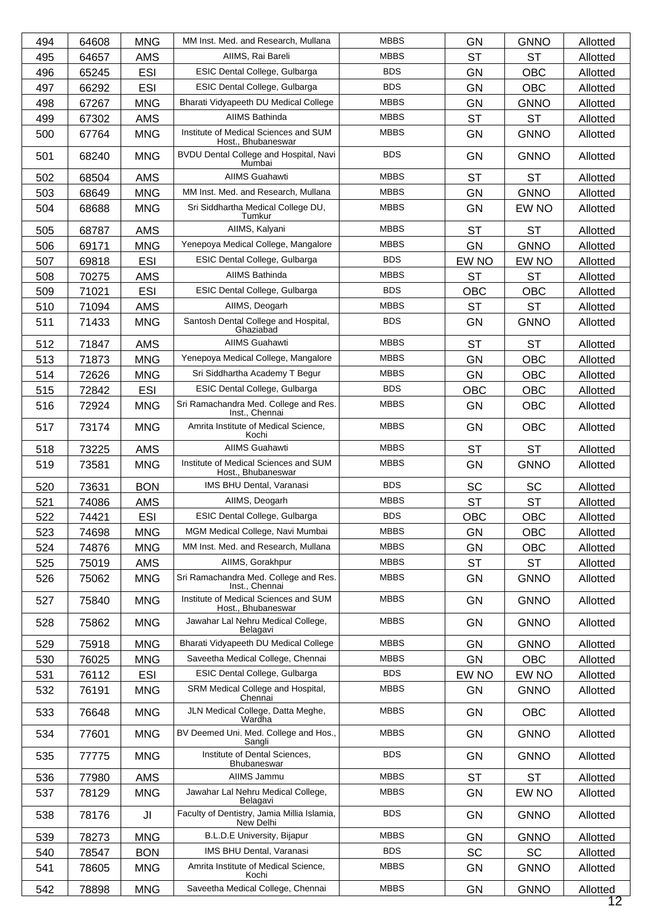| <b>MBBS</b><br>AIIMS, Rai Bareli<br><b>ST</b><br><b>ST</b><br>495<br>64657<br><b>AMS</b><br>Allotted<br><b>BDS</b><br>ESIC Dental College, Gulbarga<br><b>ESI</b><br><b>GN</b><br><b>OBC</b><br>496<br>65245<br>Allotted<br><b>BDS</b><br><b>ESI</b><br>ESIC Dental College, Gulbarga<br><b>GN</b><br>497<br>66292<br>OBC<br>Allotted<br><b>MBBS</b><br>Bharati Vidyapeeth DU Medical College<br>498<br>67267<br><b>MNG</b><br><b>GN</b><br><b>GNNO</b><br>Allotted<br>AIIMS Bathinda<br><b>MBBS</b><br><b>ST</b><br><b>AMS</b><br>499<br>67302<br><b>ST</b><br>Allotted<br>Institute of Medical Sciences and SUM<br><b>MBBS</b><br><b>MNG</b><br><b>GN</b><br><b>GNNO</b><br>500<br>67764<br>Allotted<br>Host., Bhubaneswar<br><b>BDS</b><br>BVDU Dental College and Hospital, Navi<br>501<br>68240<br><b>MNG</b><br><b>GN</b><br><b>GNNO</b><br>Allotted<br>Mumbai<br><b>AIIMS Guahawti</b><br><b>MBBS</b><br><b>AMS</b><br><b>ST</b><br>502<br>68504<br><b>ST</b><br>Allotted<br>MM Inst. Med. and Research, Mullana<br><b>MBBS</b><br><b>GN</b><br>503<br>68649<br><b>MNG</b><br><b>GNNO</b><br>Allotted<br><b>MBBS</b><br>Sri Siddhartha Medical College DU,<br>504<br>68688<br><b>MNG</b><br><b>GN</b><br>EW NO<br>Allotted<br>Tumkur<br><b>MBBS</b><br>AIIMS, Kalyani<br><b>AMS</b><br><b>ST</b><br><b>ST</b><br>68787<br>Allotted<br>505<br>Yenepoya Medical College, Mangalore<br><b>MBBS</b><br><b>GN</b><br>506<br>69171<br><b>MNG</b><br><b>GNNO</b><br>Allotted<br><b>BDS</b><br>ESIC Dental College, Gulbarga<br><b>ESI</b><br>507<br>EW NO<br>EW NO<br>69818<br>Allotted<br><b>AIIMS Bathinda</b><br><b>MBBS</b><br><b>AMS</b><br><b>ST</b><br>70275<br>ST<br>Allotted<br>508<br><b>BDS</b><br><b>ESI</b><br>ESIC Dental College, Gulbarga<br>509<br>71021<br><b>OBC</b><br>OBC<br>Allotted<br><b>MBBS</b><br>AIIMS, Deogarh<br>AMS<br><b>ST</b><br><b>ST</b><br>510<br>71094<br>Allotted<br><b>BDS</b><br>Santosh Dental College and Hospital,<br><b>MNG</b><br><b>GN</b><br>511<br>71433<br><b>GNNO</b><br>Allotted<br>Ghaziabad<br><b>AIIMS Guahawti</b><br><b>MBBS</b><br><b>ST</b><br><b>ST</b><br>512<br>71847<br><b>AMS</b><br>Allotted<br><b>MBBS</b><br>Yenepoya Medical College, Mangalore<br>513<br><b>MNG</b><br><b>GN</b><br><b>OBC</b><br>71873<br>Allotted<br><b>MBBS</b><br>Sri Siddhartha Academy T Begur<br><b>MNG</b><br><b>GN</b><br>514<br>72626<br><b>OBC</b><br>Allotted<br><b>BDS</b><br><b>ESI</b><br>ESIC Dental College, Gulbarga<br>515<br>72842<br><b>OBC</b><br>OBC<br>Allotted<br>Sri Ramachandra Med. College and Res.<br><b>MBBS</b><br><b>MNG</b><br>OBC<br>516<br>72924<br>GN<br>Allotted<br>Inst., Chennai<br><b>MBBS</b><br>Amrita Institute of Medical Science,<br><b>MNG</b><br><b>GN</b><br>517<br>73174<br><b>OBC</b><br>Allotted<br>Kochi<br><b>AIIMS Guahawti</b><br><b>MBBS</b><br><b>ST</b><br><b>ST</b><br>518<br>AMS<br>73225<br>Allotted<br>Institute of Medical Sciences and SUM<br><b>MBBS</b><br><b>MNG</b><br><b>GN</b><br>519<br>73581<br><b>GNNO</b><br>Allotted<br>Host., Bhubaneswar<br><b>BDS</b><br>IMS BHU Dental, Varanasi<br><b>SC</b><br><b>BON</b><br><b>SC</b><br>520<br>73631<br>Allotted<br>AIIMS, Deogarh<br><b>MBBS</b><br><b>ST</b><br><b>ST</b><br>521<br><b>AMS</b><br>Allotted<br>74086<br><b>BDS</b><br>ESIC Dental College, Gulbarga<br><b>ESI</b><br><b>OBC</b><br>522<br>74421<br><b>OBC</b><br>Allotted<br><b>MBBS</b><br>MGM Medical College, Navi Mumbai<br>74698<br><b>MNG</b><br><b>GN</b><br><b>OBC</b><br>523<br>Allotted<br>MM Inst. Med. and Research, Mullana<br><b>MBBS</b><br><b>MNG</b><br>524<br>74876<br><b>GN</b><br><b>OBC</b><br>Allotted<br><b>MBBS</b><br>AIIMS, Gorakhpur<br><b>ST</b><br>AMS<br><b>ST</b><br>525<br>75019<br>Allotted<br>Sri Ramachandra Med. College and Res.<br><b>MBBS</b><br><b>MNG</b><br><b>GN</b><br><b>GNNO</b><br>526<br>75062<br>Allotted<br>Inst., Chennai<br>Institute of Medical Sciences and SUM<br><b>MBBS</b><br>527<br><b>MNG</b><br>GN<br><b>GNNO</b><br>75840<br>Allotted<br>Host., Bhubaneswar<br><b>MBBS</b><br>Jawahar Lal Nehru Medical College,<br><b>MNG</b><br><b>GN</b><br>528<br>75862<br><b>GNNO</b><br>Allotted<br>Belagavi<br>Bharati Vidyapeeth DU Medical College<br><b>MBBS</b><br><b>MNG</b><br>529<br>75918<br>GN<br><b>GNNO</b><br>Allotted<br>Saveetha Medical College, Chennai<br><b>MBBS</b><br><b>GN</b><br>530<br><b>MNG</b><br><b>OBC</b><br>76025<br>Allotted<br><b>BDS</b><br>ESIC Dental College, Gulbarga<br>531<br>76112<br>ESI<br>EW NO<br>EW NO<br>Allotted<br><b>MBBS</b><br>SRM Medical College and Hospital,<br><b>MNG</b><br>532<br>76191<br>GN<br><b>GNNO</b><br>Allotted<br>Chennai<br>JLN Medical College, Datta Meghe,<br><b>MBBS</b><br><b>MNG</b><br>533<br>76648<br><b>GN</b><br><b>OBC</b><br>Allotted<br>Wardha<br>BV Deemed Uni. Med. College and Hos.,<br><b>MBBS</b><br><b>MNG</b><br><b>GN</b><br><b>GNNO</b><br>534<br>77601<br>Allotted<br>Sangli<br>Institute of Dental Sciences,<br><b>BDS</b><br>535<br>77775<br><b>MNG</b><br>GN<br><b>GNNO</b><br>Allotted<br>Bhubaneswar<br>AIIMS Jammu<br><b>MBBS</b><br>AMS<br><b>ST</b><br><b>ST</b><br>536<br>77980<br>Allotted<br><b>MBBS</b><br>Jawahar Lal Nehru Medical College,<br>78129<br><b>MNG</b><br>GN<br>EW NO<br>537<br>Allotted<br>Belagavi<br>Faculty of Dentistry, Jamia Millia Islamia,<br><b>BDS</b><br>JI<br>538<br>78176<br><b>GN</b><br><b>GNNO</b><br>Allotted<br>New Delhi<br><b>MBBS</b><br>B.L.D.E University, Bijapur<br>539<br>78273<br><b>MNG</b><br>GN<br><b>GNNO</b><br>Allotted<br><b>BDS</b><br>SC<br>IMS BHU Dental, Varanasi<br>SC<br><b>BON</b><br>540<br>78547<br>Allotted<br><b>MBBS</b><br>Amrita Institute of Medical Science,<br><b>MNG</b><br>541<br>78605<br>GN<br><b>GNNO</b><br>Allotted<br>Kochi<br>Saveetha Medical College, Chennai<br><b>MBBS</b><br>542<br>78898<br><b>MNG</b><br><b>GN</b><br><b>GNNO</b><br>Allotted | 494 | 64608 | <b>MNG</b> | MM Inst. Med. and Research, Mullana | <b>MBBS</b> | <b>GN</b> | <b>GNNO</b> | Allotted |
|-------------------------------------------------------------------------------------------------------------------------------------------------------------------------------------------------------------------------------------------------------------------------------------------------------------------------------------------------------------------------------------------------------------------------------------------------------------------------------------------------------------------------------------------------------------------------------------------------------------------------------------------------------------------------------------------------------------------------------------------------------------------------------------------------------------------------------------------------------------------------------------------------------------------------------------------------------------------------------------------------------------------------------------------------------------------------------------------------------------------------------------------------------------------------------------------------------------------------------------------------------------------------------------------------------------------------------------------------------------------------------------------------------------------------------------------------------------------------------------------------------------------------------------------------------------------------------------------------------------------------------------------------------------------------------------------------------------------------------------------------------------------------------------------------------------------------------------------------------------------------------------------------------------------------------------------------------------------------------------------------------------------------------------------------------------------------------------------------------------------------------------------------------------------------------------------------------------------------------------------------------------------------------------------------------------------------------------------------------------------------------------------------------------------------------------------------------------------------------------------------------------------------------------------------------------------------------------------------------------------------------------------------------------------------------------------------------------------------------------------------------------------------------------------------------------------------------------------------------------------------------------------------------------------------------------------------------------------------------------------------------------------------------------------------------------------------------------------------------------------------------------------------------------------------------------------------------------------------------------------------------------------------------------------------------------------------------------------------------------------------------------------------------------------------------------------------------------------------------------------------------------------------------------------------------------------------------------------------------------------------------------------------------------------------------------------------------------------------------------------------------------------------------------------------------------------------------------------------------------------------------------------------------------------------------------------------------------------------------------------------------------------------------------------------------------------------------------------------------------------------------------------------------------------------------------------------------------------------------------------------------------------------------------------------------------------------------------------------------------------------------------------------------------------------------------------------------------------------------------------------------------------------------------------------------------------------------------------------------------------------------------------------------------------------------------------------------------------------------------------------------------------------------------------------------------------------------------------------------------------------------------------------------------------------------------------------------------------------------------------------------------------------------------------------------------------------------------------------------------------------------------------------------------------------------------------------------------------------------------------------------------------------------------------------------------------------------------------------------------------------------------------------------------------------------------------------------------------------------------------------------------------------------------------------------------------------------------------------------------------------------------------------------------------------------------------------------------------------------------------------------------------------------------------------------------------------------------------------------------------------------------------------------------------------|-----|-------|------------|-------------------------------------|-------------|-----------|-------------|----------|
|                                                                                                                                                                                                                                                                                                                                                                                                                                                                                                                                                                                                                                                                                                                                                                                                                                                                                                                                                                                                                                                                                                                                                                                                                                                                                                                                                                                                                                                                                                                                                                                                                                                                                                                                                                                                                                                                                                                                                                                                                                                                                                                                                                                                                                                                                                                                                                                                                                                                                                                                                                                                                                                                                                                                                                                                                                                                                                                                                                                                                                                                                                                                                                                                                                                                                                                                                                                                                                                                                                                                                                                                                                                                                                                                                                                                                                                                                                                                                                                                                                                                                                                                                                                                                                                                                                                                                                                                                                                                                                                                                                                                                                                                                                                                                                                                                                                                                                                                                                                                                                                                                                                                                                                                                                                                                                                                                                                                                                                                                                                                                                                                                                                                                                                                                                                                                                                                                                                         |     |       |            |                                     |             |           |             |          |
|                                                                                                                                                                                                                                                                                                                                                                                                                                                                                                                                                                                                                                                                                                                                                                                                                                                                                                                                                                                                                                                                                                                                                                                                                                                                                                                                                                                                                                                                                                                                                                                                                                                                                                                                                                                                                                                                                                                                                                                                                                                                                                                                                                                                                                                                                                                                                                                                                                                                                                                                                                                                                                                                                                                                                                                                                                                                                                                                                                                                                                                                                                                                                                                                                                                                                                                                                                                                                                                                                                                                                                                                                                                                                                                                                                                                                                                                                                                                                                                                                                                                                                                                                                                                                                                                                                                                                                                                                                                                                                                                                                                                                                                                                                                                                                                                                                                                                                                                                                                                                                                                                                                                                                                                                                                                                                                                                                                                                                                                                                                                                                                                                                                                                                                                                                                                                                                                                                                         |     |       |            |                                     |             |           |             |          |
|                                                                                                                                                                                                                                                                                                                                                                                                                                                                                                                                                                                                                                                                                                                                                                                                                                                                                                                                                                                                                                                                                                                                                                                                                                                                                                                                                                                                                                                                                                                                                                                                                                                                                                                                                                                                                                                                                                                                                                                                                                                                                                                                                                                                                                                                                                                                                                                                                                                                                                                                                                                                                                                                                                                                                                                                                                                                                                                                                                                                                                                                                                                                                                                                                                                                                                                                                                                                                                                                                                                                                                                                                                                                                                                                                                                                                                                                                                                                                                                                                                                                                                                                                                                                                                                                                                                                                                                                                                                                                                                                                                                                                                                                                                                                                                                                                                                                                                                                                                                                                                                                                                                                                                                                                                                                                                                                                                                                                                                                                                                                                                                                                                                                                                                                                                                                                                                                                                                         |     |       |            |                                     |             |           |             |          |
|                                                                                                                                                                                                                                                                                                                                                                                                                                                                                                                                                                                                                                                                                                                                                                                                                                                                                                                                                                                                                                                                                                                                                                                                                                                                                                                                                                                                                                                                                                                                                                                                                                                                                                                                                                                                                                                                                                                                                                                                                                                                                                                                                                                                                                                                                                                                                                                                                                                                                                                                                                                                                                                                                                                                                                                                                                                                                                                                                                                                                                                                                                                                                                                                                                                                                                                                                                                                                                                                                                                                                                                                                                                                                                                                                                                                                                                                                                                                                                                                                                                                                                                                                                                                                                                                                                                                                                                                                                                                                                                                                                                                                                                                                                                                                                                                                                                                                                                                                                                                                                                                                                                                                                                                                                                                                                                                                                                                                                                                                                                                                                                                                                                                                                                                                                                                                                                                                                                         |     |       |            |                                     |             |           |             |          |
|                                                                                                                                                                                                                                                                                                                                                                                                                                                                                                                                                                                                                                                                                                                                                                                                                                                                                                                                                                                                                                                                                                                                                                                                                                                                                                                                                                                                                                                                                                                                                                                                                                                                                                                                                                                                                                                                                                                                                                                                                                                                                                                                                                                                                                                                                                                                                                                                                                                                                                                                                                                                                                                                                                                                                                                                                                                                                                                                                                                                                                                                                                                                                                                                                                                                                                                                                                                                                                                                                                                                                                                                                                                                                                                                                                                                                                                                                                                                                                                                                                                                                                                                                                                                                                                                                                                                                                                                                                                                                                                                                                                                                                                                                                                                                                                                                                                                                                                                                                                                                                                                                                                                                                                                                                                                                                                                                                                                                                                                                                                                                                                                                                                                                                                                                                                                                                                                                                                         |     |       |            |                                     |             |           |             |          |
|                                                                                                                                                                                                                                                                                                                                                                                                                                                                                                                                                                                                                                                                                                                                                                                                                                                                                                                                                                                                                                                                                                                                                                                                                                                                                                                                                                                                                                                                                                                                                                                                                                                                                                                                                                                                                                                                                                                                                                                                                                                                                                                                                                                                                                                                                                                                                                                                                                                                                                                                                                                                                                                                                                                                                                                                                                                                                                                                                                                                                                                                                                                                                                                                                                                                                                                                                                                                                                                                                                                                                                                                                                                                                                                                                                                                                                                                                                                                                                                                                                                                                                                                                                                                                                                                                                                                                                                                                                                                                                                                                                                                                                                                                                                                                                                                                                                                                                                                                                                                                                                                                                                                                                                                                                                                                                                                                                                                                                                                                                                                                                                                                                                                                                                                                                                                                                                                                                                         |     |       |            |                                     |             |           |             |          |
|                                                                                                                                                                                                                                                                                                                                                                                                                                                                                                                                                                                                                                                                                                                                                                                                                                                                                                                                                                                                                                                                                                                                                                                                                                                                                                                                                                                                                                                                                                                                                                                                                                                                                                                                                                                                                                                                                                                                                                                                                                                                                                                                                                                                                                                                                                                                                                                                                                                                                                                                                                                                                                                                                                                                                                                                                                                                                                                                                                                                                                                                                                                                                                                                                                                                                                                                                                                                                                                                                                                                                                                                                                                                                                                                                                                                                                                                                                                                                                                                                                                                                                                                                                                                                                                                                                                                                                                                                                                                                                                                                                                                                                                                                                                                                                                                                                                                                                                                                                                                                                                                                                                                                                                                                                                                                                                                                                                                                                                                                                                                                                                                                                                                                                                                                                                                                                                                                                                         |     |       |            |                                     |             |           |             |          |
|                                                                                                                                                                                                                                                                                                                                                                                                                                                                                                                                                                                                                                                                                                                                                                                                                                                                                                                                                                                                                                                                                                                                                                                                                                                                                                                                                                                                                                                                                                                                                                                                                                                                                                                                                                                                                                                                                                                                                                                                                                                                                                                                                                                                                                                                                                                                                                                                                                                                                                                                                                                                                                                                                                                                                                                                                                                                                                                                                                                                                                                                                                                                                                                                                                                                                                                                                                                                                                                                                                                                                                                                                                                                                                                                                                                                                                                                                                                                                                                                                                                                                                                                                                                                                                                                                                                                                                                                                                                                                                                                                                                                                                                                                                                                                                                                                                                                                                                                                                                                                                                                                                                                                                                                                                                                                                                                                                                                                                                                                                                                                                                                                                                                                                                                                                                                                                                                                                                         |     |       |            |                                     |             |           |             |          |
|                                                                                                                                                                                                                                                                                                                                                                                                                                                                                                                                                                                                                                                                                                                                                                                                                                                                                                                                                                                                                                                                                                                                                                                                                                                                                                                                                                                                                                                                                                                                                                                                                                                                                                                                                                                                                                                                                                                                                                                                                                                                                                                                                                                                                                                                                                                                                                                                                                                                                                                                                                                                                                                                                                                                                                                                                                                                                                                                                                                                                                                                                                                                                                                                                                                                                                                                                                                                                                                                                                                                                                                                                                                                                                                                                                                                                                                                                                                                                                                                                                                                                                                                                                                                                                                                                                                                                                                                                                                                                                                                                                                                                                                                                                                                                                                                                                                                                                                                                                                                                                                                                                                                                                                                                                                                                                                                                                                                                                                                                                                                                                                                                                                                                                                                                                                                                                                                                                                         |     |       |            |                                     |             |           |             |          |
|                                                                                                                                                                                                                                                                                                                                                                                                                                                                                                                                                                                                                                                                                                                                                                                                                                                                                                                                                                                                                                                                                                                                                                                                                                                                                                                                                                                                                                                                                                                                                                                                                                                                                                                                                                                                                                                                                                                                                                                                                                                                                                                                                                                                                                                                                                                                                                                                                                                                                                                                                                                                                                                                                                                                                                                                                                                                                                                                                                                                                                                                                                                                                                                                                                                                                                                                                                                                                                                                                                                                                                                                                                                                                                                                                                                                                                                                                                                                                                                                                                                                                                                                                                                                                                                                                                                                                                                                                                                                                                                                                                                                                                                                                                                                                                                                                                                                                                                                                                                                                                                                                                                                                                                                                                                                                                                                                                                                                                                                                                                                                                                                                                                                                                                                                                                                                                                                                                                         |     |       |            |                                     |             |           |             |          |
|                                                                                                                                                                                                                                                                                                                                                                                                                                                                                                                                                                                                                                                                                                                                                                                                                                                                                                                                                                                                                                                                                                                                                                                                                                                                                                                                                                                                                                                                                                                                                                                                                                                                                                                                                                                                                                                                                                                                                                                                                                                                                                                                                                                                                                                                                                                                                                                                                                                                                                                                                                                                                                                                                                                                                                                                                                                                                                                                                                                                                                                                                                                                                                                                                                                                                                                                                                                                                                                                                                                                                                                                                                                                                                                                                                                                                                                                                                                                                                                                                                                                                                                                                                                                                                                                                                                                                                                                                                                                                                                                                                                                                                                                                                                                                                                                                                                                                                                                                                                                                                                                                                                                                                                                                                                                                                                                                                                                                                                                                                                                                                                                                                                                                                                                                                                                                                                                                                                         |     |       |            |                                     |             |           |             |          |
|                                                                                                                                                                                                                                                                                                                                                                                                                                                                                                                                                                                                                                                                                                                                                                                                                                                                                                                                                                                                                                                                                                                                                                                                                                                                                                                                                                                                                                                                                                                                                                                                                                                                                                                                                                                                                                                                                                                                                                                                                                                                                                                                                                                                                                                                                                                                                                                                                                                                                                                                                                                                                                                                                                                                                                                                                                                                                                                                                                                                                                                                                                                                                                                                                                                                                                                                                                                                                                                                                                                                                                                                                                                                                                                                                                                                                                                                                                                                                                                                                                                                                                                                                                                                                                                                                                                                                                                                                                                                                                                                                                                                                                                                                                                                                                                                                                                                                                                                                                                                                                                                                                                                                                                                                                                                                                                                                                                                                                                                                                                                                                                                                                                                                                                                                                                                                                                                                                                         |     |       |            |                                     |             |           |             |          |
|                                                                                                                                                                                                                                                                                                                                                                                                                                                                                                                                                                                                                                                                                                                                                                                                                                                                                                                                                                                                                                                                                                                                                                                                                                                                                                                                                                                                                                                                                                                                                                                                                                                                                                                                                                                                                                                                                                                                                                                                                                                                                                                                                                                                                                                                                                                                                                                                                                                                                                                                                                                                                                                                                                                                                                                                                                                                                                                                                                                                                                                                                                                                                                                                                                                                                                                                                                                                                                                                                                                                                                                                                                                                                                                                                                                                                                                                                                                                                                                                                                                                                                                                                                                                                                                                                                                                                                                                                                                                                                                                                                                                                                                                                                                                                                                                                                                                                                                                                                                                                                                                                                                                                                                                                                                                                                                                                                                                                                                                                                                                                                                                                                                                                                                                                                                                                                                                                                                         |     |       |            |                                     |             |           |             |          |
|                                                                                                                                                                                                                                                                                                                                                                                                                                                                                                                                                                                                                                                                                                                                                                                                                                                                                                                                                                                                                                                                                                                                                                                                                                                                                                                                                                                                                                                                                                                                                                                                                                                                                                                                                                                                                                                                                                                                                                                                                                                                                                                                                                                                                                                                                                                                                                                                                                                                                                                                                                                                                                                                                                                                                                                                                                                                                                                                                                                                                                                                                                                                                                                                                                                                                                                                                                                                                                                                                                                                                                                                                                                                                                                                                                                                                                                                                                                                                                                                                                                                                                                                                                                                                                                                                                                                                                                                                                                                                                                                                                                                                                                                                                                                                                                                                                                                                                                                                                                                                                                                                                                                                                                                                                                                                                                                                                                                                                                                                                                                                                                                                                                                                                                                                                                                                                                                                                                         |     |       |            |                                     |             |           |             |          |
|                                                                                                                                                                                                                                                                                                                                                                                                                                                                                                                                                                                                                                                                                                                                                                                                                                                                                                                                                                                                                                                                                                                                                                                                                                                                                                                                                                                                                                                                                                                                                                                                                                                                                                                                                                                                                                                                                                                                                                                                                                                                                                                                                                                                                                                                                                                                                                                                                                                                                                                                                                                                                                                                                                                                                                                                                                                                                                                                                                                                                                                                                                                                                                                                                                                                                                                                                                                                                                                                                                                                                                                                                                                                                                                                                                                                                                                                                                                                                                                                                                                                                                                                                                                                                                                                                                                                                                                                                                                                                                                                                                                                                                                                                                                                                                                                                                                                                                                                                                                                                                                                                                                                                                                                                                                                                                                                                                                                                                                                                                                                                                                                                                                                                                                                                                                                                                                                                                                         |     |       |            |                                     |             |           |             |          |
|                                                                                                                                                                                                                                                                                                                                                                                                                                                                                                                                                                                                                                                                                                                                                                                                                                                                                                                                                                                                                                                                                                                                                                                                                                                                                                                                                                                                                                                                                                                                                                                                                                                                                                                                                                                                                                                                                                                                                                                                                                                                                                                                                                                                                                                                                                                                                                                                                                                                                                                                                                                                                                                                                                                                                                                                                                                                                                                                                                                                                                                                                                                                                                                                                                                                                                                                                                                                                                                                                                                                                                                                                                                                                                                                                                                                                                                                                                                                                                                                                                                                                                                                                                                                                                                                                                                                                                                                                                                                                                                                                                                                                                                                                                                                                                                                                                                                                                                                                                                                                                                                                                                                                                                                                                                                                                                                                                                                                                                                                                                                                                                                                                                                                                                                                                                                                                                                                                                         |     |       |            |                                     |             |           |             |          |
|                                                                                                                                                                                                                                                                                                                                                                                                                                                                                                                                                                                                                                                                                                                                                                                                                                                                                                                                                                                                                                                                                                                                                                                                                                                                                                                                                                                                                                                                                                                                                                                                                                                                                                                                                                                                                                                                                                                                                                                                                                                                                                                                                                                                                                                                                                                                                                                                                                                                                                                                                                                                                                                                                                                                                                                                                                                                                                                                                                                                                                                                                                                                                                                                                                                                                                                                                                                                                                                                                                                                                                                                                                                                                                                                                                                                                                                                                                                                                                                                                                                                                                                                                                                                                                                                                                                                                                                                                                                                                                                                                                                                                                                                                                                                                                                                                                                                                                                                                                                                                                                                                                                                                                                                                                                                                                                                                                                                                                                                                                                                                                                                                                                                                                                                                                                                                                                                                                                         |     |       |            |                                     |             |           |             |          |
|                                                                                                                                                                                                                                                                                                                                                                                                                                                                                                                                                                                                                                                                                                                                                                                                                                                                                                                                                                                                                                                                                                                                                                                                                                                                                                                                                                                                                                                                                                                                                                                                                                                                                                                                                                                                                                                                                                                                                                                                                                                                                                                                                                                                                                                                                                                                                                                                                                                                                                                                                                                                                                                                                                                                                                                                                                                                                                                                                                                                                                                                                                                                                                                                                                                                                                                                                                                                                                                                                                                                                                                                                                                                                                                                                                                                                                                                                                                                                                                                                                                                                                                                                                                                                                                                                                                                                                                                                                                                                                                                                                                                                                                                                                                                                                                                                                                                                                                                                                                                                                                                                                                                                                                                                                                                                                                                                                                                                                                                                                                                                                                                                                                                                                                                                                                                                                                                                                                         |     |       |            |                                     |             |           |             |          |
|                                                                                                                                                                                                                                                                                                                                                                                                                                                                                                                                                                                                                                                                                                                                                                                                                                                                                                                                                                                                                                                                                                                                                                                                                                                                                                                                                                                                                                                                                                                                                                                                                                                                                                                                                                                                                                                                                                                                                                                                                                                                                                                                                                                                                                                                                                                                                                                                                                                                                                                                                                                                                                                                                                                                                                                                                                                                                                                                                                                                                                                                                                                                                                                                                                                                                                                                                                                                                                                                                                                                                                                                                                                                                                                                                                                                                                                                                                                                                                                                                                                                                                                                                                                                                                                                                                                                                                                                                                                                                                                                                                                                                                                                                                                                                                                                                                                                                                                                                                                                                                                                                                                                                                                                                                                                                                                                                                                                                                                                                                                                                                                                                                                                                                                                                                                                                                                                                                                         |     |       |            |                                     |             |           |             |          |
|                                                                                                                                                                                                                                                                                                                                                                                                                                                                                                                                                                                                                                                                                                                                                                                                                                                                                                                                                                                                                                                                                                                                                                                                                                                                                                                                                                                                                                                                                                                                                                                                                                                                                                                                                                                                                                                                                                                                                                                                                                                                                                                                                                                                                                                                                                                                                                                                                                                                                                                                                                                                                                                                                                                                                                                                                                                                                                                                                                                                                                                                                                                                                                                                                                                                                                                                                                                                                                                                                                                                                                                                                                                                                                                                                                                                                                                                                                                                                                                                                                                                                                                                                                                                                                                                                                                                                                                                                                                                                                                                                                                                                                                                                                                                                                                                                                                                                                                                                                                                                                                                                                                                                                                                                                                                                                                                                                                                                                                                                                                                                                                                                                                                                                                                                                                                                                                                                                                         |     |       |            |                                     |             |           |             |          |
|                                                                                                                                                                                                                                                                                                                                                                                                                                                                                                                                                                                                                                                                                                                                                                                                                                                                                                                                                                                                                                                                                                                                                                                                                                                                                                                                                                                                                                                                                                                                                                                                                                                                                                                                                                                                                                                                                                                                                                                                                                                                                                                                                                                                                                                                                                                                                                                                                                                                                                                                                                                                                                                                                                                                                                                                                                                                                                                                                                                                                                                                                                                                                                                                                                                                                                                                                                                                                                                                                                                                                                                                                                                                                                                                                                                                                                                                                                                                                                                                                                                                                                                                                                                                                                                                                                                                                                                                                                                                                                                                                                                                                                                                                                                                                                                                                                                                                                                                                                                                                                                                                                                                                                                                                                                                                                                                                                                                                                                                                                                                                                                                                                                                                                                                                                                                                                                                                                                         |     |       |            |                                     |             |           |             |          |
|                                                                                                                                                                                                                                                                                                                                                                                                                                                                                                                                                                                                                                                                                                                                                                                                                                                                                                                                                                                                                                                                                                                                                                                                                                                                                                                                                                                                                                                                                                                                                                                                                                                                                                                                                                                                                                                                                                                                                                                                                                                                                                                                                                                                                                                                                                                                                                                                                                                                                                                                                                                                                                                                                                                                                                                                                                                                                                                                                                                                                                                                                                                                                                                                                                                                                                                                                                                                                                                                                                                                                                                                                                                                                                                                                                                                                                                                                                                                                                                                                                                                                                                                                                                                                                                                                                                                                                                                                                                                                                                                                                                                                                                                                                                                                                                                                                                                                                                                                                                                                                                                                                                                                                                                                                                                                                                                                                                                                                                                                                                                                                                                                                                                                                                                                                                                                                                                                                                         |     |       |            |                                     |             |           |             |          |
|                                                                                                                                                                                                                                                                                                                                                                                                                                                                                                                                                                                                                                                                                                                                                                                                                                                                                                                                                                                                                                                                                                                                                                                                                                                                                                                                                                                                                                                                                                                                                                                                                                                                                                                                                                                                                                                                                                                                                                                                                                                                                                                                                                                                                                                                                                                                                                                                                                                                                                                                                                                                                                                                                                                                                                                                                                                                                                                                                                                                                                                                                                                                                                                                                                                                                                                                                                                                                                                                                                                                                                                                                                                                                                                                                                                                                                                                                                                                                                                                                                                                                                                                                                                                                                                                                                                                                                                                                                                                                                                                                                                                                                                                                                                                                                                                                                                                                                                                                                                                                                                                                                                                                                                                                                                                                                                                                                                                                                                                                                                                                                                                                                                                                                                                                                                                                                                                                                                         |     |       |            |                                     |             |           |             |          |
|                                                                                                                                                                                                                                                                                                                                                                                                                                                                                                                                                                                                                                                                                                                                                                                                                                                                                                                                                                                                                                                                                                                                                                                                                                                                                                                                                                                                                                                                                                                                                                                                                                                                                                                                                                                                                                                                                                                                                                                                                                                                                                                                                                                                                                                                                                                                                                                                                                                                                                                                                                                                                                                                                                                                                                                                                                                                                                                                                                                                                                                                                                                                                                                                                                                                                                                                                                                                                                                                                                                                                                                                                                                                                                                                                                                                                                                                                                                                                                                                                                                                                                                                                                                                                                                                                                                                                                                                                                                                                                                                                                                                                                                                                                                                                                                                                                                                                                                                                                                                                                                                                                                                                                                                                                                                                                                                                                                                                                                                                                                                                                                                                                                                                                                                                                                                                                                                                                                         |     |       |            |                                     |             |           |             |          |
|                                                                                                                                                                                                                                                                                                                                                                                                                                                                                                                                                                                                                                                                                                                                                                                                                                                                                                                                                                                                                                                                                                                                                                                                                                                                                                                                                                                                                                                                                                                                                                                                                                                                                                                                                                                                                                                                                                                                                                                                                                                                                                                                                                                                                                                                                                                                                                                                                                                                                                                                                                                                                                                                                                                                                                                                                                                                                                                                                                                                                                                                                                                                                                                                                                                                                                                                                                                                                                                                                                                                                                                                                                                                                                                                                                                                                                                                                                                                                                                                                                                                                                                                                                                                                                                                                                                                                                                                                                                                                                                                                                                                                                                                                                                                                                                                                                                                                                                                                                                                                                                                                                                                                                                                                                                                                                                                                                                                                                                                                                                                                                                                                                                                                                                                                                                                                                                                                                                         |     |       |            |                                     |             |           |             |          |
|                                                                                                                                                                                                                                                                                                                                                                                                                                                                                                                                                                                                                                                                                                                                                                                                                                                                                                                                                                                                                                                                                                                                                                                                                                                                                                                                                                                                                                                                                                                                                                                                                                                                                                                                                                                                                                                                                                                                                                                                                                                                                                                                                                                                                                                                                                                                                                                                                                                                                                                                                                                                                                                                                                                                                                                                                                                                                                                                                                                                                                                                                                                                                                                                                                                                                                                                                                                                                                                                                                                                                                                                                                                                                                                                                                                                                                                                                                                                                                                                                                                                                                                                                                                                                                                                                                                                                                                                                                                                                                                                                                                                                                                                                                                                                                                                                                                                                                                                                                                                                                                                                                                                                                                                                                                                                                                                                                                                                                                                                                                                                                                                                                                                                                                                                                                                                                                                                                                         |     |       |            |                                     |             |           |             |          |
|                                                                                                                                                                                                                                                                                                                                                                                                                                                                                                                                                                                                                                                                                                                                                                                                                                                                                                                                                                                                                                                                                                                                                                                                                                                                                                                                                                                                                                                                                                                                                                                                                                                                                                                                                                                                                                                                                                                                                                                                                                                                                                                                                                                                                                                                                                                                                                                                                                                                                                                                                                                                                                                                                                                                                                                                                                                                                                                                                                                                                                                                                                                                                                                                                                                                                                                                                                                                                                                                                                                                                                                                                                                                                                                                                                                                                                                                                                                                                                                                                                                                                                                                                                                                                                                                                                                                                                                                                                                                                                                                                                                                                                                                                                                                                                                                                                                                                                                                                                                                                                                                                                                                                                                                                                                                                                                                                                                                                                                                                                                                                                                                                                                                                                                                                                                                                                                                                                                         |     |       |            |                                     |             |           |             |          |
|                                                                                                                                                                                                                                                                                                                                                                                                                                                                                                                                                                                                                                                                                                                                                                                                                                                                                                                                                                                                                                                                                                                                                                                                                                                                                                                                                                                                                                                                                                                                                                                                                                                                                                                                                                                                                                                                                                                                                                                                                                                                                                                                                                                                                                                                                                                                                                                                                                                                                                                                                                                                                                                                                                                                                                                                                                                                                                                                                                                                                                                                                                                                                                                                                                                                                                                                                                                                                                                                                                                                                                                                                                                                                                                                                                                                                                                                                                                                                                                                                                                                                                                                                                                                                                                                                                                                                                                                                                                                                                                                                                                                                                                                                                                                                                                                                                                                                                                                                                                                                                                                                                                                                                                                                                                                                                                                                                                                                                                                                                                                                                                                                                                                                                                                                                                                                                                                                                                         |     |       |            |                                     |             |           |             |          |
|                                                                                                                                                                                                                                                                                                                                                                                                                                                                                                                                                                                                                                                                                                                                                                                                                                                                                                                                                                                                                                                                                                                                                                                                                                                                                                                                                                                                                                                                                                                                                                                                                                                                                                                                                                                                                                                                                                                                                                                                                                                                                                                                                                                                                                                                                                                                                                                                                                                                                                                                                                                                                                                                                                                                                                                                                                                                                                                                                                                                                                                                                                                                                                                                                                                                                                                                                                                                                                                                                                                                                                                                                                                                                                                                                                                                                                                                                                                                                                                                                                                                                                                                                                                                                                                                                                                                                                                                                                                                                                                                                                                                                                                                                                                                                                                                                                                                                                                                                                                                                                                                                                                                                                                                                                                                                                                                                                                                                                                                                                                                                                                                                                                                                                                                                                                                                                                                                                                         |     |       |            |                                     |             |           |             |          |
|                                                                                                                                                                                                                                                                                                                                                                                                                                                                                                                                                                                                                                                                                                                                                                                                                                                                                                                                                                                                                                                                                                                                                                                                                                                                                                                                                                                                                                                                                                                                                                                                                                                                                                                                                                                                                                                                                                                                                                                                                                                                                                                                                                                                                                                                                                                                                                                                                                                                                                                                                                                                                                                                                                                                                                                                                                                                                                                                                                                                                                                                                                                                                                                                                                                                                                                                                                                                                                                                                                                                                                                                                                                                                                                                                                                                                                                                                                                                                                                                                                                                                                                                                                                                                                                                                                                                                                                                                                                                                                                                                                                                                                                                                                                                                                                                                                                                                                                                                                                                                                                                                                                                                                                                                                                                                                                                                                                                                                                                                                                                                                                                                                                                                                                                                                                                                                                                                                                         |     |       |            |                                     |             |           |             |          |
|                                                                                                                                                                                                                                                                                                                                                                                                                                                                                                                                                                                                                                                                                                                                                                                                                                                                                                                                                                                                                                                                                                                                                                                                                                                                                                                                                                                                                                                                                                                                                                                                                                                                                                                                                                                                                                                                                                                                                                                                                                                                                                                                                                                                                                                                                                                                                                                                                                                                                                                                                                                                                                                                                                                                                                                                                                                                                                                                                                                                                                                                                                                                                                                                                                                                                                                                                                                                                                                                                                                                                                                                                                                                                                                                                                                                                                                                                                                                                                                                                                                                                                                                                                                                                                                                                                                                                                                                                                                                                                                                                                                                                                                                                                                                                                                                                                                                                                                                                                                                                                                                                                                                                                                                                                                                                                                                                                                                                                                                                                                                                                                                                                                                                                                                                                                                                                                                                                                         |     |       |            |                                     |             |           |             |          |
|                                                                                                                                                                                                                                                                                                                                                                                                                                                                                                                                                                                                                                                                                                                                                                                                                                                                                                                                                                                                                                                                                                                                                                                                                                                                                                                                                                                                                                                                                                                                                                                                                                                                                                                                                                                                                                                                                                                                                                                                                                                                                                                                                                                                                                                                                                                                                                                                                                                                                                                                                                                                                                                                                                                                                                                                                                                                                                                                                                                                                                                                                                                                                                                                                                                                                                                                                                                                                                                                                                                                                                                                                                                                                                                                                                                                                                                                                                                                                                                                                                                                                                                                                                                                                                                                                                                                                                                                                                                                                                                                                                                                                                                                                                                                                                                                                                                                                                                                                                                                                                                                                                                                                                                                                                                                                                                                                                                                                                                                                                                                                                                                                                                                                                                                                                                                                                                                                                                         |     |       |            |                                     |             |           |             |          |
|                                                                                                                                                                                                                                                                                                                                                                                                                                                                                                                                                                                                                                                                                                                                                                                                                                                                                                                                                                                                                                                                                                                                                                                                                                                                                                                                                                                                                                                                                                                                                                                                                                                                                                                                                                                                                                                                                                                                                                                                                                                                                                                                                                                                                                                                                                                                                                                                                                                                                                                                                                                                                                                                                                                                                                                                                                                                                                                                                                                                                                                                                                                                                                                                                                                                                                                                                                                                                                                                                                                                                                                                                                                                                                                                                                                                                                                                                                                                                                                                                                                                                                                                                                                                                                                                                                                                                                                                                                                                                                                                                                                                                                                                                                                                                                                                                                                                                                                                                                                                                                                                                                                                                                                                                                                                                                                                                                                                                                                                                                                                                                                                                                                                                                                                                                                                                                                                                                                         |     |       |            |                                     |             |           |             |          |
|                                                                                                                                                                                                                                                                                                                                                                                                                                                                                                                                                                                                                                                                                                                                                                                                                                                                                                                                                                                                                                                                                                                                                                                                                                                                                                                                                                                                                                                                                                                                                                                                                                                                                                                                                                                                                                                                                                                                                                                                                                                                                                                                                                                                                                                                                                                                                                                                                                                                                                                                                                                                                                                                                                                                                                                                                                                                                                                                                                                                                                                                                                                                                                                                                                                                                                                                                                                                                                                                                                                                                                                                                                                                                                                                                                                                                                                                                                                                                                                                                                                                                                                                                                                                                                                                                                                                                                                                                                                                                                                                                                                                                                                                                                                                                                                                                                                                                                                                                                                                                                                                                                                                                                                                                                                                                                                                                                                                                                                                                                                                                                                                                                                                                                                                                                                                                                                                                                                         |     |       |            |                                     |             |           |             |          |
|                                                                                                                                                                                                                                                                                                                                                                                                                                                                                                                                                                                                                                                                                                                                                                                                                                                                                                                                                                                                                                                                                                                                                                                                                                                                                                                                                                                                                                                                                                                                                                                                                                                                                                                                                                                                                                                                                                                                                                                                                                                                                                                                                                                                                                                                                                                                                                                                                                                                                                                                                                                                                                                                                                                                                                                                                                                                                                                                                                                                                                                                                                                                                                                                                                                                                                                                                                                                                                                                                                                                                                                                                                                                                                                                                                                                                                                                                                                                                                                                                                                                                                                                                                                                                                                                                                                                                                                                                                                                                                                                                                                                                                                                                                                                                                                                                                                                                                                                                                                                                                                                                                                                                                                                                                                                                                                                                                                                                                                                                                                                                                                                                                                                                                                                                                                                                                                                                                                         |     |       |            |                                     |             |           |             |          |
|                                                                                                                                                                                                                                                                                                                                                                                                                                                                                                                                                                                                                                                                                                                                                                                                                                                                                                                                                                                                                                                                                                                                                                                                                                                                                                                                                                                                                                                                                                                                                                                                                                                                                                                                                                                                                                                                                                                                                                                                                                                                                                                                                                                                                                                                                                                                                                                                                                                                                                                                                                                                                                                                                                                                                                                                                                                                                                                                                                                                                                                                                                                                                                                                                                                                                                                                                                                                                                                                                                                                                                                                                                                                                                                                                                                                                                                                                                                                                                                                                                                                                                                                                                                                                                                                                                                                                                                                                                                                                                                                                                                                                                                                                                                                                                                                                                                                                                                                                                                                                                                                                                                                                                                                                                                                                                                                                                                                                                                                                                                                                                                                                                                                                                                                                                                                                                                                                                                         |     |       |            |                                     |             |           |             |          |
|                                                                                                                                                                                                                                                                                                                                                                                                                                                                                                                                                                                                                                                                                                                                                                                                                                                                                                                                                                                                                                                                                                                                                                                                                                                                                                                                                                                                                                                                                                                                                                                                                                                                                                                                                                                                                                                                                                                                                                                                                                                                                                                                                                                                                                                                                                                                                                                                                                                                                                                                                                                                                                                                                                                                                                                                                                                                                                                                                                                                                                                                                                                                                                                                                                                                                                                                                                                                                                                                                                                                                                                                                                                                                                                                                                                                                                                                                                                                                                                                                                                                                                                                                                                                                                                                                                                                                                                                                                                                                                                                                                                                                                                                                                                                                                                                                                                                                                                                                                                                                                                                                                                                                                                                                                                                                                                                                                                                                                                                                                                                                                                                                                                                                                                                                                                                                                                                                                                         |     |       |            |                                     |             |           |             |          |
|                                                                                                                                                                                                                                                                                                                                                                                                                                                                                                                                                                                                                                                                                                                                                                                                                                                                                                                                                                                                                                                                                                                                                                                                                                                                                                                                                                                                                                                                                                                                                                                                                                                                                                                                                                                                                                                                                                                                                                                                                                                                                                                                                                                                                                                                                                                                                                                                                                                                                                                                                                                                                                                                                                                                                                                                                                                                                                                                                                                                                                                                                                                                                                                                                                                                                                                                                                                                                                                                                                                                                                                                                                                                                                                                                                                                                                                                                                                                                                                                                                                                                                                                                                                                                                                                                                                                                                                                                                                                                                                                                                                                                                                                                                                                                                                                                                                                                                                                                                                                                                                                                                                                                                                                                                                                                                                                                                                                                                                                                                                                                                                                                                                                                                                                                                                                                                                                                                                         |     |       |            |                                     |             |           |             |          |
|                                                                                                                                                                                                                                                                                                                                                                                                                                                                                                                                                                                                                                                                                                                                                                                                                                                                                                                                                                                                                                                                                                                                                                                                                                                                                                                                                                                                                                                                                                                                                                                                                                                                                                                                                                                                                                                                                                                                                                                                                                                                                                                                                                                                                                                                                                                                                                                                                                                                                                                                                                                                                                                                                                                                                                                                                                                                                                                                                                                                                                                                                                                                                                                                                                                                                                                                                                                                                                                                                                                                                                                                                                                                                                                                                                                                                                                                                                                                                                                                                                                                                                                                                                                                                                                                                                                                                                                                                                                                                                                                                                                                                                                                                                                                                                                                                                                                                                                                                                                                                                                                                                                                                                                                                                                                                                                                                                                                                                                                                                                                                                                                                                                                                                                                                                                                                                                                                                                         |     |       |            |                                     |             |           |             |          |
|                                                                                                                                                                                                                                                                                                                                                                                                                                                                                                                                                                                                                                                                                                                                                                                                                                                                                                                                                                                                                                                                                                                                                                                                                                                                                                                                                                                                                                                                                                                                                                                                                                                                                                                                                                                                                                                                                                                                                                                                                                                                                                                                                                                                                                                                                                                                                                                                                                                                                                                                                                                                                                                                                                                                                                                                                                                                                                                                                                                                                                                                                                                                                                                                                                                                                                                                                                                                                                                                                                                                                                                                                                                                                                                                                                                                                                                                                                                                                                                                                                                                                                                                                                                                                                                                                                                                                                                                                                                                                                                                                                                                                                                                                                                                                                                                                                                                                                                                                                                                                                                                                                                                                                                                                                                                                                                                                                                                                                                                                                                                                                                                                                                                                                                                                                                                                                                                                                                         |     |       |            |                                     |             |           |             |          |
|                                                                                                                                                                                                                                                                                                                                                                                                                                                                                                                                                                                                                                                                                                                                                                                                                                                                                                                                                                                                                                                                                                                                                                                                                                                                                                                                                                                                                                                                                                                                                                                                                                                                                                                                                                                                                                                                                                                                                                                                                                                                                                                                                                                                                                                                                                                                                                                                                                                                                                                                                                                                                                                                                                                                                                                                                                                                                                                                                                                                                                                                                                                                                                                                                                                                                                                                                                                                                                                                                                                                                                                                                                                                                                                                                                                                                                                                                                                                                                                                                                                                                                                                                                                                                                                                                                                                                                                                                                                                                                                                                                                                                                                                                                                                                                                                                                                                                                                                                                                                                                                                                                                                                                                                                                                                                                                                                                                                                                                                                                                                                                                                                                                                                                                                                                                                                                                                                                                         |     |       |            |                                     |             |           |             |          |
|                                                                                                                                                                                                                                                                                                                                                                                                                                                                                                                                                                                                                                                                                                                                                                                                                                                                                                                                                                                                                                                                                                                                                                                                                                                                                                                                                                                                                                                                                                                                                                                                                                                                                                                                                                                                                                                                                                                                                                                                                                                                                                                                                                                                                                                                                                                                                                                                                                                                                                                                                                                                                                                                                                                                                                                                                                                                                                                                                                                                                                                                                                                                                                                                                                                                                                                                                                                                                                                                                                                                                                                                                                                                                                                                                                                                                                                                                                                                                                                                                                                                                                                                                                                                                                                                                                                                                                                                                                                                                                                                                                                                                                                                                                                                                                                                                                                                                                                                                                                                                                                                                                                                                                                                                                                                                                                                                                                                                                                                                                                                                                                                                                                                                                                                                                                                                                                                                                                         |     |       |            |                                     |             |           |             |          |
|                                                                                                                                                                                                                                                                                                                                                                                                                                                                                                                                                                                                                                                                                                                                                                                                                                                                                                                                                                                                                                                                                                                                                                                                                                                                                                                                                                                                                                                                                                                                                                                                                                                                                                                                                                                                                                                                                                                                                                                                                                                                                                                                                                                                                                                                                                                                                                                                                                                                                                                                                                                                                                                                                                                                                                                                                                                                                                                                                                                                                                                                                                                                                                                                                                                                                                                                                                                                                                                                                                                                                                                                                                                                                                                                                                                                                                                                                                                                                                                                                                                                                                                                                                                                                                                                                                                                                                                                                                                                                                                                                                                                                                                                                                                                                                                                                                                                                                                                                                                                                                                                                                                                                                                                                                                                                                                                                                                                                                                                                                                                                                                                                                                                                                                                                                                                                                                                                                                         |     |       |            |                                     |             |           |             |          |
|                                                                                                                                                                                                                                                                                                                                                                                                                                                                                                                                                                                                                                                                                                                                                                                                                                                                                                                                                                                                                                                                                                                                                                                                                                                                                                                                                                                                                                                                                                                                                                                                                                                                                                                                                                                                                                                                                                                                                                                                                                                                                                                                                                                                                                                                                                                                                                                                                                                                                                                                                                                                                                                                                                                                                                                                                                                                                                                                                                                                                                                                                                                                                                                                                                                                                                                                                                                                                                                                                                                                                                                                                                                                                                                                                                                                                                                                                                                                                                                                                                                                                                                                                                                                                                                                                                                                                                                                                                                                                                                                                                                                                                                                                                                                                                                                                                                                                                                                                                                                                                                                                                                                                                                                                                                                                                                                                                                                                                                                                                                                                                                                                                                                                                                                                                                                                                                                                                                         |     |       |            |                                     |             |           |             |          |
|                                                                                                                                                                                                                                                                                                                                                                                                                                                                                                                                                                                                                                                                                                                                                                                                                                                                                                                                                                                                                                                                                                                                                                                                                                                                                                                                                                                                                                                                                                                                                                                                                                                                                                                                                                                                                                                                                                                                                                                                                                                                                                                                                                                                                                                                                                                                                                                                                                                                                                                                                                                                                                                                                                                                                                                                                                                                                                                                                                                                                                                                                                                                                                                                                                                                                                                                                                                                                                                                                                                                                                                                                                                                                                                                                                                                                                                                                                                                                                                                                                                                                                                                                                                                                                                                                                                                                                                                                                                                                                                                                                                                                                                                                                                                                                                                                                                                                                                                                                                                                                                                                                                                                                                                                                                                                                                                                                                                                                                                                                                                                                                                                                                                                                                                                                                                                                                                                                                         |     |       |            |                                     |             |           |             |          |
|                                                                                                                                                                                                                                                                                                                                                                                                                                                                                                                                                                                                                                                                                                                                                                                                                                                                                                                                                                                                                                                                                                                                                                                                                                                                                                                                                                                                                                                                                                                                                                                                                                                                                                                                                                                                                                                                                                                                                                                                                                                                                                                                                                                                                                                                                                                                                                                                                                                                                                                                                                                                                                                                                                                                                                                                                                                                                                                                                                                                                                                                                                                                                                                                                                                                                                                                                                                                                                                                                                                                                                                                                                                                                                                                                                                                                                                                                                                                                                                                                                                                                                                                                                                                                                                                                                                                                                                                                                                                                                                                                                                                                                                                                                                                                                                                                                                                                                                                                                                                                                                                                                                                                                                                                                                                                                                                                                                                                                                                                                                                                                                                                                                                                                                                                                                                                                                                                                                         |     |       |            |                                     |             |           |             |          |
|                                                                                                                                                                                                                                                                                                                                                                                                                                                                                                                                                                                                                                                                                                                                                                                                                                                                                                                                                                                                                                                                                                                                                                                                                                                                                                                                                                                                                                                                                                                                                                                                                                                                                                                                                                                                                                                                                                                                                                                                                                                                                                                                                                                                                                                                                                                                                                                                                                                                                                                                                                                                                                                                                                                                                                                                                                                                                                                                                                                                                                                                                                                                                                                                                                                                                                                                                                                                                                                                                                                                                                                                                                                                                                                                                                                                                                                                                                                                                                                                                                                                                                                                                                                                                                                                                                                                                                                                                                                                                                                                                                                                                                                                                                                                                                                                                                                                                                                                                                                                                                                                                                                                                                                                                                                                                                                                                                                                                                                                                                                                                                                                                                                                                                                                                                                                                                                                                                                         |     |       |            |                                     |             |           |             |          |
|                                                                                                                                                                                                                                                                                                                                                                                                                                                                                                                                                                                                                                                                                                                                                                                                                                                                                                                                                                                                                                                                                                                                                                                                                                                                                                                                                                                                                                                                                                                                                                                                                                                                                                                                                                                                                                                                                                                                                                                                                                                                                                                                                                                                                                                                                                                                                                                                                                                                                                                                                                                                                                                                                                                                                                                                                                                                                                                                                                                                                                                                                                                                                                                                                                                                                                                                                                                                                                                                                                                                                                                                                                                                                                                                                                                                                                                                                                                                                                                                                                                                                                                                                                                                                                                                                                                                                                                                                                                                                                                                                                                                                                                                                                                                                                                                                                                                                                                                                                                                                                                                                                                                                                                                                                                                                                                                                                                                                                                                                                                                                                                                                                                                                                                                                                                                                                                                                                                         |     |       |            |                                     |             |           |             | 12       |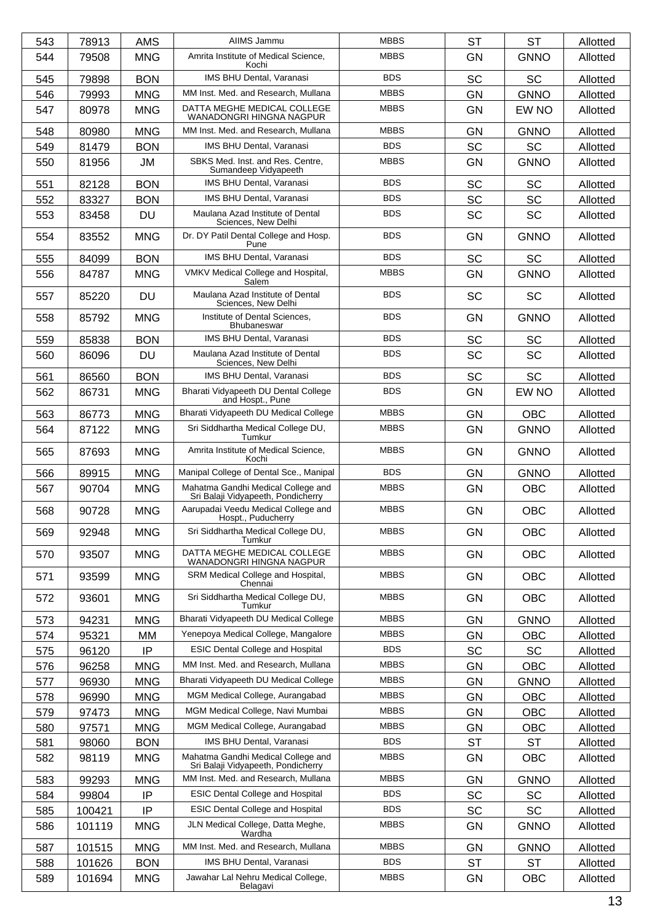| 543 | 78913  | <b>AMS</b> | AIIMS Jammu                                                              | <b>MBBS</b> | <b>ST</b> | <b>ST</b>   | Allotted |
|-----|--------|------------|--------------------------------------------------------------------------|-------------|-----------|-------------|----------|
| 544 | 79508  | <b>MNG</b> | Amrita Institute of Medical Science,<br>Kochi                            | <b>MBBS</b> | <b>GN</b> | <b>GNNO</b> | Allotted |
| 545 | 79898  | <b>BON</b> | IMS BHU Dental, Varanasi                                                 | <b>BDS</b>  | <b>SC</b> | <b>SC</b>   | Allotted |
| 546 | 79993  | <b>MNG</b> | MM Inst. Med. and Research, Mullana                                      | <b>MBBS</b> | GN        | <b>GNNO</b> | Allotted |
| 547 | 80978  | <b>MNG</b> | DATTA MEGHE MEDICAL COLLEGE<br>WANADONGRI HINGNA NAGPUR                  | <b>MBBS</b> | <b>GN</b> | EW NO       | Allotted |
| 548 | 80980  | <b>MNG</b> | MM Inst. Med. and Research, Mullana                                      | <b>MBBS</b> | <b>GN</b> | <b>GNNO</b> | Allotted |
| 549 | 81479  | <b>BON</b> | IMS BHU Dental, Varanasi                                                 | <b>BDS</b>  | <b>SC</b> | SC          | Allotted |
| 550 | 81956  | JM         | SBKS Med. Inst. and Res. Centre,<br>Sumandeep Vidyapeeth                 | <b>MBBS</b> | <b>GN</b> | <b>GNNO</b> | Allotted |
| 551 | 82128  | <b>BON</b> | IMS BHU Dental, Varanasi                                                 | <b>BDS</b>  | <b>SC</b> | <b>SC</b>   | Allotted |
| 552 | 83327  | <b>BON</b> | IMS BHU Dental, Varanasi                                                 | <b>BDS</b>  | <b>SC</b> | <b>SC</b>   | Allotted |
| 553 | 83458  | <b>DU</b>  | Maulana Azad Institute of Dental<br>Sciences, New Delhi                  | <b>BDS</b>  | <b>SC</b> | <b>SC</b>   | Allotted |
| 554 | 83552  | <b>MNG</b> | Dr. DY Patil Dental College and Hosp.<br>Pune                            | <b>BDS</b>  | <b>GN</b> | <b>GNNO</b> | Allotted |
| 555 | 84099  | <b>BON</b> | IMS BHU Dental, Varanasi                                                 | <b>BDS</b>  | <b>SC</b> | <b>SC</b>   | Allotted |
| 556 | 84787  | <b>MNG</b> | VMKV Medical College and Hospital,<br>Salem                              | <b>MBBS</b> | GN        | <b>GNNO</b> | Allotted |
| 557 | 85220  | <b>DU</b>  | Maulana Azad Institute of Dental<br>Sciences, New Delhi                  | <b>BDS</b>  | <b>SC</b> | <b>SC</b>   | Allotted |
| 558 | 85792  | <b>MNG</b> | Institute of Dental Sciences,<br>Bhubaneswar                             | <b>BDS</b>  | <b>GN</b> | <b>GNNO</b> | Allotted |
| 559 | 85838  | <b>BON</b> | IMS BHU Dental, Varanasi                                                 | <b>BDS</b>  | SC        | <b>SC</b>   | Allotted |
| 560 | 86096  | <b>DU</b>  | Maulana Azad Institute of Dental                                         | <b>BDS</b>  | <b>SC</b> | <b>SC</b>   | Allotted |
| 561 | 86560  | <b>BON</b> | Sciences, New Delhi<br>IMS BHU Dental, Varanasi                          | <b>BDS</b>  | <b>SC</b> | <b>SC</b>   | Allotted |
| 562 | 86731  | <b>MNG</b> | Bharati Vidyapeeth DU Dental College                                     | <b>BDS</b>  | GN        | EW NO       | Allotted |
|     |        |            | and Hospt., Pune                                                         |             |           |             |          |
| 563 | 86773  | <b>MNG</b> | Bharati Vidyapeeth DU Medical College                                    | <b>MBBS</b> | GN        | <b>OBC</b>  | Allotted |
| 564 | 87122  | <b>MNG</b> | Sri Siddhartha Medical College DU,<br>Tumkur                             | <b>MBBS</b> | <b>GN</b> | <b>GNNO</b> | Allotted |
| 565 | 87693  | <b>MNG</b> | Amrita Institute of Medical Science,<br>Kochi                            | <b>MBBS</b> | <b>GN</b> | <b>GNNO</b> | Allotted |
| 566 | 89915  | <b>MNG</b> | Manipal College of Dental Sce., Manipal                                  | <b>BDS</b>  | GN        | <b>GNNO</b> | Allotted |
| 567 | 90704  | <b>MNG</b> | Mahatma Gandhi Medical College and<br>Sri Balaji Vidyapeeth, Pondicherry | <b>MBBS</b> | <b>GN</b> | <b>OBC</b>  | Allotted |
| 568 | 90728  | <b>MNG</b> | Aarupadai Veedu Medical College and<br>Hospt., Puducherry                | <b>MBBS</b> | GN        | <b>OBC</b>  | Allotted |
| 569 | 92948  | <b>MNG</b> | Sri Siddhartha Medical College DU,<br>Tumkur                             | <b>MBBS</b> | <b>GN</b> | <b>OBC</b>  | Allotted |
| 570 | 93507  | <b>MNG</b> | DATTA MEGHE MEDICAL COLLEGE<br>WANADONGRI HINGNA NAGPUR                  | <b>MBBS</b> | GN        | <b>OBC</b>  | Allotted |
| 571 | 93599  | <b>MNG</b> | SRM Medical College and Hospital,<br>Chennai                             | <b>MBBS</b> | GN        | <b>OBC</b>  | Allotted |
| 572 | 93601  | <b>MNG</b> | Sri Siddhartha Medical College DU,<br>Tumkur                             | <b>MBBS</b> | GN        | <b>OBC</b>  | Allotted |
| 573 | 94231  | <b>MNG</b> | Bharati Vidyapeeth DU Medical College                                    | <b>MBBS</b> | GN        | <b>GNNO</b> | Allotted |
| 574 | 95321  | МM         | Yenepoya Medical College, Mangalore                                      | <b>MBBS</b> | <b>GN</b> | <b>OBC</b>  | Allotted |
| 575 | 96120  | IP         | <b>ESIC Dental College and Hospital</b>                                  | <b>BDS</b>  | SC        | SC          | Allotted |
| 576 | 96258  | <b>MNG</b> | MM Inst. Med. and Research, Mullana                                      | <b>MBBS</b> | GN        | OBC         | Allotted |
| 577 | 96930  | <b>MNG</b> | Bharati Vidyapeeth DU Medical College                                    | <b>MBBS</b> | <b>GN</b> | <b>GNNO</b> | Allotted |
| 578 | 96990  | <b>MNG</b> | MGM Medical College, Aurangabad                                          | <b>MBBS</b> | GN        | <b>OBC</b>  | Allotted |
| 579 | 97473  | <b>MNG</b> | MGM Medical College, Navi Mumbai                                         | <b>MBBS</b> | GN        | <b>OBC</b>  | Allotted |
| 580 | 97571  | <b>MNG</b> | MGM Medical College, Aurangabad                                          | <b>MBBS</b> | <b>GN</b> | <b>OBC</b>  | Allotted |
| 581 | 98060  | <b>BON</b> | IMS BHU Dental, Varanasi                                                 | <b>BDS</b>  | <b>ST</b> | <b>ST</b>   | Allotted |
| 582 | 98119  | <b>MNG</b> | Mahatma Gandhi Medical College and<br>Sri Balaji Vidyapeeth, Pondicherry | <b>MBBS</b> | <b>GN</b> | <b>OBC</b>  | Allotted |
| 583 | 99293  | <b>MNG</b> | MM Inst. Med. and Research, Mullana                                      | <b>MBBS</b> | <b>GN</b> | <b>GNNO</b> | Allotted |
| 584 | 99804  | IP         | <b>ESIC Dental College and Hospital</b>                                  | <b>BDS</b>  | SC        | SC          | Allotted |
| 585 | 100421 | IP         | <b>ESIC Dental College and Hospital</b>                                  | <b>BDS</b>  | <b>SC</b> | <b>SC</b>   | Allotted |
| 586 | 101119 | <b>MNG</b> | JLN Medical College, Datta Meghe,<br>Wardha                              | <b>MBBS</b> | GN        | <b>GNNO</b> | Allotted |
| 587 | 101515 | <b>MNG</b> | MM Inst. Med. and Research, Mullana                                      | <b>MBBS</b> | GN        | <b>GNNO</b> | Allotted |
| 588 | 101626 | <b>BON</b> | IMS BHU Dental, Varanasi                                                 | <b>BDS</b>  | <b>ST</b> | <b>ST</b>   | Allotted |
| 589 | 101694 | <b>MNG</b> | Jawahar Lal Nehru Medical College,<br>Belagavi                           | <b>MBBS</b> | GN        | OBC         | Allotted |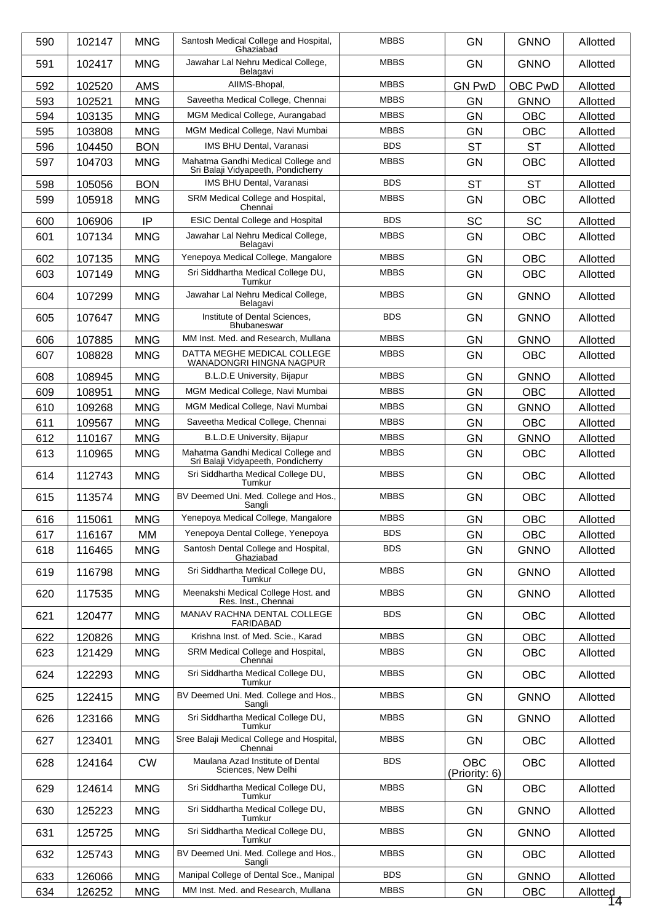| 590 | 102147 | <b>MNG</b> | Santosh Medical College and Hospital,<br>Ghaziabad                       | <b>MBBS</b> | <b>GN</b>                   | <b>GNNO</b> | Allotted       |
|-----|--------|------------|--------------------------------------------------------------------------|-------------|-----------------------------|-------------|----------------|
| 591 | 102417 | <b>MNG</b> | Jawahar Lal Nehru Medical College.<br>Belagavi                           | <b>MBBS</b> | <b>GN</b>                   | <b>GNNO</b> | Allotted       |
| 592 | 102520 | <b>AMS</b> | AIIMS-Bhopal,                                                            | <b>MBBS</b> | <b>GN PwD</b>               | OBC PwD     | Allotted       |
| 593 | 102521 | <b>MNG</b> | Saveetha Medical College, Chennai                                        | <b>MBBS</b> | <b>GN</b>                   | <b>GNNO</b> | Allotted       |
| 594 | 103135 | <b>MNG</b> | MGM Medical College, Aurangabad                                          | <b>MBBS</b> | <b>GN</b>                   | <b>OBC</b>  | Allotted       |
| 595 | 103808 | <b>MNG</b> | MGM Medical College, Navi Mumbai                                         | <b>MBBS</b> | <b>GN</b>                   | <b>OBC</b>  | Allotted       |
| 596 | 104450 | <b>BON</b> | IMS BHU Dental, Varanasi                                                 | <b>BDS</b>  | <b>ST</b>                   | <b>ST</b>   | Allotted       |
| 597 | 104703 | <b>MNG</b> | Mahatma Gandhi Medical College and<br>Sri Balaji Vidyapeeth, Pondicherry | <b>MBBS</b> | <b>GN</b>                   | <b>OBC</b>  | Allotted       |
| 598 | 105056 | <b>BON</b> | <b>IMS BHU Dental, Varanasi</b>                                          | <b>BDS</b>  | <b>ST</b>                   | <b>ST</b>   | Allotted       |
| 599 | 105918 | <b>MNG</b> | SRM Medical College and Hospital,<br>Chennai                             | <b>MBBS</b> | <b>GN</b>                   | <b>OBC</b>  | Allotted       |
| 600 | 106906 | IP         | <b>ESIC Dental College and Hospital</b>                                  | <b>BDS</b>  | SC                          | <b>SC</b>   | Allotted       |
| 601 | 107134 | <b>MNG</b> | Jawahar Lal Nehru Medical College,<br>Belagavi                           | <b>MBBS</b> | GN                          | <b>OBC</b>  | Allotted       |
| 602 | 107135 | <b>MNG</b> | Yenepoya Medical College, Mangalore                                      | <b>MBBS</b> | <b>GN</b>                   | <b>OBC</b>  | Allotted       |
| 603 | 107149 | <b>MNG</b> | Sri Siddhartha Medical College DU,<br>Tumkur                             | <b>MBBS</b> | <b>GN</b>                   | <b>OBC</b>  | Allotted       |
| 604 | 107299 | <b>MNG</b> | Jawahar Lal Nehru Medical College,<br>Belagavi                           | <b>MBBS</b> | GN                          | <b>GNNO</b> | Allotted       |
| 605 | 107647 | <b>MNG</b> | Institute of Dental Sciences,<br><b>Bhubaneswar</b>                      | <b>BDS</b>  | <b>GN</b>                   | <b>GNNO</b> | Allotted       |
| 606 | 107885 | <b>MNG</b> | MM Inst. Med. and Research, Mullana                                      | <b>MBBS</b> | <b>GN</b>                   | <b>GNNO</b> | Allotted       |
| 607 | 108828 | <b>MNG</b> | DATTA MEGHE MEDICAL COLLEGE<br>WANADONGRI HINGNA NAGPUR                  | <b>MBBS</b> | GN                          | <b>OBC</b>  | Allotted       |
| 608 | 108945 | <b>MNG</b> | B.L.D.E University, Bijapur                                              | <b>MBBS</b> | <b>GN</b>                   | <b>GNNO</b> | Allotted       |
| 609 | 108951 | <b>MNG</b> | MGM Medical College, Navi Mumbai                                         | <b>MBBS</b> | <b>GN</b>                   | <b>OBC</b>  | Allotted       |
| 610 | 109268 | <b>MNG</b> | MGM Medical College, Navi Mumbai                                         | <b>MBBS</b> | <b>GN</b>                   | <b>GNNO</b> | Allotted       |
| 611 | 109567 | <b>MNG</b> | Saveetha Medical College, Chennai                                        | <b>MBBS</b> | <b>GN</b>                   | OBC         | Allotted       |
| 612 | 110167 | <b>MNG</b> | B.L.D.E University, Bijapur                                              | <b>MBBS</b> | GN                          | <b>GNNO</b> | Allotted       |
| 613 | 110965 | <b>MNG</b> | Mahatma Gandhi Medical College and<br>Sri Balaji Vidyapeeth, Pondicherry | <b>MBBS</b> | GN                          | <b>OBC</b>  | Allotted       |
| 614 | 112743 | <b>MNG</b> | Sri Siddhartha Medical College DU,<br>Tumkur                             | <b>MBBS</b> | GN                          | <b>OBC</b>  | Allotted       |
| 615 | 113574 | <b>MNG</b> | BV Deemed Uni. Med. College and Hos.,<br>Sangli                          | <b>MBBS</b> | <b>GN</b>                   | <b>OBC</b>  | Allotted       |
| 616 | 115061 | <b>MNG</b> | Yenepoya Medical College, Mangalore                                      | <b>MBBS</b> | GN                          | OBC         | Allotted       |
| 617 | 116167 | МM         | Yenepoya Dental College, Yenepoya                                        | <b>BDS</b>  | GN                          | <b>OBC</b>  | Allotted       |
| 618 | 116465 | <b>MNG</b> | Santosh Dental College and Hospital,<br>Ghaziabad                        | <b>BDS</b>  | GN                          | <b>GNNO</b> | Allotted       |
| 619 | 116798 | <b>MNG</b> | Sri Siddhartha Medical College DU,<br>Tumkur                             | <b>MBBS</b> | GN                          | <b>GNNO</b> | Allotted       |
| 620 | 117535 | <b>MNG</b> | Meenakshi Medical College Host. and<br>Res. Inst., Chennai               | <b>MBBS</b> | <b>GN</b>                   | <b>GNNO</b> | Allotted       |
| 621 | 120477 | <b>MNG</b> | MANAV RACHNA DENTAL COLLEGE<br>FARIDABAD                                 | <b>BDS</b>  | GN                          | <b>OBC</b>  | Allotted       |
| 622 | 120826 | <b>MNG</b> | Krishna Inst. of Med. Scie., Karad                                       | <b>MBBS</b> | GN                          | <b>OBC</b>  | Allotted       |
| 623 | 121429 | <b>MNG</b> | SRM Medical College and Hospital,<br>Chennai                             | <b>MBBS</b> | <b>GN</b>                   | <b>OBC</b>  | Allotted       |
| 624 | 122293 | <b>MNG</b> | Sri Siddhartha Medical College DU,<br>Tumkur                             | <b>MBBS</b> | GN                          | OBC         | Allotted       |
| 625 | 122415 | <b>MNG</b> | BV Deemed Uni. Med. College and Hos.,<br>Sangli                          | <b>MBBS</b> | GN                          | <b>GNNO</b> | Allotted       |
| 626 | 123166 | <b>MNG</b> | Sri Siddhartha Medical College DU,<br>Tumkur                             | <b>MBBS</b> | <b>GN</b>                   | <b>GNNO</b> | Allotted       |
| 627 | 123401 | <b>MNG</b> | Sree Balaji Medical College and Hospital,<br>Chennai                     | <b>MBBS</b> | GN                          | OBC         | Allotted       |
| 628 | 124164 | <b>CW</b>  | Maulana Azad Institute of Dental<br>Sciences, New Delhi                  | <b>BDS</b>  | <b>OBC</b><br>(Priority: 6) | <b>OBC</b>  | Allotted       |
| 629 | 124614 | <b>MNG</b> | Sri Siddhartha Medical College DU,<br>Tumkur                             | <b>MBBS</b> | GN                          | <b>OBC</b>  | Allotted       |
| 630 | 125223 | <b>MNG</b> | Sri Siddhartha Medical College DU,<br>Tumkur                             | <b>MBBS</b> | GN                          | <b>GNNO</b> | Allotted       |
| 631 | 125725 | <b>MNG</b> | Sri Siddhartha Medical College DU,<br>Tumkur                             | <b>MBBS</b> | GN                          | <b>GNNO</b> | Allotted       |
| 632 | 125743 | <b>MNG</b> | BV Deemed Uni. Med. College and Hos.,<br>Sangli                          | <b>MBBS</b> | GN                          | <b>OBC</b>  | Allotted       |
| 633 | 126066 | <b>MNG</b> | Manipal College of Dental Sce., Manipal                                  | <b>BDS</b>  | GN                          | <b>GNNO</b> | Allotted       |
| 634 | 126252 | <b>MNG</b> | MM Inst. Med. and Research, Mullana                                      | <b>MBBS</b> | GN                          | OBC         | Allotted<br>14 |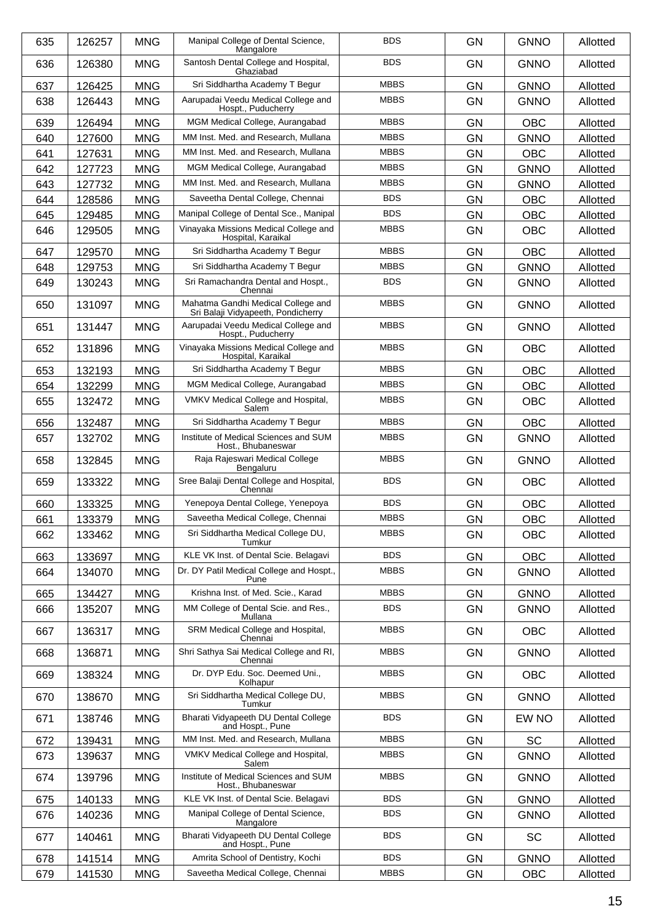| 635 | 126257 | <b>MNG</b> | Manipal College of Dental Science,<br>Mangalore                          | <b>BDS</b>  | <b>GN</b> | <b>GNNO</b> | Allotted |
|-----|--------|------------|--------------------------------------------------------------------------|-------------|-----------|-------------|----------|
| 636 | 126380 | <b>MNG</b> | Santosh Dental College and Hospital,<br>Ghaziabad                        | <b>BDS</b>  | <b>GN</b> | <b>GNNO</b> | Allotted |
| 637 | 126425 | <b>MNG</b> | Sri Siddhartha Academy T Begur                                           | <b>MBBS</b> | <b>GN</b> | <b>GNNO</b> | Allotted |
| 638 | 126443 | <b>MNG</b> | Aarupadai Veedu Medical College and<br>Hospt., Puducherry                | <b>MBBS</b> | <b>GN</b> | <b>GNNO</b> | Allotted |
| 639 | 126494 | <b>MNG</b> | MGM Medical College, Aurangabad                                          | <b>MBBS</b> | GN        | <b>OBC</b>  | Allotted |
| 640 | 127600 | <b>MNG</b> | MM Inst. Med. and Research, Mullana                                      | <b>MBBS</b> | <b>GN</b> | <b>GNNO</b> | Allotted |
| 641 | 127631 | <b>MNG</b> | MM Inst. Med. and Research, Mullana                                      | <b>MBBS</b> | <b>GN</b> | <b>OBC</b>  | Allotted |
| 642 | 127723 | <b>MNG</b> | MGM Medical College, Aurangabad                                          | <b>MBBS</b> | <b>GN</b> | <b>GNNO</b> | Allotted |
| 643 | 127732 | <b>MNG</b> | MM Inst. Med. and Research, Mullana                                      | <b>MBBS</b> | <b>GN</b> | <b>GNNO</b> | Allotted |
| 644 | 128586 | <b>MNG</b> | Saveetha Dental College, Chennai                                         | <b>BDS</b>  | <b>GN</b> | <b>OBC</b>  | Allotted |
| 645 | 129485 | <b>MNG</b> | Manipal College of Dental Sce., Manipal                                  | <b>BDS</b>  | <b>GN</b> | <b>OBC</b>  | Allotted |
| 646 | 129505 | <b>MNG</b> | Vinayaka Missions Medical College and<br>Hospital, Karaikal              | <b>MBBS</b> | <b>GN</b> | OBC         | Allotted |
| 647 | 129570 | <b>MNG</b> | Sri Siddhartha Academy T Begur                                           | <b>MBBS</b> | GN        | <b>OBC</b>  | Allotted |
| 648 | 129753 | <b>MNG</b> | Sri Siddhartha Academy T Begur                                           | <b>MBBS</b> | <b>GN</b> | <b>GNNO</b> | Allotted |
| 649 | 130243 | <b>MNG</b> | Sri Ramachandra Dental and Hospt.,<br>Chennai                            | <b>BDS</b>  | <b>GN</b> | <b>GNNO</b> | Allotted |
| 650 | 131097 | <b>MNG</b> | Mahatma Gandhi Medical College and<br>Sri Balaji Vidyapeeth, Pondicherry | <b>MBBS</b> | <b>GN</b> | <b>GNNO</b> | Allotted |
| 651 | 131447 | <b>MNG</b> | Aarupadai Veedu Medical College and<br>Hospt., Puducherry                | <b>MBBS</b> | <b>GN</b> | <b>GNNO</b> | Allotted |
| 652 | 131896 | <b>MNG</b> | Vinayaka Missions Medical College and<br>Hospital, Karaikal              | <b>MBBS</b> | <b>GN</b> | <b>OBC</b>  | Allotted |
| 653 | 132193 | <b>MNG</b> | Sri Siddhartha Academy T Begur                                           | <b>MBBS</b> | <b>GN</b> | OBC         | Allotted |
| 654 | 132299 | <b>MNG</b> | MGM Medical College, Aurangabad                                          | <b>MBBS</b> | <b>GN</b> | <b>OBC</b>  | Allotted |
| 655 | 132472 | <b>MNG</b> | VMKV Medical College and Hospital,<br>Salem                              | <b>MBBS</b> | <b>GN</b> | <b>OBC</b>  | Allotted |
| 656 | 132487 | <b>MNG</b> | Sri Siddhartha Academy T Begur                                           | <b>MBBS</b> | GN        | OBC         | Allotted |
| 657 | 132702 | <b>MNG</b> | Institute of Medical Sciences and SUM<br>Host., Bhubaneswar              | <b>MBBS</b> | <b>GN</b> | <b>GNNO</b> | Allotted |
| 658 | 132845 | <b>MNG</b> | Raja Rajeswari Medical College<br>Bengaluru                              | <b>MBBS</b> | <b>GN</b> | <b>GNNO</b> | Allotted |
| 659 | 133322 | <b>MNG</b> | Sree Balaji Dental College and Hospital,<br>Chennai                      | <b>BDS</b>  | <b>GN</b> | <b>OBC</b>  | Allotted |
| 660 | 133325 | <b>MNG</b> | Yenepoya Dental College, Yenepoya                                        | <b>BDS</b>  | <b>GN</b> | <b>OBC</b>  | Allotted |
| 661 | 133379 | <b>MNG</b> | Saveetha Medical College, Chennai                                        | <b>MBBS</b> | GN        | OBC         | Allotted |
| 662 | 133462 | <b>MNG</b> | Sri Siddhartha Medical College DU,<br>Tumkur                             | <b>MBBS</b> | <b>GN</b> | <b>OBC</b>  | Allotted |
| 663 | 133697 | <b>MNG</b> | KLE VK Inst. of Dental Scie. Belagavi                                    | <b>BDS</b>  | GN        | <b>OBC</b>  | Allotted |
| 664 | 134070 | <b>MNG</b> | Dr. DY Patil Medical College and Hospt.,<br>Pune                         | <b>MBBS</b> | GN        | <b>GNNO</b> | Allotted |
| 665 | 134427 | <b>MNG</b> | Krishna Inst. of Med. Scie., Karad                                       | <b>MBBS</b> | <b>GN</b> | <b>GNNO</b> | Allotted |
| 666 | 135207 | <b>MNG</b> | MM College of Dental Scie. and Res.,<br>Mullana                          | <b>BDS</b>  | GN        | <b>GNNO</b> | Allotted |
| 667 | 136317 | <b>MNG</b> | SRM Medical College and Hospital,<br>Chennai                             | <b>MBBS</b> | <b>GN</b> | <b>OBC</b>  | Allotted |
| 668 | 136871 | <b>MNG</b> | Shri Sathya Sai Medical College and RI,<br>Chennai                       | <b>MBBS</b> | <b>GN</b> | <b>GNNO</b> | Allotted |
| 669 | 138324 | <b>MNG</b> | Dr. DYP Edu. Soc. Deemed Uni.,<br>Kolhapur                               | <b>MBBS</b> | GN        | <b>OBC</b>  | Allotted |
| 670 | 138670 | <b>MNG</b> | Sri Siddhartha Medical College DU,<br>Tumkur                             | <b>MBBS</b> | GN        | <b>GNNO</b> | Allotted |
| 671 | 138746 | <b>MNG</b> | Bharati Vidyapeeth DU Dental College<br>and Hospt., Pune                 | <b>BDS</b>  | <b>GN</b> | EW NO       | Allotted |
| 672 | 139431 | <b>MNG</b> | MM Inst. Med. and Research, Mullana                                      | <b>MBBS</b> | <b>GN</b> | <b>SC</b>   | Allotted |
| 673 | 139637 | <b>MNG</b> | VMKV Medical College and Hospital,<br>Salem                              | <b>MBBS</b> | GN        | <b>GNNO</b> | Allotted |
| 674 | 139796 | <b>MNG</b> | Institute of Medical Sciences and SUM<br>Host., Bhubaneswar              | <b>MBBS</b> | <b>GN</b> | <b>GNNO</b> | Allotted |
| 675 | 140133 | <b>MNG</b> | KLE VK Inst. of Dental Scie. Belagavi                                    | <b>BDS</b>  | GN        | <b>GNNO</b> | Allotted |
| 676 | 140236 | <b>MNG</b> | Manipal College of Dental Science,<br>Mangalore                          | <b>BDS</b>  | GN        | <b>GNNO</b> | Allotted |
| 677 | 140461 | <b>MNG</b> | Bharati Vidyapeeth DU Dental College<br>and Hospt., Pune                 | <b>BDS</b>  | <b>GN</b> | SC          | Allotted |
| 678 | 141514 | <b>MNG</b> | Amrita School of Dentistry, Kochi                                        | <b>BDS</b>  | <b>GN</b> | <b>GNNO</b> | Allotted |
| 679 | 141530 | <b>MNG</b> | Saveetha Medical College, Chennai                                        | <b>MBBS</b> | <b>GN</b> | OBC         | Allotted |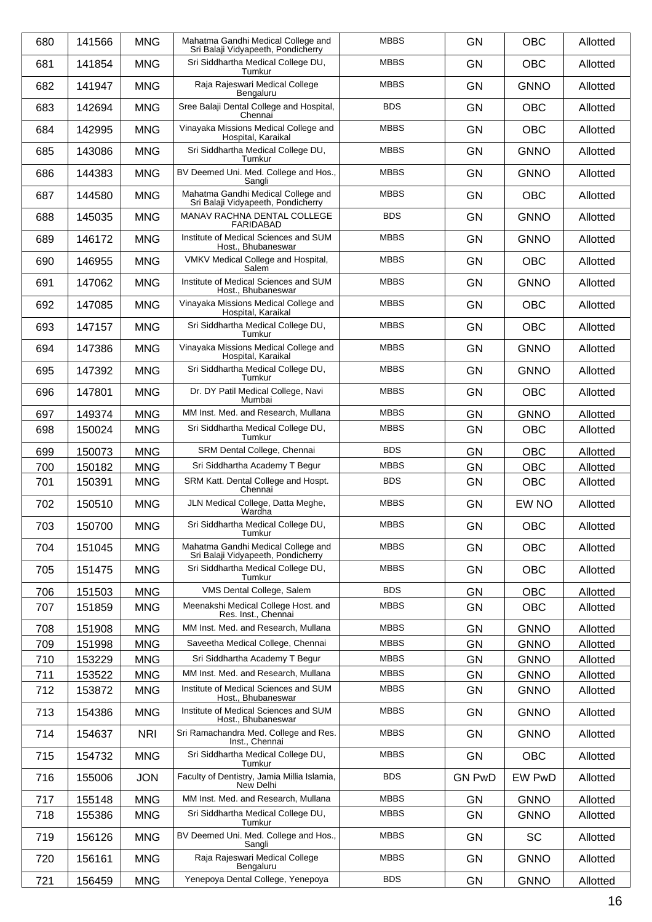| 680 | 141566 | <b>MNG</b> | Mahatma Gandhi Medical College and<br>Sri Balaji Vidyapeeth, Pondicherry | <b>MBBS</b> | <b>GN</b>     | <b>OBC</b>  | Allotted |
|-----|--------|------------|--------------------------------------------------------------------------|-------------|---------------|-------------|----------|
| 681 | 141854 | <b>MNG</b> | Sri Siddhartha Medical College DU.<br>Tumkur                             | <b>MBBS</b> | <b>GN</b>     | <b>OBC</b>  | Allotted |
| 682 | 141947 | <b>MNG</b> | Raja Rajeswari Medical College<br>Bengaluru                              | <b>MBBS</b> | <b>GN</b>     | <b>GNNO</b> | Allotted |
| 683 | 142694 | <b>MNG</b> | Sree Balaji Dental College and Hospital,<br>Chennai                      | <b>BDS</b>  | <b>GN</b>     | <b>OBC</b>  | Allotted |
| 684 | 142995 | <b>MNG</b> | Vinayaka Missions Medical College and<br>Hospital, Karaikal              | <b>MBBS</b> | <b>GN</b>     | <b>OBC</b>  | Allotted |
| 685 | 143086 | <b>MNG</b> | Sri Siddhartha Medical College DU,<br>Tumkur                             | <b>MBBS</b> | <b>GN</b>     | <b>GNNO</b> | Allotted |
| 686 | 144383 | <b>MNG</b> | BV Deemed Uni. Med. College and Hos.,<br>Sangli                          | <b>MBBS</b> | <b>GN</b>     | <b>GNNO</b> | Allotted |
| 687 | 144580 | <b>MNG</b> | Mahatma Gandhi Medical College and<br>Sri Balaji Vidyapeeth, Pondicherry | <b>MBBS</b> | <b>GN</b>     | <b>OBC</b>  | Allotted |
| 688 | 145035 | <b>MNG</b> | MANAV RACHNA DENTAL COLLEGE<br><b>FARIDABAD</b>                          | <b>BDS</b>  | <b>GN</b>     | <b>GNNO</b> | Allotted |
| 689 | 146172 | <b>MNG</b> | Institute of Medical Sciences and SUM<br>Host., Bhubaneswar              | <b>MBBS</b> | <b>GN</b>     | <b>GNNO</b> | Allotted |
| 690 | 146955 | <b>MNG</b> | VMKV Medical College and Hospital,<br>Salem                              | <b>MBBS</b> | <b>GN</b>     | <b>OBC</b>  | Allotted |
| 691 | 147062 | <b>MNG</b> | Institute of Medical Sciences and SUM<br>Host., Bhubaneswar              | <b>MBBS</b> | <b>GN</b>     | <b>GNNO</b> | Allotted |
| 692 | 147085 | <b>MNG</b> | Vinayaka Missions Medical College and<br>Hospital, Karaikal              | <b>MBBS</b> | <b>GN</b>     | <b>OBC</b>  | Allotted |
| 693 | 147157 | <b>MNG</b> | Sri Siddhartha Medical College DU,                                       | <b>MBBS</b> | <b>GN</b>     | <b>OBC</b>  | Allotted |
| 694 | 147386 | <b>MNG</b> | Tumkur<br>Vinayaka Missions Medical College and                          | <b>MBBS</b> | <b>GN</b>     | <b>GNNO</b> | Allotted |
| 695 | 147392 | <b>MNG</b> | Hospital, Karaikal<br>Sri Siddhartha Medical College DU,                 | <b>MBBS</b> | <b>GN</b>     | <b>GNNO</b> | Allotted |
| 696 | 147801 | <b>MNG</b> | Tumkur<br>Dr. DY Patil Medical College, Navi                             | <b>MBBS</b> | <b>GN</b>     | <b>OBC</b>  | Allotted |
|     |        |            | Mumbai<br>MM Inst. Med. and Research, Mullana                            | <b>MBBS</b> |               |             |          |
| 697 | 149374 | <b>MNG</b> | Sri Siddhartha Medical College DU,                                       | <b>MBBS</b> | <b>GN</b>     | <b>GNNO</b> | Allotted |
| 698 | 150024 | <b>MNG</b> | Tumkur                                                                   |             | GN            | OBC         | Allotted |
| 699 | 150073 | <b>MNG</b> | SRM Dental College, Chennai                                              | <b>BDS</b>  | GN            | <b>OBC</b>  | Allotted |
| 700 | 150182 | <b>MNG</b> | Sri Siddhartha Academy T Begur                                           | <b>MBBS</b> | <b>GN</b>     | <b>OBC</b>  | Allotted |
| 701 | 150391 | <b>MNG</b> | SRM Katt. Dental College and Hospt.<br>Chennai                           | <b>BDS</b>  | GN            | OBC         | Allotted |
| 702 | 150510 | <b>MNG</b> | JLN Medical College, Datta Meghe,<br>Wardha                              | <b>MBBS</b> | GN            | EW NO       | Allotted |
| 703 | 150700 | <b>MNG</b> | Sri Siddhartha Medical College DU,<br>Tumkur                             | <b>MBBS</b> | <b>GN</b>     | OBC         | Allotted |
| 704 | 151045 | <b>MNG</b> | Mahatma Gandhi Medical College and<br>Sri Balaji Vidyapeeth, Pondicherry | <b>MBBS</b> | <b>GN</b>     | <b>OBC</b>  | Allotted |
| 705 | 151475 | <b>MNG</b> | Sri Siddhartha Medical College DU.<br>Tumkur                             | <b>MBBS</b> | <b>GN</b>     | OBC         | Allotted |
| 706 | 151503 | <b>MNG</b> | VMS Dental College, Salem                                                | <b>BDS</b>  | <b>GN</b>     | <b>OBC</b>  | Allotted |
| 707 | 151859 | <b>MNG</b> | Meenakshi Medical College Host. and<br>Res. Inst., Chennai               | <b>MBBS</b> | GN            | <b>OBC</b>  | Allotted |
| 708 | 151908 | <b>MNG</b> | MM Inst. Med. and Research, Mullana                                      | <b>MBBS</b> | GN            | <b>GNNO</b> | Allotted |
| 709 | 151998 | <b>MNG</b> | Saveetha Medical College, Chennai                                        | <b>MBBS</b> | <b>GN</b>     | <b>GNNO</b> | Allotted |
| 710 | 153229 | <b>MNG</b> | Sri Siddhartha Academy T Begur                                           | <b>MBBS</b> | GN            | <b>GNNO</b> | Allotted |
| 711 | 153522 | <b>MNG</b> | MM Inst. Med. and Research, Mullana                                      | <b>MBBS</b> | GN            | <b>GNNO</b> | Allotted |
| 712 | 153872 | <b>MNG</b> | Institute of Medical Sciences and SUM<br>Host., Bhubaneswar              | <b>MBBS</b> | GN            | <b>GNNO</b> | Allotted |
| 713 | 154386 | <b>MNG</b> | Institute of Medical Sciences and SUM<br>Host., Bhubaneswar              | <b>MBBS</b> | GN            | <b>GNNO</b> | Allotted |
| 714 | 154637 | <b>NRI</b> | Sri Ramachandra Med. College and Res.<br>Inst., Chennai                  | <b>MBBS</b> | <b>GN</b>     | <b>GNNO</b> | Allotted |
| 715 | 154732 | <b>MNG</b> | Sri Siddhartha Medical College DU,<br>Tumkur                             | <b>MBBS</b> | <b>GN</b>     | <b>OBC</b>  | Allotted |
| 716 | 155006 | <b>JON</b> | Faculty of Dentistry, Jamia Millia Islamia,<br>New Delhi                 | <b>BDS</b>  | <b>GN PwD</b> | EW PwD      | Allotted |
| 717 | 155148 | <b>MNG</b> | MM Inst. Med. and Research, Mullana                                      | <b>MBBS</b> | <b>GN</b>     | <b>GNNO</b> | Allotted |
| 718 | 155386 | <b>MNG</b> | Sri Siddhartha Medical College DU,                                       | <b>MBBS</b> | GN            | <b>GNNO</b> | Allotted |
|     |        |            | Tumkur<br>BV Deemed Uni. Med. College and Hos.,                          | <b>MBBS</b> |               |             |          |
| 719 | 156126 | <b>MNG</b> | Sangli                                                                   |             | <b>GN</b>     | <b>SC</b>   | Allotted |
| 720 | 156161 | <b>MNG</b> | Raja Rajeswari Medical College<br>Bengaluru                              | <b>MBBS</b> | <b>GN</b>     | <b>GNNO</b> | Allotted |
| 721 | 156459 | <b>MNG</b> | Yenepoya Dental College, Yenepoya                                        | <b>BDS</b>  | GN            | <b>GNNO</b> | Allotted |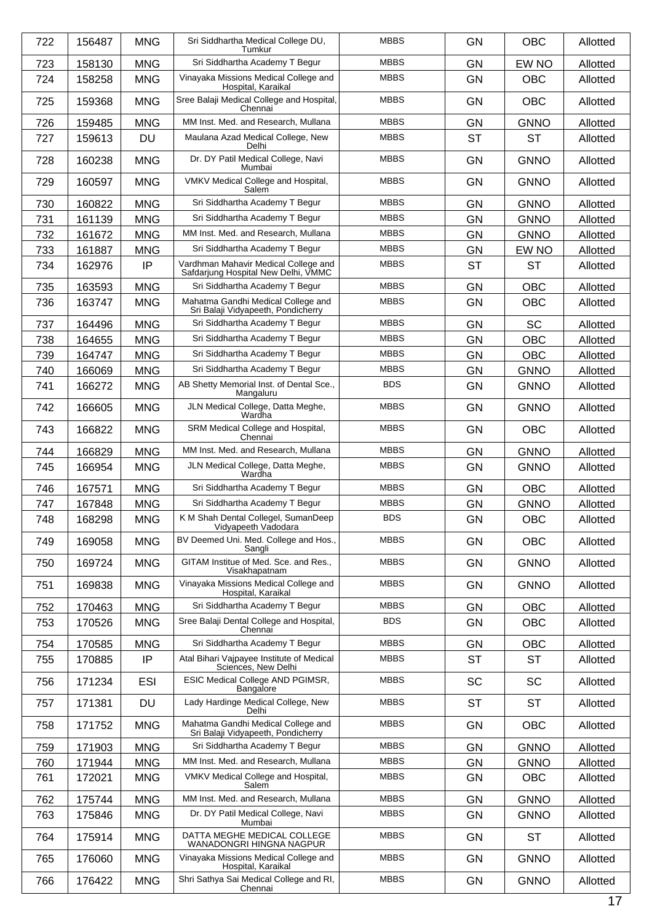| 722 | 156487 | <b>MNG</b> | Sri Siddhartha Medical College DU,<br>Tumkur                                | <b>MBBS</b> | <b>GN</b> | <b>OBC</b>  | Allotted |
|-----|--------|------------|-----------------------------------------------------------------------------|-------------|-----------|-------------|----------|
| 723 | 158130 | <b>MNG</b> | Sri Siddhartha Academy T Begur                                              | <b>MBBS</b> | <b>GN</b> | EW NO       | Allotted |
| 724 | 158258 | <b>MNG</b> | Vinayaka Missions Medical College and<br>Hospital, Karaikal                 | <b>MBBS</b> | <b>GN</b> | <b>OBC</b>  | Allotted |
| 725 | 159368 | <b>MNG</b> | Sree Balaji Medical College and Hospital,<br>Chennai                        | <b>MBBS</b> | <b>GN</b> | <b>OBC</b>  | Allotted |
| 726 | 159485 | <b>MNG</b> | MM Inst. Med. and Research, Mullana                                         | <b>MBBS</b> | <b>GN</b> | <b>GNNO</b> | Allotted |
| 727 | 159613 | <b>DU</b>  | Maulana Azad Medical College, New<br>Delhi                                  | <b>MBBS</b> | <b>ST</b> | <b>ST</b>   | Allotted |
| 728 | 160238 | <b>MNG</b> | Dr. DY Patil Medical College, Navi<br>Mumbai                                | <b>MBBS</b> | <b>GN</b> | <b>GNNO</b> | Allotted |
| 729 | 160597 | <b>MNG</b> | VMKV Medical College and Hospital,<br>Salem                                 | <b>MBBS</b> | <b>GN</b> | <b>GNNO</b> | Allotted |
| 730 | 160822 | <b>MNG</b> | Sri Siddhartha Academy T Begur                                              | <b>MBBS</b> | <b>GN</b> | <b>GNNO</b> | Allotted |
| 731 | 161139 | <b>MNG</b> | Sri Siddhartha Academy T Begur                                              | <b>MBBS</b> | <b>GN</b> | <b>GNNO</b> | Allotted |
| 732 | 161672 | <b>MNG</b> | MM Inst. Med. and Research, Mullana                                         | <b>MBBS</b> | <b>GN</b> | <b>GNNO</b> | Allotted |
| 733 | 161887 | <b>MNG</b> | Sri Siddhartha Academy T Begur                                              | <b>MBBS</b> | GN        | EW NO       | Allotted |
| 734 | 162976 | IP         | Vardhman Mahavir Medical College and<br>Safdarjung Hospital New Delhi, VMMC | <b>MBBS</b> | <b>ST</b> | <b>ST</b>   | Allotted |
| 735 | 163593 | <b>MNG</b> | Sri Siddhartha Academy T Begur                                              | <b>MBBS</b> | <b>GN</b> | <b>OBC</b>  | Allotted |
| 736 | 163747 | <b>MNG</b> | Mahatma Gandhi Medical College and<br>Sri Balaji Vidyapeeth, Pondicherry    | <b>MBBS</b> | GN        | <b>OBC</b>  | Allotted |
| 737 | 164496 | <b>MNG</b> | Sri Siddhartha Academy T Begur                                              | <b>MBBS</b> | <b>GN</b> | <b>SC</b>   | Allotted |
| 738 | 164655 | <b>MNG</b> | Sri Siddhartha Academy T Begur                                              | <b>MBBS</b> | <b>GN</b> | <b>OBC</b>  | Allotted |
| 739 | 164747 | <b>MNG</b> | Sri Siddhartha Academy T Begur                                              | <b>MBBS</b> | <b>GN</b> | <b>OBC</b>  | Allotted |
| 740 | 166069 | <b>MNG</b> | Sri Siddhartha Academy T Begur                                              | <b>MBBS</b> | <b>GN</b> | <b>GNNO</b> | Allotted |
| 741 | 166272 | <b>MNG</b> | AB Shetty Memorial Inst. of Dental Sce.,<br>Mangaluru                       | <b>BDS</b>  | <b>GN</b> | <b>GNNO</b> | Allotted |
| 742 | 166605 | <b>MNG</b> | JLN Medical College, Datta Meghe,<br>Wardha                                 | <b>MBBS</b> | GN        | <b>GNNO</b> | Allotted |
| 743 | 166822 | <b>MNG</b> | SRM Medical College and Hospital,<br>Chennai                                | <b>MBBS</b> | <b>GN</b> | <b>OBC</b>  | Allotted |
| 744 | 166829 | <b>MNG</b> | MM Inst. Med. and Research, Mullana                                         | <b>MBBS</b> | <b>GN</b> | <b>GNNO</b> | Allotted |
| 745 | 166954 | <b>MNG</b> | JLN Medical College, Datta Meghe,<br>Wardha                                 | <b>MBBS</b> | <b>GN</b> | <b>GNNO</b> | Allotted |
| 746 | 167571 | <b>MNG</b> | Sri Siddhartha Academy T Begur                                              | <b>MBBS</b> | <b>GN</b> | <b>OBC</b>  | Allotted |
| 747 | 167848 | <b>MNG</b> | Sri Siddhartha Academy T Begur                                              | <b>MBBS</b> | <b>GN</b> | <b>GNNO</b> | Allotted |
| 748 | 168298 | <b>MNG</b> | K M Shah Dental Collegel, SumanDeep<br>Vidyapeeth Vadodara                  | <b>BDS</b>  | GN        | OBC         | Allotted |
| 749 | 169058 | <b>MNG</b> | BV Deemed Uni. Med. College and Hos.,<br>Sangli                             | <b>MBBS</b> | GN        | <b>OBC</b>  | Allotted |
| 750 | 169724 | <b>MNG</b> | GITAM Institue of Med. Sce. and Res.,<br>Visakhapatnam                      | <b>MBBS</b> | GN        | <b>GNNO</b> | Allotted |
| 751 | 169838 | <b>MNG</b> | Vinayaka Missions Medical College and<br>Hospital, Karaikal                 | <b>MBBS</b> | GN        | <b>GNNO</b> | Allotted |
| 752 | 170463 | <b>MNG</b> | Sri Siddhartha Academy T Begur                                              | <b>MBBS</b> | GN        | <b>OBC</b>  | Allotted |
| 753 | 170526 | <b>MNG</b> | Sree Balaji Dental College and Hospital,<br>Chennai                         | <b>BDS</b>  | <b>GN</b> | <b>OBC</b>  | Allotted |
| 754 | 170585 | <b>MNG</b> | Sri Siddhartha Academy T Begur                                              | <b>MBBS</b> | GN        | OBC         | Allotted |
| 755 | 170885 | IP         | Atal Bihari Vajpayee Institute of Medical<br>Sciences, New Delhi            | <b>MBBS</b> | <b>ST</b> | <b>ST</b>   | Allotted |
| 756 | 171234 | <b>ESI</b> | ESIC Medical College AND PGIMSR,<br><b>Bangalore</b>                        | <b>MBBS</b> | <b>SC</b> | SC          | Allotted |
| 757 | 171381 | DU         | Lady Hardinge Medical College, New<br>Delhi                                 | <b>MBBS</b> | <b>ST</b> | <b>ST</b>   | Allotted |
| 758 | 171752 | <b>MNG</b> | Mahatma Gandhi Medical College and<br>Sri Balaji Vidyapeeth, Pondicherry    | <b>MBBS</b> | GN        | <b>OBC</b>  | Allotted |
| 759 | 171903 | <b>MNG</b> | Sri Siddhartha Academy T Begur                                              | <b>MBBS</b> | GN        | <b>GNNO</b> | Allotted |
| 760 | 171944 | <b>MNG</b> | MM Inst. Med. and Research, Mullana                                         | <b>MBBS</b> | GN        | <b>GNNO</b> | Allotted |
| 761 | 172021 | <b>MNG</b> | VMKV Medical College and Hospital,<br>Salem                                 | <b>MBBS</b> | GN        | <b>OBC</b>  | Allotted |
| 762 | 175744 | <b>MNG</b> | MM Inst. Med. and Research, Mullana                                         | <b>MBBS</b> | GN        | <b>GNNO</b> | Allotted |
| 763 | 175846 | <b>MNG</b> | Dr. DY Patil Medical College, Navi<br>Mumbai                                | <b>MBBS</b> | GN        | <b>GNNO</b> | Allotted |
| 764 | 175914 | <b>MNG</b> | DATTA MEGHE MEDICAL COLLEGE<br>WANADONGRI HINGNA NAGPUR                     | <b>MBBS</b> | GN        | <b>ST</b>   | Allotted |
| 765 | 176060 | <b>MNG</b> | Vinayaka Missions Medical College and<br>Hospital, Karaikal                 | <b>MBBS</b> | GN        | <b>GNNO</b> | Allotted |
| 766 | 176422 | <b>MNG</b> | Shri Sathya Sai Medical College and RI,<br>Chennai                          | <b>MBBS</b> | GN        | <b>GNNO</b> | Allotted |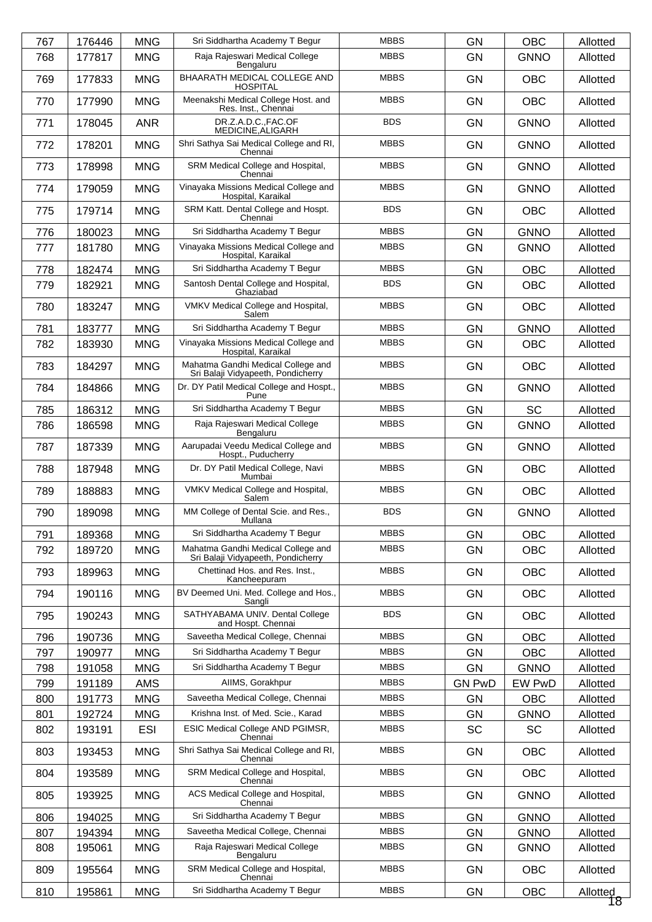| 767 | 176446 | <b>MNG</b> | Sri Siddhartha Academy T Begur                                           | <b>MBBS</b> | <b>GN</b>     | <b>OBC</b>  | Allotted       |
|-----|--------|------------|--------------------------------------------------------------------------|-------------|---------------|-------------|----------------|
| 768 | 177817 | <b>MNG</b> | Raja Rajeswari Medical College<br>Bengaluru                              | <b>MBBS</b> | <b>GN</b>     | <b>GNNO</b> | Allotted       |
| 769 | 177833 | <b>MNG</b> | BHAARATH MEDICAL COLLEGE AND<br><b>HOSPITAL</b>                          | <b>MBBS</b> | <b>GN</b>     | <b>OBC</b>  | Allotted       |
| 770 | 177990 | <b>MNG</b> | Meenakshi Medical College Host. and<br>Res. Inst., Chennai               | <b>MBBS</b> | <b>GN</b>     | <b>OBC</b>  | Allotted       |
| 771 | 178045 | <b>ANR</b> | DR.Z.A.D.C.,FAC.OF<br>MEDICINE, ALIGARH                                  | <b>BDS</b>  | <b>GN</b>     | <b>GNNO</b> | Allotted       |
| 772 | 178201 | <b>MNG</b> | Shri Sathya Sai Medical College and RI,<br>Chennai                       | <b>MBBS</b> | <b>GN</b>     | <b>GNNO</b> | Allotted       |
| 773 | 178998 | <b>MNG</b> | SRM Medical College and Hospital,<br>Chennai                             | <b>MBBS</b> | <b>GN</b>     | <b>GNNO</b> | Allotted       |
| 774 | 179059 | <b>MNG</b> | Vinayaka Missions Medical College and<br>Hospital, Karaikal              | <b>MBBS</b> | <b>GN</b>     | <b>GNNO</b> | Allotted       |
| 775 | 179714 | <b>MNG</b> | SRM Katt. Dental College and Hospt.<br>Chennai                           | <b>BDS</b>  | <b>GN</b>     | <b>OBC</b>  | Allotted       |
| 776 | 180023 | <b>MNG</b> | Sri Siddhartha Academy T Begur                                           | <b>MBBS</b> | <b>GN</b>     | <b>GNNO</b> | Allotted       |
| 777 | 181780 | <b>MNG</b> | Vinayaka Missions Medical College and<br>Hospital, Karaikal              | <b>MBBS</b> | <b>GN</b>     | <b>GNNO</b> | Allotted       |
| 778 | 182474 | <b>MNG</b> | Sri Siddhartha Academy T Begur                                           | <b>MBBS</b> | <b>GN</b>     | <b>OBC</b>  | Allotted       |
| 779 | 182921 | <b>MNG</b> | Santosh Dental College and Hospital,<br>Ghaziabad                        | <b>BDS</b>  | GN            | <b>OBC</b>  | Allotted       |
| 780 | 183247 | <b>MNG</b> | VMKV Medical College and Hospital,<br>Salem                              | <b>MBBS</b> | <b>GN</b>     | <b>OBC</b>  | Allotted       |
| 781 | 183777 | <b>MNG</b> | Sri Siddhartha Academy T Begur                                           | <b>MBBS</b> | <b>GN</b>     | <b>GNNO</b> | Allotted       |
| 782 | 183930 | <b>MNG</b> | Vinayaka Missions Medical College and<br>Hospital, Karaikal              | <b>MBBS</b> | GN            | <b>OBC</b>  | Allotted       |
| 783 | 184297 | <b>MNG</b> | Mahatma Gandhi Medical College and<br>Sri Balaji Vidyapeeth, Pondicherry | <b>MBBS</b> | <b>GN</b>     | <b>OBC</b>  | Allotted       |
| 784 | 184866 | <b>MNG</b> | Dr. DY Patil Medical College and Hospt.,<br>Pune                         | <b>MBBS</b> | <b>GN</b>     | <b>GNNO</b> | Allotted       |
| 785 | 186312 | <b>MNG</b> | Sri Siddhartha Academy T Begur                                           | <b>MBBS</b> | <b>GN</b>     | <b>SC</b>   | Allotted       |
| 786 | 186598 | <b>MNG</b> | Raja Rajeswari Medical College<br>Bengaluru                              | <b>MBBS</b> | <b>GN</b>     | <b>GNNO</b> | Allotted       |
| 787 | 187339 | <b>MNG</b> | Aarupadai Veedu Medical College and<br>Hospt., Puducherry                | <b>MBBS</b> | <b>GN</b>     | <b>GNNO</b> | Allotted       |
| 788 | 187948 | <b>MNG</b> | Dr. DY Patil Medical College, Navi<br>Mumbai                             | <b>MBBS</b> | <b>GN</b>     | <b>OBC</b>  | Allotted       |
| 789 | 188883 | <b>MNG</b> | VMKV Medical College and Hospital,<br>Salem                              | <b>MBBS</b> | <b>GN</b>     | <b>OBC</b>  | Allotted       |
| 790 | 189098 | <b>MNG</b> | MM College of Dental Scie. and Res.,<br>Mullana                          | <b>BDS</b>  | GN            | <b>GNNO</b> | Allotted       |
| 791 | 189368 | <b>MNG</b> | Sri Siddhartha Academy T Begur                                           | <b>MBBS</b> | <b>GN</b>     | <b>OBC</b>  | Allotted       |
| 792 | 189720 | <b>MNG</b> | Mahatma Gandhi Medical College and<br>Sri Balaji Vidyapeeth, Pondicherry | <b>MBBS</b> | GN            | <b>OBC</b>  | Allotted       |
| 793 | 189963 | <b>MNG</b> | Chettinad Hos. and Res. Inst.,<br>Kancheepuram                           | <b>MBBS</b> | GN            | <b>OBC</b>  | Allotted       |
| 794 | 190116 | <b>MNG</b> | BV Deemed Uni. Med. College and Hos.,<br>Sangli                          | <b>MBBS</b> | <b>GN</b>     | <b>OBC</b>  | Allotted       |
| 795 | 190243 | <b>MNG</b> | SATHYABAMA UNIV. Dental College<br>and Hospt. Chennai                    | <b>BDS</b>  | <b>GN</b>     | <b>OBC</b>  | Allotted       |
| 796 | 190736 | <b>MNG</b> | Saveetha Medical College, Chennai                                        | <b>MBBS</b> | <b>GN</b>     | <b>OBC</b>  | Allotted       |
| 797 | 190977 | <b>MNG</b> | Sri Siddhartha Academy T Begur                                           | <b>MBBS</b> | GN            | <b>OBC</b>  | Allotted       |
| 798 | 191058 | <b>MNG</b> | Sri Siddhartha Academy T Begur                                           | <b>MBBS</b> | <b>GN</b>     | <b>GNNO</b> | Allotted       |
| 799 | 191189 | AMS        | AIIMS, Gorakhpur                                                         | <b>MBBS</b> | <b>GN PwD</b> | EW PwD      | Allotted       |
| 800 | 191773 | <b>MNG</b> | Saveetha Medical College, Chennai                                        | <b>MBBS</b> | <b>GN</b>     | <b>OBC</b>  | Allotted       |
| 801 | 192724 | <b>MNG</b> | Krishna Inst. of Med. Scie., Karad                                       | <b>MBBS</b> | GN            | <b>GNNO</b> | Allotted       |
| 802 | 193191 | <b>ESI</b> | ESIC Medical College AND PGIMSR,<br>Chennai                              | <b>MBBS</b> | <b>SC</b>     | <b>SC</b>   | Allotted       |
| 803 | 193453 | <b>MNG</b> | Shri Sathya Sai Medical College and RI,<br>Chennai                       | <b>MBBS</b> | GN            | <b>OBC</b>  | Allotted       |
| 804 | 193589 | <b>MNG</b> | SRM Medical College and Hospital,<br>Chennai                             | <b>MBBS</b> | <b>GN</b>     | <b>OBC</b>  | Allotted       |
| 805 | 193925 | <b>MNG</b> | ACS Medical College and Hospital,<br>Chennai                             | <b>MBBS</b> | GN            | <b>GNNO</b> | Allotted       |
| 806 | 194025 | <b>MNG</b> | Sri Siddhartha Academy T Begur                                           | <b>MBBS</b> | <b>GN</b>     | <b>GNNO</b> | Allotted       |
| 807 | 194394 | <b>MNG</b> | Saveetha Medical College, Chennai                                        | <b>MBBS</b> | <b>GN</b>     | <b>GNNO</b> | Allotted       |
| 808 | 195061 | <b>MNG</b> | Raja Rajeswari Medical College<br>Bengaluru                              | <b>MBBS</b> | GN            | <b>GNNO</b> | Allotted       |
| 809 | 195564 | <b>MNG</b> | SRM Medical College and Hospital,<br>Chennai                             | <b>MBBS</b> | GN            | <b>OBC</b>  | Allotted       |
| 810 | 195861 | <b>MNG</b> | Sri Siddhartha Academy T Begur                                           | <b>MBBS</b> | GN            | OBC         | Allotted<br>18 |
|     |        |            |                                                                          |             |               |             |                |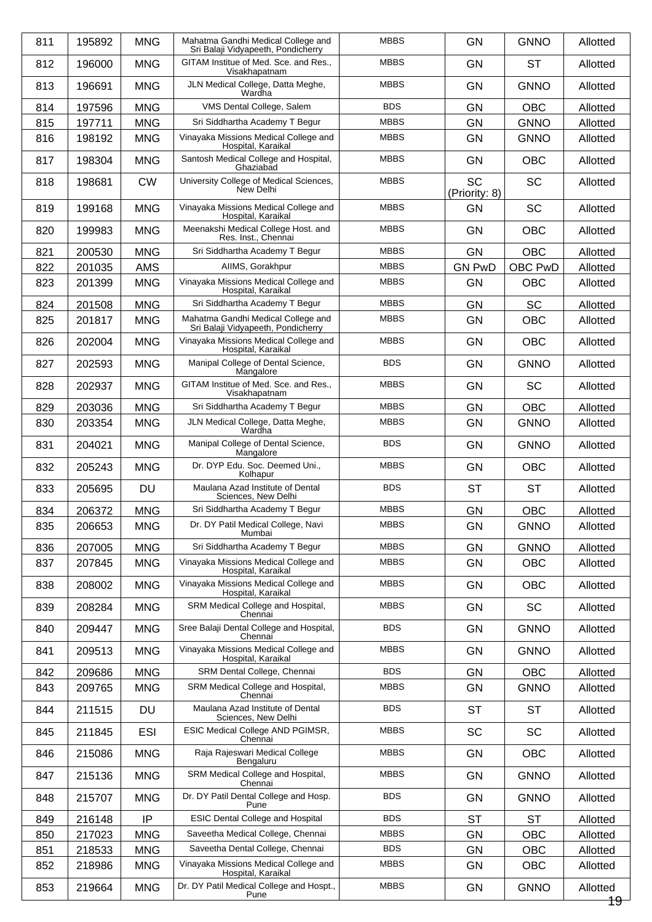| 811 | 195892 | <b>MNG</b> | Mahatma Gandhi Medical College and<br>Sri Balaji Vidyapeeth, Pondicherry | <b>MBBS</b> | <b>GN</b>                  | <b>GNNO</b> | Allotted |
|-----|--------|------------|--------------------------------------------------------------------------|-------------|----------------------------|-------------|----------|
| 812 | 196000 | <b>MNG</b> | GITAM Institue of Med. Sce. and Res.,<br>Visakhapatnam                   | <b>MBBS</b> | <b>GN</b>                  | <b>ST</b>   | Allotted |
| 813 | 196691 | <b>MNG</b> | JLN Medical College, Datta Meghe,<br>Wardha                              | <b>MBBS</b> | <b>GN</b>                  | <b>GNNO</b> | Allotted |
| 814 | 197596 | <b>MNG</b> | VMS Dental College, Salem                                                | <b>BDS</b>  | <b>GN</b>                  | <b>OBC</b>  | Allotted |
| 815 | 197711 | <b>MNG</b> | Sri Siddhartha Academy T Begur                                           | <b>MBBS</b> | <b>GN</b>                  | <b>GNNO</b> | Allotted |
| 816 | 198192 | <b>MNG</b> | Vinayaka Missions Medical College and<br>Hospital, Karaikal              | <b>MBBS</b> | <b>GN</b>                  | <b>GNNO</b> | Allotted |
| 817 | 198304 | <b>MNG</b> | Santosh Medical College and Hospital,<br>Ghaziabad                       | <b>MBBS</b> | <b>GN</b>                  | <b>OBC</b>  | Allotted |
| 818 | 198681 | <b>CW</b>  | University College of Medical Sciences,<br>New Delhi                     | <b>MBBS</b> | <b>SC</b><br>(Priority: 8) | <b>SC</b>   | Allotted |
| 819 | 199168 | <b>MNG</b> | Vinayaka Missions Medical College and<br>Hospital, Karaikal              | <b>MBBS</b> | <b>GN</b>                  | <b>SC</b>   | Allotted |
| 820 | 199983 | <b>MNG</b> | Meenakshi Medical College Host. and<br>Res. Inst., Chennai               | <b>MBBS</b> | <b>GN</b>                  | <b>OBC</b>  | Allotted |
| 821 | 200530 | <b>MNG</b> | Sri Siddhartha Academy T Begur                                           | <b>MBBS</b> | GN                         | OBC         | Allotted |
| 822 | 201035 | <b>AMS</b> | AIIMS, Gorakhpur                                                         | <b>MBBS</b> | <b>GN PwD</b>              | OBC PwD     | Allotted |
| 823 | 201399 | <b>MNG</b> | Vinayaka Missions Medical College and<br>Hospital, Karaikal              | <b>MBBS</b> | GN                         | OBC         | Allotted |
| 824 | 201508 | <b>MNG</b> | Sri Siddhartha Academy T Begur                                           | <b>MBBS</b> | <b>GN</b>                  | <b>SC</b>   | Allotted |
| 825 | 201817 | <b>MNG</b> | Mahatma Gandhi Medical College and<br>Sri Balaji Vidyapeeth, Pondicherry | <b>MBBS</b> | <b>GN</b>                  | <b>OBC</b>  | Allotted |
| 826 | 202004 | <b>MNG</b> | Vinayaka Missions Medical College and<br>Hospital, Karaikal              | <b>MBBS</b> | <b>GN</b>                  | <b>OBC</b>  | Allotted |
| 827 | 202593 | <b>MNG</b> | Manipal College of Dental Science,<br>Mangalore                          | <b>BDS</b>  | <b>GN</b>                  | <b>GNNO</b> | Allotted |
| 828 | 202937 | <b>MNG</b> | GITAM Institue of Med. Sce. and Res.,<br>Visakhapatnam                   | <b>MBBS</b> | <b>GN</b>                  | <b>SC</b>   | Allotted |
| 829 | 203036 | <b>MNG</b> | Sri Siddhartha Academy T Begur                                           | <b>MBBS</b> | GN                         | OBC         | Allotted |
| 830 | 203354 | <b>MNG</b> | JLN Medical College, Datta Meghe,<br>Wardha                              | <b>MBBS</b> | <b>GN</b>                  | <b>GNNO</b> | Allotted |
| 831 | 204021 | <b>MNG</b> | Manipal College of Dental Science,<br>Mangalore                          | <b>BDS</b>  | <b>GN</b>                  | <b>GNNO</b> | Allotted |
| 832 | 205243 | <b>MNG</b> | Dr. DYP Edu. Soc. Deemed Uni.,<br>Kolhapur                               | <b>MBBS</b> | <b>GN</b>                  | <b>OBC</b>  | Allotted |
| 833 | 205695 | <b>DU</b>  | Maulana Azad Institute of Dental<br>Sciences, New Delhi                  | <b>BDS</b>  | <b>ST</b>                  | <b>ST</b>   | Allotted |
| 834 | 206372 | <b>MNG</b> | Sri Siddhartha Academy T Begur                                           | <b>MBBS</b> | GN                         | <b>OBC</b>  | Allotted |
| 835 | 206653 | <b>MNG</b> | Dr. DY Patil Medical College, Navi<br>Mumbai                             | <b>MBBS</b> | GN                         | <b>GNNO</b> | Allotted |
| 836 | 207005 | <b>MNG</b> | Sri Siddhartha Academy T Begur                                           | <b>MBBS</b> | GN                         | <b>GNNO</b> | Allotted |
| 837 | 207845 | <b>MNG</b> | Vinayaka Missions Medical College and<br>Hospital, Karaikal              | <b>MBBS</b> | <b>GN</b>                  | <b>OBC</b>  | Allotted |
| 838 | 208002 | <b>MNG</b> | Vinayaka Missions Medical College and<br>Hospital, Karaikal              | <b>MBBS</b> | GN                         | <b>OBC</b>  | Allotted |
| 839 | 208284 | <b>MNG</b> | SRM Medical College and Hospital,<br>Chennai                             | <b>MBBS</b> | <b>GN</b>                  | <b>SC</b>   | Allotted |
| 840 | 209447 | <b>MNG</b> | Sree Balaji Dental College and Hospital,<br>Chennai                      | <b>BDS</b>  | <b>GN</b>                  | <b>GNNO</b> | Allotted |
| 841 | 209513 | <b>MNG</b> | Vinayaka Missions Medical College and<br>Hospital, Karaikal              | <b>MBBS</b> | GN                         | <b>GNNO</b> | Allotted |
| 842 | 209686 | <b>MNG</b> | SRM Dental College, Chennai                                              | <b>BDS</b>  | <b>GN</b>                  | <b>OBC</b>  | Allotted |
| 843 | 209765 | <b>MNG</b> | SRM Medical College and Hospital,<br>Chennai                             | <b>MBBS</b> | GN                         | <b>GNNO</b> | Allotted |
| 844 | 211515 | <b>DU</b>  | Maulana Azad Institute of Dental<br>Sciences, New Delhi                  | <b>BDS</b>  | <b>ST</b>                  | <b>ST</b>   | Allotted |
| 845 | 211845 | <b>ESI</b> | ESIC Medical College AND PGIMSR,<br>Chennai                              | <b>MBBS</b> | SC                         | <b>SC</b>   | Allotted |
| 846 | 215086 | <b>MNG</b> | Raja Rajeswari Medical College<br>Bengaluru                              | <b>MBBS</b> | GN                         | <b>OBC</b>  | Allotted |
| 847 | 215136 | <b>MNG</b> | SRM Medical College and Hospital,<br>Chennai                             | <b>MBBS</b> | <b>GN</b>                  | <b>GNNO</b> | Allotted |
| 848 | 215707 | <b>MNG</b> | Dr. DY Patil Dental College and Hosp.<br>Pune                            | <b>BDS</b>  | <b>GN</b>                  | <b>GNNO</b> | Allotted |
| 849 | 216148 | IP         | <b>ESIC Dental College and Hospital</b>                                  | <b>BDS</b>  | <b>ST</b>                  | ST          | Allotted |
| 850 | 217023 | <b>MNG</b> | Saveetha Medical College, Chennai                                        | <b>MBBS</b> | <b>GN</b>                  | <b>OBC</b>  | Allotted |
| 851 | 218533 | <b>MNG</b> | Saveetha Dental College, Chennai                                         | <b>BDS</b>  | GN                         | <b>OBC</b>  | Allotted |
| 852 | 218986 | <b>MNG</b> | Vinayaka Missions Medical College and<br>Hospital, Karaikal              | <b>MBBS</b> | <b>GN</b>                  | <b>OBC</b>  | Allotted |
| 853 | 219664 | <b>MNG</b> | Dr. DY Patil Medical College and Hospt.,                                 | <b>MBBS</b> | <b>GN</b>                  | <b>GNNO</b> | Allotted |
|     |        |            | Pune                                                                     |             |                            |             | 19-      |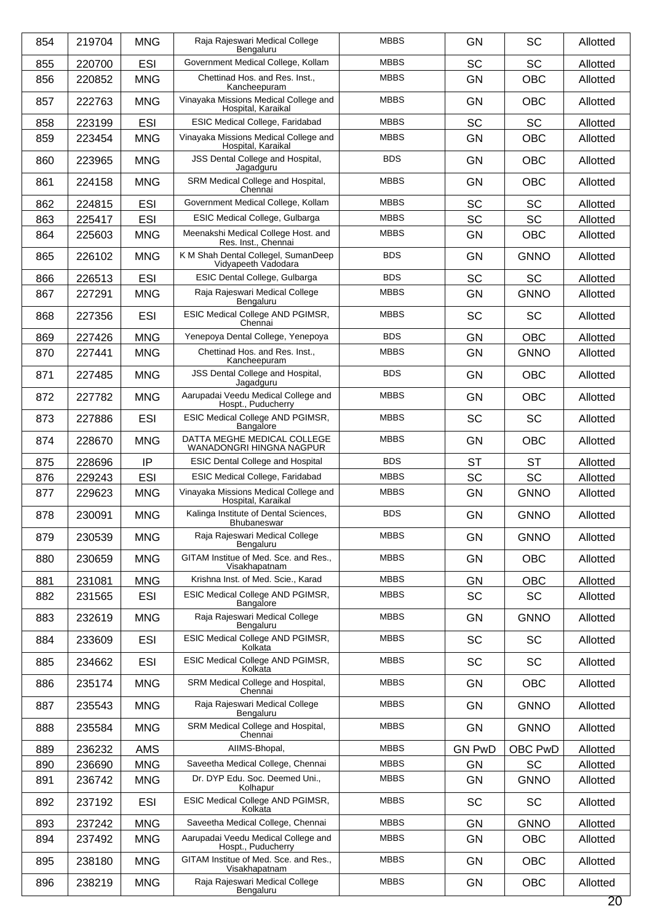| 854 | 219704 | <b>MNG</b> | Raja Rajeswari Medical College<br>Bengaluru                 | <b>MBBS</b> | <b>GN</b>     | <b>SC</b>   | Allotted |
|-----|--------|------------|-------------------------------------------------------------|-------------|---------------|-------------|----------|
| 855 | 220700 | <b>ESI</b> | Government Medical College, Kollam                          | <b>MBBS</b> | SC            | <b>SC</b>   | Allotted |
| 856 | 220852 | <b>MNG</b> | Chettinad Hos. and Res. Inst.,<br>Kancheepuram              | <b>MBBS</b> | GN            | <b>OBC</b>  | Allotted |
| 857 | 222763 | <b>MNG</b> | Vinayaka Missions Medical College and<br>Hospital, Karaikal | <b>MBBS</b> | <b>GN</b>     | <b>OBC</b>  | Allotted |
| 858 | 223199 | <b>ESI</b> | ESIC Medical College, Faridabad                             | <b>MBBS</b> | SC            | <b>SC</b>   | Allotted |
| 859 | 223454 | <b>MNG</b> | Vinayaka Missions Medical College and<br>Hospital, Karaikal | <b>MBBS</b> | GN            | <b>OBC</b>  | Allotted |
| 860 | 223965 | <b>MNG</b> | JSS Dental College and Hospital,<br>Jagadguru               | <b>BDS</b>  | <b>GN</b>     | <b>OBC</b>  | Allotted |
| 861 | 224158 | <b>MNG</b> | SRM Medical College and Hospital,<br>Chennai                | <b>MBBS</b> | <b>GN</b>     | <b>OBC</b>  | Allotted |
| 862 | 224815 | <b>ESI</b> | Government Medical College, Kollam                          | <b>MBBS</b> | SC            | <b>SC</b>   | Allotted |
| 863 | 225417 | <b>ESI</b> | ESIC Medical College, Gulbarga                              | <b>MBBS</b> | SC            | <b>SC</b>   | Allotted |
| 864 | 225603 | <b>MNG</b> | Meenakshi Medical College Host. and<br>Res. Inst., Chennai  | <b>MBBS</b> | GN            | <b>OBC</b>  | Allotted |
| 865 | 226102 | <b>MNG</b> | K M Shah Dental Collegel, SumanDeep<br>Vidyapeeth Vadodara  | <b>BDS</b>  | GN            | <b>GNNO</b> | Allotted |
| 866 | 226513 | <b>ESI</b> | ESIC Dental College, Gulbarga                               | <b>BDS</b>  | SC            | <b>SC</b>   | Allotted |
| 867 | 227291 | <b>MNG</b> | Raja Rajeswari Medical College<br>Bengaluru                 | <b>MBBS</b> | GN            | <b>GNNO</b> | Allotted |
| 868 | 227356 | <b>ESI</b> | ESIC Medical College AND PGIMSR,<br>Chennai                 | <b>MBBS</b> | SC            | <b>SC</b>   | Allotted |
| 869 | 227426 | <b>MNG</b> | Yenepoya Dental College, Yenepoya                           | <b>BDS</b>  | <b>GN</b>     | <b>OBC</b>  | Allotted |
| 870 | 227441 | <b>MNG</b> | Chettinad Hos. and Res. Inst.,<br>Kancheepuram              | <b>MBBS</b> | GN            | <b>GNNO</b> | Allotted |
| 871 | 227485 | <b>MNG</b> | JSS Dental College and Hospital,<br>Jagadguru               | <b>BDS</b>  | GN            | <b>OBC</b>  | Allotted |
| 872 | 227782 | <b>MNG</b> | Aarupadai Veedu Medical College and<br>Hospt., Puducherry   | <b>MBBS</b> | <b>GN</b>     | <b>OBC</b>  | Allotted |
| 873 | 227886 | <b>ESI</b> | ESIC Medical College AND PGIMSR,<br>Bangalore               | <b>MBBS</b> | SC            | SC          | Allotted |
| 874 | 228670 | <b>MNG</b> | DATTA MEGHE MEDICAL COLLEGE<br>WANADONGRI HINGNA NAGPUR     | <b>MBBS</b> | <b>GN</b>     | <b>OBC</b>  | Allotted |
| 875 | 228696 | IP         | <b>ESIC Dental College and Hospital</b>                     | <b>BDS</b>  | <b>ST</b>     | <b>ST</b>   | Allotted |
| 876 | 229243 | <b>ESI</b> | ESIC Medical College, Faridabad                             | <b>MBBS</b> | SC            | <b>SC</b>   | Allotted |
| 877 | 229623 | <b>MNG</b> | Vinayaka Missions Medical College and<br>Hospital, Karaikal | <b>MBBS</b> | GN            | <b>GNNO</b> | Allotted |
| 878 | 230091 | <b>MNG</b> | Kalinga Institute of Dental Sciences,<br>Bhubaneswar        | <b>BDS</b>  | <b>GN</b>     | <b>GNNO</b> | Allotted |
| 879 | 230539 | <b>MNG</b> | Raja Rajeswari Medical College<br>Bengaluru                 | <b>MBBS</b> | <b>GN</b>     | <b>GNNO</b> | Allotted |
| 880 | 230659 | <b>MNG</b> | GITAM Institue of Med. Sce. and Res.,<br>Visakhapatnam      | <b>MBBS</b> | GN            | <b>OBC</b>  | Allotted |
| 881 | 231081 | <b>MNG</b> | Krishna Inst. of Med. Scie., Karad                          | <b>MBBS</b> | <b>GN</b>     | <b>OBC</b>  | Allotted |
| 882 | 231565 | <b>ESI</b> | ESIC Medical College AND PGIMSR,<br>Bangalore               | <b>MBBS</b> | SC            | SC          | Allotted |
| 883 | 232619 | <b>MNG</b> | Raja Rajeswari Medical College<br>Bengaluru                 | <b>MBBS</b> | GN            | <b>GNNO</b> | Allotted |
| 884 | 233609 | <b>ESI</b> | ESIC Medical College AND PGIMSR,<br>Kolkata                 | <b>MBBS</b> | SC            | <b>SC</b>   | Allotted |
| 885 | 234662 | <b>ESI</b> | ESIC Medical College AND PGIMSR,<br>Kolkata                 | <b>MBBS</b> | <b>SC</b>     | SC          | Allotted |
| 886 | 235174 | <b>MNG</b> | SRM Medical College and Hospital,<br>Chennai                | <b>MBBS</b> | GN            | <b>OBC</b>  | Allotted |
| 887 | 235543 | <b>MNG</b> | Raja Rajeswari Medical College<br>Bengaluru                 | <b>MBBS</b> | <b>GN</b>     | <b>GNNO</b> | Allotted |
| 888 | 235584 | <b>MNG</b> | SRM Medical College and Hospital,<br>Chennai                | <b>MBBS</b> | <b>GN</b>     | <b>GNNO</b> | Allotted |
| 889 | 236232 | <b>AMS</b> | AIIMS-Bhopal,                                               | <b>MBBS</b> | <b>GN PwD</b> | OBC PwD     | Allotted |
| 890 | 236690 | <b>MNG</b> | Saveetha Medical College, Chennai                           | <b>MBBS</b> | GN            | SC          | Allotted |
| 891 | 236742 | <b>MNG</b> | Dr. DYP Edu. Soc. Deemed Uni.,<br>Kolhapur                  | <b>MBBS</b> | <b>GN</b>     | <b>GNNO</b> | Allotted |
| 892 | 237192 | <b>ESI</b> | ESIC Medical College AND PGIMSR,<br>Kolkata                 | <b>MBBS</b> | SC            | <b>SC</b>   | Allotted |
| 893 | 237242 | <b>MNG</b> | Saveetha Medical College, Chennai                           | <b>MBBS</b> | GN            | <b>GNNO</b> | Allotted |
| 894 | 237492 | <b>MNG</b> | Aarupadai Veedu Medical College and<br>Hospt., Puducherry   | <b>MBBS</b> | <b>GN</b>     | OBC         | Allotted |
| 895 | 238180 | <b>MNG</b> | GITAM Institue of Med. Sce. and Res.,<br>Visakhapatnam      | <b>MBBS</b> | GN            | <b>OBC</b>  | Allotted |
| 896 | 238219 | <b>MNG</b> | Raja Rajeswari Medical College<br>Bengaluru                 | <b>MBBS</b> | GN            | OBC         | Allotted |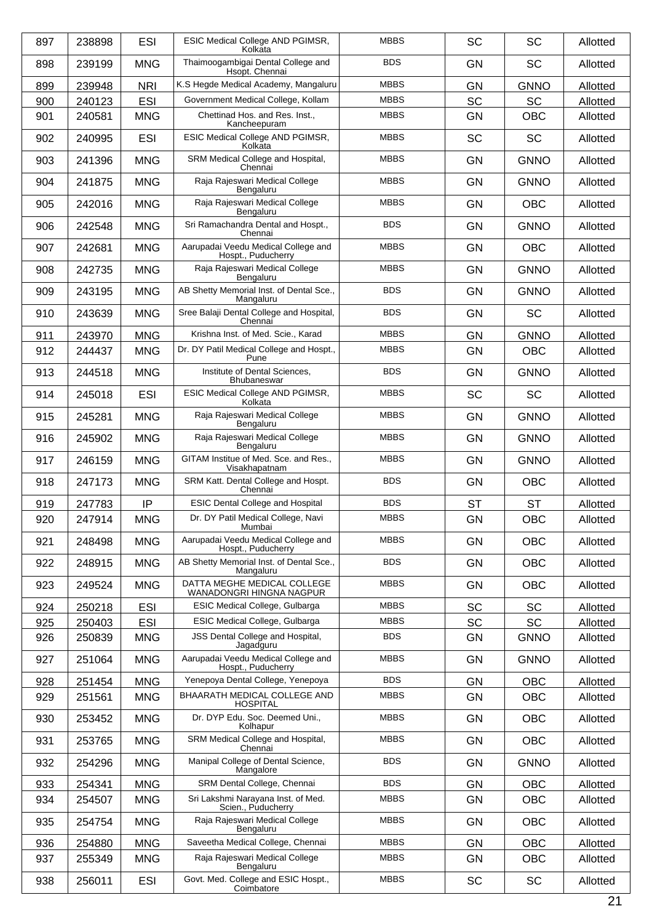| 897 | 238898 | <b>ESI</b> | ESIC Medical College AND PGIMSR,<br>Kolkata               | <b>MBBS</b> | <b>SC</b> | <b>SC</b>   | Allotted |
|-----|--------|------------|-----------------------------------------------------------|-------------|-----------|-------------|----------|
| 898 | 239199 | <b>MNG</b> | Thaimoogambigai Dental College and<br>Hsopt. Chennai      | <b>BDS</b>  | <b>GN</b> | <b>SC</b>   | Allotted |
| 899 | 239948 | <b>NRI</b> | K.S Hegde Medical Academy, Mangaluru                      | <b>MBBS</b> | <b>GN</b> | <b>GNNO</b> | Allotted |
| 900 | 240123 | <b>ESI</b> | Government Medical College, Kollam                        | <b>MBBS</b> | <b>SC</b> | <b>SC</b>   | Allotted |
| 901 | 240581 | <b>MNG</b> | Chettinad Hos. and Res. Inst.,<br>Kancheepuram            | <b>MBBS</b> | <b>GN</b> | <b>OBC</b>  | Allotted |
| 902 | 240995 | <b>ESI</b> | ESIC Medical College AND PGIMSR,<br>Kolkata               | <b>MBBS</b> | SC        | <b>SC</b>   | Allotted |
| 903 | 241396 | <b>MNG</b> | SRM Medical College and Hospital,<br>Chennai              | <b>MBBS</b> | <b>GN</b> | <b>GNNO</b> | Allotted |
| 904 | 241875 | <b>MNG</b> | Raja Rajeswari Medical College<br>Bengaluru               | <b>MBBS</b> | <b>GN</b> | <b>GNNO</b> | Allotted |
| 905 | 242016 | <b>MNG</b> | Raja Rajeswari Medical College<br>Bengaluru               | <b>MBBS</b> | GN        | <b>OBC</b>  | Allotted |
| 906 | 242548 | <b>MNG</b> | Sri Ramachandra Dental and Hospt.,<br>Chennai             | <b>BDS</b>  | <b>GN</b> | <b>GNNO</b> | Allotted |
| 907 | 242681 | <b>MNG</b> | Aarupadai Veedu Medical College and<br>Hospt., Puducherry | <b>MBBS</b> | <b>GN</b> | <b>OBC</b>  | Allotted |
| 908 | 242735 | <b>MNG</b> | Raja Rajeswari Medical College<br>Bengaluru               | <b>MBBS</b> | GN        | <b>GNNO</b> | Allotted |
| 909 | 243195 | <b>MNG</b> | AB Shetty Memorial Inst. of Dental Sce.,<br>Mangaluru     | <b>BDS</b>  | <b>GN</b> | <b>GNNO</b> | Allotted |
| 910 | 243639 | <b>MNG</b> | Sree Balaji Dental College and Hospital,<br>Chennai       | <b>BDS</b>  | GN        | SC          | Allotted |
| 911 | 243970 | <b>MNG</b> | Krishna Inst. of Med. Scie., Karad                        | <b>MBBS</b> | <b>GN</b> | <b>GNNO</b> | Allotted |
| 912 | 244437 | <b>MNG</b> | Dr. DY Patil Medical College and Hospt.,<br>Pune          | <b>MBBS</b> | GN        | <b>OBC</b>  | Allotted |
| 913 | 244518 | <b>MNG</b> | Institute of Dental Sciences,<br>Bhubaneswar              | <b>BDS</b>  | <b>GN</b> | <b>GNNO</b> | Allotted |
| 914 | 245018 | <b>ESI</b> | ESIC Medical College AND PGIMSR,<br>Kolkata               | <b>MBBS</b> | SC        | <b>SC</b>   | Allotted |
| 915 | 245281 | <b>MNG</b> | Raja Rajeswari Medical College<br>Bengaluru               | <b>MBBS</b> | <b>GN</b> | <b>GNNO</b> | Allotted |
| 916 | 245902 | <b>MNG</b> | Raja Rajeswari Medical College<br>Bengaluru               | <b>MBBS</b> | <b>GN</b> | <b>GNNO</b> | Allotted |
| 917 | 246159 | <b>MNG</b> | GITAM Institue of Med. Sce. and Res<br>Visakhapatnam      | <b>MBBS</b> | GN        | <b>GNNO</b> | Allotted |
| 918 | 247173 | <b>MNG</b> | SRM Katt. Dental College and Hospt.<br>Chennai            | <b>BDS</b>  | <b>GN</b> | <b>OBC</b>  | Allotted |
| 919 | 247783 | IP         | <b>ESIC Dental College and Hospital</b>                   | <b>BDS</b>  | <b>ST</b> | <b>ST</b>   | Allotted |
| 920 | 247914 | <b>MNG</b> | Dr. DY Patil Medical College, Navi<br>Mumbai              | <b>MBBS</b> | GN        | OBC         | Allotted |
| 921 | 248498 | <b>MNG</b> | Aarupadai Veedu Medical College and<br>Hospt., Puducherry | <b>MBBS</b> | GN        | <b>OBC</b>  | Allotted |
| 922 | 248915 | <b>MNG</b> | AB Shetty Memorial Inst. of Dental Sce.,<br>Mangaluru     | <b>BDS</b>  | <b>GN</b> | <b>OBC</b>  | Allotted |
| 923 | 249524 | <b>MNG</b> | DATTA MEGHE MEDICAL COLLEGE<br>WANADONGRI HINGNA NAGPUR   | <b>MBBS</b> | GN        | <b>OBC</b>  | Allotted |
| 924 | 250218 | ESI        | ESIC Medical College, Gulbarga                            | <b>MBBS</b> | SC        | <b>SC</b>   | Allotted |
| 925 | 250403 | <b>ESI</b> | ESIC Medical College, Gulbarga                            | <b>MBBS</b> | <b>SC</b> | <b>SC</b>   | Allotted |
| 926 | 250839 | <b>MNG</b> | JSS Dental College and Hospital,<br>Jagadguru             | <b>BDS</b>  | GN        | <b>GNNO</b> | Allotted |
| 927 | 251064 | <b>MNG</b> | Aarupadai Veedu Medical College and<br>Hospt., Puducherry | <b>MBBS</b> | <b>GN</b> | <b>GNNO</b> | Allotted |
| 928 | 251454 | <b>MNG</b> | Yenepoya Dental College, Yenepoya                         | <b>BDS</b>  | GN        | <b>OBC</b>  | Allotted |
| 929 | 251561 | <b>MNG</b> | BHAARATH MEDICAL COLLEGE AND<br><b>HOSPITAL</b>           | <b>MBBS</b> | GN        | <b>OBC</b>  | Allotted |
| 930 | 253452 | <b>MNG</b> | Dr. DYP Edu. Soc. Deemed Uni.,<br>Kolhapur                | <b>MBBS</b> | <b>GN</b> | <b>OBC</b>  | Allotted |
| 931 | 253765 | <b>MNG</b> | SRM Medical College and Hospital,<br>Chennai              | <b>MBBS</b> | <b>GN</b> | <b>OBC</b>  | Allotted |
| 932 | 254296 | <b>MNG</b> | Manipal College of Dental Science,<br>Mangalore           | <b>BDS</b>  | GN        | <b>GNNO</b> | Allotted |
| 933 | 254341 | <b>MNG</b> | SRM Dental College, Chennai                               | <b>BDS</b>  | <b>GN</b> | <b>OBC</b>  | Allotted |
| 934 | 254507 | <b>MNG</b> | Sri Lakshmi Narayana Inst. of Med.<br>Scien., Puducherry  | <b>MBBS</b> | <b>GN</b> | <b>OBC</b>  | Allotted |
| 935 | 254754 | <b>MNG</b> | Raja Rajeswari Medical College<br>Bengaluru               | <b>MBBS</b> | GN        | <b>OBC</b>  | Allotted |
| 936 | 254880 | <b>MNG</b> | Saveetha Medical College, Chennai                         | <b>MBBS</b> | GN        | <b>OBC</b>  | Allotted |
| 937 | 255349 | <b>MNG</b> | Raja Rajeswari Medical College<br>Bengaluru               | <b>MBBS</b> | <b>GN</b> | <b>OBC</b>  | Allotted |
| 938 | 256011 | <b>ESI</b> | Govt. Med. College and ESIC Hospt.,<br>Coimbatore         | <b>MBBS</b> | SC        | SC          | Allotted |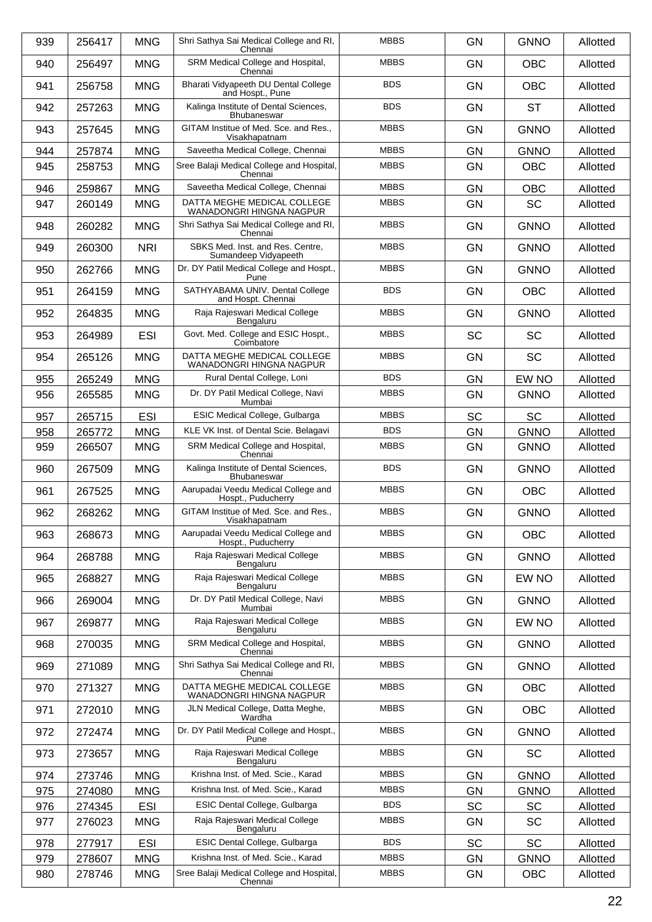|            | 256417           | <b>MNG</b>               | Shri Sathya Sai Medical College and RI,                         | <b>MBBS</b> | <b>GN</b>              | <b>GNNO</b>             |          |
|------------|------------------|--------------------------|-----------------------------------------------------------------|-------------|------------------------|-------------------------|----------|
| 939        |                  |                          | Chennai                                                         |             |                        |                         | Allotted |
| 940        | 256497           | <b>MNG</b>               | SRM Medical College and Hospital,<br>Chennai                    | <b>MBBS</b> | <b>GN</b>              | <b>OBC</b>              | Allotted |
| 941        | 256758           | <b>MNG</b>               | Bharati Vidyapeeth DU Dental College<br>and Hospt., Pune        | <b>BDS</b>  | <b>GN</b>              | <b>OBC</b>              | Allotted |
| 942        | 257263           | <b>MNG</b>               | Kalinga Institute of Dental Sciences,<br>Bhubaneswar            | <b>BDS</b>  | <b>GN</b>              | <b>ST</b>               | Allotted |
| 943        | 257645           | <b>MNG</b>               | GITAM Institue of Med. Sce. and Res.,<br>Visakhapatnam          | <b>MBBS</b> | <b>GN</b>              | <b>GNNO</b>             | Allotted |
| 944        | 257874           | <b>MNG</b>               | Saveetha Medical College, Chennai                               | <b>MBBS</b> | GN                     | <b>GNNO</b>             | Allotted |
| 945        | 258753           | <b>MNG</b>               | Sree Balaji Medical College and Hospital,                       | <b>MBBS</b> | <b>GN</b>              | <b>OBC</b>              | Allotted |
|            |                  |                          | Chennai<br>Saveetha Medical College, Chennai                    | <b>MBBS</b> |                        |                         |          |
| 946<br>947 | 259867<br>260149 | <b>MNG</b><br><b>MNG</b> | DATTA MEGHE MEDICAL COLLEGE                                     | <b>MBBS</b> | <b>GN</b><br><b>GN</b> | <b>OBC</b><br><b>SC</b> | Allotted |
|            |                  |                          | WANADONGRI HINGNA NAGPUR                                        |             |                        |                         | Allotted |
| 948        | 260282           | <b>MNG</b>               | Shri Sathya Sai Medical College and RI,<br>Chennai              | <b>MBBS</b> | <b>GN</b>              | <b>GNNO</b>             | Allotted |
| 949        | 260300           | <b>NRI</b>               | SBKS Med. Inst. and Res. Centre.<br>Sumandeep Vidyapeeth        | <b>MBBS</b> | <b>GN</b>              | <b>GNNO</b>             | Allotted |
| 950        | 262766           | <b>MNG</b>               | Dr. DY Patil Medical College and Hospt.,<br>Pune                | <b>MBBS</b> | GN                     | <b>GNNO</b>             | Allotted |
| 951        | 264159           | <b>MNG</b>               | SATHYABAMA UNIV. Dental College<br>and Hospt. Chennai           | <b>BDS</b>  | <b>GN</b>              | <b>OBC</b>              | Allotted |
| 952        | 264835           | <b>MNG</b>               | Raja Rajeswari Medical College<br>Bengaluru                     | <b>MBBS</b> | <b>GN</b>              | <b>GNNO</b>             | Allotted |
| 953        | 264989           | <b>ESI</b>               | Govt. Med. College and ESIC Hospt.,<br>Coimbatore               | <b>MBBS</b> | SC                     | <b>SC</b>               | Allotted |
| 954        | 265126           | <b>MNG</b>               | DATTA MEGHE MEDICAL COLLEGE<br>WANADONGRI HINGNA NAGPUR         | <b>MBBS</b> | <b>GN</b>              | <b>SC</b>               | Allotted |
| 955        | 265249           | <b>MNG</b>               | Rural Dental College, Loni                                      | <b>BDS</b>  | GN                     | EW NO                   | Allotted |
| 956        | 265585           | <b>MNG</b>               | Dr. DY Patil Medical College, Navi<br>Mumbai                    | <b>MBBS</b> | <b>GN</b>              | <b>GNNO</b>             | Allotted |
| 957        | 265715           | <b>ESI</b>               | ESIC Medical College, Gulbarga                                  | <b>MBBS</b> | <b>SC</b>              | <b>SC</b>               | Allotted |
| 958        | 265772           | <b>MNG</b>               | KLE VK Inst. of Dental Scie. Belagavi                           | <b>BDS</b>  | GN                     | <b>GNNO</b>             | Allotted |
| 959        | 266507           | <b>MNG</b>               | SRM Medical College and Hospital,                               | <b>MBBS</b> | <b>GN</b>              | <b>GNNO</b>             | Allotted |
| 960        | 267509           | <b>MNG</b>               | Chennai<br>Kalinga Institute of Dental Sciences,<br>Bhubaneswar | <b>BDS</b>  | <b>GN</b>              | <b>GNNO</b>             | Allotted |
| 961        | 267525           | <b>MNG</b>               | Aarupadai Veedu Medical College and<br>Hospt., Puducherry       | <b>MBBS</b> | <b>GN</b>              | <b>OBC</b>              | Allotted |
| 962        | 268262           | <b>MNG</b>               | GITAM Institue of Med. Sce. and Res.,<br>Visakhapatnam          | <b>MBBS</b> | GN                     | <b>GNNO</b>             | Allotted |
| 963        | 268673           | <b>MNG</b>               | Aarupadai Veedu Medical College and<br>Hospt., Puducherry       | <b>MBBS</b> | <b>GN</b>              | <b>OBC</b>              | Allotted |
| 964        | 268788           | <b>MNG</b>               | Raja Rajeswari Medical College<br>Bengaluru                     | <b>MBBS</b> | GN                     | <b>GNNO</b>             | Allotted |
| 965        | 268827           | <b>MNG</b>               | Raja Rajeswari Medical College<br>Bengaluru                     | <b>MBBS</b> | <b>GN</b>              | EW NO                   | Allotted |
| 966        | 269004           | <b>MNG</b>               | Dr. DY Patil Medical College, Navi<br>Mumbai                    | <b>MBBS</b> | <b>GN</b>              | <b>GNNO</b>             | Allotted |
| 967        | 269877           | <b>MNG</b>               | Raja Rajeswari Medical College<br>Bengaluru                     | <b>MBBS</b> | GN                     | EW NO                   | Allotted |
| 968        | 270035           | <b>MNG</b>               | SRM Medical College and Hospital,<br>Chennai                    | <b>MBBS</b> | <b>GN</b>              | <b>GNNO</b>             | Allotted |
| 969        | 271089           | <b>MNG</b>               | Shri Sathya Sai Medical College and RI,<br>Chennai              | <b>MBBS</b> | <b>GN</b>              | <b>GNNO</b>             | Allotted |
| 970        | 271327           | <b>MNG</b>               | DATTA MEGHE MEDICAL COLLEGE<br>WANADONGRI HINGNA NAGPUR         | <b>MBBS</b> | GN                     | <b>OBC</b>              | Allotted |
| 971        | 272010           | <b>MNG</b>               | JLN Medical College, Datta Meghe,<br>Wardha                     | <b>MBBS</b> | <b>GN</b>              | OBC                     | Allotted |
| 972        | 272474           | <b>MNG</b>               | Dr. DY Patil Medical College and Hospt.,<br>Pune                | <b>MBBS</b> | <b>GN</b>              | <b>GNNO</b>             | Allotted |
| 973        | 273657           | <b>MNG</b>               | Raja Rajeswari Medical College<br>Bengaluru                     | <b>MBBS</b> | GN                     | SC                      | Allotted |
| 974        | 273746           | <b>MNG</b>               | Krishna Inst. of Med. Scie., Karad                              | <b>MBBS</b> | <b>GN</b>              | <b>GNNO</b>             | Allotted |
| 975        | 274080           | <b>MNG</b>               | Krishna Inst. of Med. Scie., Karad                              | <b>MBBS</b> | GN                     | <b>GNNO</b>             | Allotted |
| 976        | 274345           | <b>ESI</b>               | ESIC Dental College, Gulbarga                                   | <b>BDS</b>  | <b>SC</b>              | <b>SC</b>               | Allotted |
| 977        | 276023           | <b>MNG</b>               | Raja Rajeswari Medical College                                  | <b>MBBS</b> | <b>GN</b>              | SC                      | Allotted |
| 978        |                  | <b>ESI</b>               | Bengaluru<br>ESIC Dental College, Gulbarga                      | <b>BDS</b>  | SC                     | <b>SC</b>               |          |
|            | 277917           |                          | Krishna Inst. of Med. Scie., Karad                              | <b>MBBS</b> |                        |                         | Allotted |
| 979        | 278607           | <b>MNG</b>               |                                                                 |             | <b>GN</b>              | <b>GNNO</b>             | Allotted |
| 980        | 278746           | <b>MNG</b>               | Sree Balaji Medical College and Hospital,<br>Chennai            | <b>MBBS</b> | GN                     | OBC                     | Allotted |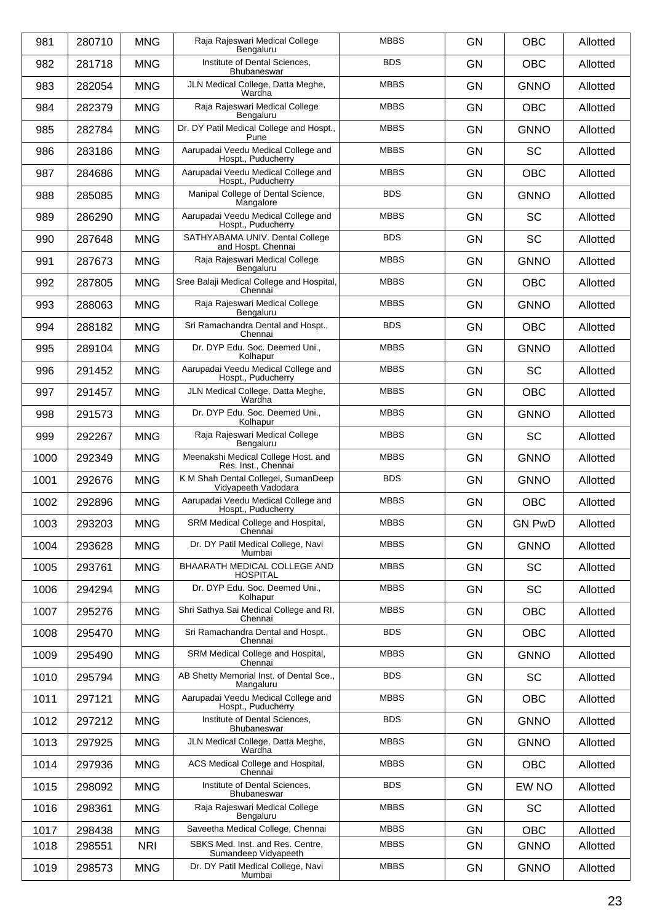| 981  | 280710 | <b>MNG</b> | Raja Rajeswari Medical College<br>Bengaluru                | <b>MBBS</b> | <b>GN</b> | <b>OBC</b>    | Allotted |
|------|--------|------------|------------------------------------------------------------|-------------|-----------|---------------|----------|
| 982  | 281718 | <b>MNG</b> | Institute of Dental Sciences,<br><b>Bhubaneswar</b>        | <b>BDS</b>  | <b>GN</b> | <b>OBC</b>    | Allotted |
| 983  | 282054 | <b>MNG</b> | JLN Medical College, Datta Meghe,<br>Wardha                | <b>MBBS</b> | <b>GN</b> | <b>GNNO</b>   | Allotted |
| 984  | 282379 | <b>MNG</b> | Raja Rajeswari Medical College<br>Bengaluru                | <b>MBBS</b> | <b>GN</b> | <b>OBC</b>    | Allotted |
| 985  | 282784 | <b>MNG</b> | Dr. DY Patil Medical College and Hospt.,<br>Pune           | <b>MBBS</b> | <b>GN</b> | <b>GNNO</b>   | Allotted |
| 986  | 283186 | <b>MNG</b> | Aarupadai Veedu Medical College and<br>Hospt., Puducherry  | <b>MBBS</b> | <b>GN</b> | <b>SC</b>     | Allotted |
| 987  | 284686 | <b>MNG</b> | Aarupadai Veedu Medical College and<br>Hospt., Puducherry  | <b>MBBS</b> | <b>GN</b> | <b>OBC</b>    | Allotted |
| 988  | 285085 | <b>MNG</b> | Manipal College of Dental Science,<br>Mangalore            | <b>BDS</b>  | <b>GN</b> | <b>GNNO</b>   | Allotted |
| 989  | 286290 | <b>MNG</b> | Aarupadai Veedu Medical College and<br>Hospt., Puducherry  | <b>MBBS</b> | <b>GN</b> | <b>SC</b>     | Allotted |
| 990  | 287648 | <b>MNG</b> | SATHYABAMA UNIV. Dental College<br>and Hospt. Chennai      | <b>BDS</b>  | <b>GN</b> | <b>SC</b>     | Allotted |
| 991  | 287673 | <b>MNG</b> | Raja Rajeswari Medical College<br>Bengaluru                | <b>MBBS</b> | <b>GN</b> | <b>GNNO</b>   | Allotted |
| 992  | 287805 | <b>MNG</b> | Sree Balaji Medical College and Hospital,<br>Chennai       | <b>MBBS</b> | <b>GN</b> | <b>OBC</b>    | Allotted |
| 993  | 288063 | <b>MNG</b> | Raja Rajeswari Medical College<br>Bengaluru                | <b>MBBS</b> | <b>GN</b> | <b>GNNO</b>   | Allotted |
| 994  | 288182 | <b>MNG</b> | Sri Ramachandra Dental and Hospt.,<br>Chennai              | <b>BDS</b>  | <b>GN</b> | <b>OBC</b>    | Allotted |
| 995  | 289104 | <b>MNG</b> | Dr. DYP Edu. Soc. Deemed Uni.,<br>Kolhapur                 | <b>MBBS</b> | <b>GN</b> | <b>GNNO</b>   | Allotted |
| 996  | 291452 | <b>MNG</b> | Aarupadai Veedu Medical College and<br>Hospt., Puducherry  | <b>MBBS</b> | <b>GN</b> | <b>SC</b>     | Allotted |
| 997  | 291457 | <b>MNG</b> | JLN Medical College, Datta Meghe,<br>Wardha                | <b>MBBS</b> | <b>GN</b> | <b>OBC</b>    | Allotted |
| 998  | 291573 | <b>MNG</b> | Dr. DYP Edu. Soc. Deemed Uni.,<br>Kolhapur                 | <b>MBBS</b> | <b>GN</b> | <b>GNNO</b>   | Allotted |
| 999  | 292267 | <b>MNG</b> | Raja Rajeswari Medical College<br>Bengaluru                | <b>MBBS</b> | <b>GN</b> | <b>SC</b>     | Allotted |
| 1000 | 292349 | <b>MNG</b> | Meenakshi Medical College Host. and<br>Res. Inst., Chennai | <b>MBBS</b> | <b>GN</b> | <b>GNNO</b>   | Allotted |
| 1001 | 292676 | <b>MNG</b> | K M Shah Dental Collegel, SumanDeep<br>Vidyapeeth Vadodara | <b>BDS</b>  | <b>GN</b> | <b>GNNO</b>   | Allotted |
| 1002 | 292896 | <b>MNG</b> | Aarupadai Veedu Medical College and<br>Hospt., Puducherry  | <b>MBBS</b> | <b>GN</b> | OBC           | Allotted |
| 1003 | 293203 | <b>MNG</b> | SRM Medical College and Hospital,<br>Chennai               | <b>MBBS</b> | <b>GN</b> | <b>GN PwD</b> | Allotted |
| 1004 | 293628 | <b>MNG</b> | Dr. DY Patil Medical College, Navi<br>Mumbai               | <b>MBBS</b> | GN        | <b>GNNO</b>   | Allotted |
| 1005 | 293761 | <b>MNG</b> | BHAARATH MEDICAL COLLEGE AND<br><b>HOSPITAL</b>            | <b>MBBS</b> | <b>GN</b> | <b>SC</b>     | Allotted |
| 1006 | 294294 | <b>MNG</b> | Dr. DYP Edu. Soc. Deemed Uni<br>Kolhapur                   | <b>MBBS</b> | <b>GN</b> | SC            | Allotted |
| 1007 | 295276 | <b>MNG</b> | Shri Sathya Sai Medical College and RI,<br>Chennai         | <b>MBBS</b> | <b>GN</b> | <b>OBC</b>    | Allotted |
| 1008 | 295470 | <b>MNG</b> | Sri Ramachandra Dental and Hospt.,<br>Chennai              | <b>BDS</b>  | <b>GN</b> | <b>OBC</b>    | Allotted |
| 1009 | 295490 | <b>MNG</b> | SRM Medical College and Hospital,<br>Chennai               | <b>MBBS</b> | <b>GN</b> | <b>GNNO</b>   | Allotted |
| 1010 | 295794 | <b>MNG</b> | AB Shetty Memorial Inst. of Dental Sce.,<br>Mangaluru      | <b>BDS</b>  | <b>GN</b> | <b>SC</b>     | Allotted |
| 1011 | 297121 | <b>MNG</b> | Aarupadai Veedu Medical College and<br>Hospt., Puducherry  | <b>MBBS</b> | GN        | <b>OBC</b>    | Allotted |
| 1012 | 297212 | <b>MNG</b> | Institute of Dental Sciences,<br>Bhubaneswar               | <b>BDS</b>  | <b>GN</b> | <b>GNNO</b>   | Allotted |
| 1013 | 297925 | <b>MNG</b> | JLN Medical College, Datta Meghe,<br>Wardha                | <b>MBBS</b> | GN        | <b>GNNO</b>   | Allotted |
| 1014 | 297936 | <b>MNG</b> | ACS Medical College and Hospital,<br>Chennai               | <b>MBBS</b> | GN        | OBC           | Allotted |
| 1015 | 298092 | <b>MNG</b> | Institute of Dental Sciences,<br>Bhubaneswar               | <b>BDS</b>  | <b>GN</b> | EW NO         | Allotted |
| 1016 | 298361 | <b>MNG</b> | Raja Rajeswari Medical College<br>Bengaluru                | <b>MBBS</b> | <b>GN</b> | <b>SC</b>     | Allotted |
| 1017 | 298438 | <b>MNG</b> | Saveetha Medical College, Chennai                          | <b>MBBS</b> | <b>GN</b> | <b>OBC</b>    | Allotted |
| 1018 | 298551 | <b>NRI</b> | SBKS Med. Inst. and Res. Centre,<br>Sumandeep Vidyapeeth   | <b>MBBS</b> | <b>GN</b> | <b>GNNO</b>   | Allotted |
| 1019 | 298573 | <b>MNG</b> | Dr. DY Patil Medical College, Navi<br>Mumbai               | <b>MBBS</b> | <b>GN</b> | <b>GNNO</b>   | Allotted |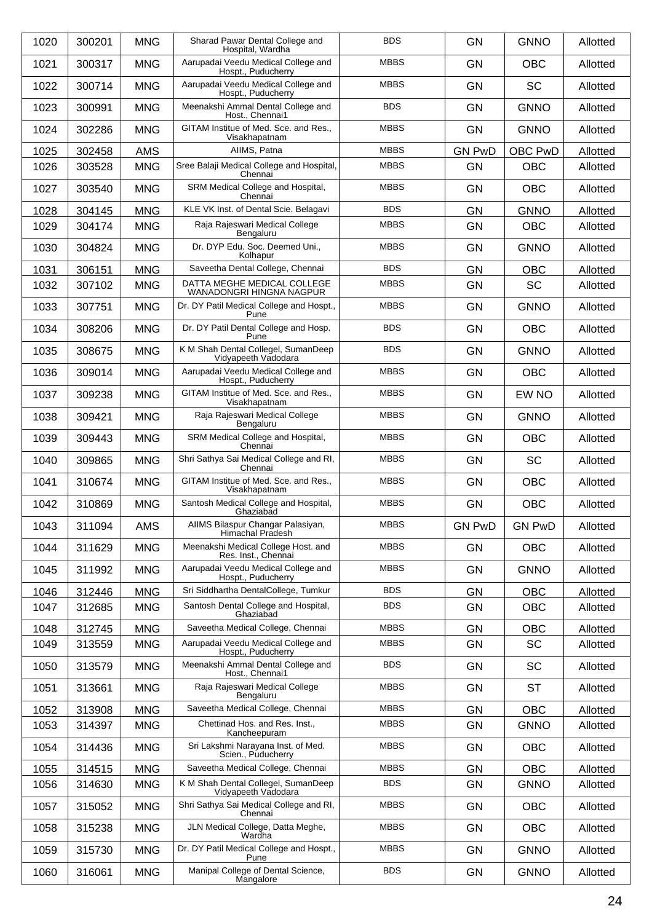| 1020 | 300201 | <b>MNG</b> | Sharad Pawar Dental College and<br>Hospital, Wardha        | <b>BDS</b>  | <b>GN</b>     | <b>GNNO</b>   | Allotted |
|------|--------|------------|------------------------------------------------------------|-------------|---------------|---------------|----------|
| 1021 | 300317 | <b>MNG</b> | Aarupadai Veedu Medical College and<br>Hospt., Puducherry  | <b>MBBS</b> | <b>GN</b>     | <b>OBC</b>    | Allotted |
| 1022 | 300714 | <b>MNG</b> | Aarupadai Veedu Medical College and<br>Hospt., Puducherry  | <b>MBBS</b> | <b>GN</b>     | <b>SC</b>     | Allotted |
| 1023 | 300991 | <b>MNG</b> | Meenakshi Ammal Dental College and<br>Host., Chennai1      | <b>BDS</b>  | <b>GN</b>     | <b>GNNO</b>   | Allotted |
| 1024 | 302286 | <b>MNG</b> | GITAM Institue of Med. Sce. and Res.,<br>Visakhapatnam     | <b>MBBS</b> | <b>GN</b>     | <b>GNNO</b>   | Allotted |
| 1025 | 302458 | <b>AMS</b> | AIIMS, Patna                                               | <b>MBBS</b> | <b>GN PwD</b> | OBC PwD       | Allotted |
| 1026 | 303528 | <b>MNG</b> | Sree Balaji Medical College and Hospital,<br>Chennai       | <b>MBBS</b> | GN            | <b>OBC</b>    | Allotted |
| 1027 | 303540 | <b>MNG</b> | SRM Medical College and Hospital,<br>Chennai               | <b>MBBS</b> | <b>GN</b>     | <b>OBC</b>    | Allotted |
| 1028 | 304145 | <b>MNG</b> | KLE VK Inst. of Dental Scie. Belagavi                      | <b>BDS</b>  | GN            | <b>GNNO</b>   | Allotted |
| 1029 | 304174 | <b>MNG</b> | Raja Rajeswari Medical College<br>Bengaluru                | <b>MBBS</b> | <b>GN</b>     | <b>OBC</b>    | Allotted |
| 1030 | 304824 | <b>MNG</b> | Dr. DYP Edu. Soc. Deemed Uni.,<br>Kolhapur                 | <b>MBBS</b> | <b>GN</b>     | <b>GNNO</b>   | Allotted |
| 1031 | 306151 | <b>MNG</b> | Saveetha Dental College, Chennai                           | <b>BDS</b>  | GN            | OBC           | Allotted |
| 1032 | 307102 | <b>MNG</b> | DATTA MEGHE MEDICAL COLLEGE<br>WANADONGRI HINGNA NAGPUR    | <b>MBBS</b> | <b>GN</b>     | <b>SC</b>     | Allotted |
| 1033 | 307751 | <b>MNG</b> | Dr. DY Patil Medical College and Hospt.,<br>Pune           | <b>MBBS</b> | <b>GN</b>     | <b>GNNO</b>   | Allotted |
| 1034 | 308206 | <b>MNG</b> | Dr. DY Patil Dental College and Hosp.<br>Pune              | <b>BDS</b>  | <b>GN</b>     | <b>OBC</b>    | Allotted |
| 1035 | 308675 | <b>MNG</b> | K M Shah Dental Collegel, SumanDeep<br>Vidyapeeth Vadodara | <b>BDS</b>  | <b>GN</b>     | <b>GNNO</b>   | Allotted |
| 1036 | 309014 | <b>MNG</b> | Aarupadai Veedu Medical College and<br>Hospt., Puducherry  | <b>MBBS</b> | <b>GN</b>     | <b>OBC</b>    | Allotted |
| 1037 | 309238 | <b>MNG</b> | GITAM Institue of Med. Sce. and Res.,<br>Visakhapatnam     | <b>MBBS</b> | <b>GN</b>     | EW NO         | Allotted |
| 1038 | 309421 | <b>MNG</b> | Raja Rajeswari Medical College<br>Bengaluru                | <b>MBBS</b> | <b>GN</b>     | <b>GNNO</b>   | Allotted |
| 1039 | 309443 | <b>MNG</b> | SRM Medical College and Hospital,<br>Chennai               | <b>MBBS</b> | <b>GN</b>     | <b>OBC</b>    | Allotted |
| 1040 | 309865 | <b>MNG</b> | Shri Sathya Sai Medical College and RI,<br>Chennai         | <b>MBBS</b> | <b>GN</b>     | <b>SC</b>     | Allotted |
| 1041 | 310674 | <b>MNG</b> | GITAM Institue of Med. Sce. and Res.,<br>Visakhapatnam     | <b>MBBS</b> | <b>GN</b>     | <b>OBC</b>    | Allotted |
| 1042 | 310869 | <b>MNG</b> | Santosh Medical College and Hospital,<br>Ghaziabad         | <b>MBBS</b> | <b>GN</b>     | <b>OBC</b>    | Allotted |
| 1043 | 311094 | <b>AMS</b> | AIIMS Bilaspur Changar Palasiyan,<br>Himachal Pradesh      | <b>MBBS</b> | <b>GN PwD</b> | <b>GN PwD</b> | Allotted |
| 1044 | 311629 | <b>MNG</b> | Meenakshi Medical College Host. and<br>Res. Inst., Chennai | <b>MBBS</b> | <b>GN</b>     | OBC           | Allotted |
| 1045 | 311992 | <b>MNG</b> | Aarupadai Veedu Medical College and<br>Hospt., Puducherry  | <b>MBBS</b> | <b>GN</b>     | <b>GNNO</b>   | Allotted |
| 1046 | 312446 | <b>MNG</b> | Sri Siddhartha DentalCollege, Tumkur                       | <b>BDS</b>  | GN            | <b>OBC</b>    | Allotted |
| 1047 | 312685 | <b>MNG</b> | Santosh Dental College and Hospital,<br>Ghaziabad          | <b>BDS</b>  | <b>GN</b>     | OBC           | Allotted |
| 1048 | 312745 | <b>MNG</b> | Saveetha Medical College, Chennai                          | <b>MBBS</b> | <b>GN</b>     | OBC           | Allotted |
| 1049 | 313559 | <b>MNG</b> | Aarupadai Veedu Medical College and<br>Hospt., Puducherry  | <b>MBBS</b> | <b>GN</b>     | <b>SC</b>     | Allotted |
| 1050 | 313579 | <b>MNG</b> | Meenakshi Ammal Dental College and<br>Host., Chennai1      | <b>BDS</b>  | <b>GN</b>     | <b>SC</b>     | Allotted |
| 1051 | 313661 | <b>MNG</b> | Raja Rajeswari Medical College<br>Bengaluru                | <b>MBBS</b> | <b>GN</b>     | <b>ST</b>     | Allotted |
| 1052 | 313908 | <b>MNG</b> | Saveetha Medical College, Chennai                          | <b>MBBS</b> | GN            | <b>OBC</b>    | Allotted |
| 1053 | 314397 | <b>MNG</b> | Chettinad Hos. and Res. Inst.,<br>Kancheepuram             | <b>MBBS</b> | <b>GN</b>     | <b>GNNO</b>   | Allotted |
| 1054 | 314436 | <b>MNG</b> | Sri Lakshmi Narayana Inst. of Med.<br>Scien., Puducherry   | <b>MBBS</b> | <b>GN</b>     | OBC           | Allotted |
| 1055 | 314515 | <b>MNG</b> | Saveetha Medical College, Chennai                          | <b>MBBS</b> | GN            | <b>OBC</b>    | Allotted |
| 1056 | 314630 | <b>MNG</b> | K M Shah Dental Collegel, SumanDeep<br>Vidyapeeth Vadodara | <b>BDS</b>  | <b>GN</b>     | <b>GNNO</b>   | Allotted |
| 1057 | 315052 | <b>MNG</b> | Shri Sathya Sai Medical College and RI,<br>Chennai         | <b>MBBS</b> | <b>GN</b>     | OBC           | Allotted |
| 1058 | 315238 | <b>MNG</b> | JLN Medical College, Datta Meghe,<br>Wardha                | <b>MBBS</b> | <b>GN</b>     | <b>OBC</b>    | Allotted |
| 1059 | 315730 | <b>MNG</b> | Dr. DY Patil Medical College and Hospt.,<br>Pune           | <b>MBBS</b> | <b>GN</b>     | <b>GNNO</b>   | Allotted |
| 1060 | 316061 | <b>MNG</b> | Manipal College of Dental Science,<br>Mangalore            | <b>BDS</b>  | <b>GN</b>     | <b>GNNO</b>   | Allotted |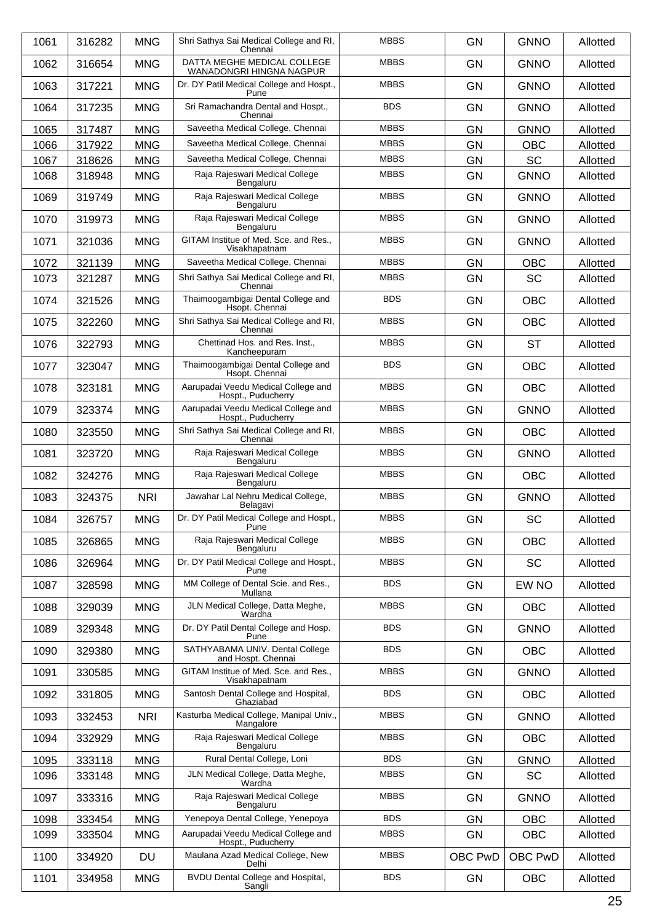| 1061 | 316282 | <b>MNG</b> | Shri Sathya Sai Medical College and RI,<br>Chennai        | <b>MBBS</b> | <b>GN</b> | <b>GNNO</b> | Allotted |
|------|--------|------------|-----------------------------------------------------------|-------------|-----------|-------------|----------|
| 1062 | 316654 | <b>MNG</b> | DATTA MEGHE MEDICAL COLLEGE<br>WANADONGRI HINGNA NAGPUR   | <b>MBBS</b> | <b>GN</b> | <b>GNNO</b> | Allotted |
| 1063 | 317221 | <b>MNG</b> | Dr. DY Patil Medical College and Hospt.,<br>Pune          | <b>MBBS</b> | <b>GN</b> | <b>GNNO</b> | Allotted |
| 1064 | 317235 | <b>MNG</b> | Sri Ramachandra Dental and Hospt.,<br>Chennai             | <b>BDS</b>  | <b>GN</b> | <b>GNNO</b> | Allotted |
| 1065 | 317487 | <b>MNG</b> | Saveetha Medical College, Chennai                         | <b>MBBS</b> | <b>GN</b> | <b>GNNO</b> | Allotted |
| 1066 | 317922 | <b>MNG</b> | Saveetha Medical College, Chennai                         | <b>MBBS</b> | <b>GN</b> | <b>OBC</b>  | Allotted |
| 1067 | 318626 | <b>MNG</b> | Saveetha Medical College, Chennai                         | <b>MBBS</b> | <b>GN</b> | <b>SC</b>   | Allotted |
| 1068 | 318948 | <b>MNG</b> | Raja Rajeswari Medical College<br>Bengaluru               | <b>MBBS</b> | <b>GN</b> | <b>GNNO</b> | Allotted |
| 1069 | 319749 | <b>MNG</b> | Raja Rajeswari Medical College<br>Bengaluru               | <b>MBBS</b> | GN        | <b>GNNO</b> | Allotted |
| 1070 | 319973 | <b>MNG</b> | Raja Rajeswari Medical College<br>Bengaluru               | <b>MBBS</b> | <b>GN</b> | <b>GNNO</b> | Allotted |
| 1071 | 321036 | <b>MNG</b> | GITAM Institue of Med. Sce. and Res.,<br>Visakhapatnam    | <b>MBBS</b> | <b>GN</b> | <b>GNNO</b> | Allotted |
| 1072 | 321139 | <b>MNG</b> | Saveetha Medical College, Chennai                         | <b>MBBS</b> | <b>GN</b> | <b>OBC</b>  | Allotted |
| 1073 | 321287 | <b>MNG</b> | Shri Sathya Sai Medical College and RI,<br>Chennai        | <b>MBBS</b> | <b>GN</b> | <b>SC</b>   | Allotted |
| 1074 | 321526 | <b>MNG</b> | Thaimoogambigai Dental College and<br>Hsopt. Chennai      | <b>BDS</b>  | <b>GN</b> | <b>OBC</b>  | Allotted |
| 1075 | 322260 | <b>MNG</b> | Shri Sathya Sai Medical College and RI,<br>Chennai        | <b>MBBS</b> | GN        | <b>OBC</b>  | Allotted |
| 1076 | 322793 | <b>MNG</b> | Chettinad Hos. and Res. Inst.,<br>Kancheepuram            | <b>MBBS</b> | <b>GN</b> | <b>ST</b>   | Allotted |
| 1077 | 323047 | <b>MNG</b> | Thaimoogambigai Dental College and<br>Hsopt. Chennai      | <b>BDS</b>  | <b>GN</b> | <b>OBC</b>  | Allotted |
| 1078 | 323181 | <b>MNG</b> | Aarupadai Veedu Medical College and<br>Hospt., Puducherry | <b>MBBS</b> | <b>GN</b> | <b>OBC</b>  | Allotted |
| 1079 | 323374 | <b>MNG</b> | Aarupadai Veedu Medical College and<br>Hospt., Puducherry | <b>MBBS</b> | <b>GN</b> | <b>GNNO</b> | Allotted |
| 1080 | 323550 | <b>MNG</b> | Shri Sathya Sai Medical College and RI,<br>Chennai        | <b>MBBS</b> | <b>GN</b> | <b>OBC</b>  | Allotted |
| 1081 | 323720 | <b>MNG</b> | Raja Rajeswari Medical College<br>Bengaluru               | <b>MBBS</b> | GN        | <b>GNNO</b> | Allotted |
| 1082 | 324276 | <b>MNG</b> | Raja Rajeswari Medical College<br>Bengaluru               | <b>MBBS</b> | <b>GN</b> | <b>OBC</b>  | Allotted |
| 1083 | 324375 | <b>NRI</b> | Jawahar Lal Nehru Medical College,<br>Belagavi            | <b>MBBS</b> | <b>GN</b> | <b>GNNO</b> | Allotted |
| 1084 | 326757 | <b>MNG</b> | Dr. DY Patil Medical College and Hospt.,<br>Pune          | <b>MBBS</b> | GN        | <b>SC</b>   | Allotted |
| 1085 | 326865 | <b>MNG</b> | Raja Rajeswari Medical College<br>Bengaluru               | <b>MBBS</b> | <b>GN</b> | <b>OBC</b>  | Allotted |
| 1086 | 326964 | <b>MNG</b> | Dr. DY Patil Medical College and Hospt.,<br>Pune          | <b>MBBS</b> | <b>GN</b> | SC          | Allotted |
| 1087 | 328598 | <b>MNG</b> | MM College of Dental Scie. and Res.,<br>Mullana           | <b>BDS</b>  | GN        | EW NO       | Allotted |
| 1088 | 329039 | <b>MNG</b> | JLN Medical College, Datta Meghe,<br>Wardha               | <b>MBBS</b> | <b>GN</b> | <b>OBC</b>  | Allotted |
| 1089 | 329348 | <b>MNG</b> | Dr. DY Patil Dental College and Hosp.<br>Pune             | <b>BDS</b>  | <b>GN</b> | <b>GNNO</b> | Allotted |
| 1090 | 329380 | <b>MNG</b> | SATHYABAMA UNIV. Dental College<br>and Hospt. Chennai     | <b>BDS</b>  | GN        | <b>OBC</b>  | Allotted |
| 1091 | 330585 | <b>MNG</b> | GITAM Institue of Med. Sce. and Res.,<br>Visakhapatnam    | <b>MBBS</b> | <b>GN</b> | <b>GNNO</b> | Allotted |
| 1092 | 331805 | <b>MNG</b> | Santosh Dental College and Hospital,<br>Ghaziabad         | <b>BDS</b>  | <b>GN</b> | <b>OBC</b>  | Allotted |
| 1093 | 332453 | <b>NRI</b> | Kasturba Medical College, Manipal Univ.,<br>Mangalore     | <b>MBBS</b> | GN        | <b>GNNO</b> | Allotted |
| 1094 | 332929 | <b>MNG</b> | Raja Rajeswari Medical College<br>Bengaluru               | <b>MBBS</b> | GN        | <b>OBC</b>  | Allotted |
| 1095 | 333118 | <b>MNG</b> | Rural Dental College, Loni                                | <b>BDS</b>  | GN        | <b>GNNO</b> | Allotted |
| 1096 | 333148 | <b>MNG</b> | JLN Medical College, Datta Meghe,<br>Wardha               | <b>MBBS</b> | GN        | <b>SC</b>   | Allotted |
| 1097 | 333316 | <b>MNG</b> | Raja Rajeswari Medical College<br>Bengaluru               | <b>MBBS</b> | <b>GN</b> | <b>GNNO</b> | Allotted |
| 1098 | 333454 | <b>MNG</b> | Yenepoya Dental College, Yenepoya                         | <b>BDS</b>  | <b>GN</b> | <b>OBC</b>  | Allotted |
| 1099 | 333504 | <b>MNG</b> | Aarupadai Veedu Medical College and<br>Hospt., Puducherry | <b>MBBS</b> | <b>GN</b> | OBC         | Allotted |
| 1100 | 334920 | DU         | Maulana Azad Medical College, New<br>Delhi                | <b>MBBS</b> | OBC PwD   | OBC PwD     | Allotted |
| 1101 | 334958 | <b>MNG</b> | BVDU Dental College and Hospital,<br>Sangli               | <b>BDS</b>  | GN        | OBC         | Allotted |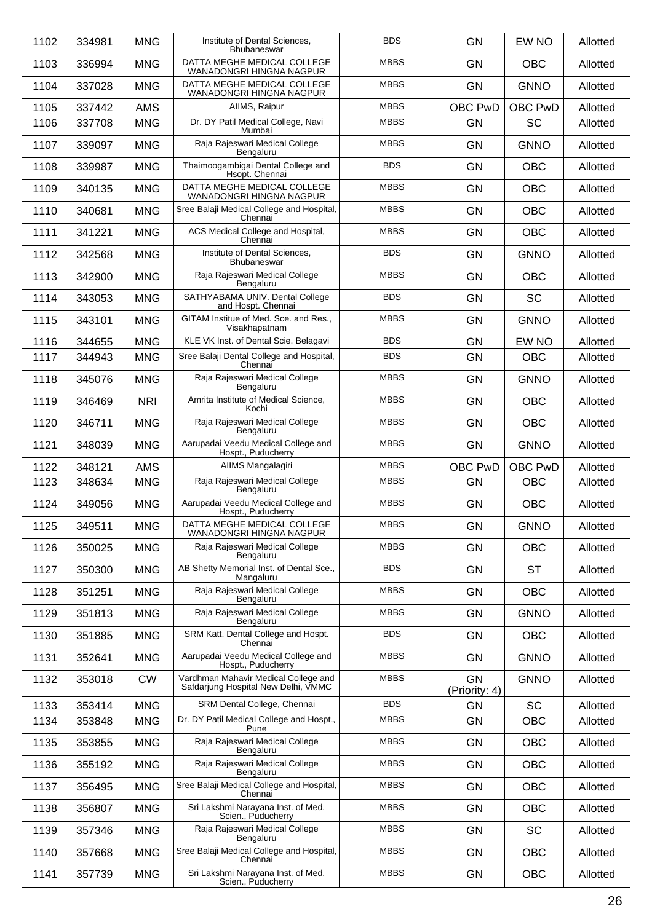| 1102 | 334981 | <b>MNG</b> | Institute of Dental Sciences,<br>Bhubaneswar                                | <b>BDS</b>  | <b>GN</b>                  | EW NO       | Allotted |
|------|--------|------------|-----------------------------------------------------------------------------|-------------|----------------------------|-------------|----------|
| 1103 | 336994 | <b>MNG</b> | DATTA MEGHE MEDICAL COLLEGE<br>WANADONGRI HINGNA NAGPUR                     | <b>MBBS</b> | <b>GN</b>                  | <b>OBC</b>  | Allotted |
| 1104 | 337028 | <b>MNG</b> | DATTA MEGHE MEDICAL COLLEGE<br>WANADONGRI HINGNA NAGPUR                     | <b>MBBS</b> | <b>GN</b>                  | <b>GNNO</b> | Allotted |
| 1105 | 337442 | <b>AMS</b> | AllMS, Raipur                                                               | <b>MBBS</b> | OBC PwD                    | OBC PwD     | Allotted |
| 1106 | 337708 | <b>MNG</b> | Dr. DY Patil Medical College, Navi<br>Mumbai                                | <b>MBBS</b> | <b>GN</b>                  | <b>SC</b>   | Allotted |
| 1107 | 339097 | <b>MNG</b> | Raja Rajeswari Medical College<br>Bengaluru                                 | <b>MBBS</b> | <b>GN</b>                  | <b>GNNO</b> | Allotted |
| 1108 | 339987 | <b>MNG</b> | Thaimoogambigai Dental College and<br>Hsopt. Chennai                        | <b>BDS</b>  | <b>GN</b>                  | <b>OBC</b>  | Allotted |
| 1109 | 340135 | <b>MNG</b> | DATTA MEGHE MEDICAL COLLEGE<br>WANADONGRI HINGNA NAGPUR                     | <b>MBBS</b> | <b>GN</b>                  | <b>OBC</b>  | Allotted |
| 1110 | 340681 | <b>MNG</b> | Sree Balaji Medical College and Hospital,<br>Chennai                        | <b>MBBS</b> | <b>GN</b>                  | <b>OBC</b>  | Allotted |
| 1111 | 341221 | <b>MNG</b> | ACS Medical College and Hospital,<br>Chennai                                | <b>MBBS</b> | <b>GN</b>                  | <b>OBC</b>  | Allotted |
| 1112 | 342568 | <b>MNG</b> | Institute of Dental Sciences.<br>Bhubaneswar                                | <b>BDS</b>  | <b>GN</b>                  | <b>GNNO</b> | Allotted |
| 1113 | 342900 | <b>MNG</b> | Raja Rajeswari Medical College<br>Bengaluru                                 | <b>MBBS</b> | <b>GN</b>                  | <b>OBC</b>  | Allotted |
| 1114 | 343053 | <b>MNG</b> | SATHYABAMA UNIV. Dental College<br>and Hospt. Chennai                       | <b>BDS</b>  | <b>GN</b>                  | <b>SC</b>   | Allotted |
| 1115 | 343101 | <b>MNG</b> | GITAM Institue of Med. Sce. and Res.,<br>Visakhapatnam                      | <b>MBBS</b> | <b>GN</b>                  | <b>GNNO</b> | Allotted |
| 1116 | 344655 | <b>MNG</b> | KLE VK Inst. of Dental Scie. Belagavi                                       | <b>BDS</b>  | <b>GN</b>                  | EW NO       | Allotted |
| 1117 | 344943 | <b>MNG</b> | Sree Balaji Dental College and Hospital,<br>Chennai                         | <b>BDS</b>  | <b>GN</b>                  | <b>OBC</b>  | Allotted |
| 1118 | 345076 | <b>MNG</b> | Raja Rajeswari Medical College<br>Bengaluru                                 | <b>MBBS</b> | GN                         | <b>GNNO</b> | Allotted |
| 1119 | 346469 | <b>NRI</b> | Amrita Institute of Medical Science,<br>Kochi                               | <b>MBBS</b> | <b>GN</b>                  | <b>OBC</b>  | Allotted |
| 1120 | 346711 | <b>MNG</b> | Raja Rajeswari Medical College<br>Bengaluru                                 | <b>MBBS</b> | <b>GN</b>                  | <b>OBC</b>  | Allotted |
| 1121 | 348039 | <b>MNG</b> | Aarupadai Veedu Medical College and<br>Hospt., Puducherry                   | <b>MBBS</b> | <b>GN</b>                  | <b>GNNO</b> | Allotted |
|      |        |            |                                                                             |             |                            |             |          |
| 1122 | 348121 | <b>AMS</b> | AIIMS Mangalagiri                                                           | <b>MBBS</b> | OBC PwD                    | OBC PwD     | Allotted |
| 1123 | 348634 | <b>MNG</b> | Raja Rajeswari Medical College<br>Bengaluru                                 | <b>MBBS</b> | <b>GN</b>                  | <b>OBC</b>  | Allotted |
| 1124 | 349056 | <b>MNG</b> | Aarupadai Veedu Medical College and<br>Hospt., Puducherry                   | <b>MBBS</b> | GN                         | <b>OBC</b>  | Allotted |
| 1125 | 349511 | <b>MNG</b> | DATTA MEGHE MEDICAL COLLEGE<br>WANADONGRI HINGNA NAGPUR                     | <b>MBBS</b> | <b>GN</b>                  | <b>GNNO</b> | Allotted |
| 1126 | 350025 | <b>MNG</b> | Raja Rajeswari Medical College<br>Bengaluru                                 | <b>MBBS</b> | <b>GN</b>                  | <b>OBC</b>  | Allotted |
| 1127 | 350300 | <b>MNG</b> | AB Shetty Memorial Inst. of Dental Sce.,<br>Mangaluru                       | <b>BDS</b>  | <b>GN</b>                  | <b>ST</b>   | Allotted |
| 1128 | 351251 | <b>MNG</b> | Raja Rajeswari Medical College<br>Bengaluru                                 | <b>MBBS</b> | <b>GN</b>                  | <b>OBC</b>  | Allotted |
| 1129 | 351813 | <b>MNG</b> | Raja Rajeswari Medical College<br>Bengaluru                                 | <b>MBBS</b> | <b>GN</b>                  | <b>GNNO</b> | Allotted |
| 1130 | 351885 | <b>MNG</b> | SRM Katt. Dental College and Hospt.<br>Chennai                              | <b>BDS</b>  | <b>GN</b>                  | <b>OBC</b>  | Allotted |
| 1131 | 352641 | <b>MNG</b> | Aarupadai Veedu Medical College and<br>Hospt., Puducherry                   | <b>MBBS</b> | <b>GN</b>                  | <b>GNNO</b> | Allotted |
| 1132 | 353018 | <b>CW</b>  | Vardhman Mahavir Medical College and<br>Safdarjung Hospital New Delhi, VMMC | <b>MBBS</b> | <b>GN</b><br>(Priority: 4) | <b>GNNO</b> | Allotted |
| 1133 | 353414 | <b>MNG</b> | SRM Dental College, Chennai                                                 | <b>BDS</b>  | GN                         | <b>SC</b>   | Allotted |
| 1134 | 353848 | <b>MNG</b> | Dr. DY Patil Medical College and Hospt.,<br>Pune                            | <b>MBBS</b> | <b>GN</b>                  | <b>OBC</b>  | Allotted |
| 1135 | 353855 | <b>MNG</b> | Raja Rajeswari Medical College<br>Bengaluru                                 | <b>MBBS</b> | <b>GN</b>                  | <b>OBC</b>  | Allotted |
| 1136 | 355192 | <b>MNG</b> | Raja Rajeswari Medical College<br>Bengaluru                                 | <b>MBBS</b> | <b>GN</b>                  | <b>OBC</b>  | Allotted |
| 1137 | 356495 | <b>MNG</b> | Sree Balaji Medical College and Hospital,<br>Chennai                        | <b>MBBS</b> | <b>GN</b>                  | <b>OBC</b>  | Allotted |
| 1138 | 356807 | <b>MNG</b> | Sri Lakshmi Narayana Inst. of Med.<br>Scien., Puducherry                    | <b>MBBS</b> | <b>GN</b>                  | <b>OBC</b>  | Allotted |
| 1139 | 357346 | <b>MNG</b> | Raja Rajeswari Medical College<br>Bengaluru                                 | <b>MBBS</b> | <b>GN</b>                  | <b>SC</b>   | Allotted |
| 1140 | 357668 | <b>MNG</b> | Sree Balaji Medical College and Hospital,<br>Chennai                        | <b>MBBS</b> | <b>GN</b>                  | <b>OBC</b>  | Allotted |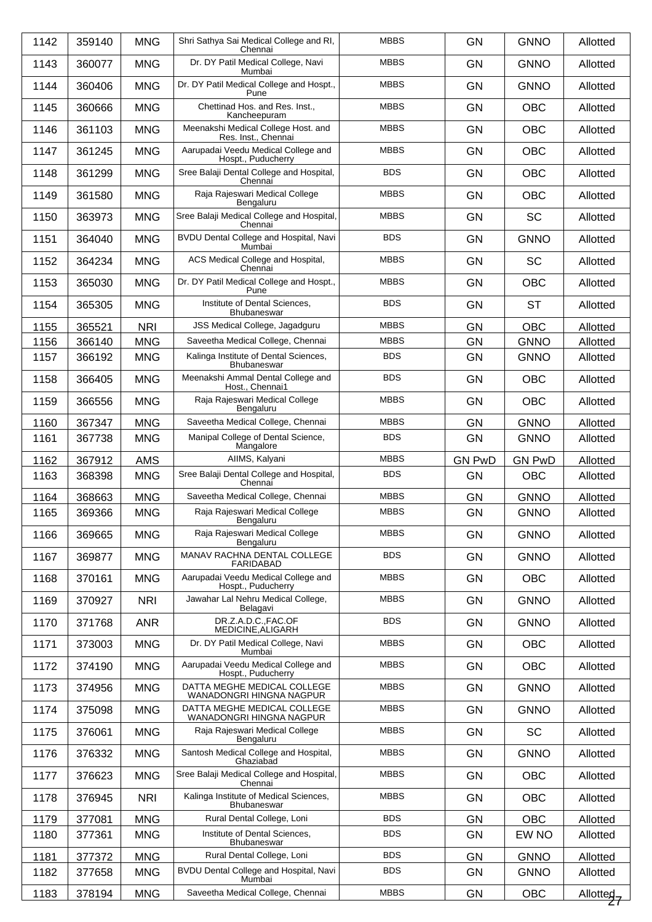| 1142 | 359140 | <b>MNG</b> | Shri Sathya Sai Medical College and RI,<br>Chennai          | <b>MBBS</b> | <b>GN</b>     | <b>GNNO</b>   | Allotted              |
|------|--------|------------|-------------------------------------------------------------|-------------|---------------|---------------|-----------------------|
| 1143 | 360077 | <b>MNG</b> | Dr. DY Patil Medical College, Navi<br>Mumbai                | <b>MBBS</b> | <b>GN</b>     | <b>GNNO</b>   | Allotted              |
| 1144 | 360406 | <b>MNG</b> | Dr. DY Patil Medical College and Hospt.,<br>Pune            | <b>MBBS</b> | <b>GN</b>     | <b>GNNO</b>   | Allotted              |
| 1145 | 360666 | <b>MNG</b> | Chettinad Hos. and Res. Inst.,<br>Kancheepuram              | <b>MBBS</b> | <b>GN</b>     | <b>OBC</b>    | Allotted              |
| 1146 | 361103 | <b>MNG</b> | Meenakshi Medical College Host. and<br>Res. Inst., Chennai  | <b>MBBS</b> | <b>GN</b>     | <b>OBC</b>    | Allotted              |
| 1147 | 361245 | <b>MNG</b> | Aarupadai Veedu Medical College and<br>Hospt., Puducherry   | <b>MBBS</b> | <b>GN</b>     | <b>OBC</b>    | Allotted              |
| 1148 | 361299 | <b>MNG</b> | Sree Balaji Dental College and Hospital,<br>Chennai         | <b>BDS</b>  | <b>GN</b>     | <b>OBC</b>    | Allotted              |
| 1149 | 361580 | <b>MNG</b> | Raja Rajeswari Medical College<br>Bengaluru                 | <b>MBBS</b> | <b>GN</b>     | <b>OBC</b>    | Allotted              |
| 1150 | 363973 | <b>MNG</b> | Sree Balaji Medical College and Hospital,<br>Chennai        | <b>MBBS</b> | <b>GN</b>     | <b>SC</b>     | Allotted              |
| 1151 | 364040 | <b>MNG</b> | BVDU Dental College and Hospital, Navi<br>Mumbai            | <b>BDS</b>  | <b>GN</b>     | <b>GNNO</b>   | Allotted              |
| 1152 | 364234 | <b>MNG</b> | ACS Medical College and Hospital,<br>Chennai                | <b>MBBS</b> | <b>GN</b>     | <b>SC</b>     | Allotted              |
| 1153 | 365030 | <b>MNG</b> | Dr. DY Patil Medical College and Hospt.,<br>Pune            | <b>MBBS</b> | <b>GN</b>     | <b>OBC</b>    | Allotted              |
| 1154 | 365305 | <b>MNG</b> | Institute of Dental Sciences,<br><b>Bhubaneswar</b>         | <b>BDS</b>  | <b>GN</b>     | <b>ST</b>     | Allotted              |
| 1155 | 365521 | <b>NRI</b> | JSS Medical College, Jagadguru                              | <b>MBBS</b> | <b>GN</b>     | <b>OBC</b>    | Allotted              |
| 1156 | 366140 | <b>MNG</b> | Saveetha Medical College, Chennai                           | <b>MBBS</b> | GN            | <b>GNNO</b>   | Allotted              |
| 1157 | 366192 | <b>MNG</b> | Kalinga Institute of Dental Sciences,<br><b>Bhubaneswar</b> | <b>BDS</b>  | <b>GN</b>     | <b>GNNO</b>   | Allotted              |
| 1158 | 366405 | <b>MNG</b> | Meenakshi Ammal Dental College and<br>Host., Chennai1       | <b>BDS</b>  | <b>GN</b>     | <b>OBC</b>    | Allotted              |
| 1159 | 366556 | <b>MNG</b> | Raja Rajeswari Medical College<br>Bengaluru                 | <b>MBBS</b> | <b>GN</b>     | <b>OBC</b>    | Allotted              |
| 1160 | 367347 | <b>MNG</b> | Saveetha Medical College, Chennai                           | <b>MBBS</b> | <b>GN</b>     | <b>GNNO</b>   | Allotted              |
| 1161 | 367738 | <b>MNG</b> | Manipal College of Dental Science,<br>Mangalore             | <b>BDS</b>  | <b>GN</b>     | <b>GNNO</b>   | Allotted              |
| 1162 | 367912 | <b>AMS</b> | AIIMS, Kalyani                                              | <b>MBBS</b> | <b>GN PwD</b> | <b>GN PwD</b> | Allotted              |
| 1163 | 368398 | <b>MNG</b> | Sree Balaji Dental College and Hospital,<br>Chennai         | <b>BDS</b>  | <b>GN</b>     | <b>OBC</b>    | Allotted              |
| 1164 | 368663 | <b>MNG</b> | Saveetha Medical College, Chennai                           | <b>MBBS</b> | <b>GN</b>     | <b>GNNO</b>   | Allotted              |
| 1165 | 369366 | <b>MNG</b> | Raja Rajeswari Medical College<br>Bengaluru                 | <b>MBBS</b> | <b>GN</b>     | <b>GNNO</b>   | Allotted              |
| 1166 | 369665 | <b>MNG</b> | Raja Rajeswari Medical College<br>Bengaluru                 | <b>MBBS</b> | <b>GN</b>     | <b>GNNO</b>   | Allotted              |
| 1167 | 369877 | <b>MNG</b> | MANAV RACHNA DENTAL COLLEGE<br>FARIDABAD                    | <b>BDS</b>  | <b>GN</b>     | <b>GNNO</b>   | Allotted              |
| 1168 | 370161 | <b>MNG</b> | Aarupadai Veedu Medical College and<br>Hospt., Puducherry   | <b>MBBS</b> | <b>GN</b>     | <b>OBC</b>    | Allotted              |
| 1169 | 370927 | <b>NRI</b> | Jawahar Lal Nehru Medical College,<br>Belagavi              | <b>MBBS</b> | <b>GN</b>     | <b>GNNO</b>   | Allotted              |
| 1170 | 371768 | <b>ANR</b> | DR.Z.A.D.C.,FAC.OF<br>MEDICINE, ALIGARH                     | <b>BDS</b>  | <b>GN</b>     | <b>GNNO</b>   | Allotted              |
| 1171 | 373003 | <b>MNG</b> | Dr. DY Patil Medical College, Navi<br>Mumbai                | <b>MBBS</b> | <b>GN</b>     | <b>OBC</b>    | Allotted              |
| 1172 | 374190 | <b>MNG</b> | Aarupadai Veedu Medical College and<br>Hospt., Puducherry   | <b>MBBS</b> | <b>GN</b>     | <b>OBC</b>    | Allotted              |
| 1173 | 374956 | <b>MNG</b> | DATTA MEGHE MEDICAL COLLEGE<br>WANADONGRI HINGNA NAGPUR     | <b>MBBS</b> | <b>GN</b>     | <b>GNNO</b>   | Allotted              |
| 1174 | 375098 | <b>MNG</b> | DATTA MEGHE MEDICAL COLLEGE<br>WANADONGRI HINGNA NAGPUR     | <b>MBBS</b> | <b>GN</b>     | <b>GNNO</b>   | Allotted              |
| 1175 | 376061 | <b>MNG</b> | Raja Rajeswari Medical College<br>Bengaluru                 | <b>MBBS</b> | <b>GN</b>     | <b>SC</b>     | Allotted              |
| 1176 | 376332 | <b>MNG</b> | Santosh Medical College and Hospital,<br>Ghaziabad          | <b>MBBS</b> | <b>GN</b>     | <b>GNNO</b>   | Allotted              |
| 1177 | 376623 | <b>MNG</b> | Sree Balaji Medical College and Hospital,<br>Chennai        | <b>MBBS</b> | GN            | <b>OBC</b>    | Allotted              |
| 1178 | 376945 | <b>NRI</b> | Kalinga Institute of Medical Sciences,<br>Bhubaneswar       | <b>MBBS</b> | <b>GN</b>     | <b>OBC</b>    | Allotted              |
| 1179 | 377081 | <b>MNG</b> | Rural Dental College, Loni                                  | <b>BDS</b>  | GN            | <b>OBC</b>    | Allotted              |
| 1180 | 377361 | <b>MNG</b> | Institute of Dental Sciences,<br>Bhubaneswar                | <b>BDS</b>  | GN            | EW NO         | Allotted              |
| 1181 | 377372 | <b>MNG</b> | Rural Dental College, Loni                                  | <b>BDS</b>  | GN            | <b>GNNO</b>   | Allotted              |
| 1182 | 377658 | <b>MNG</b> | BVDU Dental College and Hospital, Navi<br>Mumbai            | <b>BDS</b>  | <b>GN</b>     | <b>GNNO</b>   | Allotted              |
| 1183 | 378194 | <b>MNG</b> | Saveetha Medical College, Chennai                           | <b>MBBS</b> | GN            | OBC           | Allotted <sub>7</sub> |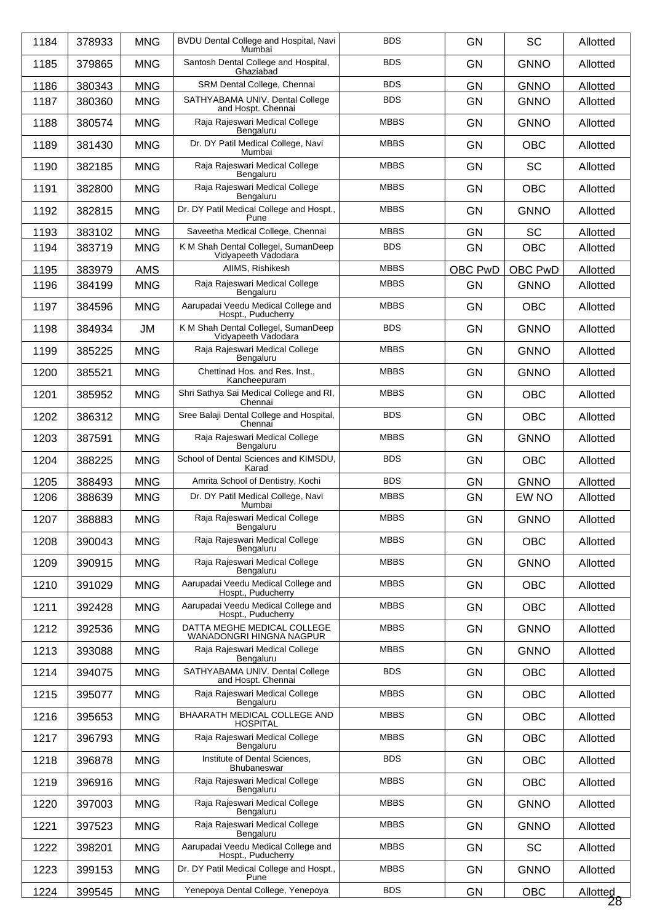| 1184 | 378933 | <b>MNG</b> | BVDU Dental College and Hospital, Navi<br>Mumbai           | <b>BDS</b>  | <b>GN</b> | <b>SC</b>   | Allotted                 |
|------|--------|------------|------------------------------------------------------------|-------------|-----------|-------------|--------------------------|
| 1185 | 379865 | <b>MNG</b> | Santosh Dental College and Hospital,<br>Ghaziabad          | <b>BDS</b>  | <b>GN</b> | <b>GNNO</b> | Allotted                 |
| 1186 | 380343 | <b>MNG</b> | SRM Dental College, Chennai                                | <b>BDS</b>  | <b>GN</b> | <b>GNNO</b> | Allotted                 |
| 1187 | 380360 | <b>MNG</b> | SATHYABAMA UNIV. Dental College<br>and Hospt. Chennai      | <b>BDS</b>  | GN        | <b>GNNO</b> | Allotted                 |
| 1188 | 380574 | <b>MNG</b> | Raja Rajeswari Medical College<br>Bengaluru                | <b>MBBS</b> | <b>GN</b> | <b>GNNO</b> | Allotted                 |
| 1189 | 381430 | <b>MNG</b> | Dr. DY Patil Medical College, Navi<br>Mumbai               | <b>MBBS</b> | <b>GN</b> | <b>OBC</b>  | Allotted                 |
| 1190 | 382185 | <b>MNG</b> | Raja Rajeswari Medical College<br>Bengaluru                | <b>MBBS</b> | <b>GN</b> | <b>SC</b>   | Allotted                 |
| 1191 | 382800 | <b>MNG</b> | Raja Rajeswari Medical College<br>Bengaluru                | <b>MBBS</b> | <b>GN</b> | <b>OBC</b>  | Allotted                 |
| 1192 | 382815 | <b>MNG</b> | Dr. DY Patil Medical College and Hospt.,<br>Pune           | <b>MBBS</b> | <b>GN</b> | <b>GNNO</b> | Allotted                 |
| 1193 | 383102 | <b>MNG</b> | Saveetha Medical College, Chennai                          | <b>MBBS</b> | <b>GN</b> | <b>SC</b>   | Allotted                 |
| 1194 | 383719 | <b>MNG</b> | K M Shah Dental Collegel, SumanDeep<br>Vidyapeeth Vadodara | <b>BDS</b>  | <b>GN</b> | <b>OBC</b>  | Allotted                 |
| 1195 | 383979 | <b>AMS</b> | AIIMS, Rishikesh                                           | <b>MBBS</b> | OBC PwD   | OBC PwD     | Allotted                 |
| 1196 | 384199 | <b>MNG</b> | Raja Rajeswari Medical College<br>Bengaluru                | <b>MBBS</b> | GN        | <b>GNNO</b> | Allotted                 |
| 1197 | 384596 | <b>MNG</b> | Aarupadai Veedu Medical College and<br>Hospt., Puducherry  | <b>MBBS</b> | <b>GN</b> | <b>OBC</b>  | Allotted                 |
| 1198 | 384934 | <b>JM</b>  | K M Shah Dental Collegel, SumanDeep<br>Vidyapeeth Vadodara | <b>BDS</b>  | <b>GN</b> | <b>GNNO</b> | Allotted                 |
| 1199 | 385225 | <b>MNG</b> | Raja Rajeswari Medical College<br>Bengaluru                | <b>MBBS</b> | <b>GN</b> | <b>GNNO</b> | Allotted                 |
| 1200 | 385521 | <b>MNG</b> | Chettinad Hos. and Res. Inst.,<br>Kancheepuram             | <b>MBBS</b> | <b>GN</b> | <b>GNNO</b> | Allotted                 |
| 1201 | 385952 | <b>MNG</b> | Shri Sathya Sai Medical College and RI,<br>Chennai         | <b>MBBS</b> | <b>GN</b> | <b>OBC</b>  | Allotted                 |
| 1202 | 386312 | <b>MNG</b> | Sree Balaji Dental College and Hospital,<br>Chennai        | <b>BDS</b>  | <b>GN</b> | <b>OBC</b>  | Allotted                 |
| 1203 | 387591 | <b>MNG</b> | Raja Rajeswari Medical College<br>Bengaluru                | <b>MBBS</b> | <b>GN</b> | <b>GNNO</b> | Allotted                 |
| 1204 | 388225 | <b>MNG</b> | School of Dental Sciences and KIMSDU.<br>Karad             | <b>BDS</b>  | <b>GN</b> | <b>OBC</b>  | Allotted                 |
| 1205 | 388493 | <b>MNG</b> | Amrita School of Dentistry, Kochi                          | <b>BDS</b>  | <b>GN</b> | <b>GNNO</b> | Allotted                 |
| 1206 | 388639 | <b>MNG</b> | Dr. DY Patil Medical College, Navi<br>Mumbai               | <b>MBBS</b> | <b>GN</b> | EW NO       | Allotted                 |
| 1207 | 388883 | <b>MNG</b> | Raja Rajeswari Medical College<br>Bengaluru                | <b>MBBS</b> | GN        | <b>GNNO</b> | Allotted                 |
| 1208 | 390043 | <b>MNG</b> | Raja Rajeswari Medical College<br>Bengaluru                | <b>MBBS</b> | <b>GN</b> | <b>OBC</b>  | Allotted                 |
| 1209 | 390915 | <b>MNG</b> | Raja Rajeswari Medical College<br>Bengaluru                | <b>MBBS</b> | <b>GN</b> | <b>GNNO</b> | Allotted                 |
| 1210 | 391029 | <b>MNG</b> | Aarupadai Veedu Medical College and<br>Hospt., Puducherry  | <b>MBBS</b> | <b>GN</b> | <b>OBC</b>  | Allotted                 |
| 1211 | 392428 | <b>MNG</b> | Aarupadai Veedu Medical College and<br>Hospt., Puducherry  | <b>MBBS</b> | GN        | <b>OBC</b>  | Allotted                 |
| 1212 | 392536 | <b>MNG</b> | DATTA MEGHE MEDICAL COLLEGE<br>WANADONGRI HINGNA NAGPUR    | <b>MBBS</b> | <b>GN</b> | <b>GNNO</b> | Allotted                 |
| 1213 | 393088 | <b>MNG</b> | Raja Rajeswari Medical College<br>Bengaluru                | <b>MBBS</b> | <b>GN</b> | <b>GNNO</b> | Allotted                 |
| 1214 | 394075 | <b>MNG</b> | SATHYABAMA UNIV. Dental College<br>and Hospt. Chennai      | <b>BDS</b>  | GN        | <b>OBC</b>  | Allotted                 |
| 1215 | 395077 | <b>MNG</b> | Raja Rajeswari Medical College<br>Bengaluru                | <b>MBBS</b> | <b>GN</b> | <b>OBC</b>  | Allotted                 |
| 1216 | 395653 | <b>MNG</b> | BHAARATH MEDICAL COLLEGE AND<br><b>HOSPITAL</b>            | <b>MBBS</b> | <b>GN</b> | <b>OBC</b>  | Allotted                 |
| 1217 | 396793 | <b>MNG</b> | Raja Rajeswari Medical College<br>Bengaluru                | <b>MBBS</b> | GN        | <b>OBC</b>  | Allotted                 |
| 1218 | 396878 | <b>MNG</b> | Institute of Dental Sciences,<br>Bhubaneswar               | <b>BDS</b>  | <b>GN</b> | <b>OBC</b>  | Allotted                 |
| 1219 | 396916 | <b>MNG</b> | Raja Rajeswari Medical College<br>Bengaluru                | <b>MBBS</b> | <b>GN</b> | <b>OBC</b>  | Allotted                 |
| 1220 | 397003 | <b>MNG</b> | Raja Rajeswari Medical College<br>Bengaluru                | <b>MBBS</b> | GN        | <b>GNNO</b> | Allotted                 |
| 1221 | 397523 | <b>MNG</b> | Raja Rajeswari Medical College<br>Bengaluru                | <b>MBBS</b> | <b>GN</b> | <b>GNNO</b> | Allotted                 |
| 1222 | 398201 | <b>MNG</b> | Aarupadai Veedu Medical College and<br>Hospt., Puducherry  | <b>MBBS</b> | <b>GN</b> | SC          | Allotted                 |
| 1223 | 399153 | <b>MNG</b> | Dr. DY Patil Medical College and Hospt.,<br>Pune           | <b>MBBS</b> | GN        | <b>GNNO</b> | Allotted                 |
| 1224 | 399545 | <b>MNG</b> | Yenepoya Dental College, Yenepoya                          | <b>BDS</b>  | GN        | OBC         | Allotted<br>$\tilde{2}8$ |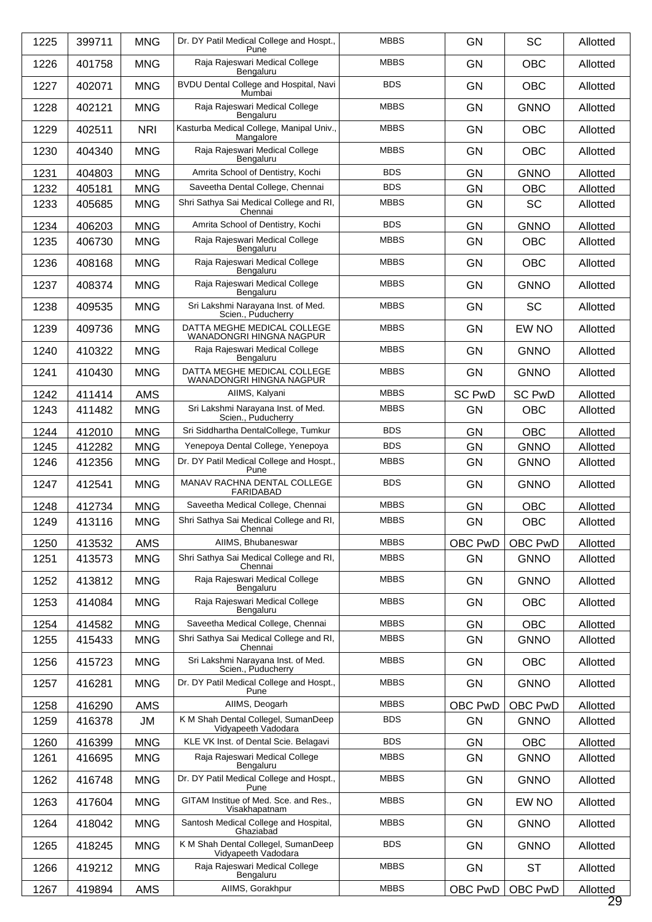| 1225 | 399711 | <b>MNG</b> | Dr. DY Patil Medical College and Hospt.,<br>Pune           | <b>MBBS</b> | <b>GN</b>     | <b>SC</b>     | Allotted       |
|------|--------|------------|------------------------------------------------------------|-------------|---------------|---------------|----------------|
| 1226 | 401758 | <b>MNG</b> | Raja Rajeswari Medical College<br>Bengaluru                | <b>MBBS</b> | <b>GN</b>     | <b>OBC</b>    | Allotted       |
| 1227 | 402071 | <b>MNG</b> | BVDU Dental College and Hospital, Navi<br>Mumbai           | <b>BDS</b>  | <b>GN</b>     | <b>OBC</b>    | Allotted       |
| 1228 | 402121 | <b>MNG</b> | Raja Rajeswari Medical College<br>Bengaluru                | <b>MBBS</b> | <b>GN</b>     | <b>GNNO</b>   | Allotted       |
| 1229 | 402511 | <b>NRI</b> | Kasturba Medical College, Manipal Univ.,<br>Mangalore      | <b>MBBS</b> | <b>GN</b>     | <b>OBC</b>    | Allotted       |
| 1230 | 404340 | <b>MNG</b> | Raja Rajeswari Medical College<br>Bengaluru                | <b>MBBS</b> | GN            | <b>OBC</b>    | Allotted       |
| 1231 | 404803 | <b>MNG</b> | Amrita School of Dentistry, Kochi                          | <b>BDS</b>  | GN            | <b>GNNO</b>   | Allotted       |
| 1232 | 405181 | <b>MNG</b> | Saveetha Dental College, Chennai                           | <b>BDS</b>  | <b>GN</b>     | <b>OBC</b>    | Allotted       |
| 1233 | 405685 | <b>MNG</b> | Shri Sathya Sai Medical College and RI,<br>Chennai         | <b>MBBS</b> | GN            | <b>SC</b>     | Allotted       |
| 1234 | 406203 | <b>MNG</b> | Amrita School of Dentistry, Kochi                          | <b>BDS</b>  | GN            | <b>GNNO</b>   | Allotted       |
| 1235 | 406730 | <b>MNG</b> | Raja Rajeswari Medical College<br>Bengaluru                | <b>MBBS</b> | <b>GN</b>     | <b>OBC</b>    | Allotted       |
| 1236 | 408168 | <b>MNG</b> | Raja Rajeswari Medical College<br>Bengaluru                | <b>MBBS</b> | GN            | <b>OBC</b>    | Allotted       |
| 1237 | 408374 | <b>MNG</b> | Raja Rajeswari Medical College<br>Bengaluru                | <b>MBBS</b> | <b>GN</b>     | <b>GNNO</b>   | Allotted       |
| 1238 | 409535 | <b>MNG</b> | Sri Lakshmi Narayana Inst. of Med.<br>Scien., Puducherry   | <b>MBBS</b> | <b>GN</b>     | <b>SC</b>     | Allotted       |
| 1239 | 409736 | <b>MNG</b> | DATTA MEGHE MEDICAL COLLEGE<br>WANADONGRI HINGNA NAGPUR    | <b>MBBS</b> | GN            | EW NO         | Allotted       |
| 1240 | 410322 | <b>MNG</b> | Raja Rajeswari Medical College<br>Bengaluru                | <b>MBBS</b> | <b>GN</b>     | <b>GNNO</b>   | Allotted       |
| 1241 | 410430 | <b>MNG</b> | DATTA MEGHE MEDICAL COLLEGE<br>WANADONGRI HINGNA NAGPUR    | <b>MBBS</b> | <b>GN</b>     | <b>GNNO</b>   | Allotted       |
| 1242 | 411414 | <b>AMS</b> | AIIMS, Kalyani                                             | <b>MBBS</b> | <b>SC PwD</b> | <b>SC PwD</b> | Allotted       |
| 1243 | 411482 | <b>MNG</b> | Sri Lakshmi Narayana Inst. of Med.<br>Scien., Puducherry   | <b>MBBS</b> | <b>GN</b>     | <b>OBC</b>    | Allotted       |
| 1244 | 412010 | <b>MNG</b> | Sri Siddhartha DentalCollege, Tumkur                       | <b>BDS</b>  | <b>GN</b>     | <b>OBC</b>    | Allotted       |
| 1245 | 412282 | <b>MNG</b> | Yenepoya Dental College, Yenepoya                          | <b>BDS</b>  | GN            | <b>GNNO</b>   | Allotted       |
| 1246 | 412356 | <b>MNG</b> | Dr. DY Patil Medical College and Hospt.,<br>Pune           | <b>MBBS</b> | <b>GN</b>     | <b>GNNO</b>   | Allotted       |
| 1247 | 412541 | <b>MNG</b> | MANAV RACHNA DENTAL COLLEGE<br><b>FARIDABAD</b>            | <b>BDS</b>  | <b>GN</b>     | <b>GNNO</b>   | Allotted       |
| 1248 | 412734 | <b>MNG</b> | Saveetha Medical College, Chennai                          | <b>MBBS</b> | <b>GN</b>     | <b>OBC</b>    | Allotted       |
| 1249 | 413116 | <b>MNG</b> | Shri Sathya Sai Medical College and RI,<br>Chennai         | <b>MBBS</b> | GN            | OBC           | Allotted       |
| 1250 | 413532 | <b>AMS</b> | AllMS, Bhubaneswar                                         | <b>MBBS</b> | OBC PwD       | OBC PwD       | Allotted       |
| 1251 | 413573 | <b>MNG</b> | Shri Sathya Sai Medical College and RI,<br>Chennai         | <b>MBBS</b> | <b>GN</b>     | <b>GNNO</b>   | Allotted       |
| 1252 | 413812 | <b>MNG</b> | Raja Rajeswari Medical College<br>Bengaluru                | <b>MBBS</b> | <b>GN</b>     | <b>GNNO</b>   | Allotted       |
| 1253 | 414084 | <b>MNG</b> | Raja Rajeswari Medical College<br>Bengaluru                | <b>MBBS</b> | <b>GN</b>     | <b>OBC</b>    | Allotted       |
| 1254 | 414582 | <b>MNG</b> | Saveetha Medical College, Chennai                          | <b>MBBS</b> | GN            | <b>OBC</b>    | Allotted       |
| 1255 | 415433 | <b>MNG</b> | Shri Sathya Sai Medical College and RI,<br>Chennai         | <b>MBBS</b> | <b>GN</b>     | <b>GNNO</b>   | Allotted       |
| 1256 | 415723 | <b>MNG</b> | Sri Lakshmi Narayana Inst. of Med.<br>Scien., Puducherry   | <b>MBBS</b> | <b>GN</b>     | OBC           | Allotted       |
| 1257 | 416281 | <b>MNG</b> | Dr. DY Patil Medical College and Hospt.,<br>Pune           | <b>MBBS</b> | <b>GN</b>     | <b>GNNO</b>   | Allotted       |
| 1258 | 416290 | AMS        | AIIMS, Deogarh                                             | <b>MBBS</b> | OBC PwD       | OBC PwD       | Allotted       |
| 1259 | 416378 | JM         | K M Shah Dental Collegel, SumanDeep<br>Vidyapeeth Vadodara | <b>BDS</b>  | <b>GN</b>     | <b>GNNO</b>   | Allotted       |
| 1260 | 416399 | <b>MNG</b> | KLE VK Inst. of Dental Scie. Belagavi                      | <b>BDS</b>  | GN            | <b>OBC</b>    | Allotted       |
| 1261 | 416695 | <b>MNG</b> | Raja Rajeswari Medical College<br>Bengaluru                | <b>MBBS</b> | <b>GN</b>     | <b>GNNO</b>   | Allotted       |
| 1262 | 416748 | <b>MNG</b> | Dr. DY Patil Medical College and Hospt.,<br>Pune           | <b>MBBS</b> | <b>GN</b>     | <b>GNNO</b>   | Allotted       |
| 1263 | 417604 | <b>MNG</b> | GITAM Institue of Med. Sce. and Res.,<br>Visakhapatnam     | <b>MBBS</b> | GN            | EW NO         | Allotted       |
| 1264 | 418042 | <b>MNG</b> | Santosh Medical College and Hospital,<br>Ghaziabad         | <b>MBBS</b> | <b>GN</b>     | <b>GNNO</b>   | Allotted       |
| 1265 | 418245 | <b>MNG</b> | K M Shah Dental Collegel, SumanDeep<br>Vidyapeeth Vadodara | <b>BDS</b>  | <b>GN</b>     | <b>GNNO</b>   | Allotted       |
| 1266 | 419212 | <b>MNG</b> | Raja Rajeswari Medical College<br>Bengaluru                | <b>MBBS</b> | GN            | <b>ST</b>     | Allotted       |
| 1267 | 419894 | AMS        | AIIMS, Gorakhpur                                           | <b>MBBS</b> | OBC PwD       | OBC PwD       | Allotted<br>29 |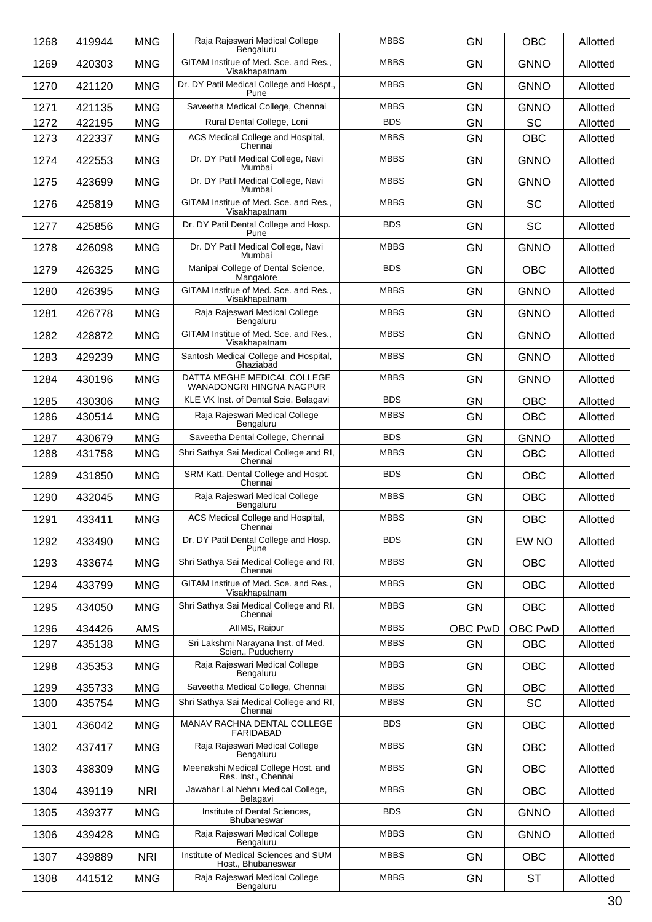| 1268 | 419944 | <b>MNG</b> | Raja Rajeswari Medical College                                      | <b>MBBS</b> | <b>GN</b> | <b>OBC</b>  | Allotted |
|------|--------|------------|---------------------------------------------------------------------|-------------|-----------|-------------|----------|
| 1269 | 420303 | <b>MNG</b> | Bengaluru<br>GITAM Institue of Med. Sce. and Res.,<br>Visakhapatnam | <b>MBBS</b> | <b>GN</b> | <b>GNNO</b> | Allotted |
| 1270 | 421120 | <b>MNG</b> | Dr. DY Patil Medical College and Hospt.,<br>Pune                    | <b>MBBS</b> | <b>GN</b> | <b>GNNO</b> | Allotted |
| 1271 | 421135 | <b>MNG</b> | Saveetha Medical College, Chennai                                   | <b>MBBS</b> | <b>GN</b> | <b>GNNO</b> | Allotted |
| 1272 | 422195 | <b>MNG</b> | Rural Dental College, Loni                                          | <b>BDS</b>  | <b>GN</b> | <b>SC</b>   | Allotted |
| 1273 | 422337 | <b>MNG</b> | ACS Medical College and Hospital,<br>Chennai                        | <b>MBBS</b> | GN        | OBC         | Allotted |
| 1274 | 422553 | <b>MNG</b> | Dr. DY Patil Medical College, Navi<br>Mumbai                        | <b>MBBS</b> | <b>GN</b> | <b>GNNO</b> | Allotted |
| 1275 | 423699 | <b>MNG</b> | Dr. DY Patil Medical College, Navi<br>Mumbai                        | <b>MBBS</b> | <b>GN</b> | <b>GNNO</b> | Allotted |
| 1276 | 425819 | <b>MNG</b> | GITAM Institue of Med. Sce. and Res.,<br>Visakhapatnam              | <b>MBBS</b> | <b>GN</b> | <b>SC</b>   | Allotted |
| 1277 | 425856 | <b>MNG</b> | Dr. DY Patil Dental College and Hosp.<br>Pune                       | <b>BDS</b>  | <b>GN</b> | <b>SC</b>   | Allotted |
| 1278 | 426098 | <b>MNG</b> | Dr. DY Patil Medical College, Navi<br>Mumbai                        | <b>MBBS</b> | <b>GN</b> | <b>GNNO</b> | Allotted |
| 1279 | 426325 | <b>MNG</b> | Manipal College of Dental Science,<br>Mangalore                     | <b>BDS</b>  | <b>GN</b> | <b>OBC</b>  | Allotted |
| 1280 | 426395 | <b>MNG</b> | GITAM Institue of Med. Sce. and Res.,<br>Visakhapatnam              | <b>MBBS</b> | <b>GN</b> | <b>GNNO</b> | Allotted |
| 1281 | 426778 | <b>MNG</b> | Raja Rajeswari Medical College<br>Bengaluru                         | <b>MBBS</b> | <b>GN</b> | <b>GNNO</b> | Allotted |
| 1282 | 428872 | <b>MNG</b> | GITAM Institue of Med. Sce. and Res.,<br>Visakhapatnam              | <b>MBBS</b> | <b>GN</b> | <b>GNNO</b> | Allotted |
| 1283 | 429239 | <b>MNG</b> | Santosh Medical College and Hospital,<br>Ghaziabad                  | <b>MBBS</b> | <b>GN</b> | <b>GNNO</b> | Allotted |
| 1284 | 430196 | <b>MNG</b> | DATTA MEGHE MEDICAL COLLEGE<br>WANADONGRI HINGNA NAGPUR             | <b>MBBS</b> | <b>GN</b> | <b>GNNO</b> | Allotted |
| 1285 | 430306 | <b>MNG</b> | KLE VK Inst. of Dental Scie. Belagavi                               | <b>BDS</b>  | GN        | <b>OBC</b>  | Allotted |
| 1286 | 430514 | <b>MNG</b> | Raja Rajeswari Medical College<br>Bengaluru                         | <b>MBBS</b> | <b>GN</b> | OBC         | Allotted |
| 1287 | 430679 | <b>MNG</b> | Saveetha Dental College, Chennai                                    | <b>BDS</b>  | GN        | <b>GNNO</b> | Allotted |
| 1288 | 431758 | <b>MNG</b> | Shri Sathya Sai Medical College and RI,<br>Chennai                  | <b>MBBS</b> | <b>GN</b> | <b>OBC</b>  | Allotted |
| 1289 | 431850 | <b>MNG</b> | SRM Katt. Dental College and Hospt.<br>Chennai                      | <b>BDS</b>  | <b>GN</b> | <b>OBC</b>  | Allotted |
| 1290 | 432045 | <b>MNG</b> | Raja Rajeswari Medical College<br>Bengaluru                         | <b>MBBS</b> | <b>GN</b> | <b>OBC</b>  | Allotted |
| 1291 | 433411 | <b>MNG</b> | ACS Medical College and Hospital,<br>Chennai                        | <b>MBBS</b> | GN        | OBC         | Allotted |
| 1292 | 433490 | <b>MNG</b> | Dr. DY Patil Dental College and Hosp.<br>Pune                       | <b>BDS</b>  | GN        | EW NO       | Allotted |
| 1293 | 433674 | <b>MNG</b> | Shri Sathya Sai Medical College and RI,<br>Chennai                  | <b>MBBS</b> | <b>GN</b> | <b>OBC</b>  | Allotted |
| 1294 | 433799 | <b>MNG</b> | GITAM Institue of Med. Sce. and Res.,<br>Visakhapatnam              | <b>MBBS</b> | <b>GN</b> | <b>OBC</b>  | Allotted |
| 1295 | 434050 | <b>MNG</b> | Shri Sathya Sai Medical College and RI,<br>Chennai                  | <b>MBBS</b> | <b>GN</b> | OBC         | Allotted |
| 1296 | 434426 | <b>AMS</b> | AllMS, Raipur                                                       | <b>MBBS</b> | OBC PwD   | OBC PwD     | Allotted |
| 1297 | 435138 | <b>MNG</b> | Sri Lakshmi Narayana Inst. of Med.<br>Scien., Puducherry            | <b>MBBS</b> | <b>GN</b> | <b>OBC</b>  | Allotted |
| 1298 | 435353 | <b>MNG</b> | Raja Rajeswari Medical College<br>Bengaluru                         | <b>MBBS</b> | <b>GN</b> | <b>OBC</b>  | Allotted |
| 1299 | 435733 | <b>MNG</b> | Saveetha Medical College, Chennai                                   | <b>MBBS</b> | GN        | <b>OBC</b>  | Allotted |
| 1300 | 435754 | <b>MNG</b> | Shri Sathya Sai Medical College and RI,<br>Chennai                  | <b>MBBS</b> | GN        | SC          | Allotted |
| 1301 | 436042 | <b>MNG</b> | MANAV RACHNA DENTAL COLLEGE<br><b>FARIDABAD</b>                     | <b>BDS</b>  | <b>GN</b> | OBC         | Allotted |
| 1302 | 437417 | <b>MNG</b> | Raja Rajeswari Medical College<br>Bengaluru                         | <b>MBBS</b> | <b>GN</b> | <b>OBC</b>  | Allotted |
| 1303 | 438309 | <b>MNG</b> | Meenakshi Medical College Host. and<br>Res. Inst., Chennai          | <b>MBBS</b> | GN        | OBC         | Allotted |
| 1304 | 439119 | <b>NRI</b> | Jawahar Lal Nehru Medical College,<br>Belagavi                      | <b>MBBS</b> | <b>GN</b> | <b>OBC</b>  | Allotted |
| 1305 | 439377 | <b>MNG</b> | Institute of Dental Sciences,<br>Bhubaneswar                        | <b>BDS</b>  | <b>GN</b> | <b>GNNO</b> | Allotted |
| 1306 | 439428 | <b>MNG</b> | Raja Rajeswari Medical College<br>Bengaluru                         | <b>MBBS</b> | GN        | <b>GNNO</b> | Allotted |
| 1307 | 439889 | <b>NRI</b> | Institute of Medical Sciences and SUM<br>Host., Bhubaneswar         | <b>MBBS</b> | GN        | <b>OBC</b>  | Allotted |
| 1308 | 441512 | <b>MNG</b> | Raja Rajeswari Medical College<br>Bengaluru                         | <b>MBBS</b> | <b>GN</b> | <b>ST</b>   | Allotted |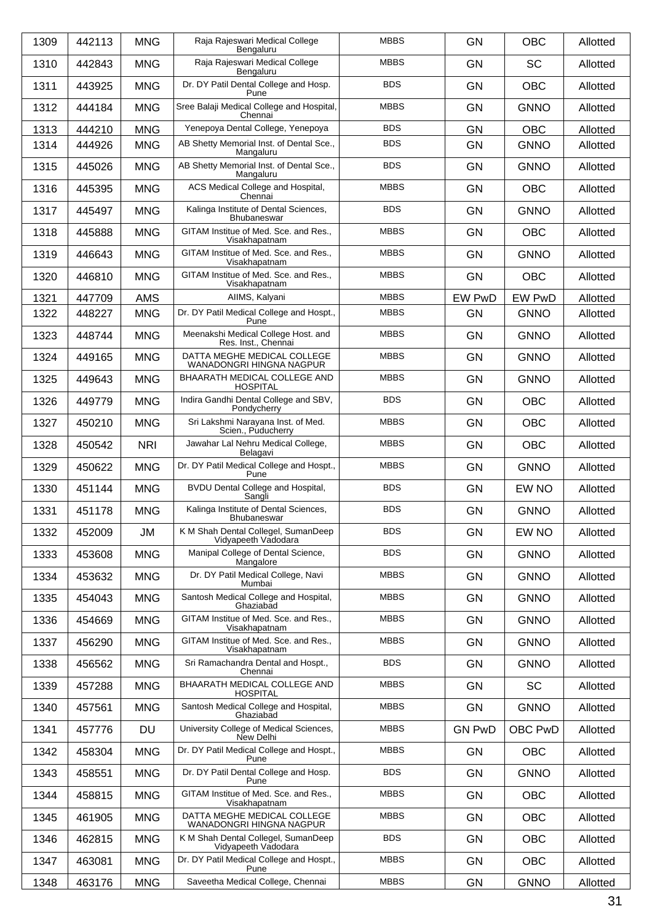| 1309 | 442113 | <b>MNG</b> | Raja Rajeswari Medical College<br>Bengaluru                 | <b>MBBS</b> | <b>GN</b>     | <b>OBC</b>  | Allotted |
|------|--------|------------|-------------------------------------------------------------|-------------|---------------|-------------|----------|
| 1310 | 442843 | <b>MNG</b> | Raja Rajeswari Medical College<br>Bengaluru                 | <b>MBBS</b> | <b>GN</b>     | <b>SC</b>   | Allotted |
| 1311 | 443925 | <b>MNG</b> | Dr. DY Patil Dental College and Hosp.<br>Pune               | <b>BDS</b>  | <b>GN</b>     | <b>OBC</b>  | Allotted |
| 1312 | 444184 | <b>MNG</b> | Sree Balaji Medical College and Hospital,<br>Chennai        | <b>MBBS</b> | <b>GN</b>     | <b>GNNO</b> | Allotted |
| 1313 | 444210 | <b>MNG</b> | Yenepoya Dental College, Yenepoya                           | <b>BDS</b>  | <b>GN</b>     | <b>OBC</b>  | Allotted |
| 1314 | 444926 | <b>MNG</b> | AB Shetty Memorial Inst. of Dental Sce.,<br>Mangaluru       | <b>BDS</b>  | <b>GN</b>     | <b>GNNO</b> | Allotted |
| 1315 | 445026 | <b>MNG</b> | AB Shetty Memorial Inst. of Dental Sce.,<br>Mangaluru       | <b>BDS</b>  | <b>GN</b>     | <b>GNNO</b> | Allotted |
| 1316 | 445395 | <b>MNG</b> | ACS Medical College and Hospital,<br>Chennai                | <b>MBBS</b> | <b>GN</b>     | <b>OBC</b>  | Allotted |
| 1317 | 445497 | <b>MNG</b> | Kalinga Institute of Dental Sciences,<br>Bhubaneswar        | <b>BDS</b>  | <b>GN</b>     | <b>GNNO</b> | Allotted |
| 1318 | 445888 | <b>MNG</b> | GITAM Institue of Med. Sce. and Res.,<br>Visakhapatnam      | <b>MBBS</b> | <b>GN</b>     | <b>OBC</b>  | Allotted |
| 1319 | 446643 | <b>MNG</b> | GITAM Institue of Med. Sce. and Res.,<br>Visakhapatnam      | <b>MBBS</b> | <b>GN</b>     | <b>GNNO</b> | Allotted |
| 1320 | 446810 | <b>MNG</b> | GITAM Institue of Med. Sce. and Res.,<br>Visakhapatnam      | <b>MBBS</b> | <b>GN</b>     | <b>OBC</b>  | Allotted |
| 1321 | 447709 | <b>AMS</b> | AIIMS, Kalyani                                              | <b>MBBS</b> | EW PwD        | EW PwD      | Allotted |
| 1322 | 448227 | <b>MNG</b> | Dr. DY Patil Medical College and Hospt.,<br>Pune            | <b>MBBS</b> | <b>GN</b>     | <b>GNNO</b> | Allotted |
| 1323 | 448744 | <b>MNG</b> | Meenakshi Medical College Host. and<br>Res. Inst., Chennai  | <b>MBBS</b> | <b>GN</b>     | <b>GNNO</b> | Allotted |
| 1324 | 449165 | <b>MNG</b> | DATTA MEGHE MEDICAL COLLEGE<br>WANADONGRI HINGNA NAGPUR     | <b>MBBS</b> | <b>GN</b>     | <b>GNNO</b> | Allotted |
| 1325 | 449643 | <b>MNG</b> | BHAARATH MEDICAL COLLEGE AND<br><b>HOSPITAL</b>             | <b>MBBS</b> | <b>GN</b>     | <b>GNNO</b> | Allotted |
| 1326 | 449779 | <b>MNG</b> | Indira Gandhi Dental College and SBV,<br>Pondycherry        | <b>BDS</b>  | <b>GN</b>     | <b>OBC</b>  | Allotted |
| 1327 | 450210 | <b>MNG</b> | Sri Lakshmi Narayana Inst. of Med.<br>Scien., Puducherry    | <b>MBBS</b> | <b>GN</b>     | <b>OBC</b>  | Allotted |
| 1328 | 450542 | <b>NRI</b> | Jawahar Lal Nehru Medical College,<br>Belagavi              | <b>MBBS</b> | <b>GN</b>     | <b>OBC</b>  | Allotted |
| 1329 | 450622 | <b>MNG</b> | Dr. DY Patil Medical College and Hospt.,<br>Pune            | <b>MBBS</b> | <b>GN</b>     | <b>GNNO</b> | Allotted |
| 1330 | 451144 | <b>MNG</b> | BVDU Dental College and Hospital,<br>Sangli                 | <b>BDS</b>  | <b>GN</b>     | EW NO       | Allotted |
| 1331 | 451178 | <b>MNG</b> | Kalinga Institute of Dental Sciences,<br><b>Bhubaneswar</b> | <b>BDS</b>  | <b>GN</b>     | <b>GNNO</b> | Allotted |
| 1332 | 452009 | JM         | K M Shah Dental Collegel, SumanDeep<br>Vidyapeeth Vadodara  | <b>BDS</b>  | <b>GN</b>     | EW NO       | Allotted |
| 1333 | 453608 | <b>MNG</b> | Manipal College of Dental Science,<br>Mangalore             | <b>BDS</b>  | <b>GN</b>     | <b>GNNO</b> | Allotted |
| 1334 | 453632 | <b>MNG</b> | Dr. DY Patil Medical College, Navi<br>Mumbai                | <b>MBBS</b> | <b>GN</b>     | <b>GNNO</b> | Allotted |
| 1335 | 454043 | <b>MNG</b> | Santosh Medical College and Hospital,<br>Ghaziabad          | <b>MBBS</b> | <b>GN</b>     | <b>GNNO</b> | Allotted |
| 1336 | 454669 | <b>MNG</b> | GITAM Institue of Med. Sce. and Res.,<br>Visakhapatnam      | <b>MBBS</b> | <b>GN</b>     | <b>GNNO</b> | Allotted |
| 1337 | 456290 | <b>MNG</b> | GITAM Institue of Med. Sce. and Res.,<br>Visakhapatnam      | <b>MBBS</b> | <b>GN</b>     | <b>GNNO</b> | Allotted |
| 1338 | 456562 | <b>MNG</b> | Sri Ramachandra Dental and Hospt.,<br>Chennai               | <b>BDS</b>  | <b>GN</b>     | <b>GNNO</b> | Allotted |
| 1339 | 457288 | <b>MNG</b> | BHAARATH MEDICAL COLLEGE AND<br><b>HOSPITAL</b>             | <b>MBBS</b> | <b>GN</b>     | <b>SC</b>   | Allotted |
| 1340 | 457561 | <b>MNG</b> | Santosh Medical College and Hospital,<br>Ghaziabad          | <b>MBBS</b> | <b>GN</b>     | <b>GNNO</b> | Allotted |
| 1341 | 457776 | DU         | University College of Medical Sciences,<br>New Delhi        | <b>MBBS</b> | <b>GN PwD</b> | OBC PwD     | Allotted |
| 1342 | 458304 | <b>MNG</b> | Dr. DY Patil Medical College and Hospt.,<br>Pune            | <b>MBBS</b> | <b>GN</b>     | OBC         | Allotted |
| 1343 | 458551 | <b>MNG</b> | Dr. DY Patil Dental College and Hosp.<br>Pune               | <b>BDS</b>  | <b>GN</b>     | <b>GNNO</b> | Allotted |
| 1344 | 458815 | <b>MNG</b> | GITAM Institue of Med. Sce. and Res.,<br>Visakhapatnam      | <b>MBBS</b> | <b>GN</b>     | OBC         | Allotted |
| 1345 | 461905 | <b>MNG</b> | DATTA MEGHE MEDICAL COLLEGE<br>WANADONGRI HINGNA NAGPUR     | <b>MBBS</b> | <b>GN</b>     | OBC         | Allotted |
| 1346 | 462815 | <b>MNG</b> | K M Shah Dental Collegel, SumanDeep<br>Vidyapeeth Vadodara  | <b>BDS</b>  | <b>GN</b>     | OBC         | Allotted |
| 1347 | 463081 | <b>MNG</b> | Dr. DY Patil Medical College and Hospt.,<br>Pune            | <b>MBBS</b> | <b>GN</b>     | OBC         | Allotted |
| 1348 | 463176 | <b>MNG</b> | Saveetha Medical College, Chennai                           | <b>MBBS</b> | GN            | <b>GNNO</b> | Allotted |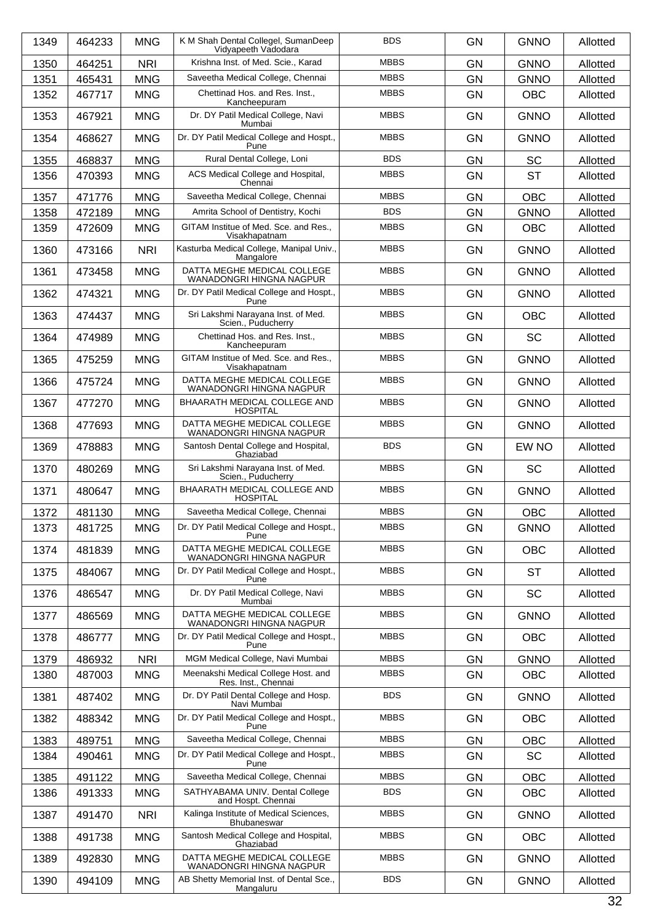| 1349 | 464233 | <b>MNG</b> | K M Shah Dental Collegel, SumanDeep<br>Vidyapeeth Vadodara | <b>BDS</b>  | <b>GN</b> | <b>GNNO</b> | Allotted |
|------|--------|------------|------------------------------------------------------------|-------------|-----------|-------------|----------|
| 1350 | 464251 | <b>NRI</b> | Krishna Inst. of Med. Scie., Karad                         | <b>MBBS</b> | <b>GN</b> | <b>GNNO</b> | Allotted |
| 1351 | 465431 | <b>MNG</b> | Saveetha Medical College, Chennai                          | <b>MBBS</b> | <b>GN</b> | <b>GNNO</b> | Allotted |
| 1352 | 467717 | <b>MNG</b> | Chettinad Hos. and Res. Inst.,<br>Kancheepuram             | <b>MBBS</b> | <b>GN</b> | <b>OBC</b>  | Allotted |
| 1353 | 467921 | <b>MNG</b> | Dr. DY Patil Medical College, Navi<br>Mumbai               | <b>MBBS</b> | <b>GN</b> | <b>GNNO</b> | Allotted |
| 1354 | 468627 | <b>MNG</b> | Dr. DY Patil Medical College and Hospt.,<br>Pune           | <b>MBBS</b> | <b>GN</b> | <b>GNNO</b> | Allotted |
| 1355 | 468837 | <b>MNG</b> | Rural Dental College, Loni                                 | <b>BDS</b>  | <b>GN</b> | <b>SC</b>   | Allotted |
| 1356 | 470393 | <b>MNG</b> | ACS Medical College and Hospital,<br>Chennai               | <b>MBBS</b> | <b>GN</b> | <b>ST</b>   | Allotted |
| 1357 | 471776 | <b>MNG</b> | Saveetha Medical College, Chennai                          | <b>MBBS</b> | <b>GN</b> | OBC         | Allotted |
| 1358 | 472189 | <b>MNG</b> | Amrita School of Dentistry, Kochi                          | <b>BDS</b>  | <b>GN</b> | <b>GNNO</b> | Allotted |
| 1359 | 472609 | <b>MNG</b> | GITAM Institue of Med. Sce. and Res.,<br>Visakhapatnam     | <b>MBBS</b> | <b>GN</b> | <b>OBC</b>  | Allotted |
| 1360 | 473166 | <b>NRI</b> | Kasturba Medical College, Manipal Univ.,<br>Mangalore      | <b>MBBS</b> | <b>GN</b> | <b>GNNO</b> | Allotted |
| 1361 | 473458 | <b>MNG</b> | DATTA MEGHE MEDICAL COLLEGE<br>WANADONGRI HINGNA NAGPUR    | <b>MBBS</b> | <b>GN</b> | <b>GNNO</b> | Allotted |
| 1362 | 474321 | <b>MNG</b> | Dr. DY Patil Medical College and Hospt.,<br>Pune           | <b>MBBS</b> | <b>GN</b> | <b>GNNO</b> | Allotted |
| 1363 | 474437 | <b>MNG</b> | Sri Lakshmi Narayana Inst. of Med.<br>Scien., Puducherry   | <b>MBBS</b> | <b>GN</b> | <b>OBC</b>  | Allotted |
| 1364 | 474989 | <b>MNG</b> | Chettinad Hos. and Res. Inst.,<br>Kancheepuram             | <b>MBBS</b> | <b>GN</b> | <b>SC</b>   | Allotted |
| 1365 | 475259 | <b>MNG</b> | GITAM Institue of Med. Sce. and Res.,<br>Visakhapatnam     | <b>MBBS</b> | <b>GN</b> | <b>GNNO</b> | Allotted |
| 1366 | 475724 | <b>MNG</b> | DATTA MEGHE MEDICAL COLLEGE<br>WANADONGRI HINGNA NAGPUR    | <b>MBBS</b> | <b>GN</b> | <b>GNNO</b> | Allotted |
| 1367 | 477270 | <b>MNG</b> | BHAARATH MEDICAL COLLEGE AND<br><b>HOSPITAL</b>            | <b>MBBS</b> | <b>GN</b> | <b>GNNO</b> | Allotted |
| 1368 | 477693 | <b>MNG</b> | DATTA MEGHE MEDICAL COLLEGE<br>WANADONGRI HINGNA NAGPUR    | <b>MBBS</b> | <b>GN</b> | <b>GNNO</b> | Allotted |
| 1369 | 478883 | <b>MNG</b> | Santosh Dental College and Hospital,<br>Ghaziabad          | <b>BDS</b>  | <b>GN</b> | EW NO       | Allotted |
| 1370 | 480269 | <b>MNG</b> | Sri Lakshmi Narayana Inst. of Med.<br>Scien., Puducherry   | <b>MBBS</b> | <b>GN</b> | <b>SC</b>   | Allotted |
| 1371 | 480647 | <b>MNG</b> | BHAARATH MEDICAL COLLEGE AND<br><b>HOSPITAL</b>            | <b>MBBS</b> | <b>GN</b> | <b>GNNO</b> | Allotted |
| 1372 | 481130 | <b>MNG</b> | Saveetha Medical College, Chennai                          | <b>MBBS</b> | <b>GN</b> | OBC         | Allotted |
| 1373 | 481725 | <b>MNG</b> | Dr. DY Patil Medical College and Hospt.,<br>Pune           | <b>MBBS</b> | <b>GN</b> | <b>GNNO</b> | Allotted |
| 1374 | 481839 | <b>MNG</b> | DATTA MEGHE MEDICAL COLLEGE<br>WANADONGRI HINGNA NAGPUR    | <b>MBBS</b> | <b>GN</b> | <b>OBC</b>  | Allotted |
| 1375 | 484067 | <b>MNG</b> | Dr. DY Patil Medical College and Hospt.,<br>Pune           | <b>MBBS</b> | <b>GN</b> | <b>ST</b>   | Allotted |
| 1376 | 486547 | <b>MNG</b> | Dr. DY Patil Medical College, Navi<br>Mumbai               | <b>MBBS</b> | <b>GN</b> | <b>SC</b>   | Allotted |
| 1377 | 486569 | <b>MNG</b> | DATTA MEGHE MEDICAL COLLEGE<br>WANADONGRI HINGNA NAGPUR    | <b>MBBS</b> | <b>GN</b> | <b>GNNO</b> | Allotted |
| 1378 | 486777 | <b>MNG</b> | Dr. DY Patil Medical College and Hospt.,<br>Pune           | <b>MBBS</b> | <b>GN</b> | OBC         | Allotted |
| 1379 | 486932 | <b>NRI</b> | MGM Medical College, Navi Mumbai                           | <b>MBBS</b> | <b>GN</b> | <b>GNNO</b> | Allotted |
| 1380 | 487003 | <b>MNG</b> | Meenakshi Medical College Host. and<br>Res. Inst., Chennai | <b>MBBS</b> | <b>GN</b> | <b>OBC</b>  | Allotted |
| 1381 | 487402 | <b>MNG</b> | Dr. DY Patil Dental College and Hosp.<br>Navi Mumbai       | <b>BDS</b>  | <b>GN</b> | <b>GNNO</b> | Allotted |
| 1382 | 488342 | <b>MNG</b> | Dr. DY Patil Medical College and Hospt.,<br>Pune           | <b>MBBS</b> | <b>GN</b> | OBC         | Allotted |
| 1383 | 489751 | <b>MNG</b> | Saveetha Medical College, Chennai                          | <b>MBBS</b> | <b>GN</b> | <b>OBC</b>  | Allotted |
| 1384 | 490461 | <b>MNG</b> | Dr. DY Patil Medical College and Hospt.,<br>Pune           | <b>MBBS</b> | <b>GN</b> | <b>SC</b>   | Allotted |
| 1385 | 491122 | <b>MNG</b> | Saveetha Medical College, Chennai                          | <b>MBBS</b> | <b>GN</b> | <b>OBC</b>  | Allotted |
| 1386 | 491333 | <b>MNG</b> | SATHYABAMA UNIV. Dental College<br>and Hospt. Chennai      | <b>BDS</b>  | <b>GN</b> | <b>OBC</b>  | Allotted |
| 1387 | 491470 | <b>NRI</b> | Kalinga Institute of Medical Sciences,<br>Bhubaneswar      | <b>MBBS</b> | <b>GN</b> | <b>GNNO</b> | Allotted |
| 1388 | 491738 | <b>MNG</b> | Santosh Medical College and Hospital,<br>Ghaziabad         | <b>MBBS</b> | GN        | <b>OBC</b>  | Allotted |
| 1389 | 492830 | <b>MNG</b> | DATTA MEGHE MEDICAL COLLEGE<br>WANADONGRI HINGNA NAGPUR    | <b>MBBS</b> | <b>GN</b> | <b>GNNO</b> | Allotted |
| 1390 | 494109 | <b>MNG</b> | AB Shetty Memorial Inst. of Dental Sce.,<br>Mangaluru      | <b>BDS</b>  | <b>GN</b> | <b>GNNO</b> | Allotted |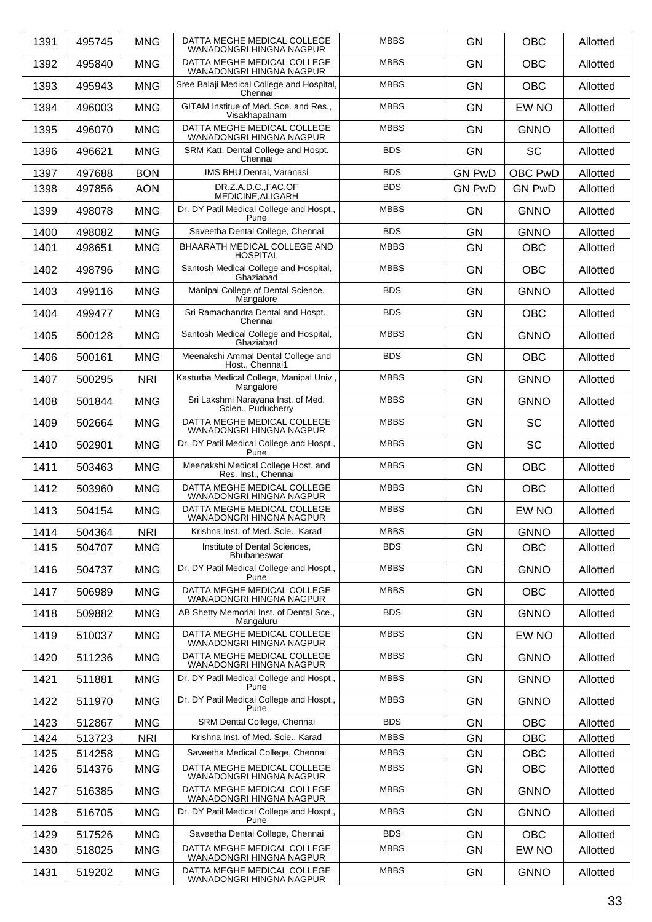| 1391 | 495745 | <b>MNG</b> | DATTA MEGHE MEDICAL COLLEGE<br>WANADONGRI HINGNA NAGPUR    | <b>MBBS</b> | <b>GN</b>     | <b>OBC</b>     | Allotted |
|------|--------|------------|------------------------------------------------------------|-------------|---------------|----------------|----------|
| 1392 | 495840 | <b>MNG</b> | DATTA MEGHE MEDICAL COLLEGE<br>WANADONGRI HINGNA NAGPUR    | <b>MBBS</b> | <b>GN</b>     | <b>OBC</b>     | Allotted |
| 1393 | 495943 | <b>MNG</b> | Sree Balaji Medical College and Hospital,<br>Chennai       | <b>MBBS</b> | <b>GN</b>     | <b>OBC</b>     | Allotted |
| 1394 | 496003 | <b>MNG</b> | GITAM Institue of Med. Sce. and Res.,<br>Visakhapatnam     | <b>MBBS</b> | <b>GN</b>     | EW NO          | Allotted |
| 1395 | 496070 | <b>MNG</b> | DATTA MEGHE MEDICAL COLLEGE<br>WANADONGRI HINGNA NAGPUR    | <b>MBBS</b> | <b>GN</b>     | <b>GNNO</b>    | Allotted |
| 1396 | 496621 | <b>MNG</b> | SRM Katt. Dental College and Hospt.<br>Chennai             | <b>BDS</b>  | <b>GN</b>     | <b>SC</b>      | Allotted |
| 1397 | 497688 | <b>BON</b> | IMS BHU Dental, Varanasi                                   | <b>BDS</b>  | <b>GN PwD</b> | <b>OBC PwD</b> | Allotted |
| 1398 | 497856 | <b>AON</b> | DR.Z.A.D.C.,FAC.OF<br>MEDICINE, ALIGARH                    | <b>BDS</b>  | <b>GN PwD</b> | <b>GN PwD</b>  | Allotted |
| 1399 | 498078 | <b>MNG</b> | Dr. DY Patil Medical College and Hospt.,<br>Pune           | <b>MBBS</b> | <b>GN</b>     | <b>GNNO</b>    | Allotted |
| 1400 | 498082 | <b>MNG</b> | Saveetha Dental College, Chennai                           | <b>BDS</b>  | <b>GN</b>     | <b>GNNO</b>    | Allotted |
| 1401 | 498651 | <b>MNG</b> | BHAARATH MEDICAL COLLEGE AND<br><b>HOSPITAL</b>            | <b>MBBS</b> | <b>GN</b>     | <b>OBC</b>     | Allotted |
| 1402 | 498796 | <b>MNG</b> | Santosh Medical College and Hospital,<br>Ghaziabad         | <b>MBBS</b> | <b>GN</b>     | <b>OBC</b>     | Allotted |
| 1403 | 499116 | <b>MNG</b> | Manipal College of Dental Science,<br>Mangalore            | <b>BDS</b>  | <b>GN</b>     | <b>GNNO</b>    | Allotted |
| 1404 | 499477 | <b>MNG</b> | Sri Ramachandra Dental and Hospt.,<br>Chennai              | <b>BDS</b>  | <b>GN</b>     | <b>OBC</b>     | Allotted |
| 1405 | 500128 | <b>MNG</b> | Santosh Medical College and Hospital,<br>Ghaziabad         | <b>MBBS</b> | <b>GN</b>     | <b>GNNO</b>    | Allotted |
| 1406 | 500161 | <b>MNG</b> | Meenakshi Ammal Dental College and<br>Host., Chennai1      | <b>BDS</b>  | <b>GN</b>     | <b>OBC</b>     | Allotted |
| 1407 | 500295 | <b>NRI</b> | Kasturba Medical College, Manipal Univ.,<br>Mangalore      | <b>MBBS</b> | <b>GN</b>     | <b>GNNO</b>    | Allotted |
| 1408 | 501844 | <b>MNG</b> | Sri Lakshmi Narayana Inst. of Med.<br>Scien., Puducherry   | <b>MBBS</b> | <b>GN</b>     | <b>GNNO</b>    | Allotted |
| 1409 | 502664 | <b>MNG</b> | DATTA MEGHE MEDICAL COLLEGE<br>WANADONGRI HINGNA NAGPUR    | <b>MBBS</b> | <b>GN</b>     | <b>SC</b>      | Allotted |
| 1410 | 502901 | <b>MNG</b> | Dr. DY Patil Medical College and Hospt.,<br>Pune           | <b>MBBS</b> | <b>GN</b>     | <b>SC</b>      | Allotted |
| 1411 | 503463 | <b>MNG</b> | Meenakshi Medical College Host. and<br>Res. Inst., Chennai | <b>MBBS</b> | <b>GN</b>     | <b>OBC</b>     | Allotted |
| 1412 | 503960 | <b>MNG</b> | DATTA MEGHE MEDICAL COLLEGE<br>WANADONGRI HINGNA NAGPUR    | <b>MBBS</b> | <b>GN</b>     | <b>OBC</b>     | Allotted |
| 1413 | 504154 | <b>MNG</b> | DATTA MEGHE MEDICAL COLLEGE<br>WANADONGRI HINGNA NAGPUR    | <b>MBBS</b> | <b>GN</b>     | EW NO          | Allotted |
| 1414 | 504364 | <b>NRI</b> | Krishna Inst. of Med. Scie., Karad                         | <b>MBBS</b> | GN            | <b>GNNO</b>    | Allotted |
| 1415 | 504707 | <b>MNG</b> | Institute of Dental Sciences,<br><b>Bhubaneswar</b>        | <b>BDS</b>  | <b>GN</b>     | <b>OBC</b>     | Allotted |
| 1416 | 504737 | <b>MNG</b> | Dr. DY Patil Medical College and Hospt.,<br>Pune           | <b>MBBS</b> | <b>GN</b>     | <b>GNNO</b>    | Allotted |
| 1417 | 506989 | <b>MNG</b> | DATTA MEGHE MEDICAL COLLEGE<br>WANADONGRI HINGNA NAGPUR    | <b>MBBS</b> | <b>GN</b>     | <b>OBC</b>     | Allotted |
| 1418 | 509882 | <b>MNG</b> | AB Shetty Memorial Inst. of Dental Sce.,<br>Mangaluru      | <b>BDS</b>  | <b>GN</b>     | <b>GNNO</b>    | Allotted |
| 1419 | 510037 | <b>MNG</b> | DATTA MEGHE MEDICAL COLLEGE<br>WANADONGRI HINGNA NAGPUR    | <b>MBBS</b> | <b>GN</b>     | EW NO          | Allotted |
| 1420 | 511236 | <b>MNG</b> | DATTA MEGHE MEDICAL COLLEGE<br>WANADONGRI HINGNA NAGPUR    | <b>MBBS</b> | <b>GN</b>     | <b>GNNO</b>    | Allotted |
| 1421 | 511881 | <b>MNG</b> | Dr. DY Patil Medical College and Hospt.,<br>Pune           | <b>MBBS</b> | <b>GN</b>     | <b>GNNO</b>    | Allotted |
| 1422 | 511970 | <b>MNG</b> | Dr. DY Patil Medical College and Hospt.,<br>Pune           | <b>MBBS</b> | <b>GN</b>     | <b>GNNO</b>    | Allotted |
| 1423 | 512867 | <b>MNG</b> | SRM Dental College, Chennai                                | <b>BDS</b>  | <b>GN</b>     | <b>OBC</b>     | Allotted |
| 1424 | 513723 | <b>NRI</b> | Krishna Inst. of Med. Scie., Karad                         | <b>MBBS</b> | <b>GN</b>     | <b>OBC</b>     | Allotted |
| 1425 | 514258 | <b>MNG</b> | Saveetha Medical College, Chennai                          | <b>MBBS</b> | <b>GN</b>     | <b>OBC</b>     | Allotted |
| 1426 | 514376 | <b>MNG</b> | DATTA MEGHE MEDICAL COLLEGE<br>WANADONGRI HINGNA NAGPUR    | <b>MBBS</b> | <b>GN</b>     | <b>OBC</b>     | Allotted |
| 1427 | 516385 | <b>MNG</b> | DATTA MEGHE MEDICAL COLLEGE<br>WANADONGRI HINGNA NAGPUR    | <b>MBBS</b> | <b>GN</b>     | <b>GNNO</b>    | Allotted |
| 1428 | 516705 | <b>MNG</b> | Dr. DY Patil Medical College and Hospt.,<br>Pune           | <b>MBBS</b> | <b>GN</b>     | <b>GNNO</b>    | Allotted |
| 1429 | 517526 | <b>MNG</b> | Saveetha Dental College, Chennai                           | <b>BDS</b>  | GN            | <b>OBC</b>     | Allotted |
| 1430 | 518025 | <b>MNG</b> | DATTA MEGHE MEDICAL COLLEGE<br>WANADONGRI HINGNA NAGPUR    | <b>MBBS</b> | <b>GN</b>     | EW NO          | Allotted |
| 1431 | 519202 | <b>MNG</b> | DATTA MEGHE MEDICAL COLLEGE<br>WANADONGRI HINGNA NAGPUR    | <b>MBBS</b> | <b>GN</b>     | <b>GNNO</b>    | Allotted |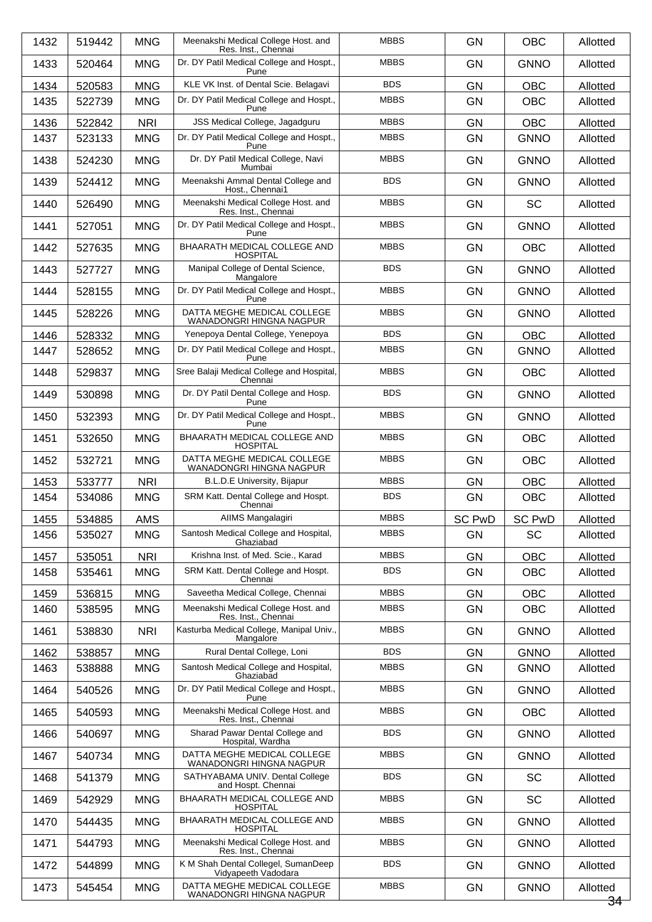| 1432 | 519442 | <b>MNG</b> | Meenakshi Medical College Host. and<br>Res. Inst., Chennai | <b>MBBS</b> | <b>GN</b>     | <b>OBC</b>    | Allotted       |
|------|--------|------------|------------------------------------------------------------|-------------|---------------|---------------|----------------|
| 1433 | 520464 | <b>MNG</b> | Dr. DY Patil Medical College and Hospt.,<br>Pune           | <b>MBBS</b> | <b>GN</b>     | <b>GNNO</b>   | Allotted       |
| 1434 | 520583 | <b>MNG</b> | KLE VK Inst. of Dental Scie. Belagavi                      | <b>BDS</b>  | <b>GN</b>     | <b>OBC</b>    | Allotted       |
| 1435 | 522739 | <b>MNG</b> | Dr. DY Patil Medical College and Hospt.,<br>Pune           | <b>MBBS</b> | <b>GN</b>     | <b>OBC</b>    | Allotted       |
| 1436 | 522842 | <b>NRI</b> | JSS Medical College, Jagadguru                             | <b>MBBS</b> | <b>GN</b>     | <b>OBC</b>    | Allotted       |
| 1437 | 523133 | <b>MNG</b> | Dr. DY Patil Medical College and Hospt.,<br>Pune           | <b>MBBS</b> | <b>GN</b>     | <b>GNNO</b>   | Allotted       |
| 1438 | 524230 | <b>MNG</b> | Dr. DY Patil Medical College, Navi<br>Mumbai               | <b>MBBS</b> | <b>GN</b>     | <b>GNNO</b>   | Allotted       |
| 1439 | 524412 | <b>MNG</b> | Meenakshi Ammal Dental College and<br>Host., Chennai1      | <b>BDS</b>  | <b>GN</b>     | <b>GNNO</b>   | Allotted       |
| 1440 | 526490 | <b>MNG</b> | Meenakshi Medical College Host. and<br>Res. Inst., Chennai | <b>MBBS</b> | <b>GN</b>     | <b>SC</b>     | Allotted       |
| 1441 | 527051 | <b>MNG</b> | Dr. DY Patil Medical College and Hospt.,<br>Pune           | <b>MBBS</b> | <b>GN</b>     | <b>GNNO</b>   | Allotted       |
| 1442 | 527635 | <b>MNG</b> | BHAARATH MEDICAL COLLEGE AND<br><b>HOSPITAL</b>            | <b>MBBS</b> | GN            | <b>OBC</b>    | Allotted       |
| 1443 | 527727 | <b>MNG</b> | Manipal College of Dental Science,<br>Mangalore            | <b>BDS</b>  | <b>GN</b>     | <b>GNNO</b>   | Allotted       |
| 1444 | 528155 | <b>MNG</b> | Dr. DY Patil Medical College and Hospt.,<br>Pune           | <b>MBBS</b> | <b>GN</b>     | <b>GNNO</b>   | Allotted       |
| 1445 | 528226 | <b>MNG</b> | DATTA MEGHE MEDICAL COLLEGE<br>WANADONGRI HINGNA NAGPUR    | <b>MBBS</b> | GN            | <b>GNNO</b>   | Allotted       |
| 1446 | 528332 | <b>MNG</b> | Yenepoya Dental College, Yenepoya                          | <b>BDS</b>  | <b>GN</b>     | <b>OBC</b>    | Allotted       |
| 1447 | 528652 | <b>MNG</b> | Dr. DY Patil Medical College and Hospt.,<br>Pune           | <b>MBBS</b> | <b>GN</b>     | <b>GNNO</b>   | Allotted       |
| 1448 | 529837 | <b>MNG</b> | Sree Balaji Medical College and Hospital,<br>Chennai       | <b>MBBS</b> | GN            | <b>OBC</b>    | Allotted       |
| 1449 | 530898 | <b>MNG</b> | Dr. DY Patil Dental College and Hosp.<br>Pune              | <b>BDS</b>  | <b>GN</b>     | <b>GNNO</b>   | Allotted       |
| 1450 | 532393 | <b>MNG</b> | Dr. DY Patil Medical College and Hospt.,<br>Pune           | <b>MBBS</b> | <b>GN</b>     | <b>GNNO</b>   | Allotted       |
| 1451 | 532650 | <b>MNG</b> | BHAARATH MEDICAL COLLEGE AND<br><b>HOSPITAL</b>            | <b>MBBS</b> | <b>GN</b>     | <b>OBC</b>    | Allotted       |
| 1452 | 532721 | <b>MNG</b> | DATTA MEGHE MEDICAL COLLEGE<br>WANADONGRI HINGNA NAGPUR    | <b>MBBS</b> | <b>GN</b>     | <b>OBC</b>    | Allotted       |
| 1453 | 533777 | <b>NRI</b> | B.L.D.E University, Bijapur                                | <b>MBBS</b> | GN            | <b>OBC</b>    | Allotted       |
| 1454 | 534086 | <b>MNG</b> | SRM Katt. Dental College and Hospt.<br>Chennai             | <b>BDS</b>  | <b>GN</b>     | <b>OBC</b>    | Allotted       |
| 1455 | 534885 | AMS        | AIIMS Mangalagiri                                          | <b>MBBS</b> | <b>SC PwD</b> | <b>SC PwD</b> | Allotted       |
| 1456 | 535027 | <b>MNG</b> | Santosh Medical College and Hospital,<br>Ghaziabad         | <b>MBBS</b> | GN            | <b>SC</b>     | Allotted       |
| 1457 | 535051 | <b>NRI</b> | Krishna Inst. of Med. Scie., Karad                         | <b>MBBS</b> | <b>GN</b>     | <b>OBC</b>    | Allotted       |
| 1458 | 535461 | <b>MNG</b> | SRM Katt. Dental College and Hospt.<br>Chennai             | <b>BDS</b>  | <b>GN</b>     | <b>OBC</b>    | Allotted       |
| 1459 | 536815 | <b>MNG</b> | Saveetha Medical College, Chennai                          | <b>MBBS</b> | GN            | <b>OBC</b>    | Allotted       |
| 1460 | 538595 | <b>MNG</b> | Meenakshi Medical College Host. and<br>Res. Inst., Chennai | <b>MBBS</b> | GN            | <b>OBC</b>    | Allotted       |
| 1461 | 538830 | <b>NRI</b> | Kasturba Medical College, Manipal Univ.,<br>Mangalore      | <b>MBBS</b> | <b>GN</b>     | <b>GNNO</b>   | Allotted       |
| 1462 | 538857 | <b>MNG</b> | Rural Dental College, Loni                                 | <b>BDS</b>  | GN            | <b>GNNO</b>   | Allotted       |
| 1463 | 538888 | <b>MNG</b> | Santosh Medical College and Hospital,<br>Ghaziabad         | <b>MBBS</b> | <b>GN</b>     | <b>GNNO</b>   | Allotted       |
| 1464 | 540526 | <b>MNG</b> | Dr. DY Patil Medical College and Hospt.,<br>Pune           | <b>MBBS</b> | <b>GN</b>     | <b>GNNO</b>   | Allotted       |
| 1465 | 540593 | <b>MNG</b> | Meenakshi Medical College Host. and<br>Res. Inst., Chennai | <b>MBBS</b> | <b>GN</b>     | <b>OBC</b>    | Allotted       |
| 1466 | 540697 | <b>MNG</b> | Sharad Pawar Dental College and<br>Hospital, Wardha        | <b>BDS</b>  | <b>GN</b>     | <b>GNNO</b>   | Allotted       |
| 1467 | 540734 | <b>MNG</b> | DATTA MEGHE MEDICAL COLLEGE<br>WANADONGRI HINGNA NAGPUR    | <b>MBBS</b> | <b>GN</b>     | <b>GNNO</b>   | Allotted       |
| 1468 | 541379 | <b>MNG</b> | SATHYABAMA UNIV. Dental College<br>and Hospt. Chennai      | <b>BDS</b>  | <b>GN</b>     | SC            | Allotted       |
| 1469 | 542929 | <b>MNG</b> | BHAARATH MEDICAL COLLEGE AND<br><b>HOSPITAL</b>            | <b>MBBS</b> | <b>GN</b>     | <b>SC</b>     | Allotted       |
| 1470 | 544435 | <b>MNG</b> | BHAARATH MEDICAL COLLEGE AND<br>HOSPITAL                   | <b>MBBS</b> | <b>GN</b>     | <b>GNNO</b>   | Allotted       |
| 1471 | 544793 | <b>MNG</b> | Meenakshi Medical College Host. and<br>Res. Inst., Chennai | <b>MBBS</b> | <b>GN</b>     | <b>GNNO</b>   | Allotted       |
| 1472 | 544899 | <b>MNG</b> | K M Shah Dental Collegel, SumanDeep<br>Vidyapeeth Vadodara | <b>BDS</b>  | GN            | <b>GNNO</b>   | Allotted       |
| 1473 | 545454 | <b>MNG</b> | DATTA MEGHE MEDICAL COLLEGE<br>WANADONGRI HINGNA NAGPUR    | <b>MBBS</b> | <b>GN</b>     | <b>GNNO</b>   | Allotted<br>34 |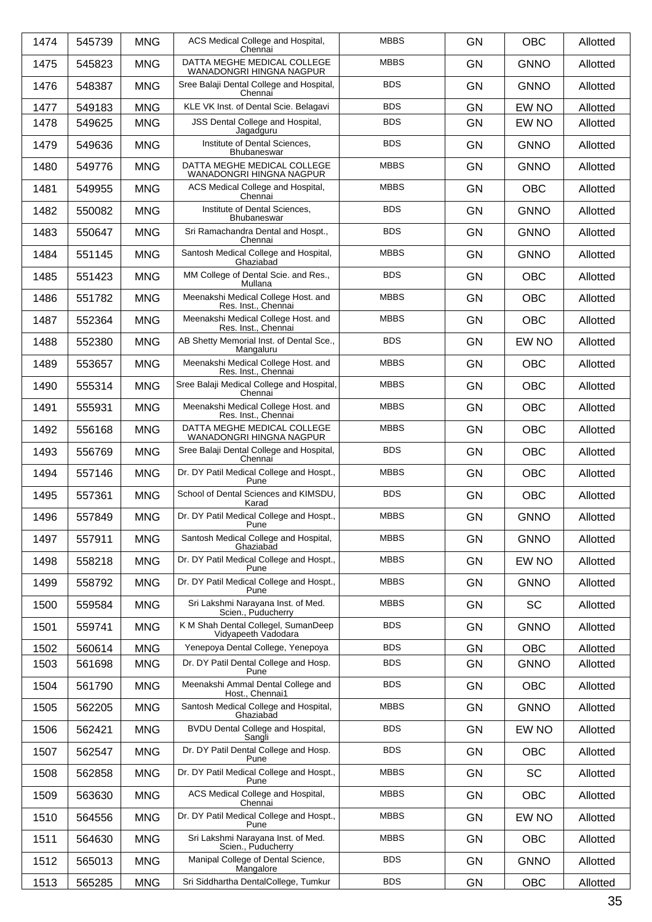| 1474 | 545739 | <b>MNG</b> | ACS Medical College and Hospital,<br>Chennai               | <b>MBBS</b> | <b>GN</b> | <b>OBC</b>  | Allotted |
|------|--------|------------|------------------------------------------------------------|-------------|-----------|-------------|----------|
| 1475 | 545823 | <b>MNG</b> | DATTA MEGHE MEDICAL COLLEGE<br>WANADONGRI HINGNA NAGPUR    | <b>MBBS</b> | <b>GN</b> | <b>GNNO</b> | Allotted |
| 1476 | 548387 | <b>MNG</b> | Sree Balaji Dental College and Hospital,<br>Chennai        | <b>BDS</b>  | <b>GN</b> | <b>GNNO</b> | Allotted |
| 1477 | 549183 | <b>MNG</b> | KLE VK Inst. of Dental Scie. Belagavi                      | <b>BDS</b>  | <b>GN</b> | EW NO       | Allotted |
| 1478 | 549625 | <b>MNG</b> | JSS Dental College and Hospital,<br>Jagadguru              | <b>BDS</b>  | <b>GN</b> | EW NO       | Allotted |
| 1479 | 549636 | <b>MNG</b> | Institute of Dental Sciences,<br>Bhubaneswar               | <b>BDS</b>  | <b>GN</b> | <b>GNNO</b> | Allotted |
| 1480 | 549776 | <b>MNG</b> | DATTA MEGHE MEDICAL COLLEGE<br>WANADONGRI HINGNA NAGPUR    | <b>MBBS</b> | <b>GN</b> | <b>GNNO</b> | Allotted |
| 1481 | 549955 | <b>MNG</b> | ACS Medical College and Hospital,<br>Chennai               | <b>MBBS</b> | <b>GN</b> | <b>OBC</b>  | Allotted |
| 1482 | 550082 | <b>MNG</b> | Institute of Dental Sciences,<br>Bhubaneswar               | <b>BDS</b>  | <b>GN</b> | <b>GNNO</b> | Allotted |
| 1483 | 550647 | <b>MNG</b> | Sri Ramachandra Dental and Hospt.,<br>Chennai              | <b>BDS</b>  | <b>GN</b> | <b>GNNO</b> | Allotted |
| 1484 | 551145 | <b>MNG</b> | Santosh Medical College and Hospital,<br>Ghaziabad         | <b>MBBS</b> | <b>GN</b> | <b>GNNO</b> | Allotted |
| 1485 | 551423 | <b>MNG</b> | MM College of Dental Scie. and Res.,<br>Mullana            | <b>BDS</b>  | <b>GN</b> | <b>OBC</b>  | Allotted |
| 1486 | 551782 | <b>MNG</b> | Meenakshi Medical College Host. and<br>Res. Inst., Chennai | <b>MBBS</b> | <b>GN</b> | <b>OBC</b>  | Allotted |
| 1487 | 552364 | <b>MNG</b> | Meenakshi Medical College Host. and<br>Res. Inst., Chennai | <b>MBBS</b> | <b>GN</b> | <b>OBC</b>  | Allotted |
| 1488 | 552380 | <b>MNG</b> | AB Shetty Memorial Inst. of Dental Sce.,<br>Mangaluru      | <b>BDS</b>  | <b>GN</b> | EW NO       | Allotted |
| 1489 | 553657 | <b>MNG</b> | Meenakshi Medical College Host. and<br>Res. Inst., Chennai | <b>MBBS</b> | <b>GN</b> | <b>OBC</b>  | Allotted |
| 1490 | 555314 | <b>MNG</b> | Sree Balaji Medical College and Hospital,<br>Chennai       | <b>MBBS</b> | <b>GN</b> | <b>OBC</b>  | Allotted |
| 1491 | 555931 | <b>MNG</b> | Meenakshi Medical College Host. and<br>Res. Inst., Chennai | <b>MBBS</b> | <b>GN</b> | <b>OBC</b>  | Allotted |
| 1492 | 556168 | <b>MNG</b> | DATTA MEGHE MEDICAL COLLEGE<br>WANADONGRI HINGNA NAGPUR    | <b>MBBS</b> | <b>GN</b> | <b>OBC</b>  | Allotted |
| 1493 | 556769 | <b>MNG</b> | Sree Balaji Dental College and Hospital,<br>Chennai        | <b>BDS</b>  | <b>GN</b> | <b>OBC</b>  | Allotted |
| 1494 | 557146 | <b>MNG</b> | Dr. DY Patil Medical College and Hospt.,<br>Pune           | <b>MBBS</b> | <b>GN</b> | <b>OBC</b>  | Allotted |
| 1495 | 557361 | <b>MNG</b> | School of Dental Sciences and KIMSDU,<br>Karad             | <b>BDS</b>  | <b>GN</b> | <b>OBC</b>  | Allotted |
| 1496 | 557849 | <b>MNG</b> | Dr. DY Patil Medical College and Hospt.,<br>Pune           | <b>MBBS</b> | GN        | <b>GNNO</b> | Allotted |
| 1497 | 557911 | <b>MNG</b> | Santosh Medical College and Hospital,<br>Ghaziabad         | <b>MBBS</b> | <b>GN</b> | <b>GNNO</b> | Allotted |
| 1498 | 558218 | <b>MNG</b> | Dr. DY Patil Medical College and Hospt.,<br>Pune           | <b>MBBS</b> | <b>GN</b> | EW NO       | Allotted |
| 1499 | 558792 | <b>MNG</b> | Dr. DY Patil Medical College and Hospt.,<br>Pune           | <b>MBBS</b> | <b>GN</b> | <b>GNNO</b> | Allotted |
| 1500 | 559584 | <b>MNG</b> | Sri Lakshmi Narayana Inst. of Med.<br>Scien., Puducherry   | <b>MBBS</b> | <b>GN</b> | <b>SC</b>   | Allotted |
| 1501 | 559741 | <b>MNG</b> | K M Shah Dental Collegel, SumanDeep<br>Vidyapeeth Vadodara | <b>BDS</b>  | <b>GN</b> | <b>GNNO</b> | Allotted |
| 1502 | 560614 | <b>MNG</b> | Yenepoya Dental College, Yenepoya                          | <b>BDS</b>  | GN        | <b>OBC</b>  | Allotted |
| 1503 | 561698 | <b>MNG</b> | Dr. DY Patil Dental College and Hosp.<br>Pune              | <b>BDS</b>  | GN        | <b>GNNO</b> | Allotted |
| 1504 | 561790 | <b>MNG</b> | Meenakshi Ammal Dental College and<br>Host., Chennai1      | <b>BDS</b>  | <b>GN</b> | OBC         | Allotted |
| 1505 | 562205 | <b>MNG</b> | Santosh Medical College and Hospital,<br>Ghaziabad         | <b>MBBS</b> | <b>GN</b> | <b>GNNO</b> | Allotted |
| 1506 | 562421 | <b>MNG</b> | BVDU Dental College and Hospital,<br>Sangli                | <b>BDS</b>  | GN        | EW NO       | Allotted |
| 1507 | 562547 | <b>MNG</b> | Dr. DY Patil Dental College and Hosp.<br>Pune              | <b>BDS</b>  | <b>GN</b> | <b>OBC</b>  | Allotted |
| 1508 | 562858 | <b>MNG</b> | Dr. DY Patil Medical College and Hospt.,<br>Pune           | <b>MBBS</b> | <b>GN</b> | <b>SC</b>   | Allotted |
| 1509 | 563630 | <b>MNG</b> | ACS Medical College and Hospital,<br>Chennai               | <b>MBBS</b> | <b>GN</b> | OBC         | Allotted |
| 1510 | 564556 | <b>MNG</b> | Dr. DY Patil Medical College and Hospt.,<br>Pune           | <b>MBBS</b> | <b>GN</b> | EW NO       | Allotted |
| 1511 | 564630 | <b>MNG</b> | Sri Lakshmi Narayana Inst. of Med.<br>Scien., Puducherry   | <b>MBBS</b> | <b>GN</b> | <b>OBC</b>  | Allotted |
| 1512 | 565013 | <b>MNG</b> | Manipal College of Dental Science,<br>Mangalore            | <b>BDS</b>  | GN        | <b>GNNO</b> | Allotted |
| 1513 | 565285 | <b>MNG</b> | Sri Siddhartha DentalCollege, Tumkur                       | <b>BDS</b>  | GN        | OBC         | Allotted |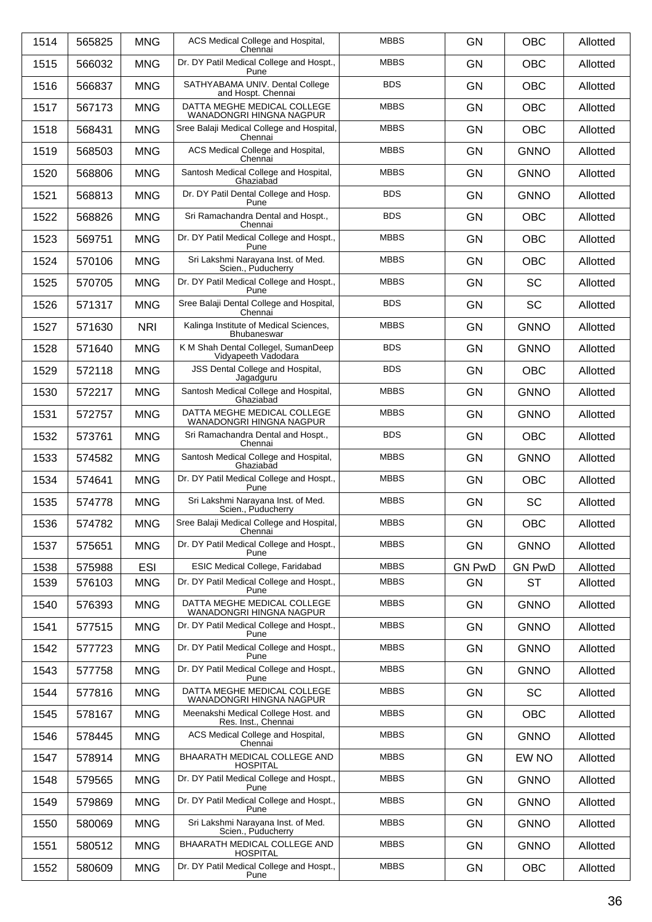| 1514 | 565825 | <b>MNG</b> | ACS Medical College and Hospital,<br>Chennai               | <b>MBBS</b> | <b>GN</b>     | <b>OBC</b>    | Allotted |
|------|--------|------------|------------------------------------------------------------|-------------|---------------|---------------|----------|
| 1515 | 566032 | <b>MNG</b> | Dr. DY Patil Medical College and Hospt.,<br>Pune           | <b>MBBS</b> | <b>GN</b>     | <b>OBC</b>    | Allotted |
| 1516 | 566837 | <b>MNG</b> | SATHYABAMA UNIV. Dental College<br>and Hospt. Chennai      | <b>BDS</b>  | <b>GN</b>     | <b>OBC</b>    | Allotted |
| 1517 | 567173 | <b>MNG</b> | DATTA MEGHE MEDICAL COLLEGE<br>WANADONGRI HINGNA NAGPUR    | <b>MBBS</b> | <b>GN</b>     | <b>OBC</b>    | Allotted |
| 1518 | 568431 | <b>MNG</b> | Sree Balaji Medical College and Hospital,<br>Chennai       | <b>MBBS</b> | <b>GN</b>     | <b>OBC</b>    | Allotted |
| 1519 | 568503 | <b>MNG</b> | ACS Medical College and Hospital,<br>Chennai               | <b>MBBS</b> | <b>GN</b>     | <b>GNNO</b>   | Allotted |
| 1520 | 568806 | <b>MNG</b> | Santosh Medical College and Hospital,<br>Ghaziabad         | <b>MBBS</b> | <b>GN</b>     | <b>GNNO</b>   | Allotted |
| 1521 | 568813 | <b>MNG</b> | Dr. DY Patil Dental College and Hosp.<br>Pune              | <b>BDS</b>  | <b>GN</b>     | <b>GNNO</b>   | Allotted |
| 1522 | 568826 | <b>MNG</b> | Sri Ramachandra Dental and Hospt.,<br>Chennai              | <b>BDS</b>  | <b>GN</b>     | <b>OBC</b>    | Allotted |
| 1523 | 569751 | <b>MNG</b> | Dr. DY Patil Medical College and Hospt.,<br>Pune           | <b>MBBS</b> | <b>GN</b>     | <b>OBC</b>    | Allotted |
| 1524 | 570106 | <b>MNG</b> | Sri Lakshmi Narayana Inst. of Med.<br>Scien., Puducherry   | <b>MBBS</b> | <b>GN</b>     | <b>OBC</b>    | Allotted |
| 1525 | 570705 | <b>MNG</b> | Dr. DY Patil Medical College and Hospt.,<br>Pune           | <b>MBBS</b> | <b>GN</b>     | SC            | Allotted |
| 1526 | 571317 | <b>MNG</b> | Sree Balaji Dental College and Hospital,<br>Chennai        | <b>BDS</b>  | <b>GN</b>     | <b>SC</b>     | Allotted |
| 1527 | 571630 | <b>NRI</b> | Kalinga Institute of Medical Sciences,<br>Bhubaneswar      | <b>MBBS</b> | <b>GN</b>     | <b>GNNO</b>   | Allotted |
| 1528 | 571640 | <b>MNG</b> | K M Shah Dental Collegel, SumanDeep<br>Vidyapeeth Vadodara | <b>BDS</b>  | <b>GN</b>     | <b>GNNO</b>   | Allotted |
| 1529 | 572118 | <b>MNG</b> | JSS Dental College and Hospital,<br>Jagadguru              | <b>BDS</b>  | <b>GN</b>     | <b>OBC</b>    | Allotted |
| 1530 | 572217 | <b>MNG</b> | Santosh Medical College and Hospital,<br>Ghaziabad         | <b>MBBS</b> | <b>GN</b>     | <b>GNNO</b>   | Allotted |
| 1531 | 572757 | <b>MNG</b> | DATTA MEGHE MEDICAL COLLEGE<br>WANADONGRI HINGNA NAGPUR    | <b>MBBS</b> | <b>GN</b>     | <b>GNNO</b>   | Allotted |
| 1532 | 573761 | <b>MNG</b> | Sri Ramachandra Dental and Hospt.,<br>Chennai              | <b>BDS</b>  | <b>GN</b>     | <b>OBC</b>    | Allotted |
| 1533 | 574582 | <b>MNG</b> | Santosh Medical College and Hospital,<br>Ghaziabad         | <b>MBBS</b> | <b>GN</b>     | <b>GNNO</b>   | Allotted |
| 1534 | 574641 | <b>MNG</b> | Dr. DY Patil Medical College and Hospt.,<br>Pune           | <b>MBBS</b> | <b>GN</b>     | <b>OBC</b>    | Allotted |
| 1535 | 574778 | <b>MNG</b> | Sri Lakshmi Narayana Inst. of Med.<br>Scien., Puducherry   | <b>MBBS</b> | <b>GN</b>     | <b>SC</b>     | Allotted |
| 1536 | 574782 | <b>MNG</b> | Sree Balaji Medical College and Hospital,<br>Chennai       | <b>MBBS</b> | <b>GN</b>     | <b>OBC</b>    | Allotted |
| 1537 | 575651 | <b>MNG</b> | Dr. DY Patil Medical College and Hospt.,<br>Pune           | <b>MBBS</b> | <b>GN</b>     | <b>GNNO</b>   | Allotted |
| 1538 | 575988 | <b>ESI</b> | ESIC Medical College, Faridabad                            | <b>MBBS</b> | <b>GN PwD</b> | <b>GN PwD</b> | Allotted |
| 1539 | 576103 | <b>MNG</b> | Dr. DY Patil Medical College and Hospt.,<br>Pune           | <b>MBBS</b> | <b>GN</b>     | <b>ST</b>     | Allotted |
| 1540 | 576393 | <b>MNG</b> | DATTA MEGHE MEDICAL COLLEGE<br>WANADONGRI HINGNA NAGPUR    | <b>MBBS</b> | GN            | <b>GNNO</b>   | Allotted |
| 1541 | 577515 | <b>MNG</b> | Dr. DY Patil Medical College and Hospt.,<br>Pune           | <b>MBBS</b> | <b>GN</b>     | <b>GNNO</b>   | Allotted |
| 1542 | 577723 | <b>MNG</b> | Dr. DY Patil Medical College and Hospt.,<br>Pune           | <b>MBBS</b> | GN            | <b>GNNO</b>   | Allotted |
| 1543 | 577758 | <b>MNG</b> | Dr. DY Patil Medical College and Hospt.,<br>Pune           | <b>MBBS</b> | GN            | <b>GNNO</b>   | Allotted |
| 1544 | 577816 | <b>MNG</b> | DATTA MEGHE MEDICAL COLLEGE<br>WANADONGRI HINGNA NAGPUR    | <b>MBBS</b> | <b>GN</b>     | SC            | Allotted |
| 1545 | 578167 | <b>MNG</b> | Meenakshi Medical College Host. and<br>Res. Inst., Chennai | <b>MBBS</b> | <b>GN</b>     | <b>OBC</b>    | Allotted |
| 1546 | 578445 | <b>MNG</b> | ACS Medical College and Hospital,<br>Chennai               | <b>MBBS</b> | GN            | <b>GNNO</b>   | Allotted |
| 1547 | 578914 | <b>MNG</b> | BHAARATH MEDICAL COLLEGE AND<br><b>HOSPITAL</b>            | <b>MBBS</b> | <b>GN</b>     | EW NO         | Allotted |
| 1548 | 579565 | <b>MNG</b> | Dr. DY Patil Medical College and Hospt.,<br>Pune           | <b>MBBS</b> | GN            | <b>GNNO</b>   | Allotted |
| 1549 | 579869 | <b>MNG</b> | Dr. DY Patil Medical College and Hospt.,<br>Pune           | <b>MBBS</b> | GN            | <b>GNNO</b>   | Allotted |
| 1550 | 580069 | <b>MNG</b> | Sri Lakshmi Narayana Inst. of Med.<br>Scien., Puducherry   | <b>MBBS</b> | <b>GN</b>     | <b>GNNO</b>   | Allotted |
| 1551 | 580512 | <b>MNG</b> | BHAARATH MEDICAL COLLEGE AND<br><b>HOSPITAL</b>            | <b>MBBS</b> | GN            | <b>GNNO</b>   | Allotted |
| 1552 | 580609 | <b>MNG</b> | Dr. DY Patil Medical College and Hospt.,<br>Pune           | <b>MBBS</b> | <b>GN</b>     | OBC           | Allotted |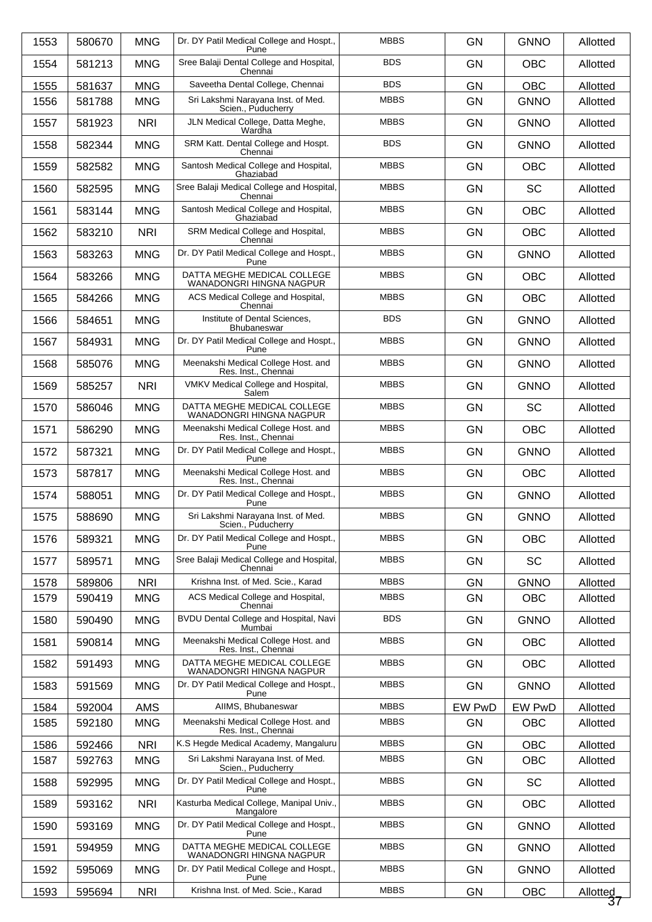| 1553 | 580670 | <b>MNG</b> | Dr. DY Patil Medical College and Hospt.,<br>Pune               | <b>MBBS</b> | <b>GN</b> | <b>GNNO</b> | Allotted       |
|------|--------|------------|----------------------------------------------------------------|-------------|-----------|-------------|----------------|
| 1554 | 581213 | <b>MNG</b> | Sree Balaji Dental College and Hospital,<br>Chennai            | <b>BDS</b>  | <b>GN</b> | <b>OBC</b>  | Allotted       |
| 1555 | 581637 | <b>MNG</b> | Saveetha Dental College, Chennai                               | <b>BDS</b>  | GN        | OBC         | Allotted       |
| 1556 | 581788 | <b>MNG</b> | Sri Lakshmi Narayana Inst. of Med.<br>Scien., Puducherry       | <b>MBBS</b> | <b>GN</b> | <b>GNNO</b> | Allotted       |
| 1557 | 581923 | <b>NRI</b> | JLN Medical College, Datta Meghe,<br>Wardha                    | <b>MBBS</b> | <b>GN</b> | <b>GNNO</b> | Allotted       |
| 1558 | 582344 | <b>MNG</b> | SRM Katt. Dental College and Hospt.<br>Chennai                 | <b>BDS</b>  | GN        | <b>GNNO</b> | Allotted       |
| 1559 | 582582 | <b>MNG</b> | Santosh Medical College and Hospital,<br>Ghaziabad             | <b>MBBS</b> | <b>GN</b> | <b>OBC</b>  | Allotted       |
| 1560 | 582595 | <b>MNG</b> | Sree Balaji Medical College and Hospital,<br>Chennai           | <b>MBBS</b> | <b>GN</b> | <b>SC</b>   | Allotted       |
| 1561 | 583144 | <b>MNG</b> | Santosh Medical College and Hospital,<br>Ghaziabad             | <b>MBBS</b> | GN        | <b>OBC</b>  | Allotted       |
| 1562 | 583210 | <b>NRI</b> | SRM Medical College and Hospital,<br>Chennai                   | <b>MBBS</b> | <b>GN</b> | <b>OBC</b>  | Allotted       |
| 1563 | 583263 | <b>MNG</b> | Dr. DY Patil Medical College and Hospt.,<br>Pune               | <b>MBBS</b> | <b>GN</b> | <b>GNNO</b> | Allotted       |
| 1564 | 583266 | <b>MNG</b> | DATTA MEGHE MEDICAL COLLEGE<br>WANADONGRI HINGNA NAGPUR        | <b>MBBS</b> | GN        | <b>OBC</b>  | Allotted       |
| 1565 | 584266 | <b>MNG</b> | ACS Medical College and Hospital,<br>Chennai                   | <b>MBBS</b> | <b>GN</b> | <b>OBC</b>  | Allotted       |
| 1566 | 584651 | <b>MNG</b> | Institute of Dental Sciences,<br>Bhubaneswar                   | <b>BDS</b>  | <b>GN</b> | <b>GNNO</b> | Allotted       |
| 1567 | 584931 | <b>MNG</b> | Dr. DY Patil Medical College and Hospt.,<br>Pune               | <b>MBBS</b> | GN        | <b>GNNO</b> | Allotted       |
| 1568 | 585076 | <b>MNG</b> | Meenakshi Medical College Host. and<br>Res. Inst., Chennai     | <b>MBBS</b> | <b>GN</b> | <b>GNNO</b> | Allotted       |
| 1569 | 585257 | <b>NRI</b> | VMKV Medical College and Hospital,<br>Salem                    | <b>MBBS</b> | <b>GN</b> | <b>GNNO</b> | Allotted       |
| 1570 | 586046 | <b>MNG</b> | DATTA MEGHE MEDICAL COLLEGE<br>WANADONGRI HINGNA NAGPUR        | <b>MBBS</b> | <b>GN</b> | <b>SC</b>   | Allotted       |
| 1571 | 586290 | <b>MNG</b> | Meenakshi Medical College Host. and<br>Res. Inst., Chennai     | <b>MBBS</b> | <b>GN</b> | <b>OBC</b>  | Allotted       |
| 1572 | 587321 | <b>MNG</b> | Dr. DY Patil Medical College and Hospt.,<br>Pune               | <b>MBBS</b> | <b>GN</b> | <b>GNNO</b> | Allotted       |
| 1573 | 587817 | <b>MNG</b> | Meenakshi Medical College Host. and<br>Res. Inst., Chennai     | <b>MBBS</b> | <b>GN</b> | OBC         | Allotted       |
| 1574 | 588051 | <b>MNG</b> | Dr. DY Patil Medical College and Hospt.,<br>Pune               | <b>MBBS</b> | <b>GN</b> | <b>GNNO</b> | Allotted       |
| 1575 | 588690 | <b>MNG</b> | Sri Lakshmi Narayana Inst. of Med.<br>Scien., Puducherry       | <b>MBBS</b> | GN        | <b>GNNO</b> | Allotted       |
| 1576 | 589321 | <b>MNG</b> | Dr. DY Patil Medical College and Hospt.,<br>Pune               | <b>MBBS</b> | <b>GN</b> | <b>OBC</b>  | Allotted       |
| 1577 | 589571 | <b>MNG</b> | Sree Balaji Medical College and Hospital,<br>Chennai           | <b>MBBS</b> | <b>GN</b> | <b>SC</b>   | Allotted       |
| 1578 | 589806 | <b>NRI</b> | Krishna Inst. of Med. Scie., Karad                             | <b>MBBS</b> | <b>GN</b> | <b>GNNO</b> | Allotted       |
| 1579 | 590419 | <b>MNG</b> | ACS Medical College and Hospital,<br>Chennai                   | <b>MBBS</b> | <b>GN</b> | OBC         | Allotted       |
| 1580 | 590490 | <b>MNG</b> | <b>BVDU Dental College and Hospital, Navi</b><br>Mumbai        | <b>BDS</b>  | <b>GN</b> | <b>GNNO</b> | Allotted       |
| 1581 | 590814 | <b>MNG</b> | Meenakshi Medical College Host. and<br>Res. Inst., Chennai     | <b>MBBS</b> | <b>GN</b> | <b>OBC</b>  | Allotted       |
| 1582 | 591493 | <b>MNG</b> | DATTA MEGHE MEDICAL COLLEGE<br>WANADONGRI HINGNA NAGPUR        | <b>MBBS</b> | <b>GN</b> | OBC         | Allotted       |
| 1583 | 591569 | <b>MNG</b> | Dr. DY Patil Medical College and Hospt.,<br>Pune               | <b>MBBS</b> | <b>GN</b> | <b>GNNO</b> | Allotted       |
| 1584 | 592004 | AMS        | AllMS, Bhubaneswar                                             | <b>MBBS</b> | EW PwD    | EW PwD      | Allotted       |
| 1585 | 592180 | <b>MNG</b> | Meenakshi Medical College Host. and<br>Res. Inst., Chennai     | <b>MBBS</b> | <b>GN</b> | OBC         | Allotted       |
| 1586 | 592466 | <b>NRI</b> | K.S Hegde Medical Academy, Mangaluru                           | <b>MBBS</b> | <b>GN</b> | OBC         | Allotted       |
| 1587 | 592763 | <b>MNG</b> | Sri Lakshmi Narayana Inst. of Med.                             | <b>MBBS</b> | <b>GN</b> | OBC         | Allotted       |
| 1588 | 592995 | <b>MNG</b> | Scien., Puducherry<br>Dr. DY Patil Medical College and Hospt., | <b>MBBS</b> | <b>GN</b> | SC          | Allotted       |
|      |        |            | Pune                                                           |             |           |             |                |
| 1589 | 593162 | <b>NRI</b> | Kasturba Medical College, Manipal Univ.,<br>Mangalore          | <b>MBBS</b> | <b>GN</b> | <b>OBC</b>  | Allotted       |
| 1590 | 593169 | <b>MNG</b> | Dr. DY Patil Medical College and Hospt.,<br>Pune               | <b>MBBS</b> | <b>GN</b> | <b>GNNO</b> | Allotted       |
| 1591 | 594959 | <b>MNG</b> | DATTA MEGHE MEDICAL COLLEGE<br>WANADONGRI HINGNA NAGPUR        | <b>MBBS</b> | <b>GN</b> | <b>GNNO</b> | Allotted       |
| 1592 | 595069 | <b>MNG</b> | Dr. DY Patil Medical College and Hospt.,<br>Pune               | <b>MBBS</b> | <b>GN</b> | <b>GNNO</b> | Allotted       |
| 1593 | 595694 | <b>NRI</b> | Krishna Inst. of Med. Scie., Karad                             | <b>MBBS</b> | GN        | OBC         | Allotted<br>37 |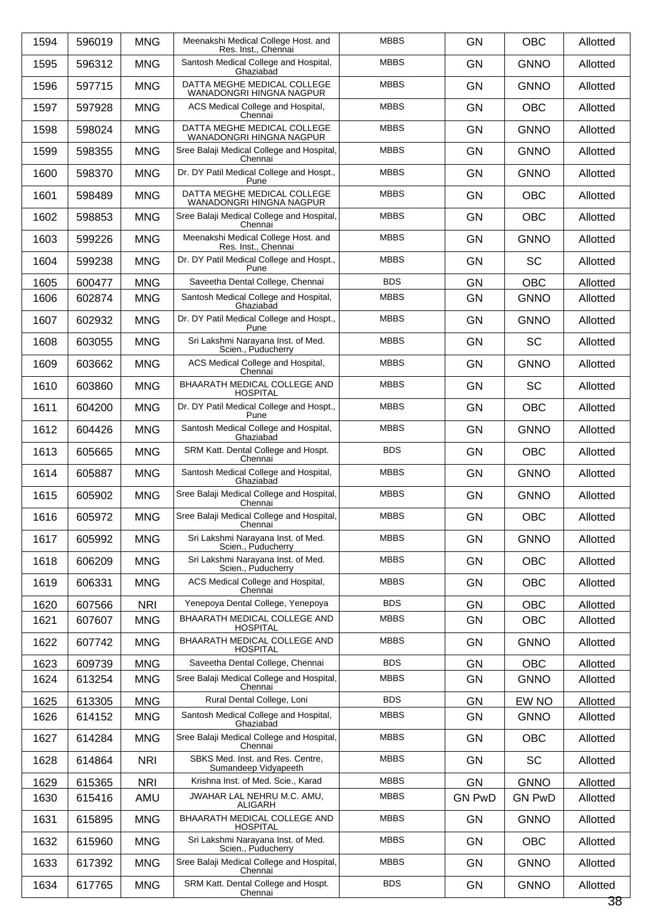| 1594 | 596019 | <b>MNG</b> | Meenakshi Medical College Host. and<br>Res. Inst., Chennai | <b>MBBS</b> | <b>GN</b>     | <b>OBC</b>    | Allotted |
|------|--------|------------|------------------------------------------------------------|-------------|---------------|---------------|----------|
| 1595 | 596312 | <b>MNG</b> | Santosh Medical College and Hospital,<br>Ghaziabad         | <b>MBBS</b> | <b>GN</b>     | <b>GNNO</b>   | Allotted |
| 1596 | 597715 | <b>MNG</b> | DATTA MEGHE MEDICAL COLLEGE<br>WANADONGRI HINGNA NAGPUR    | <b>MBBS</b> | <b>GN</b>     | <b>GNNO</b>   | Allotted |
| 1597 | 597928 | <b>MNG</b> | ACS Medical College and Hospital,<br>Chennai               | <b>MBBS</b> | <b>GN</b>     | <b>OBC</b>    | Allotted |
| 1598 | 598024 | <b>MNG</b> | DATTA MEGHE MEDICAL COLLEGE<br>WANADONGRI HINGNA NAGPUR    | <b>MBBS</b> | <b>GN</b>     | <b>GNNO</b>   | Allotted |
| 1599 | 598355 | <b>MNG</b> | Sree Balaji Medical College and Hospital,<br>Chennai       | <b>MBBS</b> | <b>GN</b>     | <b>GNNO</b>   | Allotted |
| 1600 | 598370 | <b>MNG</b> | Dr. DY Patil Medical College and Hospt.,<br>Pune           | <b>MBBS</b> | <b>GN</b>     | <b>GNNO</b>   | Allotted |
| 1601 | 598489 | <b>MNG</b> | DATTA MEGHE MEDICAL COLLEGE<br>WANADONGRI HINGNA NAGPUR    | <b>MBBS</b> | <b>GN</b>     | <b>OBC</b>    | Allotted |
| 1602 | 598853 | <b>MNG</b> | Sree Balaji Medical College and Hospital,<br>Chennai       | <b>MBBS</b> | <b>GN</b>     | <b>OBC</b>    | Allotted |
| 1603 | 599226 | <b>MNG</b> | Meenakshi Medical College Host. and<br>Res. Inst., Chennai | <b>MBBS</b> | <b>GN</b>     | <b>GNNO</b>   | Allotted |
| 1604 | 599238 | <b>MNG</b> | Dr. DY Patil Medical College and Hospt.,<br>Pune           | <b>MBBS</b> | <b>GN</b>     | <b>SC</b>     | Allotted |
| 1605 | 600477 | <b>MNG</b> | Saveetha Dental College, Chennai                           | <b>BDS</b>  | <b>GN</b>     | <b>OBC</b>    | Allotted |
| 1606 | 602874 | <b>MNG</b> | Santosh Medical College and Hospital,<br>Ghaziabad         | <b>MBBS</b> | <b>GN</b>     | <b>GNNO</b>   | Allotted |
| 1607 | 602932 | <b>MNG</b> | Dr. DY Patil Medical College and Hospt.,<br>Pune           | <b>MBBS</b> | <b>GN</b>     | <b>GNNO</b>   | Allotted |
| 1608 | 603055 | <b>MNG</b> | Sri Lakshmi Narayana Inst. of Med.<br>Scien., Puducherry   | <b>MBBS</b> | <b>GN</b>     | <b>SC</b>     | Allotted |
| 1609 | 603662 | <b>MNG</b> | ACS Medical College and Hospital,<br>Chennai               | <b>MBBS</b> | <b>GN</b>     | <b>GNNO</b>   | Allotted |
| 1610 | 603860 | <b>MNG</b> | BHAARATH MEDICAL COLLEGE AND<br><b>HOSPITAL</b>            | <b>MBBS</b> | <b>GN</b>     | <b>SC</b>     | Allotted |
| 1611 | 604200 | <b>MNG</b> | Dr. DY Patil Medical College and Hospt.,<br>Pune           | <b>MBBS</b> | <b>GN</b>     | <b>OBC</b>    | Allotted |
| 1612 | 604426 | <b>MNG</b> | Santosh Medical College and Hospital,<br>Ghaziabad         | <b>MBBS</b> | <b>GN</b>     | <b>GNNO</b>   | Allotted |
| 1613 | 605665 | <b>MNG</b> | SRM Katt. Dental College and Hospt.<br>Chennai             | <b>BDS</b>  | <b>GN</b>     | <b>OBC</b>    | Allotted |
| 1614 | 605887 | <b>MNG</b> | Santosh Medical College and Hospital,<br>Ghaziabad         | <b>MBBS</b> | <b>GN</b>     | <b>GNNO</b>   | Allotted |
| 1615 | 605902 | <b>MNG</b> | Sree Balaji Medical College and Hospital,<br>Chennai       | <b>MBBS</b> | <b>GN</b>     | <b>GNNO</b>   | Allotted |
| 1616 | 605972 | <b>MNG</b> | Sree Balaji Medical College and Hospital,<br>Chennai       | <b>MBBS</b> | GN            | <b>OBC</b>    | Allotted |
| 1617 | 605992 | <b>MNG</b> | Sri Lakshmi Narayana Inst. of Med.<br>Scien., Puducherry   | <b>MBBS</b> | <b>GN</b>     | <b>GNNO</b>   | Allotted |
| 1618 | 606209 | <b>MNG</b> | Sri Lakshmi Narayana Inst. of Med.<br>Scien., Puducherry   | <b>MBBS</b> | <b>GN</b>     | <b>OBC</b>    | Allotted |
| 1619 | 606331 | <b>MNG</b> | ACS Medical College and Hospital,                          | <b>MBBS</b> | GN            | <b>OBC</b>    | Allotted |
| 1620 | 607566 | <b>NRI</b> | Chennai<br>Yenepoya Dental College, Yenepoya               | <b>BDS</b>  | <b>GN</b>     | OBC           | Allotted |
| 1621 | 607607 | <b>MNG</b> | BHAARATH MEDICAL COLLEGE AND<br><b>HOSPITAL</b>            | <b>MBBS</b> | <b>GN</b>     | <b>OBC</b>    | Allotted |
| 1622 | 607742 | <b>MNG</b> | BHAARATH MEDICAL COLLEGE AND<br><b>HOSPITAL</b>            | <b>MBBS</b> | GN            | <b>GNNO</b>   | Allotted |
| 1623 | 609739 | <b>MNG</b> | Saveetha Dental College, Chennai                           | <b>BDS</b>  | <b>GN</b>     | OBC           | Allotted |
| 1624 | 613254 | <b>MNG</b> | Sree Balaji Medical College and Hospital,<br>Chennai       | <b>MBBS</b> | <b>GN</b>     | <b>GNNO</b>   | Allotted |
| 1625 | 613305 | <b>MNG</b> | Rural Dental College, Loni                                 | <b>BDS</b>  | GN            | EW NO         | Allotted |
| 1626 | 614152 | <b>MNG</b> | Santosh Medical College and Hospital,<br>Ghaziabad         | <b>MBBS</b> | <b>GN</b>     | <b>GNNO</b>   | Allotted |
| 1627 | 614284 | <b>MNG</b> | Sree Balaji Medical College and Hospital,<br>Chennai       | <b>MBBS</b> | <b>GN</b>     | <b>OBC</b>    | Allotted |
| 1628 | 614864 | <b>NRI</b> | SBKS Med. Inst. and Res. Centre,<br>Sumandeep Vidyapeeth   | <b>MBBS</b> | <b>GN</b>     | <b>SC</b>     | Allotted |
| 1629 | 615365 | <b>NRI</b> | Krishna Inst. of Med. Scie., Karad                         | <b>MBBS</b> | <b>GN</b>     | <b>GNNO</b>   | Allotted |
| 1630 | 615416 | AMU        | JWAHAR LAL NEHRU M.C. AMU,<br>ALIGARH                      | <b>MBBS</b> | <b>GN PwD</b> | <b>GN PwD</b> | Allotted |
| 1631 | 615895 | <b>MNG</b> | BHAARATH MEDICAL COLLEGE AND<br><b>HOSPITAL</b>            | <b>MBBS</b> | GN            | <b>GNNO</b>   | Allotted |
| 1632 | 615960 | <b>MNG</b> | Sri Lakshmi Narayana Inst. of Med.<br>Scien., Puducherry   | <b>MBBS</b> | <b>GN</b>     | <b>OBC</b>    | Allotted |
| 1633 | 617392 | <b>MNG</b> | Sree Balaji Medical College and Hospital,<br>Chennai       | <b>MBBS</b> | <b>GN</b>     | <b>GNNO</b>   | Allotted |
| 1634 | 617765 | <b>MNG</b> | SRM Katt. Dental College and Hospt.<br>Chennai             | <b>BDS</b>  | GN            | <b>GNNO</b>   | Allotted |
|      |        |            |                                                            |             |               |               | 38       |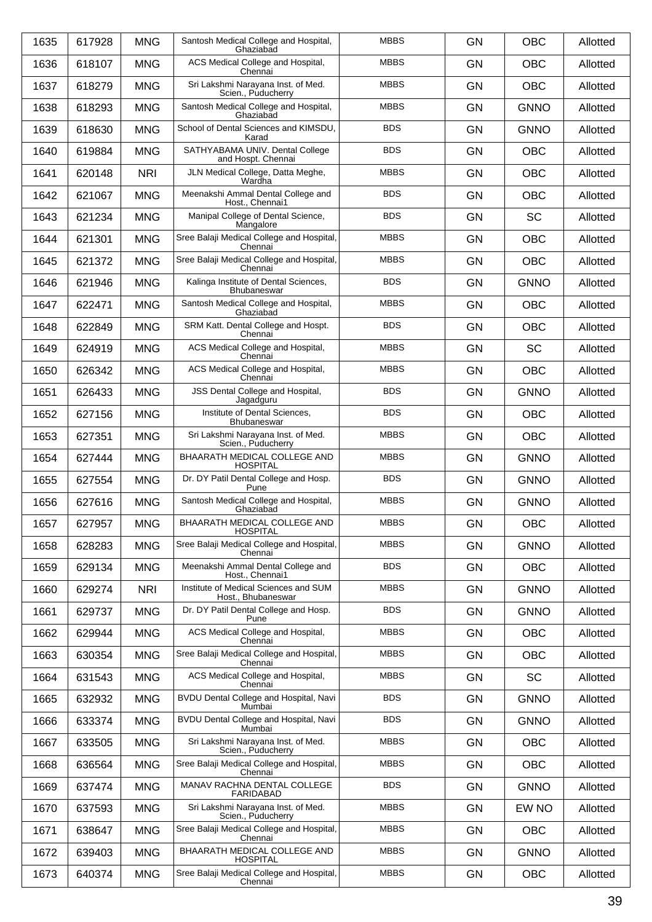| 1635 | 617928 | <b>MNG</b> | Santosh Medical College and Hospital,<br>Ghaziabad          | <b>MBBS</b> | <b>GN</b> | <b>OBC</b>  | Allotted |
|------|--------|------------|-------------------------------------------------------------|-------------|-----------|-------------|----------|
| 1636 | 618107 | <b>MNG</b> | ACS Medical College and Hospital,<br>Chennai                | <b>MBBS</b> | <b>GN</b> | <b>OBC</b>  | Allotted |
| 1637 | 618279 | <b>MNG</b> | Sri Lakshmi Narayana Inst. of Med.<br>Scien., Puducherry    | <b>MBBS</b> | <b>GN</b> | <b>OBC</b>  | Allotted |
| 1638 | 618293 | <b>MNG</b> | Santosh Medical College and Hospital,<br>Ghaziabad          | <b>MBBS</b> | <b>GN</b> | <b>GNNO</b> | Allotted |
| 1639 | 618630 | <b>MNG</b> | School of Dental Sciences and KIMSDU,<br>Karad              | <b>BDS</b>  | <b>GN</b> | <b>GNNO</b> | Allotted |
| 1640 | 619884 | <b>MNG</b> | SATHYABAMA UNIV. Dental College<br>and Hospt. Chennai       | <b>BDS</b>  | <b>GN</b> | <b>OBC</b>  | Allotted |
| 1641 | 620148 | <b>NRI</b> | JLN Medical College, Datta Meghe,<br>Wardha                 | <b>MBBS</b> | <b>GN</b> | <b>OBC</b>  | Allotted |
| 1642 | 621067 | <b>MNG</b> | Meenakshi Ammal Dental College and<br>Host., Chennai1       | <b>BDS</b>  | <b>GN</b> | <b>OBC</b>  | Allotted |
| 1643 | 621234 | <b>MNG</b> | Manipal College of Dental Science,<br>Mangalore             | <b>BDS</b>  | <b>GN</b> | <b>SC</b>   | Allotted |
| 1644 | 621301 | <b>MNG</b> | Sree Balaji Medical College and Hospital,<br>Chennai        | <b>MBBS</b> | <b>GN</b> | <b>OBC</b>  | Allotted |
| 1645 | 621372 | <b>MNG</b> | Sree Balaji Medical College and Hospital,<br>Chennai        | <b>MBBS</b> | <b>GN</b> | <b>OBC</b>  | Allotted |
| 1646 | 621946 | <b>MNG</b> | Kalinga Institute of Dental Sciences,<br><b>Bhubaneswar</b> | <b>BDS</b>  | <b>GN</b> | <b>GNNO</b> | Allotted |
| 1647 | 622471 | <b>MNG</b> | Santosh Medical College and Hospital,<br>Ghaziabad          | <b>MBBS</b> | <b>GN</b> | <b>OBC</b>  | Allotted |
| 1648 | 622849 | <b>MNG</b> | SRM Katt. Dental College and Hospt.<br>Chennai              | <b>BDS</b>  | <b>GN</b> | <b>OBC</b>  | Allotted |
| 1649 | 624919 | <b>MNG</b> | ACS Medical College and Hospital,<br>Chennai                | <b>MBBS</b> | <b>GN</b> | <b>SC</b>   | Allotted |
| 1650 | 626342 | <b>MNG</b> | ACS Medical College and Hospital,<br>Chennai                | <b>MBBS</b> | <b>GN</b> | <b>OBC</b>  | Allotted |
| 1651 | 626433 | <b>MNG</b> | JSS Dental College and Hospital,<br>Jagadguru               | <b>BDS</b>  | <b>GN</b> | <b>GNNO</b> | Allotted |
| 1652 | 627156 | <b>MNG</b> | Institute of Dental Sciences,<br><b>Bhubaneswar</b>         | <b>BDS</b>  | <b>GN</b> | <b>OBC</b>  | Allotted |
| 1653 | 627351 | <b>MNG</b> | Sri Lakshmi Narayana Inst. of Med.<br>Scien., Puducherry    | <b>MBBS</b> | <b>GN</b> | <b>OBC</b>  | Allotted |
| 1654 | 627444 | <b>MNG</b> | BHAARATH MEDICAL COLLEGE AND<br><b>HOSPITAL</b>             | <b>MBBS</b> | <b>GN</b> | <b>GNNO</b> | Allotted |
| 1655 | 627554 | <b>MNG</b> | Dr. DY Patil Dental College and Hosp.<br>Pune               | <b>BDS</b>  | <b>GN</b> | <b>GNNO</b> | Allotted |
| 1656 | 627616 | <b>MNG</b> | Santosh Medical College and Hospital,<br>Ghaziabad          | <b>MBBS</b> | <b>GN</b> | <b>GNNO</b> | Allotted |
| 1657 | 627957 | <b>MNG</b> | BHAARATH MEDICAL COLLEGE AND<br><b>HOSPITAL</b>             | <b>MBBS</b> | <b>GN</b> | <b>OBC</b>  | Allotted |
| 1658 | 628283 | <b>MNG</b> | Sree Balaji Medical College and Hospital,<br>Chennai        | <b>MBBS</b> | GN        | <b>GNNO</b> | Allotted |
| 1659 | 629134 | <b>MNG</b> | Meenakshi Ammal Dental College and<br>Host., Chennai1       | <b>BDS</b>  | GN        | <b>OBC</b>  | Allotted |
| 1660 | 629274 | <b>NRI</b> | Institute of Medical Sciences and SUM<br>Host., Bhubaneswar | <b>MBBS</b> | <b>GN</b> | <b>GNNO</b> | Allotted |
| 1661 | 629737 | <b>MNG</b> | Dr. DY Patil Dental College and Hosp.<br>Pune               | <b>BDS</b>  | GN        | <b>GNNO</b> | Allotted |
| 1662 | 629944 | <b>MNG</b> | ACS Medical College and Hospital,<br>Chennai                | <b>MBBS</b> | GN        | <b>OBC</b>  | Allotted |
| 1663 | 630354 | <b>MNG</b> | Sree Balaji Medical College and Hospital,<br>Chennai        | <b>MBBS</b> | <b>GN</b> | <b>OBC</b>  | Allotted |
| 1664 | 631543 | <b>MNG</b> | ACS Medical College and Hospital,<br>Chennai                | <b>MBBS</b> | GN        | <b>SC</b>   | Allotted |
| 1665 | 632932 | <b>MNG</b> | BVDU Dental College and Hospital, Navi<br>Mumbai            | <b>BDS</b>  | GN        | <b>GNNO</b> | Allotted |
| 1666 | 633374 | <b>MNG</b> | BVDU Dental College and Hospital, Navi<br>Mumbai            | <b>BDS</b>  | <b>GN</b> | <b>GNNO</b> | Allotted |
| 1667 | 633505 | <b>MNG</b> | Sri Lakshmi Narayana Inst. of Med.<br>Scien., Puducherry    | <b>MBBS</b> | GN        | <b>OBC</b>  | Allotted |
| 1668 | 636564 | <b>MNG</b> | Sree Balaji Medical College and Hospital,<br>Chennai        | <b>MBBS</b> | GN        | <b>OBC</b>  | Allotted |
| 1669 | 637474 | <b>MNG</b> | MANAV RACHNA DENTAL COLLEGE<br><b>FARIDABAD</b>             | <b>BDS</b>  | <b>GN</b> | <b>GNNO</b> | Allotted |
| 1670 | 637593 | <b>MNG</b> | Sri Lakshmi Narayana Inst. of Med.<br>Scien., Puducherry    | <b>MBBS</b> | GN        | EW NO       | Allotted |
| 1671 | 638647 | <b>MNG</b> | Sree Balaji Medical College and Hospital,<br>Chennai        | <b>MBBS</b> | GN        | OBC         | Allotted |
| 1672 | 639403 | <b>MNG</b> | BHAARATH MEDICAL COLLEGE AND<br><b>HOSPITAL</b>             | <b>MBBS</b> | <b>GN</b> | <b>GNNO</b> | Allotted |
| 1673 | 640374 | <b>MNG</b> | Sree Balaji Medical College and Hospital,<br>Chennai        | <b>MBBS</b> | GN        | OBC         | Allotted |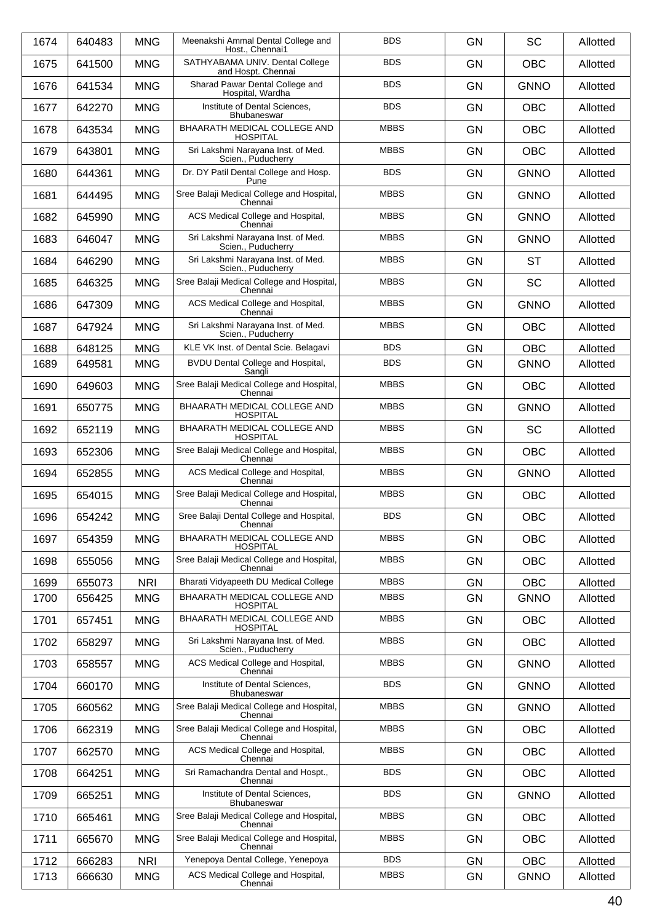| 1674 | 640483 | <b>MNG</b> | Meenakshi Ammal Dental College and<br>Host., Chennai1    | <b>BDS</b>  | <b>GN</b> | <b>SC</b>   | Allotted |
|------|--------|------------|----------------------------------------------------------|-------------|-----------|-------------|----------|
| 1675 | 641500 | <b>MNG</b> | SATHYABAMA UNIV. Dental College<br>and Hospt. Chennai    | <b>BDS</b>  | <b>GN</b> | <b>OBC</b>  | Allotted |
| 1676 | 641534 | <b>MNG</b> | Sharad Pawar Dental College and<br>Hospital, Wardha      | <b>BDS</b>  | <b>GN</b> | <b>GNNO</b> | Allotted |
| 1677 | 642270 | <b>MNG</b> | Institute of Dental Sciences.<br>Bhubaneswar             | <b>BDS</b>  | <b>GN</b> | <b>OBC</b>  | Allotted |
| 1678 | 643534 | <b>MNG</b> | BHAARATH MEDICAL COLLEGE AND<br><b>HOSPITAL</b>          | <b>MBBS</b> | <b>GN</b> | <b>OBC</b>  | Allotted |
| 1679 | 643801 | <b>MNG</b> | Sri Lakshmi Narayana Inst. of Med.<br>Scien., Puducherry | <b>MBBS</b> | <b>GN</b> | <b>OBC</b>  | Allotted |
| 1680 | 644361 | <b>MNG</b> | Dr. DY Patil Dental College and Hosp.<br>Pune            | <b>BDS</b>  | <b>GN</b> | <b>GNNO</b> | Allotted |
| 1681 | 644495 | <b>MNG</b> | Sree Balaji Medical College and Hospital,<br>Chennai     | <b>MBBS</b> | <b>GN</b> | <b>GNNO</b> | Allotted |
| 1682 | 645990 | <b>MNG</b> | ACS Medical College and Hospital,<br>Chennai             | <b>MBBS</b> | <b>GN</b> | <b>GNNO</b> | Allotted |
| 1683 | 646047 | <b>MNG</b> | Sri Lakshmi Narayana Inst. of Med.<br>Scien., Puducherry | <b>MBBS</b> | <b>GN</b> | <b>GNNO</b> | Allotted |
| 1684 | 646290 | <b>MNG</b> | Sri Lakshmi Narayana Inst. of Med.<br>Scien Puducherry   | <b>MBBS</b> | <b>GN</b> | <b>ST</b>   | Allotted |
| 1685 | 646325 | <b>MNG</b> | Sree Balaji Medical College and Hospital,<br>Chennai     | <b>MBBS</b> | <b>GN</b> | <b>SC</b>   | Allotted |
| 1686 | 647309 | <b>MNG</b> | ACS Medical College and Hospital,<br>Chennai             | <b>MBBS</b> | <b>GN</b> | <b>GNNO</b> | Allotted |
| 1687 | 647924 | <b>MNG</b> | Sri Lakshmi Narayana Inst. of Med.<br>Scien., Puducherry | <b>MBBS</b> | <b>GN</b> | <b>OBC</b>  | Allotted |
| 1688 | 648125 | <b>MNG</b> | KLE VK Inst. of Dental Scie. Belagavi                    | <b>BDS</b>  | <b>GN</b> | <b>OBC</b>  | Allotted |
| 1689 | 649581 | <b>MNG</b> | BVDU Dental College and Hospital,<br>Sangli              | <b>BDS</b>  | <b>GN</b> | <b>GNNO</b> | Allotted |
| 1690 | 649603 | <b>MNG</b> | Sree Balaji Medical College and Hospital,<br>Chennai     | <b>MBBS</b> | <b>GN</b> | <b>OBC</b>  | Allotted |
| 1691 | 650775 | <b>MNG</b> | BHAARATH MEDICAL COLLEGE AND<br><b>HOSPITAL</b>          | <b>MBBS</b> | <b>GN</b> | <b>GNNO</b> | Allotted |
| 1692 | 652119 | <b>MNG</b> | BHAARATH MEDICAL COLLEGE AND<br><b>HOSPITAL</b>          | <b>MBBS</b> | <b>GN</b> | <b>SC</b>   | Allotted |
| 1693 | 652306 | <b>MNG</b> | Sree Balaji Medical College and Hospital,<br>Chennai     | <b>MBBS</b> | <b>GN</b> | <b>OBC</b>  | Allotted |
| 1694 | 652855 | <b>MNG</b> | ACS Medical College and Hospital,<br>Chennai             | <b>MBBS</b> | <b>GN</b> | <b>GNNO</b> | Allotted |
| 1695 | 654015 | <b>MNG</b> | Sree Balaji Medical College and Hospital,<br>Chennai     | <b>MBBS</b> | <b>GN</b> | <b>OBC</b>  | Allotted |
| 1696 | 654242 | <b>MNG</b> | Sree Balaji Dental College and Hospital,<br>Chennai      | <b>BDS</b>  | GN        | OBC         | Allotted |
| 1697 | 654359 | <b>MNG</b> | BHAARATH MEDICAL COLLEGE AND<br><b>HOSPITAL</b>          | <b>MBBS</b> | <b>GN</b> | <b>OBC</b>  | Allotted |
| 1698 | 655056 | <b>MNG</b> | Sree Balaji Medical College and Hospital,<br>Chennai     | <b>MBBS</b> | <b>GN</b> | OBC         | Allotted |
| 1699 | 655073 | <b>NRI</b> | Bharati Vidyapeeth DU Medical College                    | <b>MBBS</b> | GN        | <b>OBC</b>  | Allotted |
| 1700 | 656425 | <b>MNG</b> | BHAARATH MEDICAL COLLEGE AND<br><b>HOSPITAL</b>          | <b>MBBS</b> | <b>GN</b> | <b>GNNO</b> | Allotted |
| 1701 | 657451 | <b>MNG</b> | BHAARATH MEDICAL COLLEGE AND<br><b>HOSPITAL</b>          | <b>MBBS</b> | <b>GN</b> | OBC         | Allotted |
| 1702 | 658297 | <b>MNG</b> | Sri Lakshmi Narayana Inst. of Med.<br>Scien., Puducherry | <b>MBBS</b> | <b>GN</b> | <b>OBC</b>  | Allotted |
| 1703 | 658557 | <b>MNG</b> | ACS Medical College and Hospital,<br>Chennai             | <b>MBBS</b> | GN        | <b>GNNO</b> | Allotted |
| 1704 | 660170 | <b>MNG</b> | Institute of Dental Sciences,<br>Bhubaneswar             | <b>BDS</b>  | <b>GN</b> | <b>GNNO</b> | Allotted |
| 1705 | 660562 | <b>MNG</b> | Sree Balaji Medical College and Hospital,<br>Chennai     | <b>MBBS</b> | <b>GN</b> | <b>GNNO</b> | Allotted |
| 1706 | 662319 | <b>MNG</b> | Sree Balaji Medical College and Hospital,<br>Chennai     | <b>MBBS</b> | GN        | OBC         | Allotted |
| 1707 | 662570 | <b>MNG</b> | ACS Medical College and Hospital,<br>Chennai             | <b>MBBS</b> | <b>GN</b> | <b>OBC</b>  | Allotted |
| 1708 | 664251 | <b>MNG</b> | Sri Ramachandra Dental and Hospt.,<br>Chennai            | <b>BDS</b>  | <b>GN</b> | <b>OBC</b>  | Allotted |
| 1709 | 665251 | <b>MNG</b> | Institute of Dental Sciences,<br>Bhubaneswar             | <b>BDS</b>  | <b>GN</b> | <b>GNNO</b> | Allotted |
| 1710 | 665461 | <b>MNG</b> | Sree Balaji Medical College and Hospital,<br>Chennai     | <b>MBBS</b> | <b>GN</b> | <b>OBC</b>  | Allotted |
| 1711 | 665670 | <b>MNG</b> | Sree Balaji Medical College and Hospital,<br>Chennai     | <b>MBBS</b> | <b>GN</b> | <b>OBC</b>  | Allotted |
| 1712 | 666283 | <b>NRI</b> | Yenepoya Dental College, Yenepoya                        | <b>BDS</b>  | GN        | OBC         | Allotted |
| 1713 | 666630 | <b>MNG</b> | ACS Medical College and Hospital,<br>Chennai             | <b>MBBS</b> | <b>GN</b> | <b>GNNO</b> | Allotted |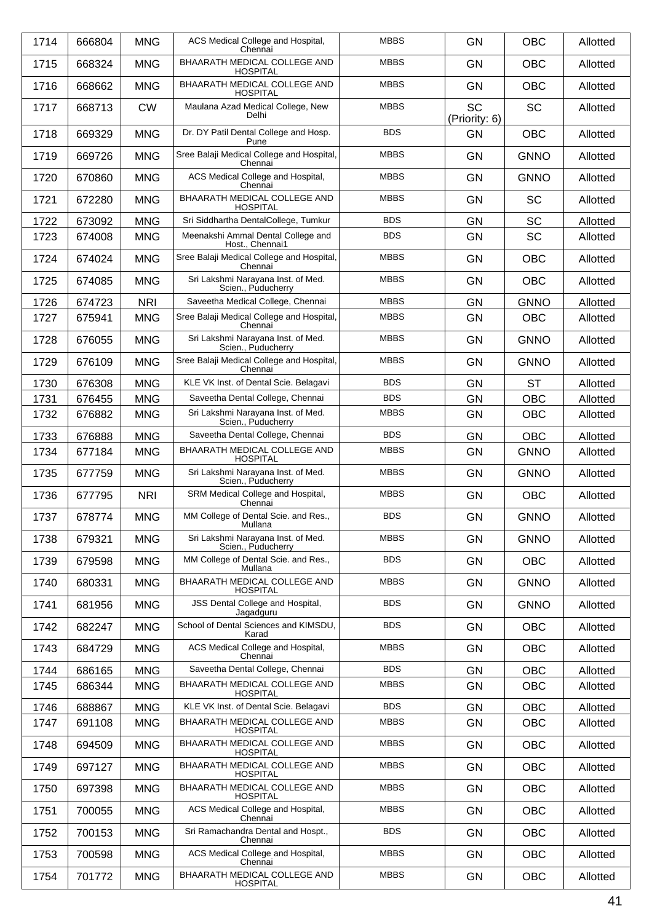| 1714 | 666804 | <b>MNG</b> | ACS Medical College and Hospital,                                  | <b>MBBS</b> | <b>GN</b>                  | <b>OBC</b>  | Allotted |
|------|--------|------------|--------------------------------------------------------------------|-------------|----------------------------|-------------|----------|
| 1715 | 668324 | <b>MNG</b> | Chennai<br>BHAARATH MEDICAL COLLEGE AND                            | <b>MBBS</b> | <b>GN</b>                  | <b>OBC</b>  | Allotted |
| 1716 | 668662 | <b>MNG</b> | <b>HOSPITAL</b><br>BHAARATH MEDICAL COLLEGE AND<br><b>HOSPITAL</b> | <b>MBBS</b> | <b>GN</b>                  | <b>OBC</b>  | Allotted |
| 1717 | 668713 | <b>CW</b>  | Maulana Azad Medical College, New<br>Delhi                         | <b>MBBS</b> | <b>SC</b><br>(Priority: 6) | <b>SC</b>   | Allotted |
| 1718 | 669329 | <b>MNG</b> | Dr. DY Patil Dental College and Hosp.<br>Pune                      | <b>BDS</b>  | <b>GN</b>                  | <b>OBC</b>  | Allotted |
| 1719 | 669726 | <b>MNG</b> | Sree Balaji Medical College and Hospital,<br>Chennai               | <b>MBBS</b> | <b>GN</b>                  | <b>GNNO</b> | Allotted |
| 1720 | 670860 | <b>MNG</b> | ACS Medical College and Hospital,<br>Chennai                       | <b>MBBS</b> | <b>GN</b>                  | <b>GNNO</b> | Allotted |
| 1721 | 672280 | <b>MNG</b> | BHAARATH MEDICAL COLLEGE AND<br><b>HOSPITAL</b>                    | <b>MBBS</b> | <b>GN</b>                  | <b>SC</b>   | Allotted |
| 1722 | 673092 | <b>MNG</b> | Sri Siddhartha DentalCollege, Tumkur                               | <b>BDS</b>  | <b>GN</b>                  | <b>SC</b>   | Allotted |
| 1723 | 674008 | <b>MNG</b> | Meenakshi Ammal Dental College and                                 | <b>BDS</b>  | <b>GN</b>                  | <b>SC</b>   | Allotted |
| 1724 | 674024 | <b>MNG</b> | Host., Chennai1<br>Sree Balaji Medical College and Hospital,       | <b>MBBS</b> | <b>GN</b>                  | <b>OBC</b>  | Allotted |
| 1725 | 674085 | <b>MNG</b> | Chennai<br>Sri Lakshmi Narayana Inst. of Med.                      | <b>MBBS</b> | <b>GN</b>                  | <b>OBC</b>  | Allotted |
| 1726 | 674723 | <b>NRI</b> | Scien., Puducherry<br>Saveetha Medical College, Chennai            | <b>MBBS</b> | GN                         | <b>GNNO</b> | Allotted |
| 1727 | 675941 | <b>MNG</b> | Sree Balaji Medical College and Hospital,                          | <b>MBBS</b> | <b>GN</b>                  | <b>OBC</b>  | Allotted |
| 1728 | 676055 | <b>MNG</b> | Chennai<br>Sri Lakshmi Narayana Inst. of Med.                      | <b>MBBS</b> | GN                         | <b>GNNO</b> | Allotted |
|      |        | <b>MNG</b> | Scien., Puducherry<br>Sree Balaji Medical College and Hospital,    | <b>MBBS</b> | <b>GN</b>                  | <b>GNNO</b> |          |
| 1729 | 676109 |            | Chennai                                                            | <b>BDS</b>  |                            |             | Allotted |
| 1730 | 676308 | <b>MNG</b> | KLE VK Inst. of Dental Scie. Belagavi                              | <b>BDS</b>  | <b>GN</b>                  | <b>ST</b>   | Allotted |
| 1731 | 676455 | <b>MNG</b> | Saveetha Dental College, Chennai                                   | <b>MBBS</b> | <b>GN</b>                  | <b>OBC</b>  | Allotted |
| 1732 | 676882 | <b>MNG</b> | Sri Lakshmi Narayana Inst. of Med.<br>Scien., Puducherry           |             | GN                         | <b>OBC</b>  | Allotted |
| 1733 | 676888 | <b>MNG</b> | Saveetha Dental College, Chennai                                   | <b>BDS</b>  | <b>GN</b>                  | <b>OBC</b>  | Allotted |
| 1734 | 677184 | <b>MNG</b> | BHAARATH MEDICAL COLLEGE AND<br><b>HOSPITAL</b>                    | <b>MBBS</b> | <b>GN</b>                  | <b>GNNO</b> | Allotted |
| 1735 | 677759 | <b>MNG</b> | Sri Lakshmi Narayana Inst. of Med.<br>Scien., Puducherry           | <b>MBBS</b> | <b>GN</b>                  | <b>GNNO</b> | Allotted |
| 1736 | 677795 | <b>NRI</b> | SRM Medical College and Hospital,<br>Chennai                       | <b>MBBS</b> | GN                         | <b>OBC</b>  | Allotted |
| 1737 | 678774 | <b>MNG</b> | MM College of Dental Scie. and Res.,<br>Mullana                    | <b>BDS</b>  | <b>GN</b>                  | <b>GNNO</b> | Allotted |
| 1738 | 679321 | <b>MNG</b> | Sri Lakshmi Narayana Inst. of Med.<br>Scien., Puducherry           | <b>MBBS</b> | GN                         | <b>GNNO</b> | Allotted |
| 1739 | 679598 | <b>MNG</b> | MM College of Dental Scie. and Res.,<br>Mullana                    | <b>BDS</b>  | <b>GN</b>                  | <b>OBC</b>  | Allotted |
| 1740 | 680331 | <b>MNG</b> | BHAARATH MEDICAL COLLEGE AND<br><b>HOSPITAL</b>                    | <b>MBBS</b> | GN                         | <b>GNNO</b> | Allotted |
| 1741 | 681956 | <b>MNG</b> | JSS Dental College and Hospital,<br>Jagadguru                      | <b>BDS</b>  | <b>GN</b>                  | <b>GNNO</b> | Allotted |
| 1742 | 682247 | <b>MNG</b> | School of Dental Sciences and KIMSDU,<br>Karad                     | <b>BDS</b>  | GN                         | <b>OBC</b>  | Allotted |
| 1743 | 684729 | <b>MNG</b> | ACS Medical College and Hospital,<br>Chennai                       | <b>MBBS</b> | GN                         | <b>OBC</b>  | Allotted |
| 1744 | 686165 | <b>MNG</b> | Saveetha Dental College, Chennai                                   | <b>BDS</b>  | <b>GN</b>                  | <b>OBC</b>  | Allotted |
| 1745 | 686344 | <b>MNG</b> | BHAARATH MEDICAL COLLEGE AND<br><b>HOSPITAL</b>                    | <b>MBBS</b> | GN                         | <b>OBC</b>  | Allotted |
| 1746 | 688867 | <b>MNG</b> | KLE VK Inst. of Dental Scie. Belagavi                              | <b>BDS</b>  | GN                         | OBC         | Allotted |
| 1747 | 691108 | <b>MNG</b> | BHAARATH MEDICAL COLLEGE AND<br><b>HOSPITAL</b>                    | <b>MBBS</b> | <b>GN</b>                  | <b>OBC</b>  | Allotted |
| 1748 | 694509 | <b>MNG</b> | BHAARATH MEDICAL COLLEGE AND<br><b>HOSPITAL</b>                    | <b>MBBS</b> | <b>GN</b>                  | <b>OBC</b>  | Allotted |
| 1749 | 697127 | <b>MNG</b> | BHAARATH MEDICAL COLLEGE AND<br><b>HOSPITAL</b>                    | <b>MBBS</b> | GN                         | OBC         | Allotted |
| 1750 | 697398 | <b>MNG</b> | BHAARATH MEDICAL COLLEGE AND<br><b>HOSPITAL</b>                    | <b>MBBS</b> | <b>GN</b>                  | <b>OBC</b>  | Allotted |
| 1751 | 700055 | <b>MNG</b> | ACS Medical College and Hospital,<br>Chennai                       | <b>MBBS</b> | <b>GN</b>                  | <b>OBC</b>  | Allotted |
| 1752 | 700153 | <b>MNG</b> | Sri Ramachandra Dental and Hospt.,<br>Chennai                      | <b>BDS</b>  | GN                         | OBC         | Allotted |
| 1753 | 700598 | <b>MNG</b> | ACS Medical College and Hospital,<br>Chennai                       | <b>MBBS</b> | GN                         | <b>OBC</b>  | Allotted |
| 1754 | 701772 | <b>MNG</b> | BHAARATH MEDICAL COLLEGE AND<br><b>HOSPITAL</b>                    | <b>MBBS</b> | GN                         | OBC         | Allotted |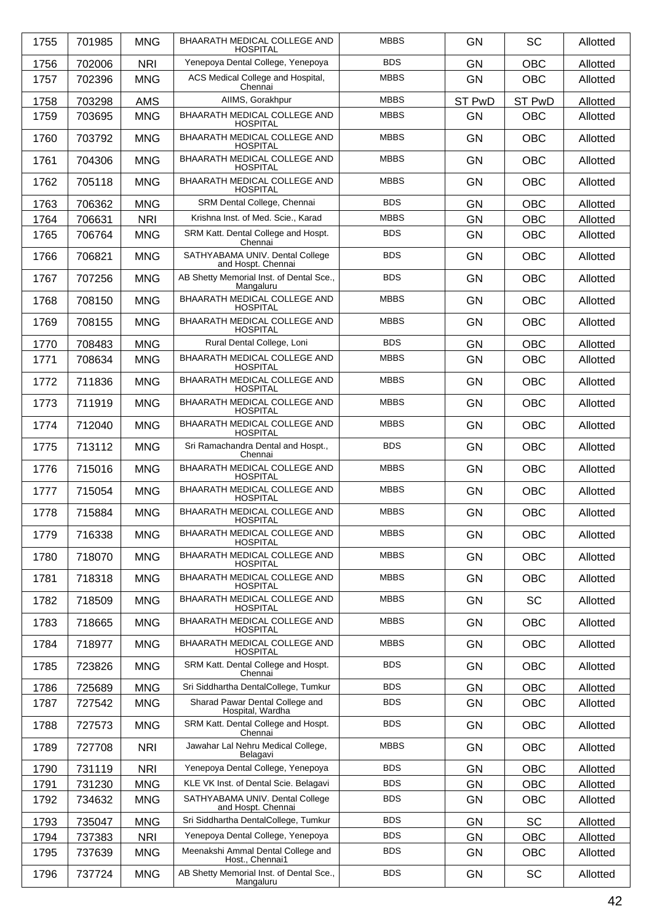| 1755 | 701985 | <b>MNG</b> | BHAARATH MEDICAL COLLEGE AND<br><b>HOSPITAL</b>        | <b>MBBS</b> | <b>GN</b> | <b>SC</b>  | Allotted |
|------|--------|------------|--------------------------------------------------------|-------------|-----------|------------|----------|
| 1756 | 702006 | <b>NRI</b> | Yenepoya Dental College, Yenepoya                      | <b>BDS</b>  | <b>GN</b> | <b>OBC</b> | Allotted |
| 1757 | 702396 | <b>MNG</b> | ACS Medical College and Hospital,<br>Chennai           | <b>MBBS</b> | <b>GN</b> | <b>OBC</b> | Allotted |
| 1758 | 703298 | <b>AMS</b> | AIIMS, Gorakhpur                                       | <b>MBBS</b> | ST PwD    | ST PwD     | Allotted |
| 1759 | 703695 | <b>MNG</b> | BHAARATH MEDICAL COLLEGE AND<br><b>HOSPITAL</b>        | <b>MBBS</b> | <b>GN</b> | <b>OBC</b> | Allotted |
| 1760 | 703792 | <b>MNG</b> | BHAARATH MEDICAL COLLEGE AND<br><b>HOSPITAL</b>        | <b>MBBS</b> | <b>GN</b> | <b>OBC</b> | Allotted |
| 1761 | 704306 | <b>MNG</b> | BHAARATH MEDICAL COLLEGE AND<br><b>HOSPITAL</b>        | <b>MBBS</b> | GN        | <b>OBC</b> | Allotted |
| 1762 | 705118 | <b>MNG</b> | BHAARATH MEDICAL COLLEGE AND<br><b>HOSPITAL</b>        | <b>MBBS</b> | <b>GN</b> | <b>OBC</b> | Allotted |
| 1763 | 706362 | <b>MNG</b> | SRM Dental College, Chennai                            | <b>BDS</b>  | GN        | <b>OBC</b> | Allotted |
| 1764 | 706631 | <b>NRI</b> | Krishna Inst. of Med. Scie., Karad                     | <b>MBBS</b> | <b>GN</b> | <b>OBC</b> | Allotted |
| 1765 | 706764 | <b>MNG</b> | SRM Katt. Dental College and Hospt.<br>Chennai         | <b>BDS</b>  | <b>GN</b> | <b>OBC</b> | Allotted |
| 1766 | 706821 | <b>MNG</b> | SATHYABAMA UNIV. Dental College<br>and Hospt. Chennai  | <b>BDS</b>  | <b>GN</b> | <b>OBC</b> | Allotted |
| 1767 | 707256 | <b>MNG</b> | AB Shetty Memorial Inst. of Dental Sce<br>Mangaluru    | <b>BDS</b>  | <b>GN</b> | <b>OBC</b> | Allotted |
| 1768 | 708150 | <b>MNG</b> | BHAARATH MEDICAL COLLEGE AND<br><b>HOSPITAL</b>        | <b>MBBS</b> | <b>GN</b> | <b>OBC</b> | Allotted |
| 1769 | 708155 | <b>MNG</b> | BHAARATH MEDICAL COLLEGE AND<br><b>HOSPITAL</b>        | <b>MBBS</b> | GN        | <b>OBC</b> | Allotted |
| 1770 | 708483 | <b>MNG</b> | Rural Dental College, Loni                             | <b>BDS</b>  | <b>GN</b> | <b>OBC</b> | Allotted |
| 1771 | 708634 | <b>MNG</b> | BHAARATH MEDICAL COLLEGE AND<br><b>HOSPITAL</b>        | <b>MBBS</b> | <b>GN</b> | OBC        | Allotted |
| 1772 | 711836 | <b>MNG</b> | BHAARATH MEDICAL COLLEGE AND<br><b>HOSPITAL</b>        | <b>MBBS</b> | <b>GN</b> | <b>OBC</b> | Allotted |
| 1773 | 711919 | <b>MNG</b> | BHAARATH MEDICAL COLLEGE AND<br><b>HOSPITAL</b>        | <b>MBBS</b> | <b>GN</b> | <b>OBC</b> | Allotted |
| 1774 | 712040 | <b>MNG</b> | BHAARATH MEDICAL COLLEGE AND<br><b>HOSPITAL</b>        | <b>MBBS</b> | <b>GN</b> | <b>OBC</b> | Allotted |
| 1775 | 713112 | <b>MNG</b> | Sri Ramachandra Dental and Hospt.,<br>Chennai          | <b>BDS</b>  | <b>GN</b> | <b>OBC</b> | Allotted |
| 1776 | 715016 | <b>MNG</b> | BHAARATH MEDICAL COLLEGE AND<br><b>HOSPITAL</b>        | <b>MBBS</b> | <b>GN</b> | <b>OBC</b> | Allotted |
| 1777 | 715054 | <b>MNG</b> | BHAARATH MEDICAL COLLEGE AND<br><b>HOSPITAL</b>        | <b>MBBS</b> | <b>GN</b> | <b>OBC</b> | Allotted |
| 1778 | 715884 | <b>MNG</b> | BHAARATH MEDICAL COLLEGE AND<br><b>HOSPITAL</b>        | <b>MBBS</b> | GN        | <b>OBC</b> | Allotted |
| 1779 | 716338 | <b>MNG</b> | <b>BHAARATH MEDICAL COLLEGE AND</b><br><b>HOSPITAL</b> | <b>MBBS</b> | <b>GN</b> | <b>OBC</b> | Allotted |
| 1780 | 718070 | <b>MNG</b> | BHAARATH MEDICAL COLLEGE AND<br><b>HOSPITAL</b>        | <b>MBBS</b> | <b>GN</b> | <b>OBC</b> | Allotted |
| 1781 | 718318 | <b>MNG</b> | BHAARATH MEDICAL COLLEGE AND<br><b>HOSPITAL</b>        | <b>MBBS</b> | GN        | <b>OBC</b> | Allotted |
| 1782 | 718509 | <b>MNG</b> | BHAARATH MEDICAL COLLEGE AND<br><b>HOSPITAL</b>        | <b>MBBS</b> | GN        | <b>SC</b>  | Allotted |
| 1783 | 718665 | <b>MNG</b> | BHAARATH MEDICAL COLLEGE AND<br><b>HOSPITAL</b>        | <b>MBBS</b> | <b>GN</b> | <b>OBC</b> | Allotted |
| 1784 | 718977 | <b>MNG</b> | BHAARATH MEDICAL COLLEGE AND<br><b>HOSPITAL</b>        | <b>MBBS</b> | GN        | <b>OBC</b> | Allotted |
| 1785 | 723826 | <b>MNG</b> | SRM Katt. Dental College and Hospt.<br>Chennai         | <b>BDS</b>  | GN        | <b>OBC</b> | Allotted |
| 1786 | 725689 | <b>MNG</b> | Sri Siddhartha DentalCollege, Tumkur                   | <b>BDS</b>  | GN        | <b>OBC</b> | Allotted |
| 1787 | 727542 | <b>MNG</b> | Sharad Pawar Dental College and<br>Hospital, Wardha    | <b>BDS</b>  | <b>GN</b> | <b>OBC</b> | Allotted |
| 1788 | 727573 | <b>MNG</b> | SRM Katt. Dental College and Hospt.<br>Chennai         | <b>BDS</b>  | <b>GN</b> | <b>OBC</b> | Allotted |
| 1789 | 727708 | <b>NRI</b> | Jawahar Lal Nehru Medical College,<br>Belagavi         | <b>MBBS</b> | <b>GN</b> | <b>OBC</b> | Allotted |
| 1790 | 731119 | <b>NRI</b> | Yenepoya Dental College, Yenepoya                      | <b>BDS</b>  | GN        | <b>OBC</b> | Allotted |
| 1791 | 731230 | <b>MNG</b> | KLE VK Inst. of Dental Scie. Belagavi                  | <b>BDS</b>  | <b>GN</b> | <b>OBC</b> | Allotted |
| 1792 | 734632 | <b>MNG</b> | SATHYABAMA UNIV. Dental College<br>and Hospt. Chennai  | <b>BDS</b>  | <b>GN</b> | <b>OBC</b> | Allotted |
| 1793 | 735047 | <b>MNG</b> | Sri Siddhartha DentalCollege, Tumkur                   | <b>BDS</b>  | GN        | <b>SC</b>  | Allotted |
| 1794 | 737383 | <b>NRI</b> | Yenepoya Dental College, Yenepoya                      | <b>BDS</b>  | <b>GN</b> | <b>OBC</b> | Allotted |
| 1795 | 737639 | <b>MNG</b> | Meenakshi Ammal Dental College and<br>Host., Chennai1  | <b>BDS</b>  | <b>GN</b> | <b>OBC</b> | Allotted |
| 1796 | 737724 | <b>MNG</b> | AB Shetty Memorial Inst. of Dental Sce.,<br>Mangaluru  | <b>BDS</b>  | <b>GN</b> | <b>SC</b>  | Allotted |